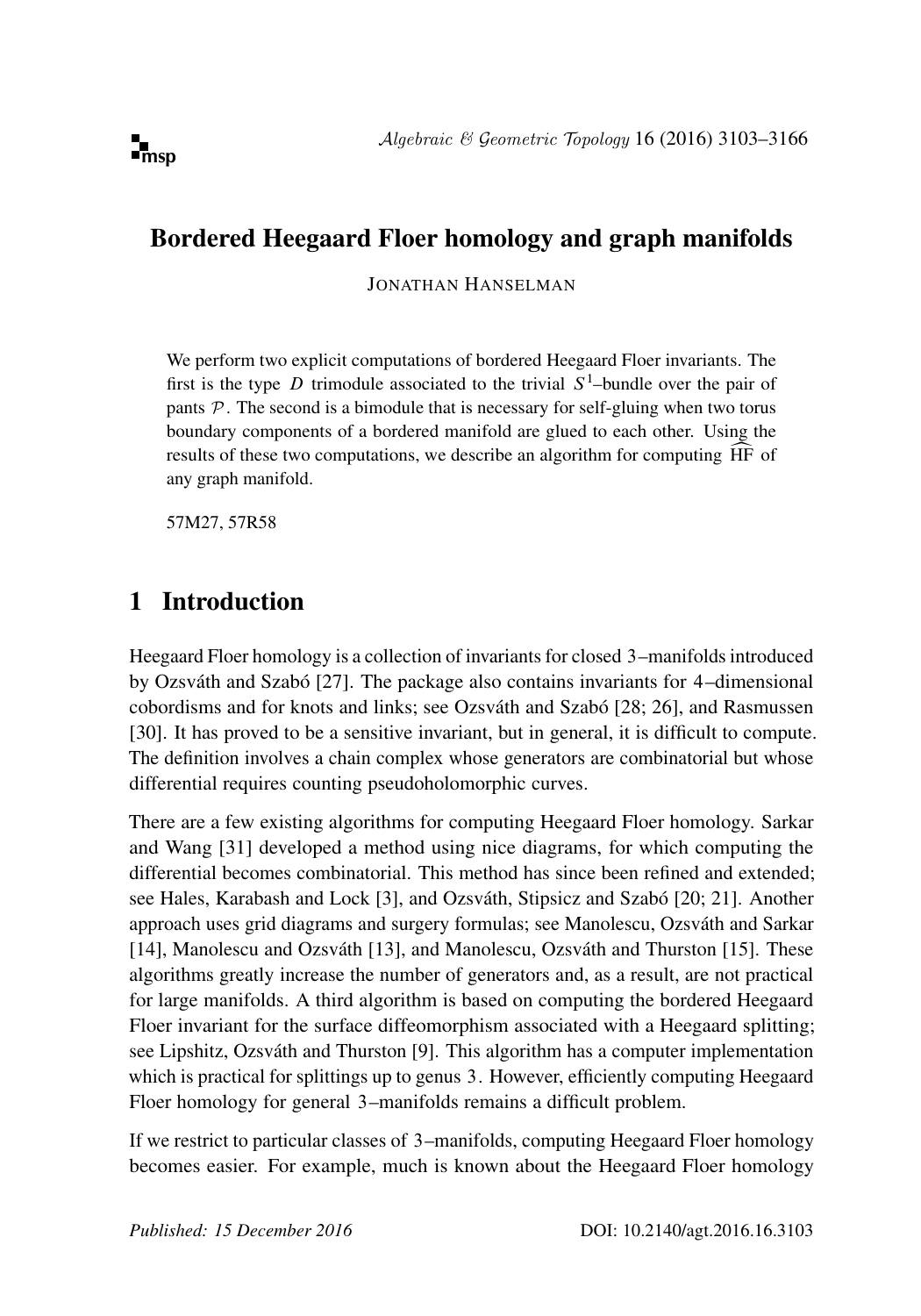# Bordered Heegaard Floer homology and graph manifolds

JONATHAN HANSELMAN

We perform two explicit computations of bordered Heegaard Floer invariants. The first is the type D trimodule associated to the trivial  $S^1$ -bundle over the pair of pants  $P$ . The second is a bimodule that is necessary for self-gluing when two torus boundary components of a bordered manifold are glued to each other. Using the results of these two computations, we describe an algorithm for computing HF of any graph manifold.

[57M27, 57R58](http://www.ams.org/mathscinet/search/mscdoc.html?code=57M27, 57R58)

# 1 Introduction

Heegaard Floer homology is a collection of invariants for closed 3–manifolds introduced by Ozsváth and Szabó [\[27\]](#page-63-0). The package also contains invariants for 4–dimensional cobordisms and for knots and links; see Ozsváth and Szabó [\[28;](#page-63-1) [26\]](#page-62-0), and Rasmussen [\[30\]](#page-63-2). It has proved to be a sensitive invariant, but in general, it is difficult to compute. The definition involves a chain complex whose generators are combinatorial but whose differential requires counting pseudoholomorphic curves.

There are a few existing algorithms for computing Heegaard Floer homology. Sarkar and Wang [\[31\]](#page-63-3) developed a method using nice diagrams, for which computing the differential becomes combinatorial. This method has since been refined and extended; see Hales, Karabash and Lock [\[3\]](#page-61-0), and Ozsváth, Stipsicz and Szabó [\[20;](#page-62-1) [21\]](#page-62-2). Another approach uses grid diagrams and surgery formulas; see Manolescu, Ozsváth and Sarkar [\[14\]](#page-62-3), Manolescu and Ozsváth [\[13\]](#page-62-4), and Manolescu, Ozsváth and Thurston [\[15\]](#page-62-5). These algorithms greatly increase the number of generators and, as a result, are not practical for large manifolds. A third algorithm is based on computing the bordered Heegaard Floer invariant for the surface diffeomorphism associated with a Heegaard splitting; see Lipshitz, Ozsváth and Thurston [\[9\]](#page-62-6). This algorithm has a computer implementation which is practical for splittings up to genus 3. However, efficiently computing Heegaard Floer homology for general 3–manifolds remains a difficult problem.

If we restrict to particular classes of 3–manifolds, computing Heegaard Floer homology becomes easier. For example, much is known about the Heegaard Floer homology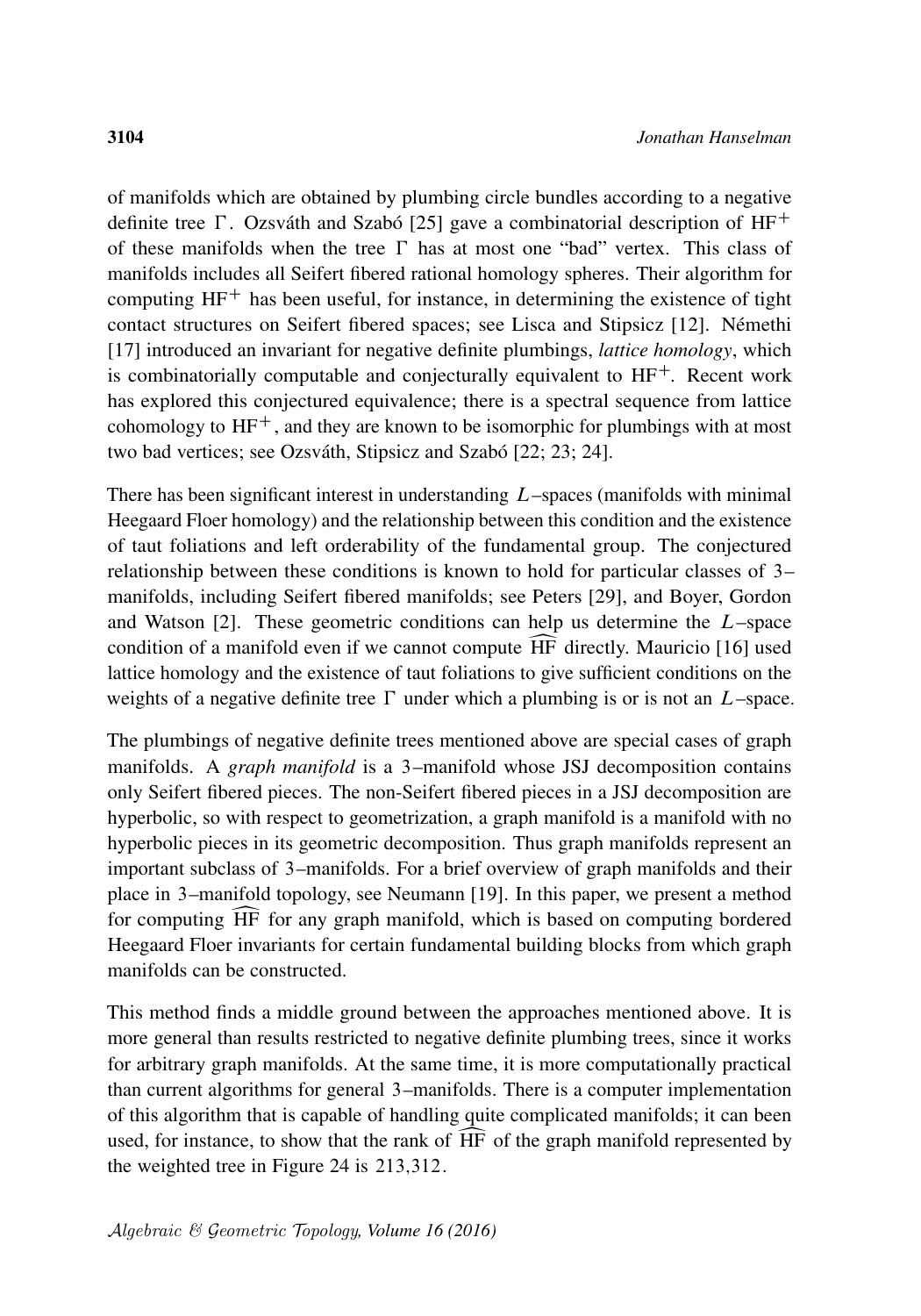of manifolds which are obtained by plumbing circle bundles according to a negative definite tree  $\Gamma$ . Ozsváth and Szabó [\[25\]](#page-62-7) gave a combinatorial description of HF<sup>+</sup> of these manifolds when the tree  $\Gamma$  has at most one "bad" vertex. This class of manifolds includes all Seifert fibered rational homology spheres. Their algorithm for computing  $HF<sup>+</sup>$  has been useful, for instance, in determining the existence of tight contact structures on Seifert fibered spaces; see Lisca and Stipsicz [\[12\]](#page-62-8). Némethi [\[17\]](#page-62-9) introduced an invariant for negative definite plumbings, *lattice homology*, which is combinatorially computable and conjecturally equivalent to  $HF^+$ . Recent work has explored this conjectured equivalence; there is a spectral sequence from lattice cohomology to  $HF^+$ , and they are known to be isomorphic for plumbings with at most two bad vertices; see Ozsváth, Stipsicz and Szabó [\[22;](#page-62-10) [23;](#page-62-11) [24\]](#page-62-12).

There has been significant interest in understanding  $L$ –spaces (manifolds with minimal Heegaard Floer homology) and the relationship between this condition and the existence of taut foliations and left orderability of the fundamental group. The conjectured relationship between these conditions is known to hold for particular classes of 3– manifolds, including Seifert fibered manifolds; see Peters [\[29\]](#page-63-4), and Boyer, Gordon and Watson  $[2]$ . These geometric conditions can help us determine the  $L$ –space condition of a manifold even if we cannot compute HF directly. Mauricio [\[16\]](#page-62-13) used<br>lattice homology and the existence of taut foliations to give sufficient conditions on the weights of a negative definite tree  $\Gamma$  under which a plumbing is or is not an  $L$ –space.

The plumbings of negative definite trees mentioned above are special cases of graph manifolds. A *graph manifold* is a 3–manifold whose JSJ decomposition contains only Seifert fibered pieces. The non-Seifert fibered pieces in a JSJ decomposition are hyperbolic, so with respect to geometrization, a graph manifold is a manifold with no hyperbolic pieces in its geometric decomposition. Thus graph manifolds represent an important subclass of 3–manifolds. For a brief overview of graph manifolds and their place in 3–manifold topology, see Neumann [\[19\]](#page-62-14). In this paper, we present a method for computing HF for any graph manifold, which is based on computing bordered<br>Heegaard Floer invariants for certain fundamental building blocks from which graph manifolds can be constructed.

This method finds a middle ground between the approaches mentioned above. It is more general than results restricted to negative definite plumbing trees, since it works for arbitrary graph manifolds. At the same time, it is more computationally practical than current algorithms for general 3–manifolds. There is a computer implementation of this algorithm that is capable of handling quite complicated manifolds; it can been used, for instance, to show that the rank of  $\overline{HF}$  of the graph manifold represented by the weighted tree in [Figure 24](#page-60-0) is 213;312.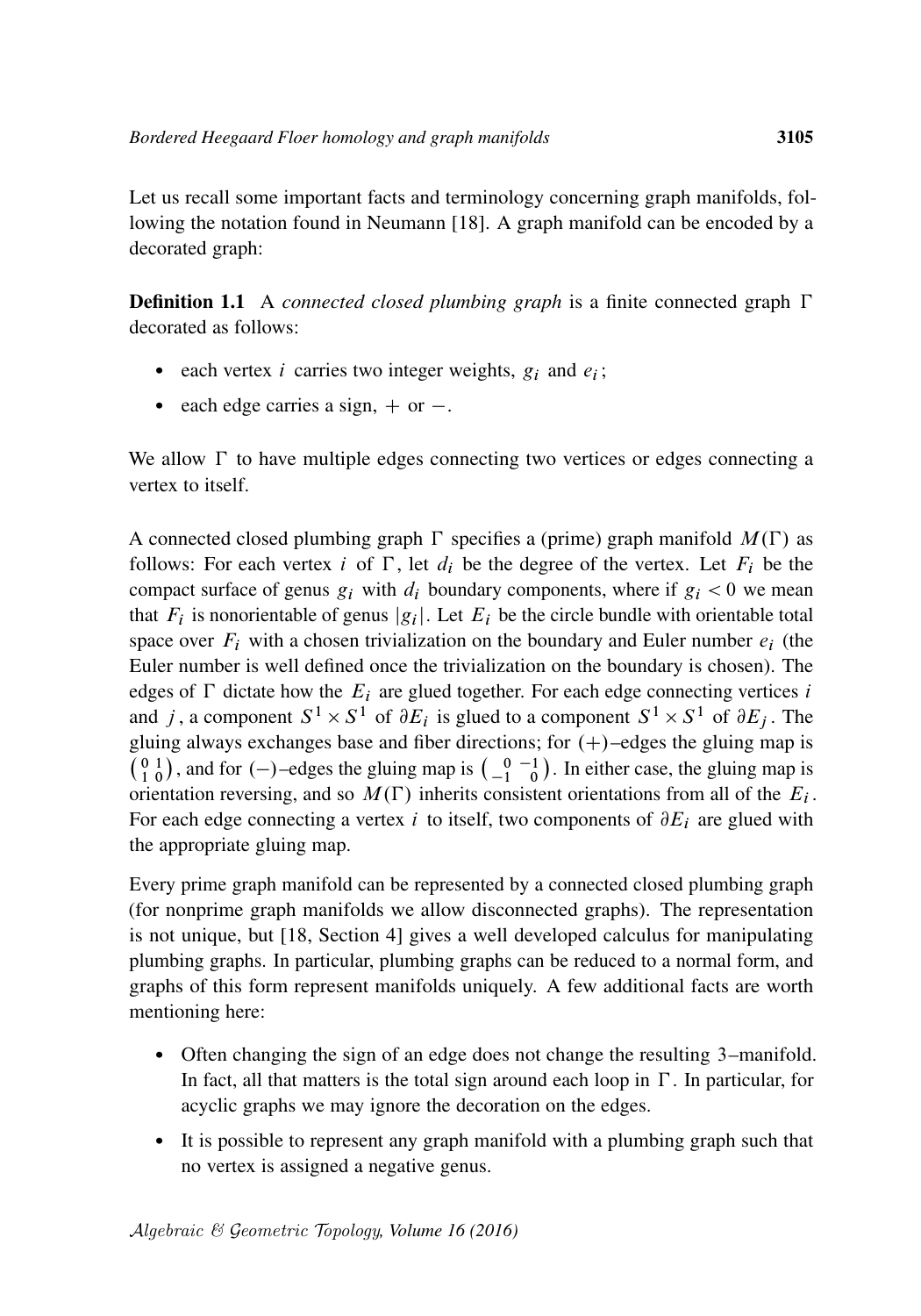Let us recall some important facts and terminology concerning graph manifolds, following the notation found in Neumann [\[18\]](#page-62-15). A graph manifold can be encoded by a decorated graph:

**Definition 1.1** A *connected closed plumbing graph* is a finite connected graph  $\Gamma$ decorated as follows:

- each vertex *i* carries two integer weights,  $g_i$  and  $e_i$ ;
- each edge carries a sign,  $+$  or  $-$ .

We allow  $\Gamma$  to have multiple edges connecting two vertices or edges connecting a vertex to itself.

A connected closed plumbing graph  $\Gamma$  specifies a (prime) graph manifold  $M(\Gamma)$  as follows: For each vertex i of  $\Gamma$ , let  $d_i$  be the degree of the vertex. Let  $F_i$  be the compact surface of genus  $g_i$  with  $d_i$  boundary components, where if  $g_i < 0$  we mean that  $F_i$  is nonorientable of genus  $|g_i|$ . Let  $E_i$  be the circle bundle with orientable total space over  $F_i$  with a chosen trivialization on the boundary and Euler number  $e_i$  (the Euler number is well defined once the trivialization on the boundary is chosen). The edges of  $\Gamma$  dictate how the  $E_i$  are glued together. For each edge connecting vertices i and j, a component  $S^1 \times S^1$  of  $\partial E_i$  is glued to a component  $S^1 \times S^1$  of  $\partial E_j$ . The gluing always exchanges base and fiber directions; for  $(+)$ –edges the gluing map is  $\begin{pmatrix} 0 & 1 \\ 1 & 0 \end{pmatrix}$ , and for  $(-)$ -edges the gluing map is  $\begin{pmatrix} 0 & -1 \\ -1 & 0 \end{pmatrix}$ . In either case, the gluing map is orientation reversing, and so  $M(\Gamma)$  inherits consistent orientations from all of the  $E_i$ . For each edge connecting a vertex i to itself, two components of  $\partial E_i$  are glued with the appropriate gluing map.

Every prime graph manifold can be represented by a connected closed plumbing graph (for nonprime graph manifolds we allow disconnected graphs). The representation is not unique, but [\[18,](#page-62-15) Section 4] gives a well developed calculus for manipulating plumbing graphs. In particular, plumbing graphs can be reduced to a normal form, and graphs of this form represent manifolds uniquely. A few additional facts are worth mentioning here:

- Often changing the sign of an edge does not change the resulting 3–manifold. In fact, all that matters is the total sign around each loop in  $\Gamma$ . In particular, for acyclic graphs we may ignore the decoration on the edges.
- It is possible to represent any graph manifold with a plumbing graph such that no vertex is assigned a negative genus.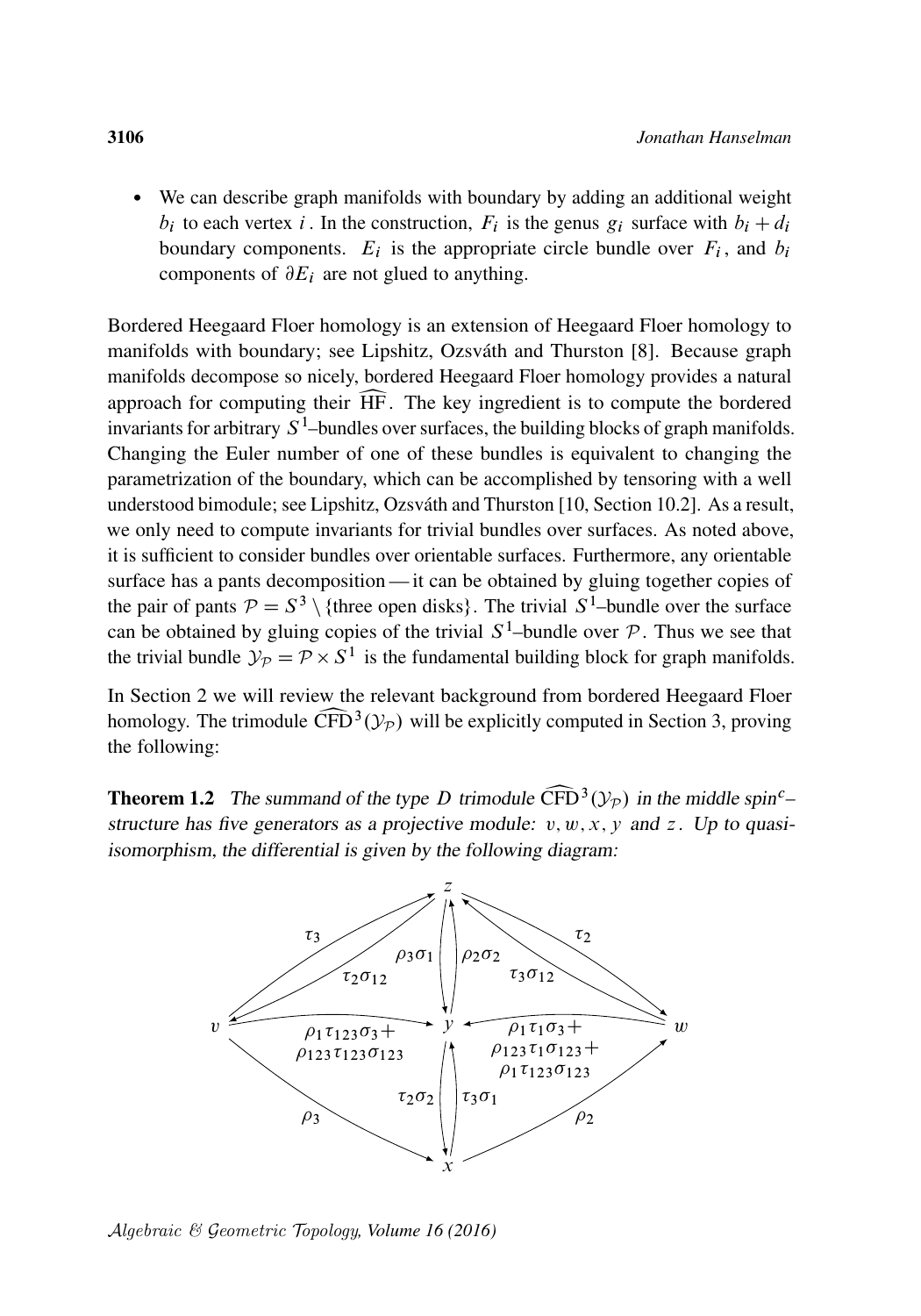We can describe graph manifolds with boundary by adding an additional weight  $b_i$  to each vertex i. In the construction,  $F_i$  is the genus  $g_i$  surface with  $b_i + d_i$ boundary components.  $E_i$  is the appropriate circle bundle over  $F_i$ , and  $b_i$ components of  $\partial E_i$  are not glued to anything.

Bordered Heegaard Floer homology is an extension of Heegaard Floer homology to manifolds with boundary; see Lipshitz, Ozsváth and Thurston [\[8\]](#page-61-2). Because graph manifolds decompose so nicely, bordered Heegaard Floer homology provides a natural approach for computing their  $\widehat{HF}$ . The key ingredient is to compute the bordered approach for computing their HF. The key ingredient is to compute the bordered invariants for arbitrary  $S^1$ -bundles over surfaces, the building blocks of graph manifolds. Changing the Euler number of one of these bundles is equivalent to changing the parametrization of the boundary, which can be accomplished by tensoring with a well understood bimodule; see Lipshitz, Ozsváth and Thurston [\[10,](#page-62-16) Section 10.2]. As a result, we only need to compute invariants for trivial bundles over surfaces. As noted above, it is sufficient to consider bundles over orientable surfaces. Furthermore, any orientable surface has a pants decomposition— it can be obtained by gluing together copies of the pair of pants  $P = S^3 \setminus \{$ three open disks}. The trivial  $S^1$ -bundle over the surface can be obtained by gluing copies of the trivial  $S^1$ -bundle over  $P$ . Thus we see that the trivial bundle  $\mathcal{Y}_P = \mathcal{P} \times S^1$  is the fundamental building block for graph manifolds.

In [Section 2](#page-4-0) we will review the relevant background from bordered Heegaard Floer homology. The trimodule  $\widehat{\text{CFD}}^3(\mathcal{Y}_P)$  will be explicitly computed in [Section 3,](#page-22-0) proving the following: the following:

<span id="page-3-0"></span>**Theorem 1.2** The summand of the type D trimodule  $\widehat{CFD}^3(\mathcal{Y}_P)$  in the middle spin<sup>c</sup>–<br>structure has five generators as a projective module:  $v, w, x, y$  and z. Up to quasistructure has five generators as a projective module:  $v, w, x, y$  and z. Up to quasiisomorphism, the differential is given by the following diagram:



Algebraic & Geometric Topology*, Volume 16 (2016)*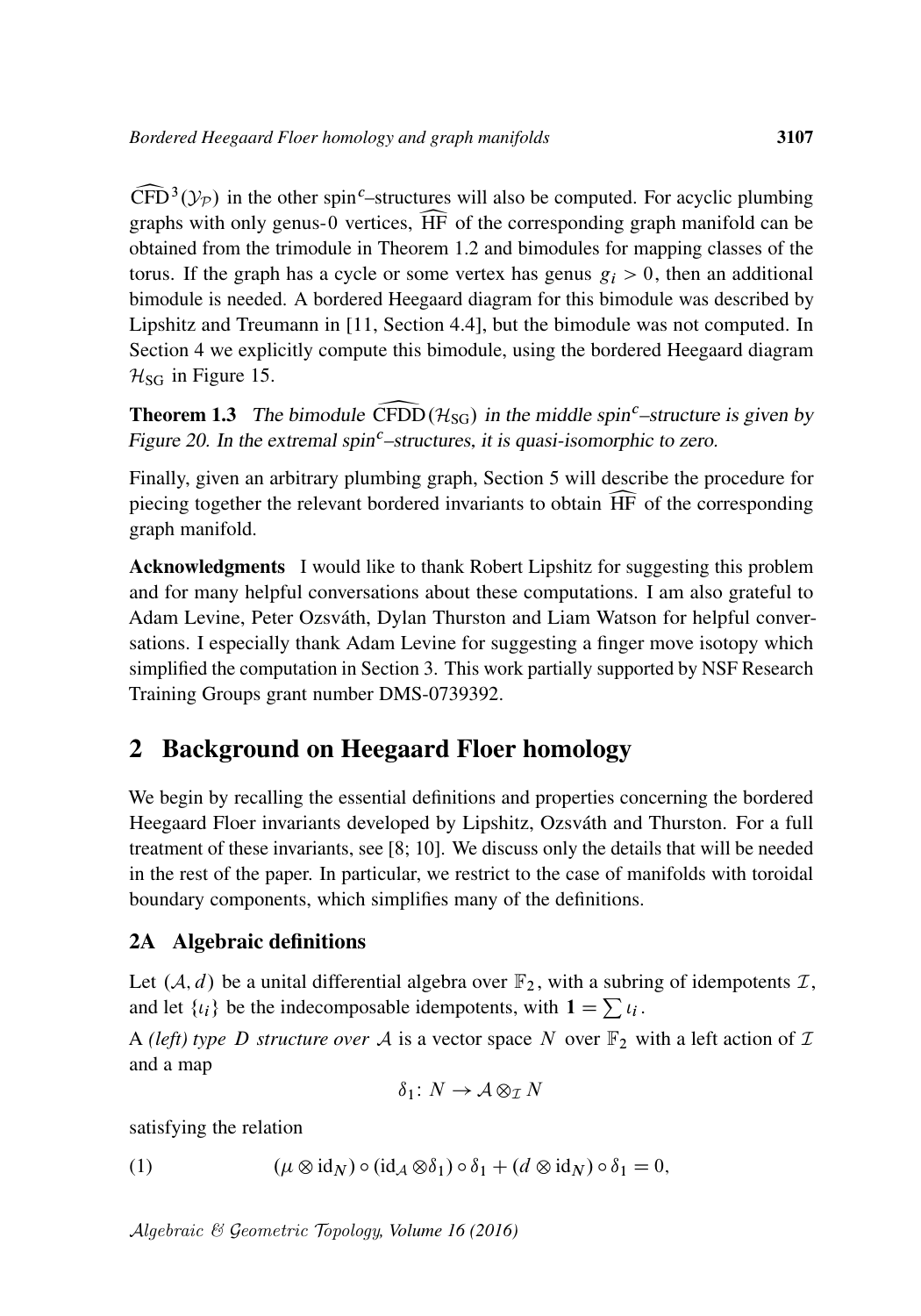$\widehat{\text{CFD}}^3(\mathcal{Y}_P)$  in the other spin<sup>c</sup>-structures will also be computed. For acyclic plumbing graphs with only genus-0 vertices,  $\widehat{\text{HF}}$  of the corresponding graph manifold can be graphs with only genus-<sup>0</sup> vertices, bHF of the corresponding graph manifold can be obtained from the trimodule in [Theorem 1.2](#page-3-0) and bimodules for mapping classes of the torus. If the graph has a cycle or some vertex has genus  $g_i > 0$ , then an additional bimodule is needed. A bordered Heegaard diagram for this bimodule was described by Lipshitz and Treumann in [\[11,](#page-62-17) Section 4.4], but the bimodule was not computed. In [Section 4](#page-41-0) we explicitly compute this bimodule, using the bordered Heegaard diagram  $H_{SG}$  in [Figure 15.](#page-42-0)

**Theorem 1.3** The bimodule CFDD ( $H_{SG}$ ) in the middle spin<sup>c</sup>–structure is given by [Figure 20.](#page-52-0) In the extremal spin<sup>c</sup>–structures, it is quasi-isomorphic to zero.

Finally, given an arbitrary plumbing graph, [Section 5](#page-55-0) will describe the procedure for piecing together the relevant bordered invariants to obtain  $\widehat{HF}$  of the corresponding graph manifold.

Acknowledgments I would like to thank Robert Lipshitz for suggesting this problem and for many helpful conversations about these computations. I am also grateful to Adam Levine, Peter Ozsváth, Dylan Thurston and Liam Watson for helpful conversations. I especially thank Adam Levine for suggesting a finger move isotopy which simplified the computation in [Section 3.](#page-22-0) This work partially supported by NSF Research Training Groups grant number DMS-0739392.

## <span id="page-4-0"></span>2 Background on Heegaard Floer homology

We begin by recalling the essential definitions and properties concerning the bordered Heegaard Floer invariants developed by Lipshitz, Ozsváth and Thurston. For a full treatment of these invariants, see [\[8;](#page-61-2) [10\]](#page-62-16). We discuss only the details that will be needed in the rest of the paper. In particular, we restrict to the case of manifolds with toroidal boundary components, which simplifies many of the definitions.

## 2A Algebraic definitions

Let  $(\mathcal{A}, d)$  be a unital differential algebra over  $\mathbb{F}_2$ , with a subring of idempotents  $\mathcal{I}$ , and let  $\{i_i\}$  be the indecomposable idempotents, with  $1 = \sum_i i_i$ .

A *(left)* type D structure over A is a vector space N over  $\mathbb{F}_2$  with a left action of T and a map

<span id="page-4-1"></span>
$$
\delta_1\colon N\to \mathcal{A}\otimes_{\mathcal{I}} N
$$

satisfying the relation

(1) 
$$
(\mu \otimes id_N) \circ (id_{\mathcal{A}} \otimes \delta_1) \circ \delta_1 + (d \otimes id_N) \circ \delta_1 = 0,
$$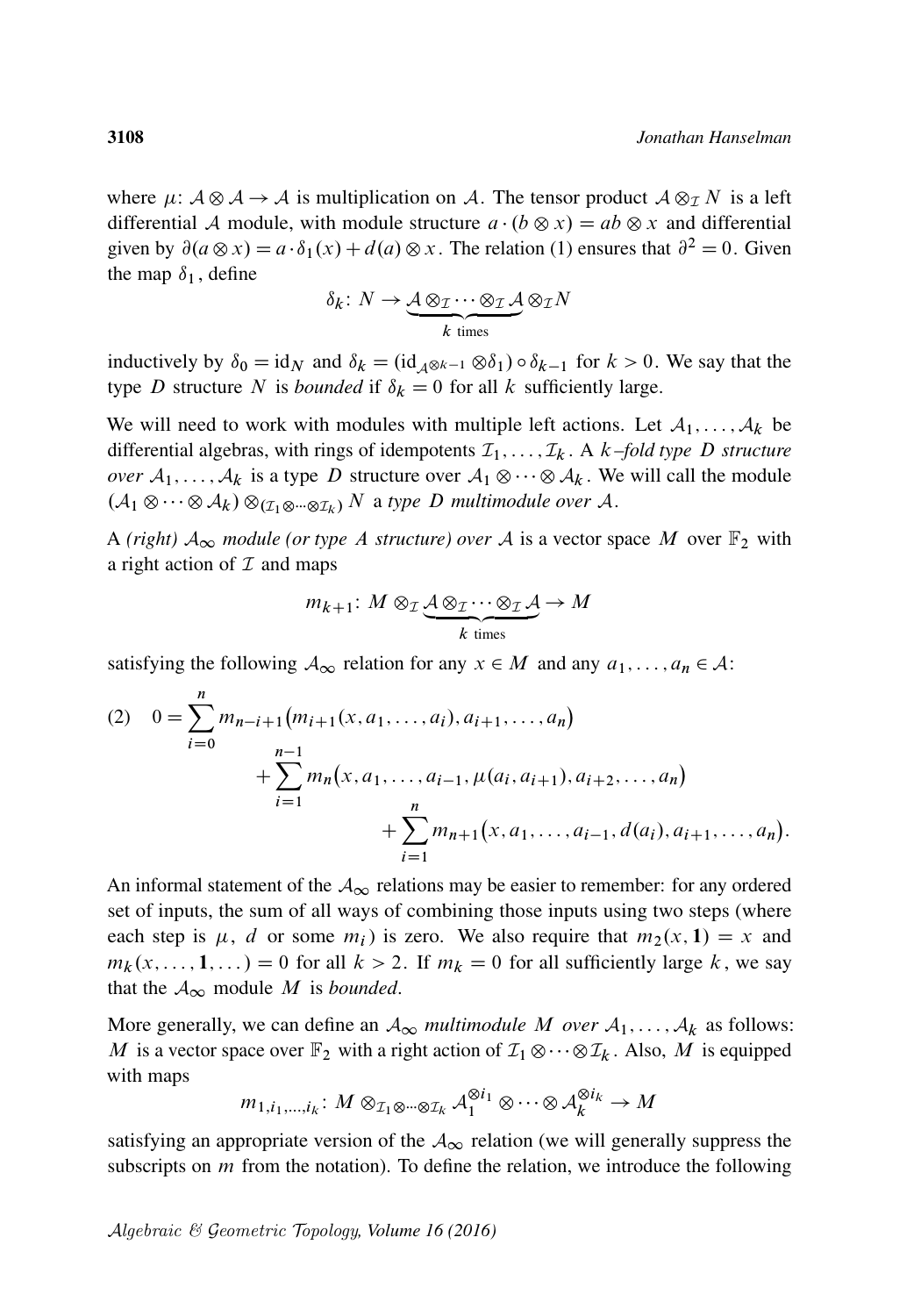where  $\mu: A \otimes A \rightarrow A$  is multiplication on A. The tensor product  $A \otimes_{\mathcal{I}} N$  is a left differential A module, with module structure  $a \cdot (b \otimes x) = ab \otimes x$  and differential given by  $\partial(a \otimes x) = a \cdot \delta_1(x) + d(a) \otimes x$ . The relation [\(1\)](#page-4-1) ensures that  $\partial^2 = 0$ . Given the map  $\delta_1$ , define

$$
\delta_k \colon N \to \underbrace{\mathcal{A} \otimes_{\mathcal{I}} \cdots \otimes_{\mathcal{I}} \mathcal{A}}_{k \text{ times}} \otimes_{\mathcal{I}} N
$$

inductively by  $\delta_0 = id_N$  and  $\delta_k = (id_{\mathcal{A}^{\otimes k-1}} \otimes \delta_1) \circ \delta_{k-1}$  for  $k > 0$ . We say that the type D structure N is *bounded* if  $\delta_k = 0$  for all k sufficiently large.

We will need to work with modules with multiple left actions. Let  $A_1, \ldots, A_k$  be differential algebras, with rings of idempotents  $\mathcal{I}_1, \ldots, \mathcal{I}_k$ . A  $k$ -fold type D structure *over*  $A_1, \ldots, A_k$  is a type D structure over  $A_1 \otimes \cdots \otimes A_k$ . We will call the module  $(A_1 \otimes \cdots \otimes A_k) \otimes_{(\mathcal{I}_1 \otimes \cdots \otimes \mathcal{I}_k)} N$  a type D multimodule over A.

A (right)  $A_{\infty}$  module (or type A structure) over A is a vector space M over  $\mathbb{F}_2$  with a right action of  $I$  and maps

$$
m_{k+1} : M \otimes_{\mathcal{I}} \underbrace{\mathcal{A} \otimes_{\mathcal{I}} \cdots \otimes_{\mathcal{I}} \mathcal{A}}_{k \text{ times}} \to M
$$

satisfying the following  $A_{\infty}$  relation for any  $x \in M$  and any  $a_1, \ldots, a_n \in A$ :

(2) 
$$
0 = \sum_{i=0}^{n} m_{n-i+1} (m_{i+1}(x, a_1, \dots, a_i), a_{i+1}, \dots, a_n)
$$
  
+ 
$$
\sum_{i=1}^{n-1} m_n (x, a_1, \dots, a_{i-1}, \mu(a_i, a_{i+1}), a_{i+2}, \dots, a_n)
$$
  
+ 
$$
\sum_{i=1}^{n} m_{n+1} (x, a_1, \dots, a_{i-1}, d(a_i), a_{i+1}, \dots, a_n).
$$

An informal statement of the  $A_{\infty}$  relations may be easier to remember: for any ordered set of inputs, the sum of all ways of combining those inputs using two steps (where each step is  $\mu$ , d or some  $m_i$ ) is zero. We also require that  $m_2(x, 1) = x$  and  $m_k(x, \ldots, 1, \ldots) = 0$  for all  $k > 2$ . If  $m_k = 0$  for all sufficiently large k, we say that the  $A_{\infty}$  module M is *bounded*.

More generally, we can define an  $A_{\infty}$  *multimodule* M *over*  $A_1, \ldots, A_k$  as follows: M is a vector space over  $\mathbb{F}_2$  with a right action of  $\mathcal{I}_1 \otimes \cdots \otimes \mathcal{I}_k$ . Also, M is equipped with maps

$$
m_{1,i_1,\ldots,i_k} \colon M \otimes_{\mathcal{I}_1 \otimes \cdots \otimes \mathcal{I}_k} \mathcal{A}_1^{\otimes i_1} \otimes \cdots \otimes \mathcal{A}_k^{\otimes i_k} \to M
$$

satisfying an appropriate version of the  $A_{\infty}$  relation (we will generally suppress the subscripts on  $m$  from the notation). To define the relation, we introduce the following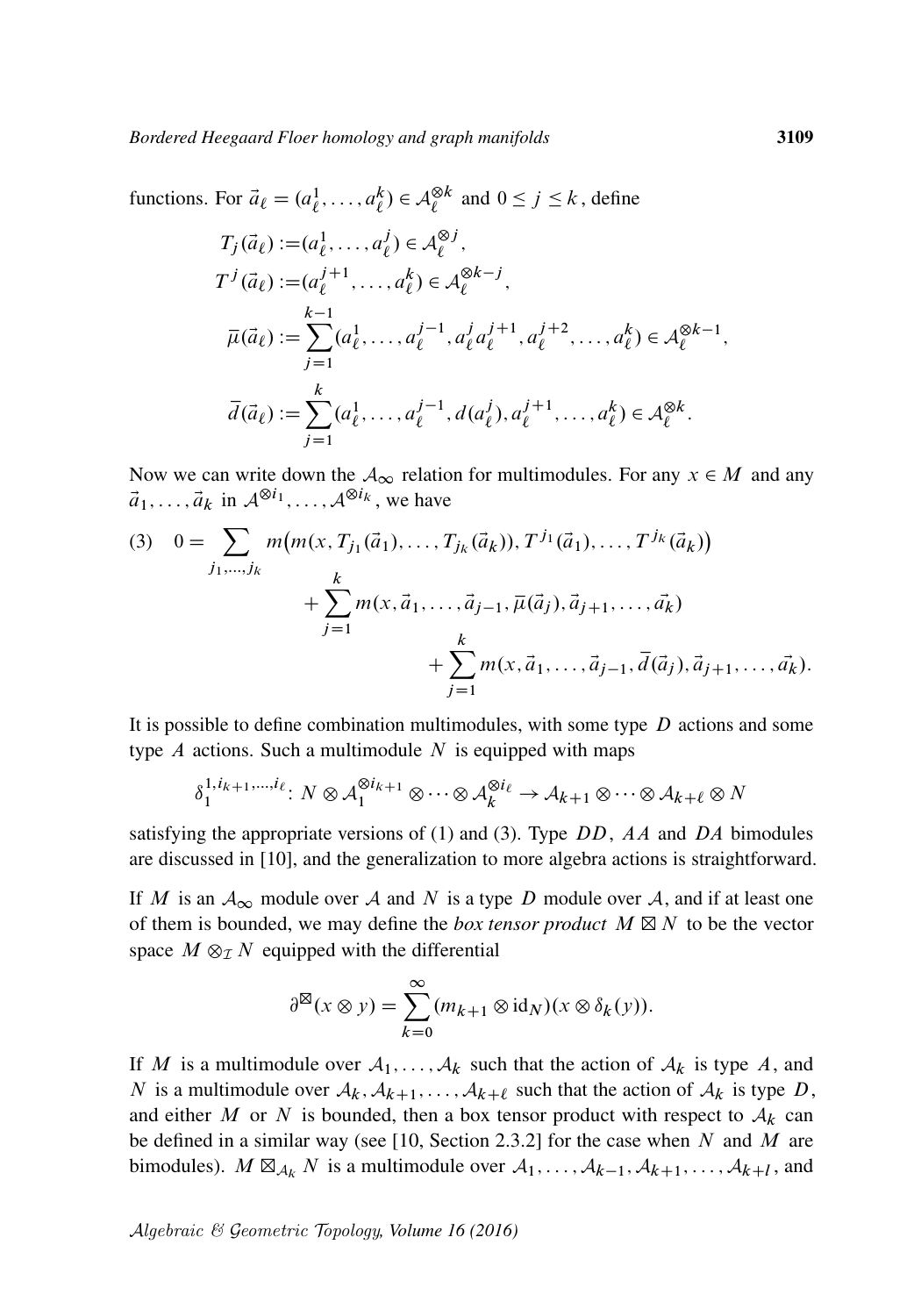functions. For  $\vec{a}_{\ell} = (a_{\ell}^1)$  $\frac{1}{\ell}, \ldots, a_{\ell}^k$  $\binom{k}{\ell} \in \mathcal{A}_{\ell}^{\otimes k}$  $\underset{\ell}{\otimes}$  k and  $0 \le j \le k$ , define

$$
T_j(\vec{a}_{\ell}) := (a_{\ell}^1, \dots, a_{\ell}^j) \in \mathcal{A}_{\ell}^{\otimes j},
$$
  
\n
$$
T^j(\vec{a}_{\ell}) := (a_{\ell}^{j+1}, \dots, a_{\ell}^k) \in \mathcal{A}_{\ell}^{\otimes k-j},
$$
  
\n
$$
\overline{\mu}(\vec{a}_{\ell}) := \sum_{j=1}^{k-1} (a_{\ell}^1, \dots, a_{\ell}^{j-1}, a_{\ell}^j a_{\ell}^{j+1}, a_{\ell}^{j+2}, \dots, a_{\ell}^k) \in \mathcal{A}_{\ell}^{\otimes k-1},
$$
  
\n
$$
\overline{d}(\vec{a}_{\ell}) := \sum_{j=1}^k (a_{\ell}^1, \dots, a_{\ell}^{j-1}, d(a_{\ell}^j), a_{\ell}^{j+1}, \dots, a_{\ell}^k) \in \mathcal{A}_{\ell}^{\otimes k}.
$$

<span id="page-6-0"></span>Now we can write down the  $A_{\infty}$  relation for multimodules. For any  $x \in M$  and any  $\vec{a}_1, \ldots, \vec{a}_k$  in  $\mathcal{A}^{\otimes i_1}, \ldots, \mathcal{A}^{\otimes i_k}$ , we have

(3) 
$$
0 = \sum_{j_1,\dots,j_k} m(m(x, T_{j_1}(\vec{a}_1),\dots,T_{j_k}(\vec{a}_k)), T^{j_1}(\vec{a}_1),\dots,T^{j_k}(\vec{a}_k)) + \sum_{j=1}^k m(x,\vec{a}_1,\dots,\vec{a}_{j-1},\overline{\mu}(\vec{a}_j),\vec{a}_{j+1},\dots,\vec{a}_k) + \sum_{j=1}^k m(x,\vec{a}_1,\dots,\vec{a}_{j-1},\overline{d}(\vec{a}_j),\vec{a}_{j+1},\dots,\vec{a}_k).
$$

It is possible to define combination multimodules, with some type  $D$  actions and some type  $A$  actions. Such a multimodule  $N$  is equipped with maps

$$
\delta_1^{1,i_{k+1},\dots,i_{\ell}}: N \otimes \mathcal{A}_1^{\otimes i_{k+1}} \otimes \dots \otimes \mathcal{A}_k^{\otimes i_{\ell}} \to \mathcal{A}_{k+1} \otimes \dots \otimes \mathcal{A}_{k+\ell} \otimes N
$$

satisfying the appropriate versions of [\(1\)](#page-4-1) and [\(3\).](#page-6-0) Type  $DD$ , AA and DA bimodules are discussed in [\[10\]](#page-62-16), and the generalization to more algebra actions is straightforward.

If M is an  $A_{\infty}$  module over A and N is a type D module over A, and if at least one of them is bounded, we may define the *box tensor product*  $M \boxtimes N$  to be the vector space  $M \otimes_{\mathcal{I}} N$  equipped with the differential

$$
\partial^{\boxtimes}(x\otimes y)=\sum_{k=0}^{\infty}(m_{k+1}\otimes id_N)(x\otimes \delta_k(y)).
$$

If M is a multimodule over  $A_1, \ldots, A_k$  such that the action of  $A_k$  is type A, and N is a multimodule over  $A_k, A_{k+1}, \ldots, A_{k+\ell}$  such that the action of  $A_k$  is type D, and either M or N is bounded, then a box tensor product with respect to  $A_k$  can be defined in a similar way (see [\[10,](#page-62-16) Section 2.3.2] for the case when  $N$  and  $M$  are bimodules).  $M \boxtimes_{\mathcal{A}_k} N$  is a multimodule over  $\mathcal{A}_1, \ldots, \mathcal{A}_{k-1}, \mathcal{A}_{k+1}, \ldots, \mathcal{A}_{k+l}$ , and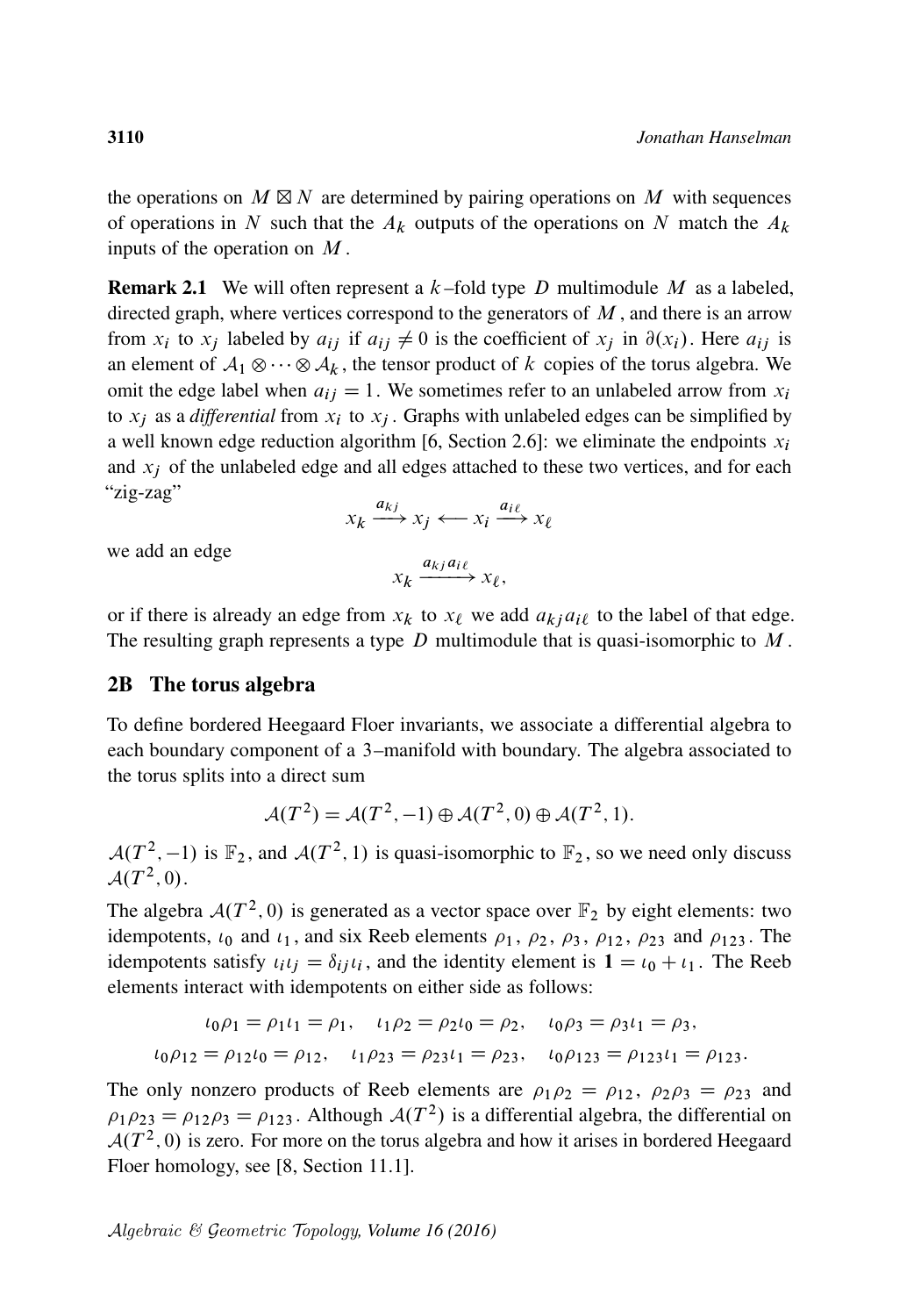the operations on  $M \boxtimes N$  are determined by pairing operations on M with sequences of operations in N such that the  $A_k$  outputs of the operations on N match the  $A_k$ inputs of the operation on  $M$ .

<span id="page-7-0"></span>**Remark 2.1** We will often represent a  $k$ -fold type D multimodule M as a labeled, directed graph, where vertices correspond to the generators of  $M$ , and there is an arrow from  $x_i$  to  $x_j$  labeled by  $a_{ij}$  if  $a_{ij} \neq 0$  is the coefficient of  $x_j$  in  $\partial(x_i)$ . Here  $a_{ij}$  is an element of  $A_1 \otimes \cdots \otimes A_k$ , the tensor product of k copies of the torus algebra. We omit the edge label when  $a_{ij} = 1$ . We sometimes refer to an unlabeled arrow from  $x_i$ to  $x_j$  as a *differential* from  $x_i$  to  $x_j$ . Graphs with unlabeled edges can be simplified by a well known edge reduction algorithm [\[6,](#page-61-3) Section 2.6]: we eliminate the endpoints  $x_i$ and  $x_i$  of the unlabeled edge and all edges attached to these two vertices, and for each "zig-zag"

$$
x_k \xrightarrow{a_{kj}} x_j \longleftarrow x_i \xrightarrow{a_{i\ell}} x_\ell
$$

we add an edge

$$
x_k \xrightarrow{a_{kj} a_{i\ell}} x_{\ell},
$$

or if there is already an edge from  $x_k$  to  $x_\ell$  we add  $a_{kj}a_{i\ell}$  to the label of that edge. The resulting graph represents a type  $D$  multimodule that is quasi-isomorphic to  $M$ .

#### 2B The torus algebra

To define bordered Heegaard Floer invariants, we associate a differential algebra to each boundary component of a 3–manifold with boundary. The algebra associated to the torus splits into a direct sum

$$
\mathcal{A}(T^2) = \mathcal{A}(T^2, -1) \oplus \mathcal{A}(T^2, 0) \oplus \mathcal{A}(T^2, 1).
$$

 $\mathcal{A}(T^2, -1)$  is  $\mathbb{F}_2$ , and  $\mathcal{A}(T^2, 1)$  is quasi-isomorphic to  $\mathbb{F}_2$ , so we need only discuss  $\mathcal{A}(T^2,0).$ 

The algebra  $A(T^2, 0)$  is generated as a vector space over  $\mathbb{F}_2$  by eight elements: two idempotents,  $\iota_0$  and  $\iota_1$ , and six Reeb elements  $\rho_1$ ,  $\rho_2$ ,  $\rho_3$ ,  $\rho_{12}$ ,  $\rho_{23}$  and  $\rho_{123}$ . The idempotents satisfy  $\iota_i \iota_j = \delta_{ij} \iota_i$ , and the identity element is  $1 = \iota_0 + \iota_1$ . The Reeb elements interact with idempotents on either side as follows:

$$
\iota_0 \rho_1 = \rho_1 \iota_1 = \rho_1, \quad \iota_1 \rho_2 = \rho_2 \iota_0 = \rho_2, \quad \iota_0 \rho_3 = \rho_3 \iota_1 = \rho_3,
$$
  

$$
\iota_0 \rho_{12} = \rho_{12} \iota_0 = \rho_{12}, \quad \iota_1 \rho_{23} = \rho_{23} \iota_1 = \rho_{23}, \quad \iota_0 \rho_{123} = \rho_{123} \iota_1 = \rho_{123}.
$$

The only nonzero products of Reeb elements are  $\rho_1 \rho_2 = \rho_{12}$ ,  $\rho_2 \rho_3 = \rho_{23}$  and  $\rho_1 \rho_{23} = \rho_{12} \rho_3 = \rho_{123}$ . Although  $A(T^2)$  is a differential algebra, the differential on  $A(T^2, 0)$  is zero. For more on the torus algebra and how it arises in bordered Heegaard Floer homology, see [\[8,](#page-61-2) Section 11.1].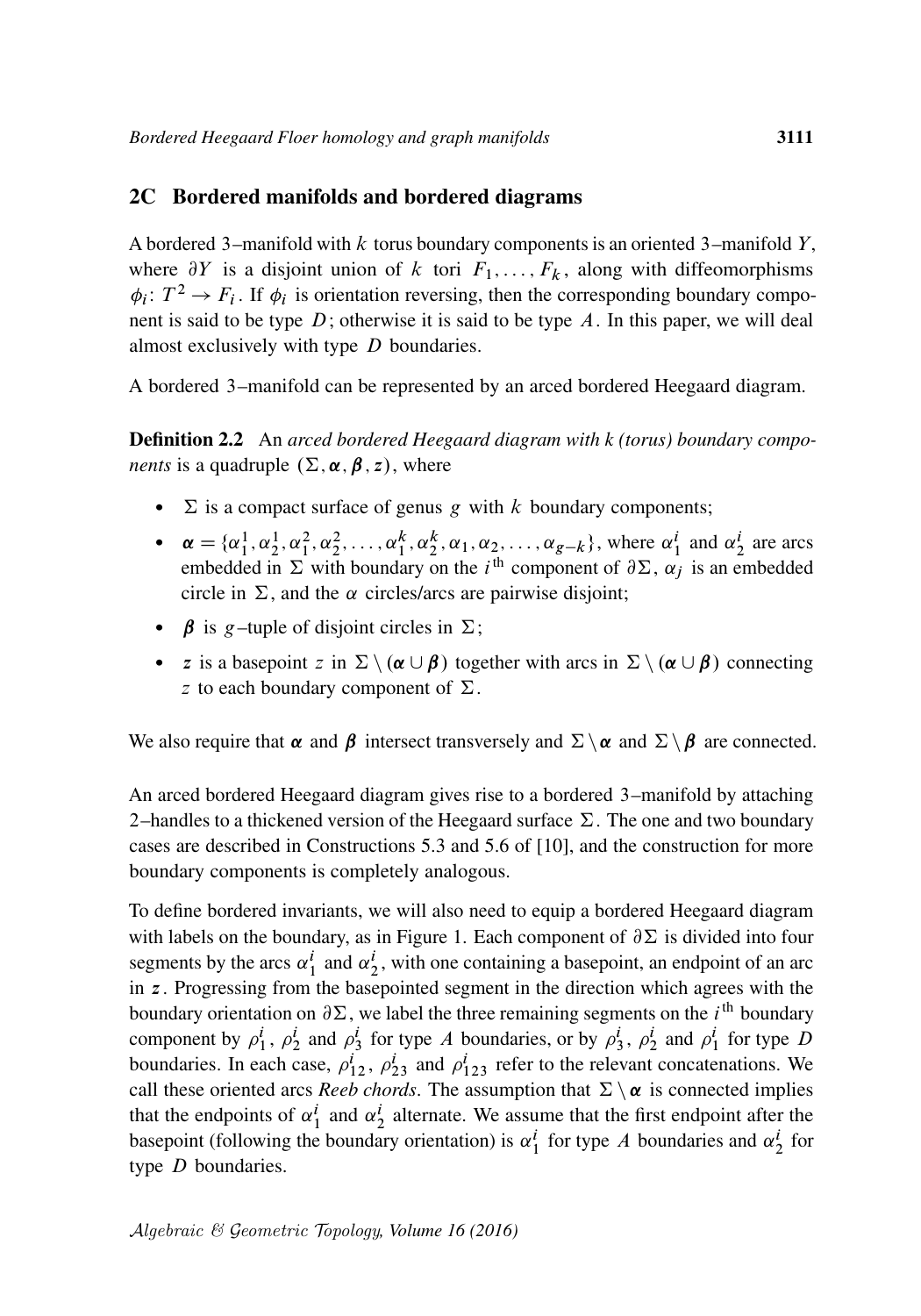#### 2C Bordered manifolds and bordered diagrams

A bordered 3–manifold with  $k$  torus boundary components is an oriented 3–manifold  $Y$ , where  $\partial Y$  is a disjoint union of k tori  $F_1, \ldots, F_k$ , along with diffeomorphisms  $\phi_i: T^2 \to F_i$ . If  $\phi_i$  is orientation reversing, then the corresponding boundary component is said to be type  $D$ ; otherwise it is said to be type  $A$ . In this paper, we will deal almost exclusively with type  $D$  boundaries.

A bordered 3–manifold can be represented by an arced bordered Heegaard diagram.

Definition 2.2 An *arced bordered Heegaard diagram with k (torus) boundary components* is a quadruple  $(\Sigma, \alpha, \beta, z)$ , where

- $\Sigma$  is a compact surface of genus g with k boundary components;
- $\alpha = {\alpha_1^1, \alpha_2^1, \alpha_1^2, \alpha_2^2, \dots, \alpha_1^k, \alpha_2^k, \alpha_1, \alpha_2, \dots, \alpha_{g-k}}$ , where  $\alpha_1^i$  and  $\alpha_2^i$  are arcs embedded in  $\Sigma$  with boundary on the i<sup>th</sup> component of  $\partial \Sigma$ ,  $\alpha_j$  is an embedded circle in  $\Sigma$ , and the  $\alpha$  circles/arcs are pairwise disjoint;
- $\beta$  is g–tuple of disjoint circles in  $\Sigma$ ;
- z is a basepoint z in  $\Sigma \setminus (\alpha \cup \beta)$  together with arcs in  $\Sigma \setminus (\alpha \cup \beta)$  connecting z to each boundary component of  $\Sigma$ .

We also require that  $\alpha$  and  $\beta$  intersect transversely and  $\Sigma \setminus \alpha$  and  $\Sigma \setminus \beta$  are connected.

An arced bordered Heegaard diagram gives rise to a bordered 3–manifold by attaching 2–handles to a thickened version of the Heegaard surface  $\Sigma$ . The one and two boundary cases are described in Constructions 5.3 and 5.6 of [\[10\]](#page-62-16), and the construction for more boundary components is completely analogous.

To define bordered invariants, we will also need to equip a bordered Heegaard diagram with labels on the boundary, as in [Figure 1.](#page-9-0) Each component of  $\partial \Sigma$  is divided into four segments by the arcs  $\alpha_1^i$  and  $\alpha_2^i$ , with one containing a basepoint, an endpoint of an arc in z. Progressing from the basepointed segment in the direction which agrees with the boundary orientation on  $\partial \Sigma$ , we label the three remaining segments on the *i*<sup>th</sup> boundary component by  $\rho_1^i$ ,  $\rho_2^i$  and  $\rho_3^i$  for type A boundaries, or by  $\rho_3^i$ ,  $\rho_2^i$  and  $\rho_1^i$  for type D boundaries. In each case,  $\rho_{12}^i$ ,  $\rho_{23}^i$  and  $\rho_{123}^i$  refer to the relevant concatenations. We call these oriented arcs *Reeb chords*. The assumption that  $\Sigma \setminus \alpha$  is connected implies that the endpoints of  $\alpha_1^i$  and  $\alpha_2^i$  alternate. We assume that the first endpoint after the basepoint (following the boundary orientation) is  $\alpha_1^i$  for type A boundaries and  $\alpha_2^i$  for type  $D$  boundaries.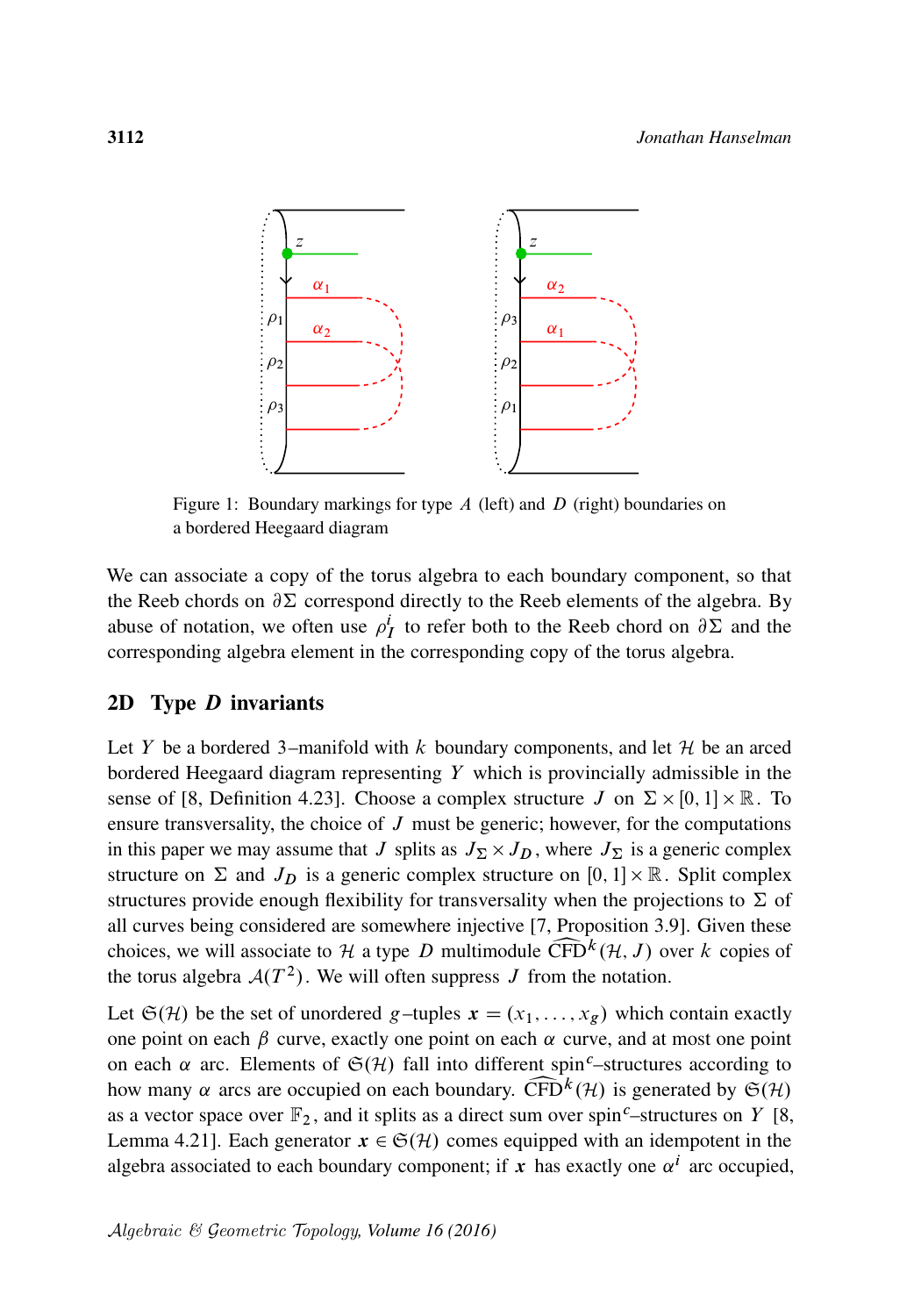<span id="page-9-0"></span>

Figure 1: Boundary markings for type  $A$  (left) and  $D$  (right) boundaries on a bordered Heegaard diagram

We can associate a copy of the torus algebra to each boundary component, so that the Reeb chords on  $\partial \Sigma$  correspond directly to the Reeb elements of the algebra. By abuse of notation, we often use  $\rho_I^i$  to refer both to the Reeb chord on  $\partial \Sigma$  and the corresponding algebra element in the corresponding copy of the torus algebra.

#### 2D Type D invariants

Let Y be a bordered 3–manifold with k boundary components, and let  $\mathcal H$  be an arced bordered Heegaard diagram representing  $Y$  which is provincially admissible in the sense of [\[8,](#page-61-2) Definition 4.23]. Choose a complex structure  $J$  on  $\Sigma \times [0, 1] \times \mathbb{R}$ . To ensure transversality, the choice of  $J$  must be generic; however, for the computations in this paper we may assume that J splits as  $J_{\Sigma} \times J_D$ , where  $J_{\Sigma}$  is a generic complex structure on  $\Sigma$  and  $J_D$  is a generic complex structure on [0, 1]  $\times \mathbb{R}$ . Split complex structures provide enough flexibility for transversality when the projections to  $\Sigma$  of all curves being considered are somewhere injective [\[7,](#page-61-4) Proposition 3.9]. Given these choices, we will associate to  $H$  a type  $D$  multimodule  $\widehat{\text{CFD}}^k(\mathcal{H}, J)$  over  $k$  copies of the torus algebra  $\mathcal{A}(T^2)$ . We will often suppress  $J$  from the notation. the torus algebra  $A(T^2)$ . We will often suppress J from the notation.

Let  $\mathfrak{S}(\mathcal{H})$  be the set of unordered g–tuples  $\mathbf{x} = (x_1, \dots, x_g)$  which contain exactly one point on each  $\beta$  curve, exactly one point on each  $\alpha$  curve, and at most one point on each  $\alpha$  arc. Elements of  $\mathfrak{S}(\mathcal{H})$  fall into different spin<sup>c</sup>–structures according to how many  $\alpha$  arcs are occupied on each boundary.  $\widehat{CFD}^k(\mathcal{H})$  is generated by  $\mathfrak{S}(\mathcal{H})$  as a vector space over  $\mathbb{F}_2$ , and it splits as a direct sum over spin<sup>c</sup>–structures on Y [8, as a vector space over  $\mathbb{F}_2$ , and it splits as a direct sum over spin<sup>c</sup>–structures on Y [\[8,](#page-61-2) Lemma 4.21]. Each generator  $x \in \mathfrak{S}(\mathcal{H})$  comes equipped with an idempotent in the algebra associated to each boundary component; if x has exactly one  $\alpha^{i}$  arc occupied,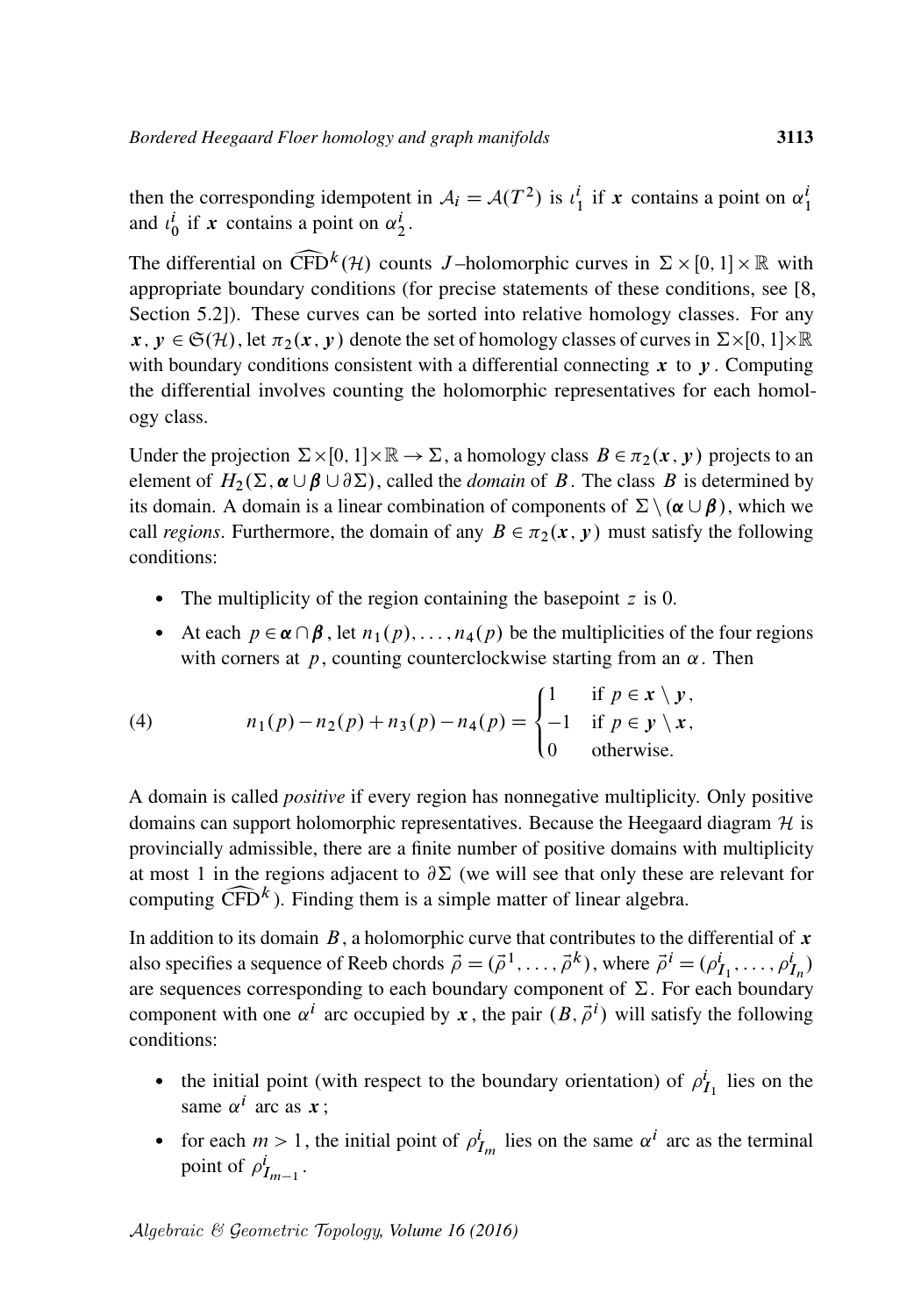then the corresponding idempotent in  $A_i = A(T^2)$  is  $\iota_1^i$  if x contains a point on  $\alpha_1^i$ and  $\iota_0^i$  if x contains a point on  $\alpha_2^i$ .

The differential on  $\widehat{\text{CFD}}^k(\mathcal{H})$  counts *J*-holomorphic curves in  $\Sigma \times [0, 1] \times \mathbb{R}$  with appropriate boundary conditions (for precise statements of these conditions, see [8, appropriate boundary conditions (for precise statements of these conditions, see [\[8,](#page-61-2) Section 5.2]). These curves can be sorted into relative homology classes. For any  $x, y \in \mathfrak{S}(\mathcal{H})$ , let  $\pi_2(x, y)$  denote the set of homology classes of curves in  $\Sigma \times [0, 1] \times \mathbb{R}$ with boundary conditions consistent with a differential connecting  $x$  to  $y$ . Computing the differential involves counting the holomorphic representatives for each homology class.

Under the projection  $\Sigma \times [0, 1] \times \mathbb{R} \to \Sigma$ , a homology class  $B \in \pi_2(x, y)$  projects to an element of  $H_2(\Sigma, \alpha \cup \beta \cup \partial \Sigma)$ , called the *domain* of B. The class B is determined by its domain. A domain is a linear combination of components of  $\Sigma \setminus (\alpha \cup \beta)$ , which we call *regions*. Furthermore, the domain of any  $B \in \pi_2(x, y)$  must satisfy the following conditions:

- <span id="page-10-0"></span>• The multiplicity of the region containing the basepoint  $z$  is 0.
- At each  $p \in \alpha \cap \beta$ , let  $n_1(p), \ldots, n_4(p)$  be the multiplicities of the four regions with corners at  $p$ , counting counterclockwise starting from an  $\alpha$ . Then

(4) 
$$
n_1(p) - n_2(p) + n_3(p) - n_4(p) = \begin{cases} 1 & \text{if } p \in \mathbf{x} \setminus \mathbf{y}, \\ -1 & \text{if } p \in \mathbf{y} \setminus \mathbf{x}, \\ 0 & \text{otherwise.} \end{cases}
$$

A domain is called *positive* if every region has nonnegative multiplicity. Only positive domains can support holomorphic representatives. Because the Heegaard diagram  $H$  is provincially admissible, there are a finite number of positive domains with multiplicity at most 1 in the regions adjacent to  $\partial \Sigma$  (we will see that only these are relevant for computing  $\widehat{\text{CFD}}^k$ ). Finding them is a simple matter of linear algebra.<br>In addition to its damain,  $R$ , a halomomhic sums that contributes to the

In addition to its domain  $B$ , a holomorphic curve that contributes to the differential of  $x$ also specifies a sequence of Reeb chords  $\vec{\rho} = (\vec{\rho}^1, \dots, \vec{\rho}^k)$ , where  $\vec{\rho}^i = (\rho_{I_1}^i, \dots, \rho_{I_n}^i)$ are sequences corresponding to each boundary component of  $\Sigma$ . For each boundary component with one  $\alpha^{i}$  arc occupied by x, the pair  $(B, \vec{\rho}^{i})$  will satisfy the following conditions:

- the initial point (with respect to the boundary orientation) of  $\rho_{I_1}^i$  lies on the same  $\alpha^i$  arc as  $x$ ;
- for each  $m > 1$ , the initial point of  $\rho_{I_m}^i$  lies on the same  $\alpha^i$  arc as the terminal point of  $\rho^i_{I_{m-1}}$ .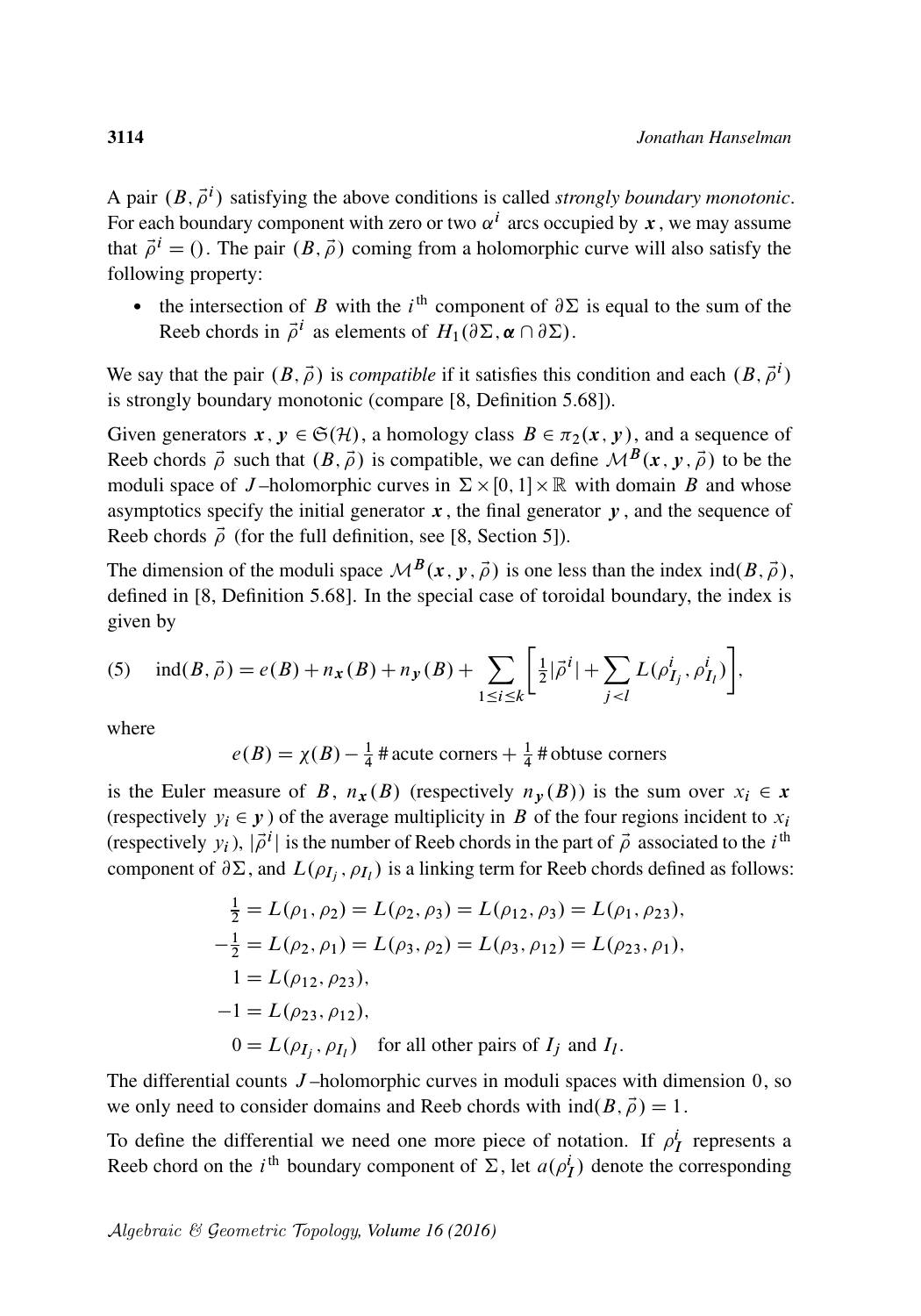A pair  $(B, \vec{\rho}^i)$  satisfying the above conditions is called *strongly boundary monotonic*. For each boundary component with zero or two  $\alpha^{i}$  arcs occupied by x, we may assume that  $\vec{\rho}^i = ($ . The pair  $(B, \vec{\rho})$  coming from a holomorphic curve will also satisfy the following property:

• the intersection of B with the i<sup>th</sup> component of  $\partial \Sigma$  is equal to the sum of the Reeb chords in  $\vec{\rho}^i$  as elements of  $H_1(\partial \Sigma, \boldsymbol{\alpha} \cap \partial \Sigma)$ .

We say that the pair  $(B, \vec{\rho})$  is *compatible* if it satisfies this condition and each  $(B, \vec{\rho}^i)$ is strongly boundary monotonic (compare [\[8,](#page-61-2) Definition 5.68]).

Given generators  $x, y \in \mathfrak{S}(\mathcal{H})$ , a homology class  $B \in \pi_2(x, y)$ , and a sequence of Reeb chords  $\vec{\rho}$  such that  $(B, \vec{\rho})$  is compatible, we can define  $\mathcal{M}^B(x, y, \vec{\rho})$  to be the moduli space of J-holomorphic curves in  $\Sigma \times [0, 1] \times \mathbb{R}$  with domain B and whose asymptotics specify the initial generator  $x$ , the final generator  $y$ , and the sequence of Reeb chords  $\vec{\rho}$  (for the full definition, see [\[8,](#page-61-2) Section 5]).

The dimension of the moduli space  $\mathcal{M}^B(x, y, \vec{\rho})$  is one less than the index ind $(B, \vec{\rho})$ , defined in [\[8,](#page-61-2) Definition 5.68]. In the special case of toroidal boundary, the index is given by

<span id="page-11-0"></span>(5) 
$$
\text{ind}(B, \vec{\rho}) = e(B) + n_{\mathbf{x}}(B) + n_{\mathbf{y}}(B) + \sum_{1 \leq i \leq k} \left[ \frac{1}{2} |\vec{\rho}^i| + \sum_{j < l} L(\rho_{I_j}^i, \rho_{I_l}^i) \right],
$$

where

 $e(B) = \chi(B) - \frac{1}{4}$  $\frac{1}{4}$  # acute corners  $+\frac{1}{4}$  # obtuse corners

is the Euler measure of B,  $n_x(B)$  (respectively  $n_y(B)$ ) is the sum over  $x_i \in x$ (respectively  $y_i \in y$ ) of the average multiplicity in B of the four regions incident to  $x_i$ (respectively  $y_i$ ),  $|\vec{\rho}^i|$  is the number of Reeb chords in the part of  $\vec{\rho}$  associated to the *i*<sup>th</sup> component of  $\partial \Sigma$ , and  $L(\rho_{I_j}, \rho_{I_l})$  is a linking term for Reeb chords defined as follows:

$$
\frac{1}{2} = L(\rho_1, \rho_2) = L(\rho_2, \rho_3) = L(\rho_{12}, \rho_3) = L(\rho_1, \rho_{23}),
$$
  
\n
$$
-\frac{1}{2} = L(\rho_2, \rho_1) = L(\rho_3, \rho_2) = L(\rho_3, \rho_{12}) = L(\rho_{23}, \rho_1),
$$
  
\n
$$
1 = L(\rho_{12}, \rho_{23}),
$$
  
\n
$$
-1 = L(\rho_{23}, \rho_{12}),
$$
  
\n
$$
0 = L(\rho_{I_j}, \rho_{I_l}) \text{ for all other pairs of } I_j \text{ and } I_l.
$$

The differential counts  $J$ -holomorphic curves in moduli spaces with dimension  $0$ , so we only need to consider domains and Reeb chords with  $ind(B, \vec{\rho}) = 1$ .

To define the differential we need one more piece of notation. If  $\rho_I^i$  represents a Reeb chord on the *i*<sup>th</sup> boundary component of  $\Sigma$ , let  $a(\rho_I^i)$  denote the corresponding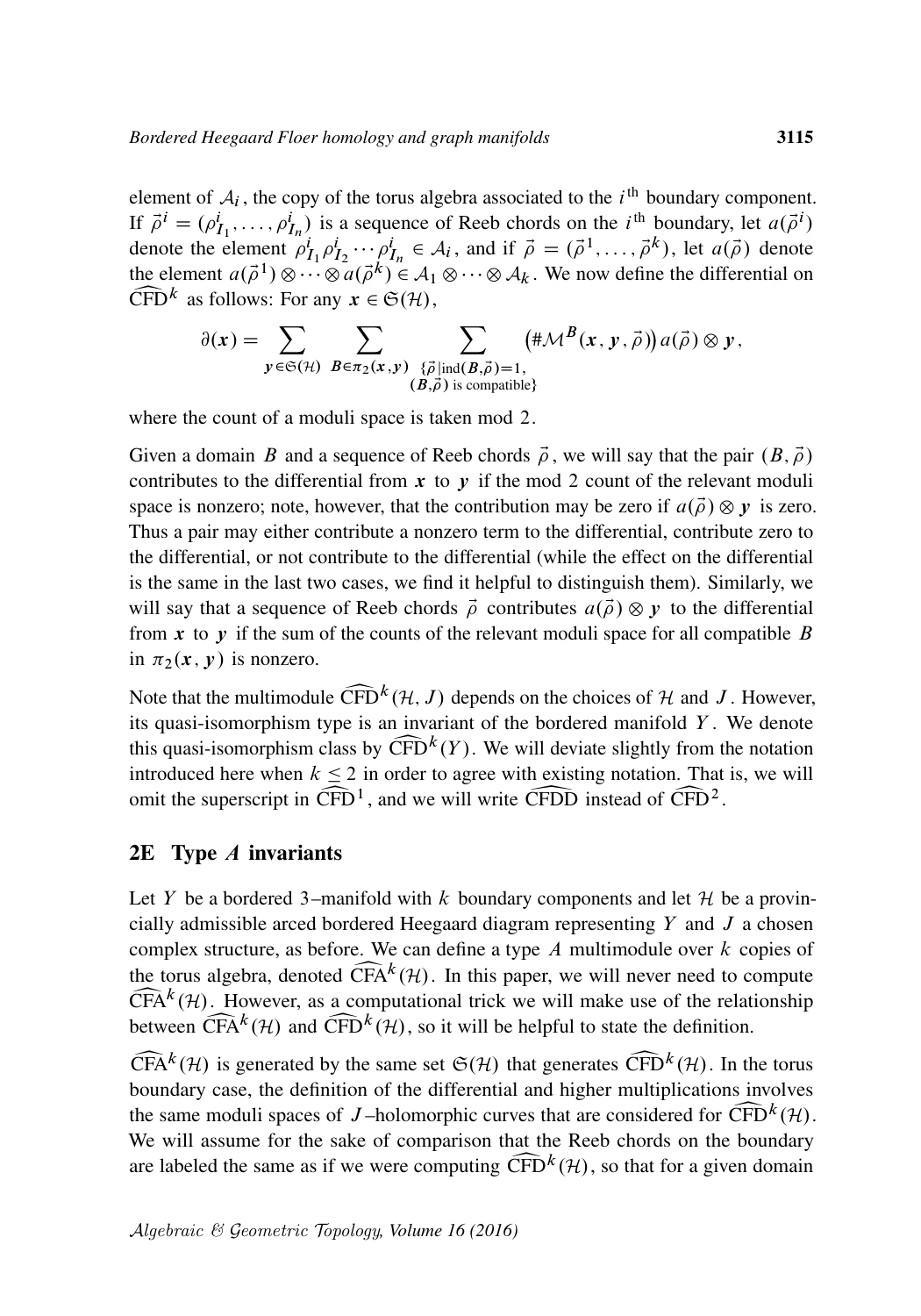element of  $A_i$ , the copy of the torus algebra associated to the  $i<sup>th</sup>$  boundary component. If  $\vec{\rho}^i = (\rho_{I_1}^i, \dots, \rho_{I_n}^i)$  is a sequence of Reeb chords on the *i*<sup>th</sup> boundary, let  $a(\vec{\rho}^i)$ denote the element  $\rho^i_{I_1} \rho^i_{I_2} \cdots \rho^i_{I_n} \in A_i$ , and if  $\vec{\rho} = (\vec{\rho}^1, \ldots, \vec{\rho}^k)$ , let  $a(\vec{\rho})$  denote the element  $a(\vec{\rho}^1) \otimes \cdots \otimes a(\vec{\rho}^k) \in A_1 \otimes \cdots \otimes A_k$ . We now define the differential on  $\widehat{\text{CFD}}^k$  as follows: For any  $x \in \mathfrak{S}(\mathcal{H}),$ 

$$
\partial(x) = \sum_{y \in \mathfrak{S}(\mathcal{H})} \sum_{B \in \pi_2(x,y)} \sum_{\substack{\{\vec{\rho} \mid \text{ind}(B,\vec{\rho})=1,\\(B,\vec{\rho}) \text{ is compatible}\}}} (\# \mathcal{M}^B(x,y,\vec{\rho})) a(\vec{\rho}) \otimes y,
$$

where the count of a moduli space is taken mod 2.

Given a domain B and a sequence of Reeb chords  $\vec{\rho}$ , we will say that the pair  $(B, \vec{\rho})$ contributes to the differential from  $x$  to  $y$  if the mod 2 count of the relevant moduli space is nonzero; note, however, that the contribution may be zero if  $a(\vec{\rho}) \otimes y$  is zero. Thus a pair may either contribute a nonzero term to the differential, contribute zero to the differential, or not contribute to the differential (while the effect on the differential is the same in the last two cases, we find it helpful to distinguish them). Similarly, we will say that a sequence of Reeb chords  $\vec{\rho}$  contributes  $a(\vec{\rho}) \otimes y$  to the differential from x to y if the sum of the counts of the relevant moduli space for all compatible B in  $\pi_2(x, y)$  is nonzero.

Note that the multimodule  $\widehat{CFD}^k(\mathcal{H}, J)$  depends on the choices of  $\mathcal H$  and  $J$ . However, its quasi-isomorphism type is an invariant of the bordered manifold  $Y$ . We denote its quasi-isomorphism type is an invariant of the bordered manifold  $Y$ . We denote this quasi-isomorphism class by  $\widehat{CFD}^k(Y)$ . We will deviate slightly from the notation introduced here when  $k \leq 2$  in order to agree with existing notation. That is, we will this quasi-isomorphism class by  $\widehat{\text{CFD}}^k(Y)$ . We will deviate slightly from the notation omit the superscript in  $\widehat{CFD}^1$ , and we will write  $\widehat{CFDD}$  instead of  $\widehat{CFD}^2$ .

#### $2E$  Type  $\Lambda$  invariants

Let Y be a bordered 3–manifold with k boundary components and let  $H$  be a provincially admissible arced bordered Heegaard diagram representing  $Y$  and  $J$  a chosen complex structure, as before. We can define a type  $A$  multimodule over  $k$  copies of the torus algebra, denoted  $\widehat{CFA}^k(\mathcal{H})$ . In this paper, we will never need to compute  $\widehat{CFA}^k(\mathcal{H})$ . However, as a computational trick we will make use of the relationship  $\widehat{\text{CFA}}^k$ <br>betwe  $\widehat{CFA}^k(\mathcal{H})$ . However, as a computational trick we will make use of the relationship between  $\widehat{\text{CFA}}^k(\mathcal{H})$  and  $\widehat{\text{CFD}}^k(\mathcal{H})$ , so it will be helpful to state the definition.<br> $\widehat{\text{CEA}}^k(\mathcal{H})$  is concerted by the same set  $\mathfrak{S}(\mathcal{H})$  that concertes  $\widehat{\text{CED}}^k(\mathcal{H})$ . In the

 $\widehat{CFA}^k(\mathcal{H})$  is generated by the same set  $\mathfrak{S}(\mathcal{H})$  that generates  $\widehat{CFD}^k(\mathcal{H})$ . In the torus boundary case, the definition of the differential and higher multiplications involves boundary case, the definition of the differential and higher multiplications involves the same moduli spaces of J-holomorphic curves that are considered for  $\widehat{\text{CFD}}^k(\mathcal{H})$ .<br>We will assume for the sake of comparison that the Reeb chords on the boundary the same moduli spaces of J-holomorphic curves that are considered for  $\overline{CFD}^k(\mathcal{H})$ . are labeled the same as if we were computing  $\widehat{\text{CFD}}^k(\mathcal{H})$ , so that for a given domain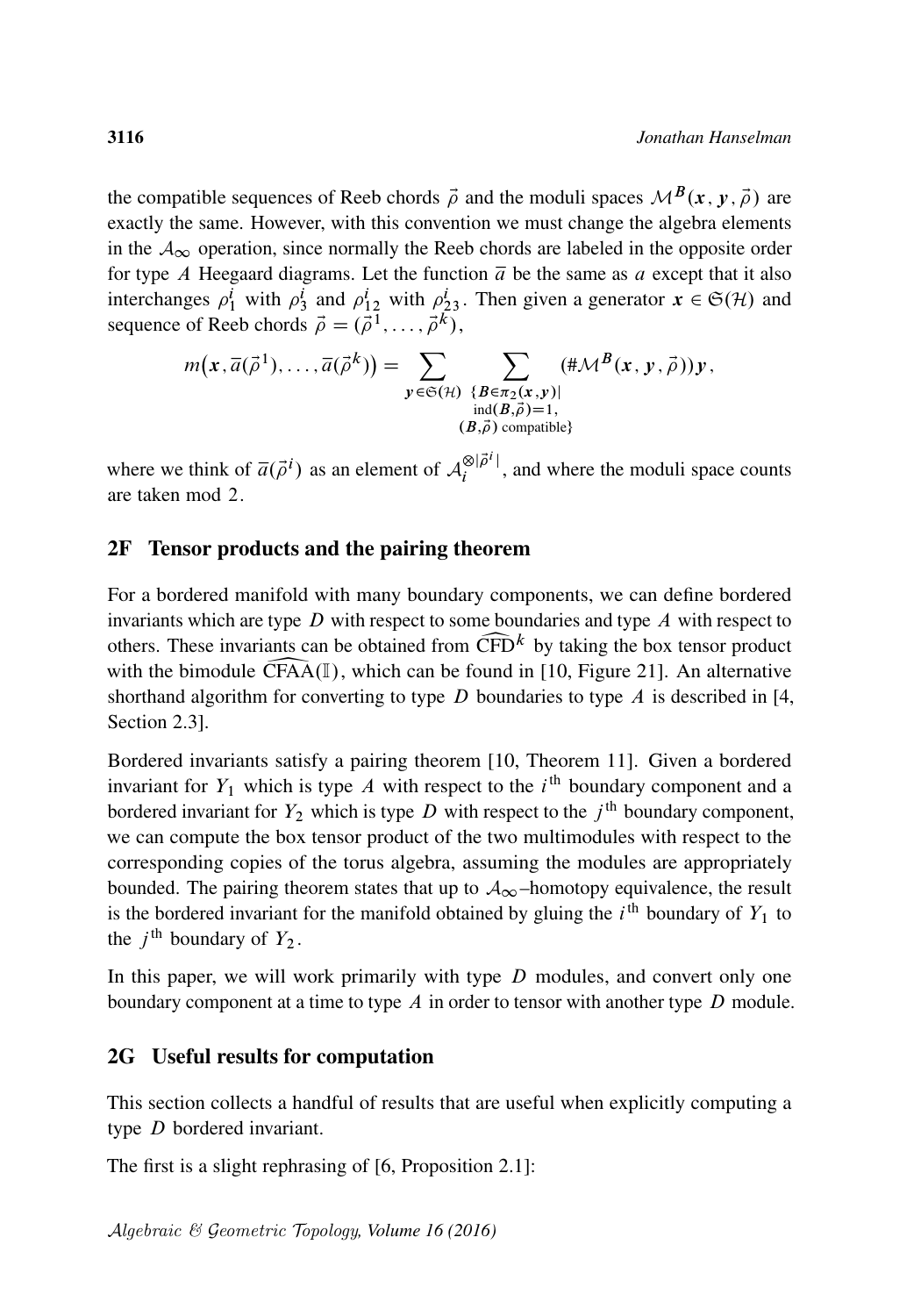the compatible sequences of Reeb chords  $\vec{\rho}$  and the moduli spaces  $\mathcal{M}^{B}(x, y, \vec{\rho})$  are exactly the same. However, with this convention we must change the algebra elements in the  $A_{\infty}$  operation, since normally the Reeb chords are labeled in the opposite order for type A Heegaard diagrams. Let the function  $\overline{a}$  be the same as a except that it also interchanges  $\rho_1^i$  with  $\rho_3^i$  and  $\rho_{12}^i$  with  $\rho_{23}^i$ . Then given a generator  $\mathbf{x} \in \mathfrak{S}(\mathcal{H})$  and sequence of Reeb chords  $\vec{\rho} = (\vec{\rho}^1, \dots, \vec{\rho}^k)$ ,

$$
m(x, \overline{a}(\overrightarrow{\rho}^{1}), \ldots, \overline{a}(\overrightarrow{\rho}^{k})) = \sum_{\substack{y \in \mathfrak{S}(\mathcal{H}) \\ \text{ind}(B, \overrightarrow{\rho}) = 1, \\ (B, \overrightarrow{\rho}) \text{ compatible}}} (\sharp \mathcal{M}^{B}(x, y, \overrightarrow{\rho})) y,
$$

where we think of  $\overline{a}(\overrightarrow{\rho}^i)$  as an element of  $\mathcal{A}_i^{\otimes |\overrightarrow{\rho}^i|}$  $\frac{\partial \phi}{\partial t}$ , and where the moduli space counts are taken mod 2.

#### 2F Tensor products and the pairing theorem

For a bordered manifold with many boundary components, we can define bordered invariants which are type  $D$  with respect to some boundaries and type  $A$  with respect to others. These invariants can be obtained from  $\widehat{CFD}^k$  by taking the box tensor product with the bimodule  $\widehat{CFAA}(\mathbb{I})$ , which can be found in [10, Figure 21]. An alternative with the bimodule CFAA $(I)$ , which can be found in [\[10,](#page-62-16) Figure 21]. An alternative shorthand algorithm for converting to type D boundaries to type A is described in [\[4,](#page-61-5) Section 2.3].

Bordered invariants satisfy a pairing theorem [\[10,](#page-62-16) Theorem 11]. Given a bordered invariant for  $Y_1$  which is type A with respect to the  $i<sup>th</sup>$  boundary component and a bordered invariant for  $Y_2$  which is type D with respect to the  $j<sup>th</sup>$  boundary component, we can compute the box tensor product of the two multimodules with respect to the corresponding copies of the torus algebra, assuming the modules are appropriately bounded. The pairing theorem states that up to  $A_{\infty}$ –homotopy equivalence, the result is the bordered invariant for the manifold obtained by gluing the  $i<sup>th</sup>$  boundary of  $Y_1$  to the  $j^{\text{th}}$  boundary of  $Y_2$ .

In this paper, we will work primarily with type  $D$  modules, and convert only one boundary component at a time to type  $\Lambda$  in order to tensor with another type  $D$  module.

#### 2G Useful results for computation

This section collects a handful of results that are useful when explicitly computing a type D bordered invariant.

<span id="page-13-0"></span>The first is a slight rephrasing of [\[6,](#page-61-3) Proposition 2.1]: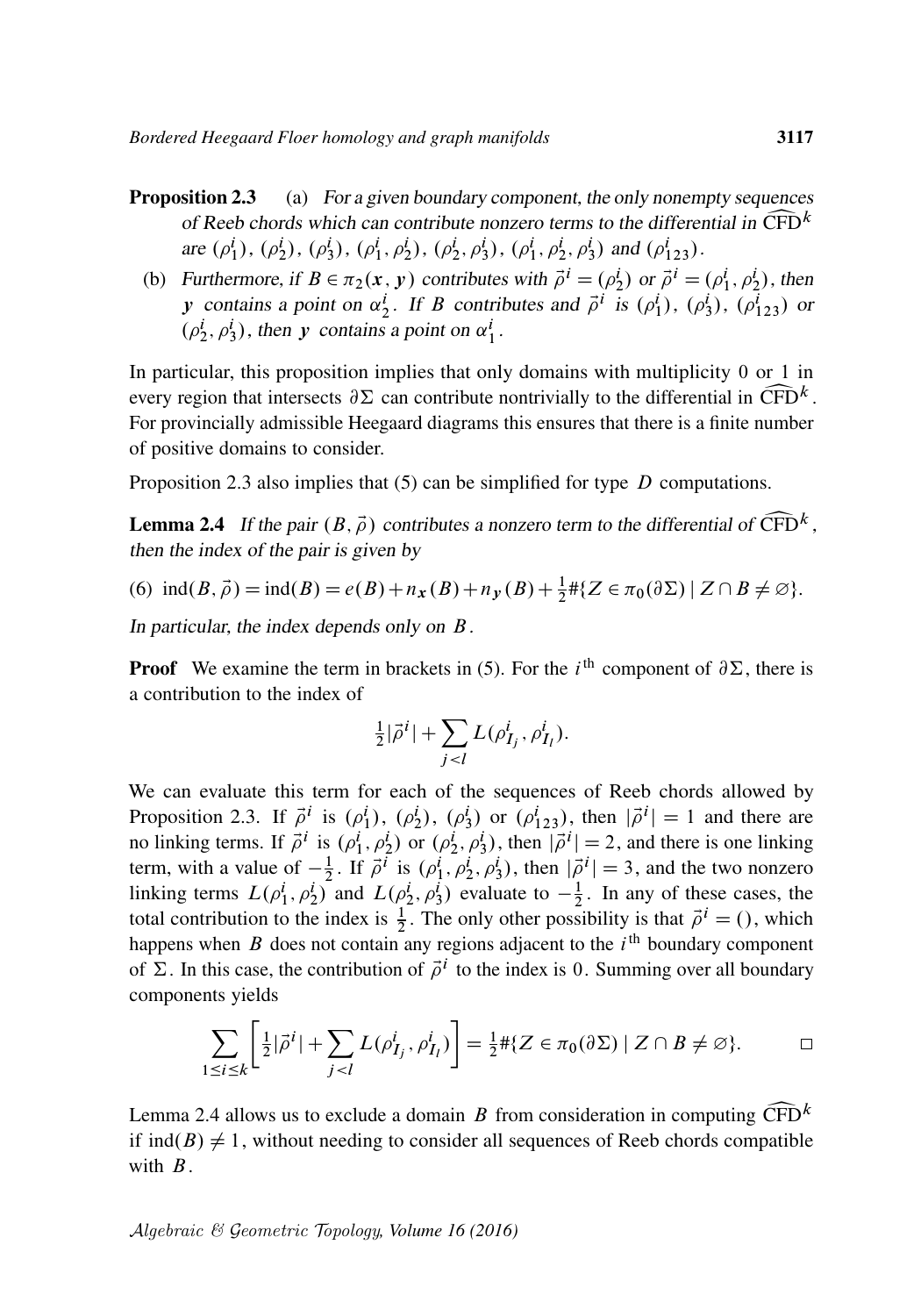(b) Furthermore, if  $B \in \pi_2(x, y)$  contributes with  $\vec{\rho}^i = (\rho_2^i)$  or  $\vec{\rho}^i = (\rho_1^i, \rho_2^i)$ , then y contains a point on  $\alpha_2^i$ . If B contributes and  $\vec{\rho}^i$  is  $(\rho_1^i)$ ,  $(\rho_3^i)$ ,  $(\rho_{123}^i)$  or  $(\rho_2^i, \rho_3^i)$ , then y contains a point on  $\alpha_1^i$ .

In particular, this proposition implies that only domains with multiplicity 0 or 1 in every region that intersects  $\partial \Sigma$  can contribute nontrivially to the differential in  $\widehat{\text{CFD}}^k$ .<br>For provincially admissible Heegaard diagrams this ensures that there is a finite number For provincially admissible Heegaard diagrams this ensures that there is a finite number of positive domains to consider.

<span id="page-14-0"></span>[Proposition 2.3](#page-13-0) also implies that  $(5)$  can be simplified for type D computations.

**Lemma 2.4** If the pair  $(B, \vec{\rho})$  contributes a nonzero term to the differential of  $\widehat{CFD}^k$ , then the index of the pair is given by then the index of the pair is given by

(6) 
$$
\operatorname{ind}(B, \vec{\rho}) = \operatorname{ind}(B) = e(B) + n_x(B) + n_y(B) + \frac{1}{2} \# \{ Z \in \pi_0(\partial \Sigma) \mid Z \cap B \neq \emptyset \}.
$$

In particular, the index depends only on B.

**Proof** We examine the term in brackets in [\(5\).](#page-11-0) For the *i*<sup>th</sup> component of  $\partial \Sigma$ , there is a contribution to the index of

<span id="page-14-1"></span>
$$
\frac{1}{2}|\vec{\rho}^i| + \sum_{j < l} L(\rho^i_{I_j}, \rho^i_{I_l}).
$$

We can evaluate this term for each of the sequences of Reeb chords allowed by [Proposition 2.3.](#page-13-0) If  $\vec{\rho}^i$  is  $(\rho_1^i)$ ,  $(\rho_2^i)$ ,  $(\rho_3^i)$  or  $(\rho_{123}^i)$ , then  $|\vec{\rho}^i| = 1$  and there are no linking terms. If  $\vec{\rho}^i$  is  $(\rho_1^i, \rho_2^i)$  or  $(\rho_2^i, \rho_3^i)$ , then  $|\vec{\rho}^i| = 2$ , and there is one linking term, with a value of  $-\frac{1}{2}$  $\frac{1}{2}$ . If  $\vec{\rho}^i$  is  $(\rho_1^i, \rho_2^i, \rho_3^i)$ , then  $|\vec{\rho}^i| = 3$ , and the two nonzero linking terms  $L(\rho_1^i, \rho_2^i)$  and  $L(\rho_2^i, \rho_3^i)$  evaluate to  $-\frac{1}{2}$  $\frac{1}{2}$ . In any of these cases, the total contribution to the index is  $\frac{1}{2}$ . The only other possibility is that  $\vec{\rho}^i = ()$ , which happens when  $B$  does not contain any regions adjacent to the  $i<sup>th</sup>$  boundary component of  $\Sigma$ . In this case, the contribution of  $\vec{\rho}^i$  to the index is 0. Summing over all boundary components yields

$$
\sum_{1 \le i \le k} \left[ \frac{1}{2} |\vec{\rho}^i| + \sum_{j < l} L(\rho^i_{I_j}, \rho^i_{I_l}) \right] = \frac{1}{2} \# \{ Z \in \pi_0(\partial \Sigma) \mid Z \cap B \ne \emptyset \}.
$$

[Lemma 2.4](#page-14-0) allows us to exclude a domain B from consideration in computing  $\widehat{\text{CFD}}^k$  if  $\text{ind}(B) \neq 1$ , without needing to consider all sequences of Reeb chords compatible with  $B$ .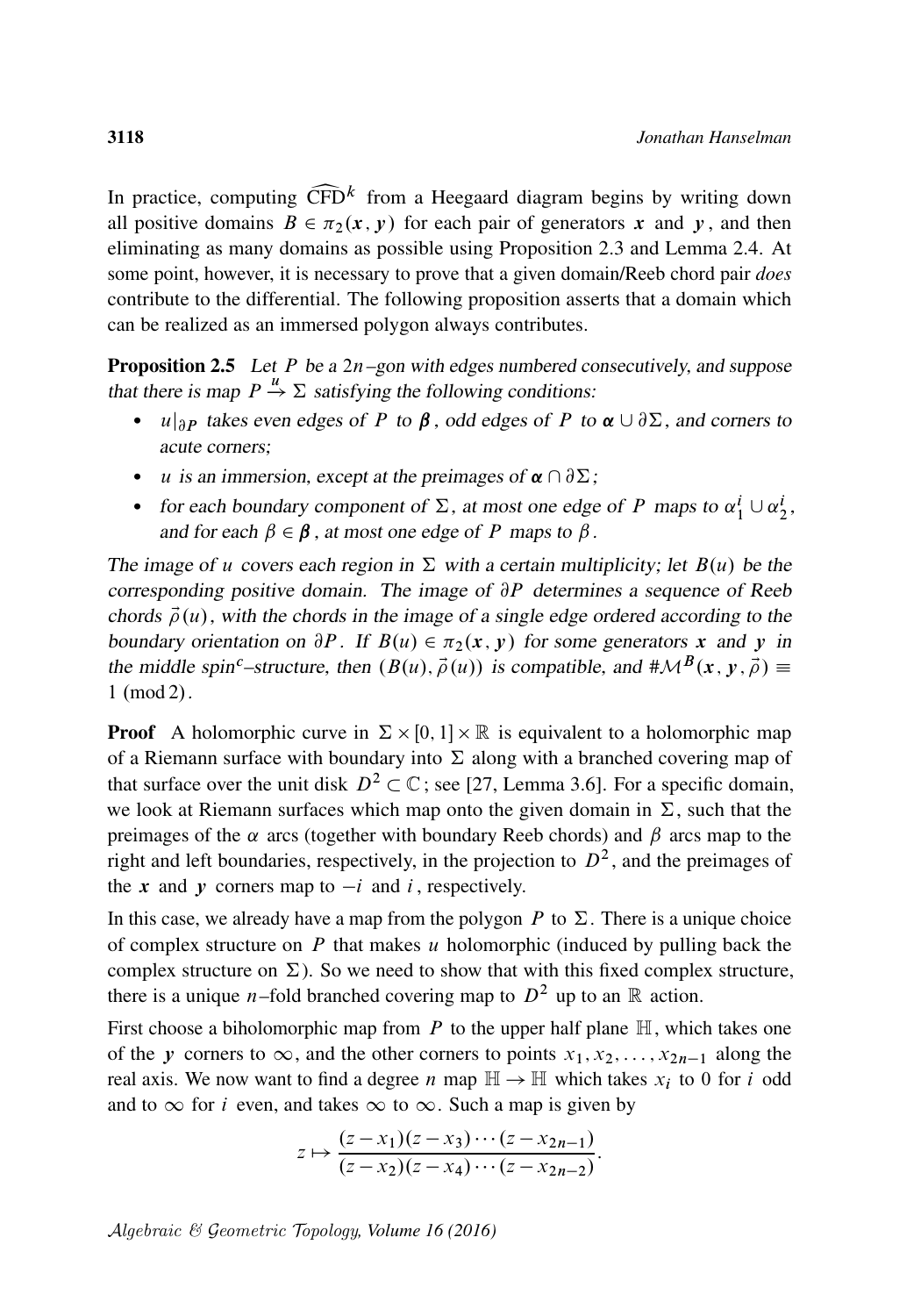In practice, computing  $\widehat{\text{CFD}}^k$  from a Heegaard diagram begins by writing down all positive domains  $B \in \pi_2(x, y)$  for each pair of generators x and y, and then all positive domains  $B \in \pi_2(x, y)$  for each pair of generators x and y, and then eliminating as many domains as possible using [Proposition 2.3](#page-13-0) and [Lemma 2.4.](#page-14-0) At some point, however, it is necessary to prove that a given domain/Reeb chord pair *does* contribute to the differential. The following proposition asserts that a domain which can be realized as an immersed polygon always contributes.

<span id="page-15-0"></span>**Proposition 2.5** Let P be a  $2n$ -gon with edges numbered consecutively, and suppose that there is map  $P \stackrel{u}{\rightarrow} \Sigma$  satisfying the following conditions:

- $u|_{\partial P}$  takes even edges of P to  $\beta$ , odd edges of P to  $\alpha \cup \partial \Sigma$ , and corners to acute corners;
- u is an immersion, except at the preimages of  $\alpha \cap \partial \Sigma$ ;
- for each boundary component of  $\Sigma$ , at most one edge of P maps to  $\alpha_1^i \cup \alpha_2^i$ , and for each  $\beta \in \beta$ , at most one edge of P maps to  $\beta$ .

The image of u covers each region in  $\Sigma$  with a certain multiplicity; let  $B(u)$  be the corresponding positive domain. The image of  $\partial P$  determines a sequence of Reeb chords  $\vec{\rho}(u)$ , with the chords in the image of a single edge ordered according to the boundary orientation on  $\partial P$ . If  $B(u) \in \pi_2(x, y)$  for some generators x and y in the middle spin<sup>c</sup>–structure, then  $(B(u), \vec{\rho}(u))$  is compatible, and  $\#\mathcal{M}^{B}(x, v, \vec{\rho}) \equiv$  $1 \pmod{2}$ .

**Proof** A holomorphic curve in  $\Sigma \times [0, 1] \times \mathbb{R}$  is equivalent to a holomorphic map of a Riemann surface with boundary into  $\Sigma$  along with a branched covering map of that surface over the unit disk  $D^2 \subset \mathbb{C}$ ; see [\[27,](#page-63-0) Lemma 3.6]. For a specific domain, we look at Riemann surfaces which map onto the given domain in  $\Sigma$ , such that the preimages of the  $\alpha$  arcs (together with boundary Reeb chords) and  $\beta$  arcs map to the right and left boundaries, respectively, in the projection to  $D^2$ , and the preimages of the x and y corners map to  $-i$  and i, respectively.

In this case, we already have a map from the polygon P to  $\Sigma$ . There is a unique choice of complex structure on  $P$  that makes  $u$  holomorphic (induced by pulling back the complex structure on  $\Sigma$ ). So we need to show that with this fixed complex structure, there is a unique *n*–fold branched covering map to  $D^2$  up to an R action.

First choose a biholomorphic map from P to the upper half plane  $\mathbb{H}$ , which takes one of the y corners to  $\infty$ , and the other corners to points  $x_1, x_2, \ldots, x_{2n-1}$  along the real axis. We now want to find a degree *n* map  $\mathbb{H} \to \mathbb{H}$  which takes  $x_i$  to 0 for *i* odd and to  $\infty$  for i even, and takes  $\infty$  to  $\infty$ . Such a map is given by

$$
z \mapsto \frac{(z-x_1)(z-x_3)\cdots(z-x_{2n-1})}{(z-x_2)(z-x_4)\cdots(z-x_{2n-2})}.
$$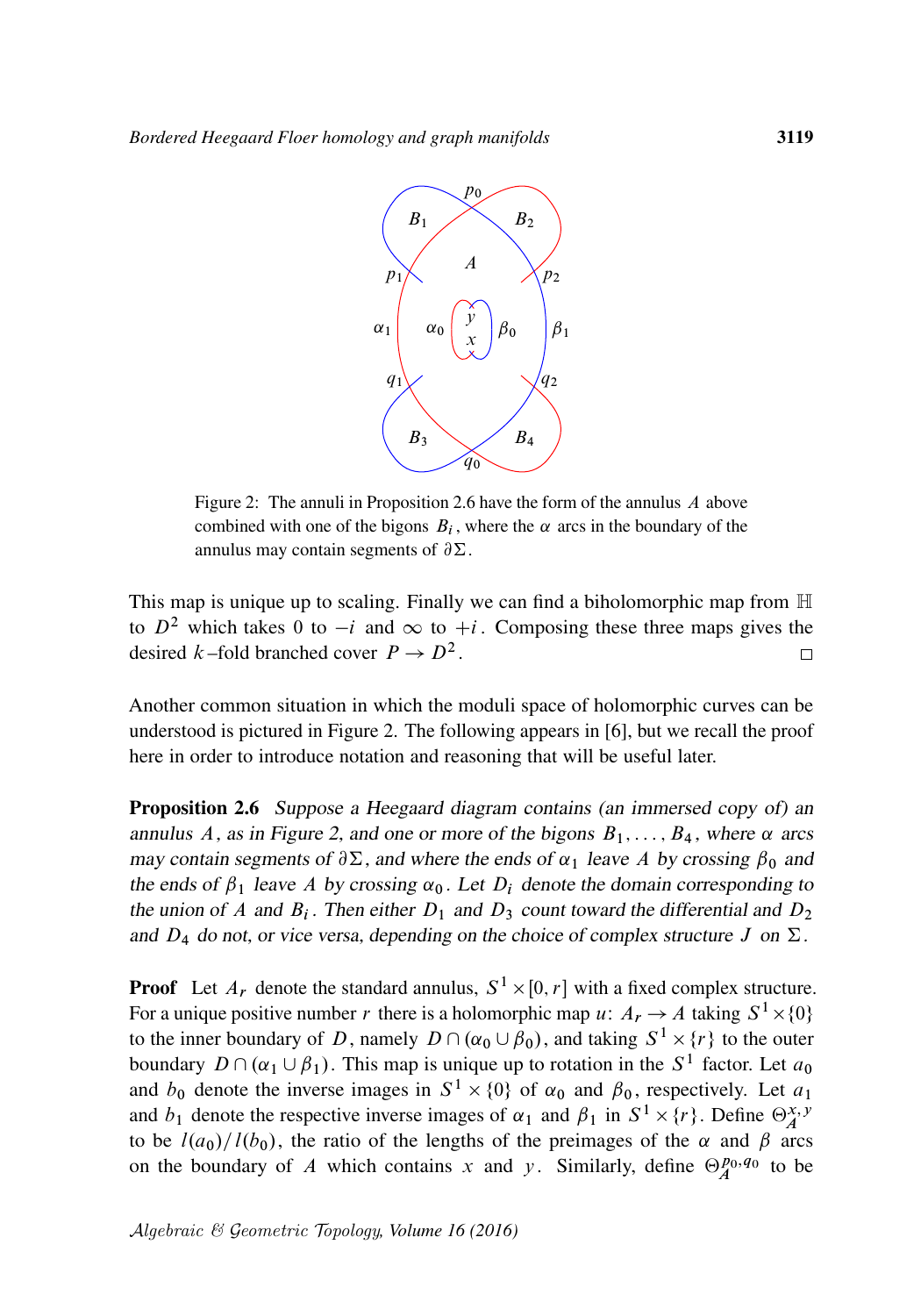<span id="page-16-1"></span>

Figure 2: The annuli in [Proposition 2.6](#page-16-0) have the form of the annulus A above combined with one of the bigons  $B_i$ , where the  $\alpha$  arcs in the boundary of the annulus may contain segments of  $\partial \Sigma$ .

This map is unique up to scaling. Finally we can find a biholomorphic map from  $\mathbb H$ to  $D^2$  which takes 0 to  $-i$  and  $\infty$  to  $+i$ . Composing these three maps gives the desired k-fold branched cover  $P \to D^2$ .  $\Box$ 

Another common situation in which the moduli space of holomorphic curves can be understood is pictured in [Figure 2.](#page-16-1) The following appears in [\[6\]](#page-61-3), but we recall the proof here in order to introduce notation and reasoning that will be useful later.

<span id="page-16-0"></span>Proposition 2.6 Suppose a Heegaard diagram contains (an immersed copy of) an annulus A, as in [Figure 2,](#page-16-1) and one or more of the bigons  $B_1, \ldots, B_4$ , where  $\alpha$  arcs may contain segments of  $\partial \Sigma$ , and where the ends of  $\alpha_1$  leave A by crossing  $\beta_0$  and the ends of  $\beta_1$  leave A by crossing  $\alpha_0$ . Let  $D_i$  denote the domain corresponding to the union of A and  $B_i$ . Then either  $D_1$  and  $D_3$  count toward the differential and  $D_2$ and  $D_4$  do not, or vice versa, depending on the choice of complex structure J on  $\Sigma$ .

**Proof** Let  $A_r$  denote the standard annulus,  $S^1 \times [0, r]$  with a fixed complex structure. For a unique positive number r there is a holomorphic map u:  $A_r \to A$  taking  $S^1 \times \{0\}$ to the inner boundary of D, namely  $D \cap (\alpha_0 \cup \beta_0)$ , and taking  $S^1 \times \{r\}$  to the outer boundary  $D \cap (\alpha_1 \cup \beta_1)$ . This map is unique up to rotation in the  $S^1$  factor. Let  $a_0$ and  $b_0$  denote the inverse images in  $S^1 \times \{0\}$  of  $\alpha_0$  and  $\beta_0$ , respectively. Let  $a_1$ and  $b_1$  denote the respective inverse images of  $\alpha_1$  and  $\beta_1$  in  $S^1 \times \{r\}$ . Define  $\Theta_A^{x,y}$ to be  $l(a_0)/l(b_0)$ , the ratio of the lengths of the preimages of the  $\alpha$  and  $\beta$  arcs on the boundary of A which contains x and y. Similarly, define  $\Theta_A^{p_0,q_0}$  to be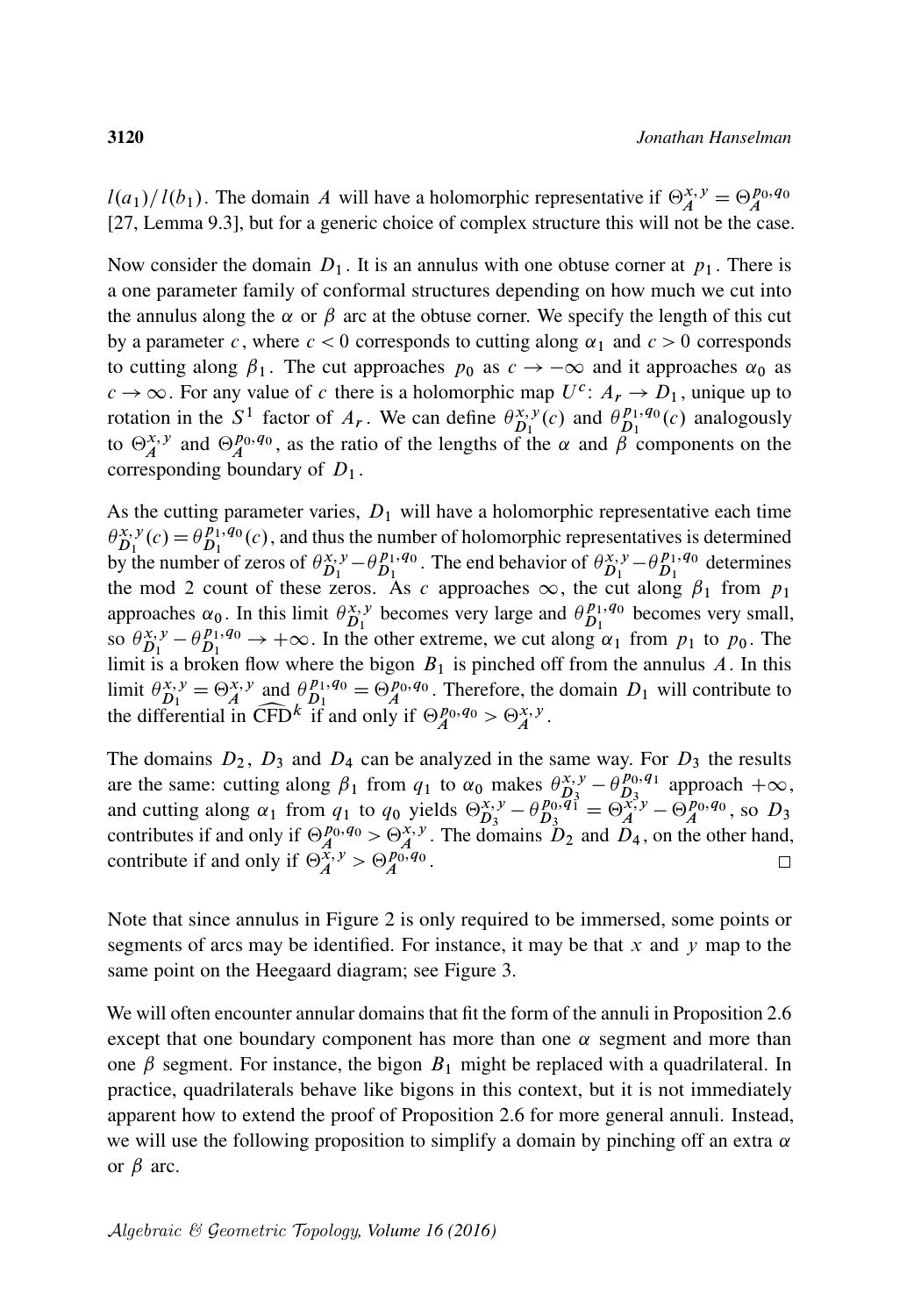$l(a_1)/l(b_1)$ . The domain A will have a holomorphic representative if  $\Theta_A^{x,y} = \Theta_A^{p_0,q_0}$ [\[27,](#page-63-0) Lemma 9.3], but for a generic choice of complex structure this will not be the case.

Now consider the domain  $D_1$ . It is an annulus with one obtuse corner at  $p_1$ . There is a one parameter family of conformal structures depending on how much we cut into the annulus along the  $\alpha$  or  $\beta$  arc at the obtuse corner. We specify the length of this cut by a parameter c, where  $c < 0$  corresponds to cutting along  $\alpha_1$  and  $c > 0$  corresponds to cutting along  $\beta_1$ . The cut approaches  $p_0$  as  $c \rightarrow -\infty$  and it approaches  $\alpha_0$  as  $c \to \infty$ . For any value of c there is a holomorphic map  $U^c$ :  $A_r \to D_1$ , unique up to rotation in the S<sup>1</sup> factor of  $A_r$ . We can define  $\theta_{D_1}^{x,y}(c)$  and  $\theta_{D_1}^{p_1,q_0}$  $\frac{p_1, q_0}{D_1}(c)$  analogously to  $\Theta_A^{x,y}$  and  $\Theta_A^{p_0,q_0}$ , as the ratio of the lengths of the  $\alpha$  and  $\beta$  components on the corresponding boundary of  $D_1$ .

As the cutting parameter varies,  $D_1$  will have a holomorphic representative each time  $\theta_{D_1}^{x,y}(c) = \theta_{D_1}^{p_1,q_0}$  $D_1^{p_1,q_0}(c)$ , and thus the number of holomorphic representatives is determined by the number of zeros of  $\theta_{D_1}^{x,y} - \theta_{D_1}^{p_1,q_0}$  $D_1^{p_1,q_0}$ . The end behavior of  $\theta_{D_1}^{x,y} - \theta_{D_1}^{p_1,q_0}$  $D_1^{p_1,q_0}$  determines the mod 2 count of these zeros. As c approaches  $\infty$ , the cut along  $\beta_1$  from  $p_1$ approaches  $\alpha_0$ . In this limit  $\theta_{D_1}^{x,y}$  becomes very large and  $\theta_{D_1}^{p_1,q_0}$  $D_1^{p_1,q_0}$  becomes very small, so  $\theta_{D_1}^{x,y} - \theta_{D_1}^{p_1,q_0} \rightarrow +\infty$ . In the other extreme, we cut along  $\alpha_1$  from  $p_1$  to  $p_0$ . The limit is a broken flow where the bigon  $B_1$  is pinched off from the annulus A. In this limit  $\theta_{D_1}^{x,y} = \Theta_A^{x,y}$  and  $\theta_{D_1}^{p_1,q_0}$  $D_1^{p_1,q_0} = \Theta_A^{p_0,q_0}$ . Therefore, the domain  $D_1$  will contribute to the differential in  $\widehat{\text{CFD}}^k$  if and only if  $\Theta_A^{p_0, q_0} > \Theta_A^{x, y}$ .

The domains  $D_2$ ,  $D_3$  and  $D_4$  can be analyzed in the same way. For  $D_3$  the results are the same: cutting along  $\beta_1$  from  $q_1$  to  $\alpha_0$  makes  $\theta_{D_3}^{x,y} - \theta_{D_3}^{p_0,q_1}$  $\frac{p_0, q_1}{D_3}$  approach  $+\infty$ , and cutting along  $\alpha_1$  from  $q_1$  to  $q_0$  yields  $\Theta_{D_3}^{x,y} - \theta_{D_3}^{p_0,q_1}$  $D_3^{p_0, q_1} = \Theta_A^{x, y} - \Theta_A^{p_0, q_0}$ , so  $D_3$ contributes if and only if  $\Theta_A^{p_0,q_0} > \Theta_A^{x,y}$ . The domains  $D_2$  and  $D_4$ , on the other hand, contribute if and only if  $\Theta_A^{\overline{x},y} > \Theta_A^{p_0,q_0}$ .  $\Box$ 

Note that since annulus in [Figure 2](#page-16-1) is only required to be immersed, some points or segments of arcs may be identified. For instance, it may be that x and y map to the same point on the Heegaard diagram; see [Figure 3.](#page-18-0)

<span id="page-17-0"></span>We will often encounter annular domains that fit the form of the annuli in [Proposition 2.6](#page-16-0) except that one boundary component has more than one  $\alpha$  segment and more than one  $\beta$  segment. For instance, the bigon  $B_1$  might be replaced with a quadrilateral. In practice, quadrilaterals behave like bigons in this context, but it is not immediately apparent how to extend the proof of [Proposition 2.6](#page-16-0) for more general annuli. Instead, we will use the following proposition to simplify a domain by pinching off an extra  $\alpha$ or  $\beta$  arc.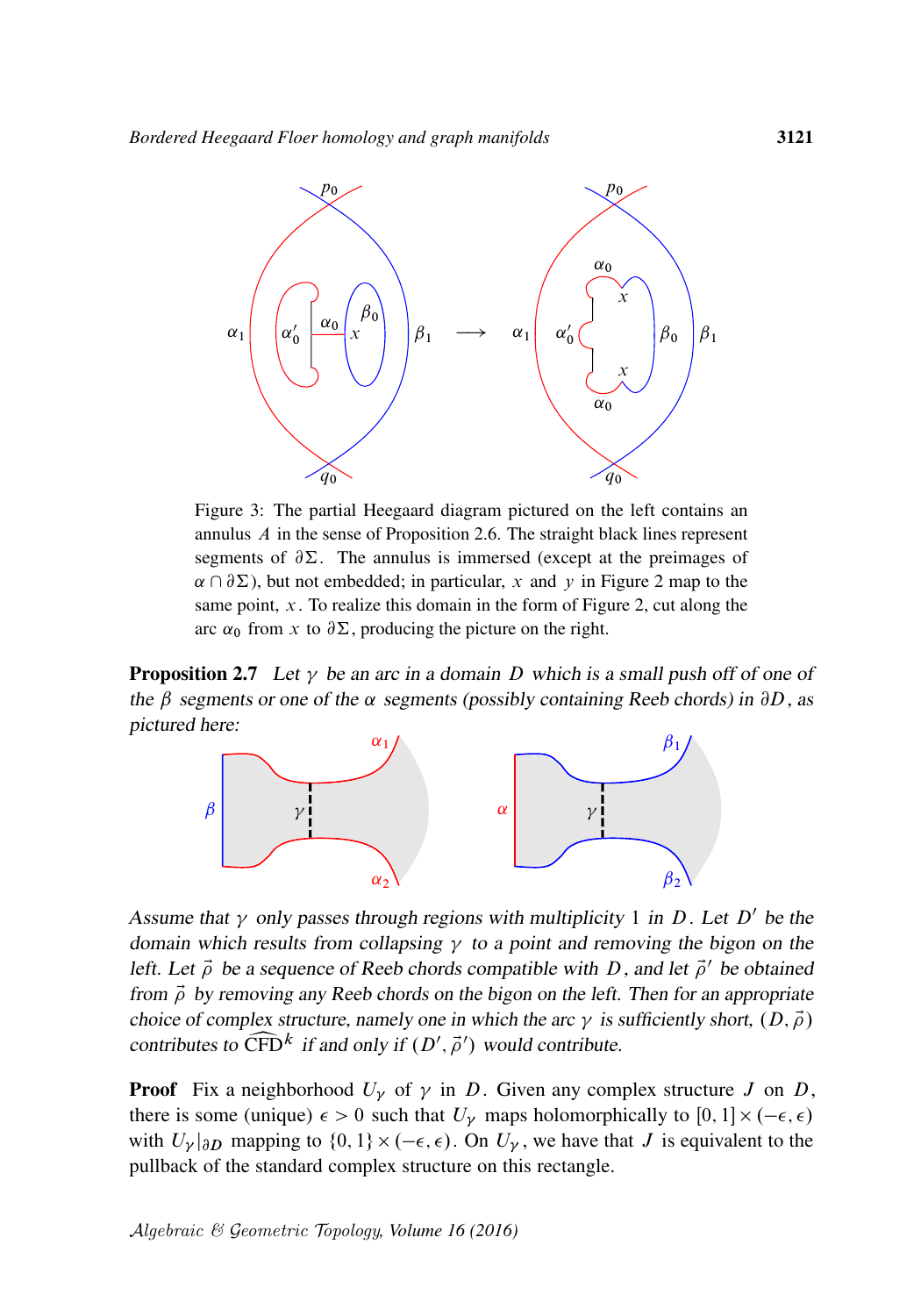<span id="page-18-0"></span>

Figure 3: The partial Heegaard diagram pictured on the left contains an annulus A in the sense of [Proposition 2.6.](#page-16-0) The straight black lines represent segments of  $\partial \Sigma$ . The annulus is immersed (except at the preimages of  $\alpha \cap \partial \Sigma$ ), but not embedded; in particular, x and y in [Figure 2](#page-16-1) map to the same point,  $x$ . To realize this domain in the form of [Figure 2,](#page-16-1) cut along the arc  $\alpha_0$  from x to  $\partial \Sigma$ , producing the picture on the right.

**Proposition 2.7** Let  $\gamma$  be an arc in a domain D which is a small push off of one of the  $\beta$  segments or one of the  $\alpha$  segments (possibly containing Reeb chords) in  $\partial D$ , as pictured here:



Assume that  $\gamma$  only passes through regions with multiplicity 1 in D. Let D' be the domain which results from collapsing  $\gamma$  to a point and removing the bigon on the left. Let  $\vec{\rho}$  be a sequence of Reeb chords compatible with D, and let  $\vec{\rho}'$  be obtained from  $\vec{\rho}$  by removing any Reeb chords on the bigon on the left. Then for an appropriate choice of complex structure, namely one in which the arc  $\gamma$  is sufficiently short,  $(D, \vec{\rho})$ contributes to  $\widehat{\text{CFD}}^k$  if and only if  $(D', \vec{\rho}')$  would contribute.

**Proof** Fix a neighborhood  $U_{\gamma}$  of  $\gamma$  in D. Given any complex structure J on D, there is some (unique)  $\epsilon > 0$  such that  $U_{\gamma}$  maps holomorphically to [0, 1]  $\times$  ( $-\epsilon$ ,  $\epsilon$ ) with  $U_{\gamma}|_{\partial D}$  mapping to  $\{0, 1\} \times (-\epsilon, \epsilon)$ . On  $U_{\gamma}$ , we have that J is equivalent to the pullback of the standard complex structure on this rectangle.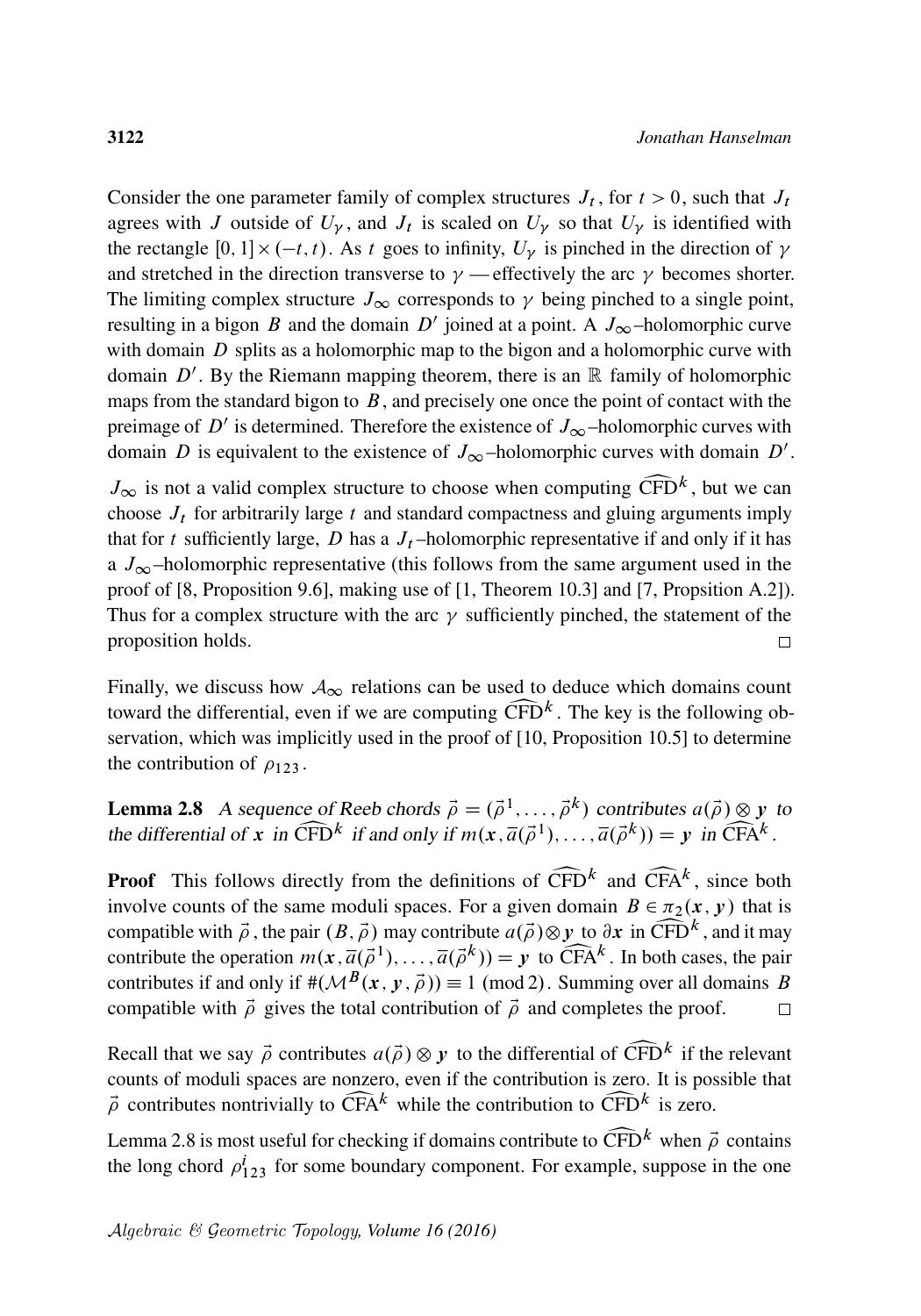Consider the one parameter family of complex structures  $J_t$ , for  $t > 0$ , such that  $J_t$ agrees with J outside of  $U_{\gamma}$ , and  $J_t$  is scaled on  $U_{\gamma}$  so that  $U_{\gamma}$  is identified with the rectangle [0, 1]  $\times$  (-t, t). As t goes to infinity,  $U_{\gamma}$  is pinched in the direction of  $\gamma$ and stretched in the direction transverse to  $\gamma$  — effectively the arc  $\gamma$  becomes shorter. The limiting complex structure  $J_{\infty}$  corresponds to  $\gamma$  being pinched to a single point, resulting in a bigon B and the domain D' joined at a point. A  $J_{\infty}$ -holomorphic curve with domain  $D$  splits as a holomorphic map to the bigon and a holomorphic curve with domain  $D'$ . By the Riemann mapping theorem, there is an  $\mathbb R$  family of holomorphic maps from the standard bigon to  $B$ , and precisely one once the point of contact with the preimage of D' is determined. Therefore the existence of  $J_{\infty}$ -holomorphic curves with domain D is equivalent to the existence of  $J_{\infty}$ -holomorphic curves with domain D'.

 $J_{\infty}$  is not a valid complex structure to choose when computing  $\widehat{\text{CFD}}^k$ , but we can choose  $J_t$  for arbitrarily large t and standard compactness and gluing arguments imply choose  $J_t$  for arbitrarily large t and standard compactness and gluing arguments imply that for t sufficiently large, D has a  $J_t$ -holomorphic representative if and only if it has a  $J_{\infty}$ -holomorphic representative (this follows from the same argument used in the proof of [\[8,](#page-61-2) Proposition 9.6], making use of [\[1,](#page-61-6) Theorem 10.3] and [\[7,](#page-61-4) Propsition A.2]). Thus for a complex structure with the arc  $\gamma$  sufficiently pinched, the statement of the proposition holds.  $\Box$ 

Finally, we discuss how  $A_{\infty}$  relations can be used to deduce which domains count toward the differential, even if we are computing  $\widehat{CFD}^k$ . The key is the following observation, which was implicitly used in the proof of [10, Proposition 10.5] to determine servation, which was implicitly used in the proof of [\[10,](#page-62-16) Proposition 10.5] to determine the contribution of  $\rho_{123}$ .

<span id="page-19-0"></span>**Lemma 2.8** A sequence of Reeb chords  $\vec{\rho} = (\vec{\rho}^1, \dots, \vec{\rho}^k)$  contributes  $a(\vec{\rho}) \otimes y$  to the differential of x in  $\widehat{\text{CFD}}^k$  if and only if  $m(x, \overline{a}(\overrightarrow{\rho}^1), \dots, \overline{a}(\overrightarrow{\rho}^k)) = y$  in  $\widehat{\text{CFA}}^k$ .

**Proof** This follows directly from the definitions of  $\widehat{CFD}^k$  and  $\widehat{CFA}^k$ , since both **Proof** This follows directly from the definitions of  $\widehat{CFD}^k$  and  $\widehat{CFA}^k$ , since both involve counts of the same moduli spaces. For a given domain  $B \in \pi_2(x, y)$  that is compatible with  $\vec{\rho}$ , the pair  $(B, \vec{\rho})$  may contribute  $a(\vec{\rho}) \otimes y$  to  $\partial x$  in  $\widehat{\text{CFD}}^k$ , and it may compatible with  $\vec{\rho}$ , the pair  $(B, \vec{\rho})$  may contribute  $a(\vec{\rho}) \otimes y$  to  $\partial x$  in  $\widehat{\text{CFD}}^k$ , and it may contribute the operation  $m(x, \overline{a}(\vec{\rho}^1), \dots, \overline{a}(\vec{\rho}^k)) = y$  to  $\widehat{\text{CFA}}^k$ . In both cases, the pair contribute the operation  $m(x, \overline{a}(\overrightarrow{\rho}^1), \dots, \overline{a}(\overrightarrow{\rho}^k)) = y$  to  $\widehat{CFA}^k$ . In both cases, the pair contributes if and only if  $\#(\mathcal{M}^B(x, y, \overrightarrow{\rho})) \equiv 1 \pmod{2}$ . Summing over all domains B compatible with  $\vec{\rho}$  gives the total contribution of  $\vec{\rho}$  and completes the proof.  $\Box$ 

Recall that we say  $\vec{\rho}$  contributes  $a(\vec{\rho}) \otimes y$  to the differential of  $\widehat{\text{CFD}}^k$  if the relevant counts of moduli spaces are nonzero, even if the contribution is zero. It is possible that counts of moduli spaces are nonzero, even if the contribution is zero. It is possible that  $\vec{\rho}$  contributes nontrivially to  $\widehat{CFA}^k$  while the contribution to  $\widehat{CFD}^k$  is zero.<br>Lamma 2.8 is most useful for checking if domains contribute to  $\widehat{CFD}^k$  when  $\vec{\phi}$ 

[Lemma 2.8](#page-19-0) is most useful for checking if domains contribute to  $\widehat{CFD}^k$  when  $\vec{\rho}$  contains the long chord  $\rho_{123}^i$  for some boundary component. For example, suppose in the one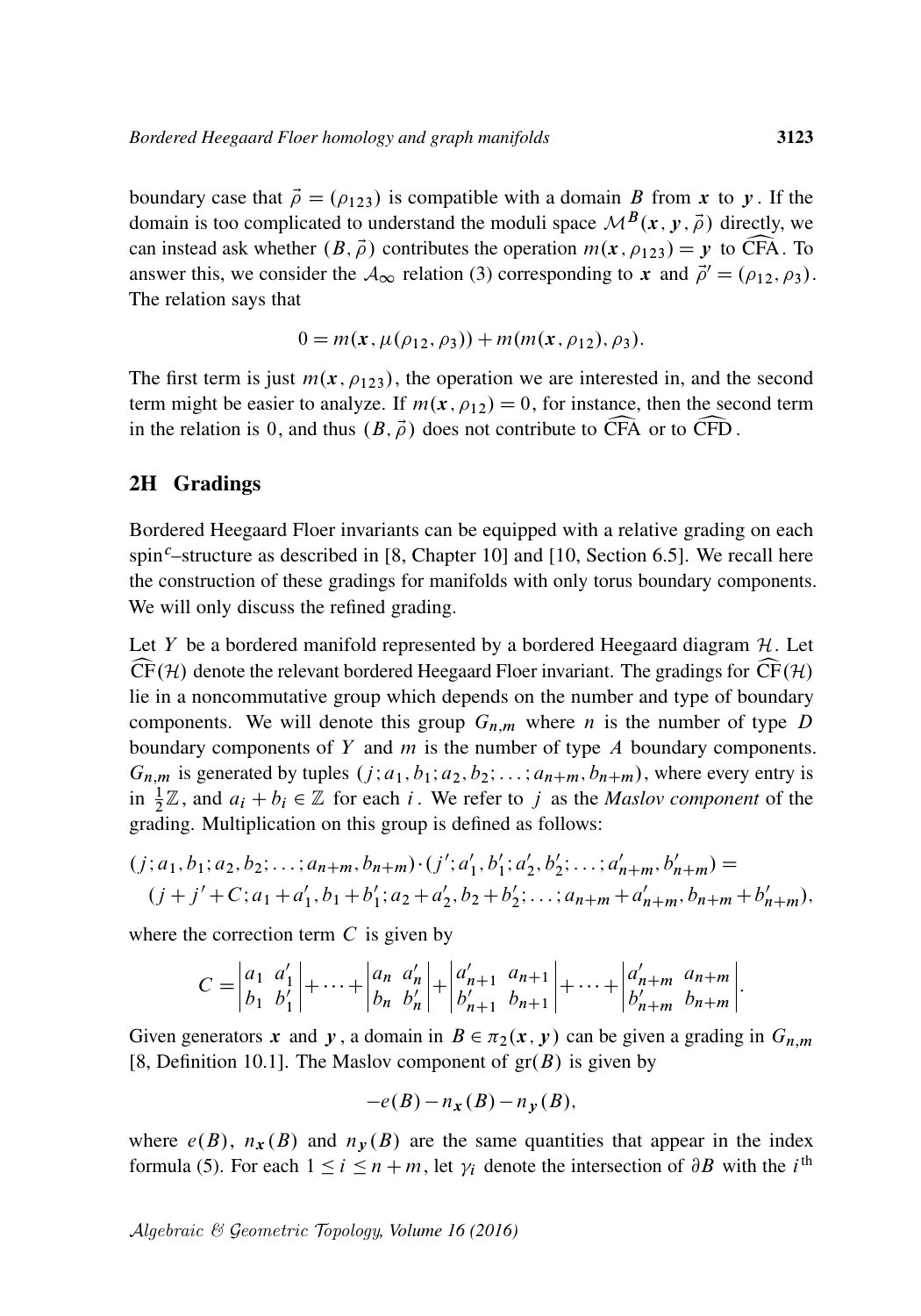boundary case that  $\vec{\rho} = (\rho_{123})$  is compatible with a domain B from x to y. If the domain is too complicated to understand the moduli space  $\mathcal{M}^{B}(x, y, \vec{\rho})$  directly, we can instead ask whether  $(B, \vec{\rho})$  contributes the operation  $m(x, \rho_{123}) = y$  to CFA. To answer this, we consider the  $\mathcal{A}_{\infty}$  relation [\(3\)](#page-6-0) corresponding to x and  $\vec{\rho}' = (\rho_{12}, \rho_3)$ . The relation says that

$$
0 = m(x, \mu(\rho_{12}, \rho_3)) + m(m(x, \rho_{12}), \rho_3).
$$

The first term is just  $m(x, \rho_{123})$ , the operation we are interested in, and the second term might be easier to analyze. If  $m(x, \rho_{12}) = 0$ , for instance, then the second term in the relation is 0, and thus  $(B, \vec{\rho})$  does not contribute to CFA or to CFD.

#### <span id="page-20-0"></span>2H Gradings

Bordered Heegaard Floer invariants can be equipped with a relative grading on each spin<sup>c</sup>–structure as described in [\[8,](#page-61-2) Chapter 10] and [\[10,](#page-62-16) Section 6.5]. We recall here the construction of these gradings for manifolds with only torus boundary components. We will only discuss the refined grading.

Let Y be a bordered manifold represented by a bordered Heegaard diagram  $H$ . Let  $CF(\mathcal{H})$  denote the relevant bordered Heegaard Floer invariant. The gradings for  $CF(\mathcal{H})$ lie in a noncommutative group which depends on the number and type of boundary components. We will denote this group  $G_{n,m}$  where *n* is the number of type *D* boundary components of  $Y$  and  $m$  is the number of type  $A$  boundary components.  $G_{n,m}$  is generated by tuples  $(j; a_1, b_1; a_2, b_2; \ldots; a_{n+m}, b_{n+m})$ , where every entry is in  $\frac{1}{2}\mathbb{Z}$ , and  $a_i + b_i \in \mathbb{Z}$  for each i. We refer to j as the *Maslov component* of the grading. Multiplication on this group is defined as follows:

$$
(j; a_1, b_1; a_2, b_2; \ldots; a_{n+m}, b_{n+m}) \cdot (j'; a'_1, b'_1; a'_2, b'_2; \ldots; a'_{n+m}, b'_{n+m}) =
$$
  

$$
(j + j' + C; a_1 + a'_1, b_1 + b'_1; a_2 + a'_2, b_2 + b'_2; \ldots; a_{n+m} + a'_{n+m}, b_{n+m} + b'_{n+m}),
$$

where the correction term  $C$  is given by

$$
C = \begin{vmatrix} a_1 & a'_1 \\ b_1 & b'_1 \end{vmatrix} + \dots + \begin{vmatrix} a_n & a'_n \\ b_n & b'_n \end{vmatrix} + \begin{vmatrix} a'_{n+1} & a_{n+1} \\ b'_{n+1} & b_{n+1} \end{vmatrix} + \dots + \begin{vmatrix} a'_{n+m} & a_{n+m} \\ b'_{n+m} & b_{n+m} \end{vmatrix}.
$$

Given generators x and y, a domain in  $B \in \pi_2(x, y)$  can be given a grading in  $G_{n,m}$ [\[8,](#page-61-2) Definition 10.1]. The Maslov component of  $gr(B)$  is given by

$$
-e(B) - n_x(B) - n_y(B),
$$

where  $e(B)$ ,  $n_x(B)$  and  $n_y(B)$  are the same quantities that appear in the index formula [\(5\).](#page-11-0) For each  $1 \le i \le n + m$ , let  $\gamma_i$  denote the intersection of  $\partial B$  with the i<sup>th</sup>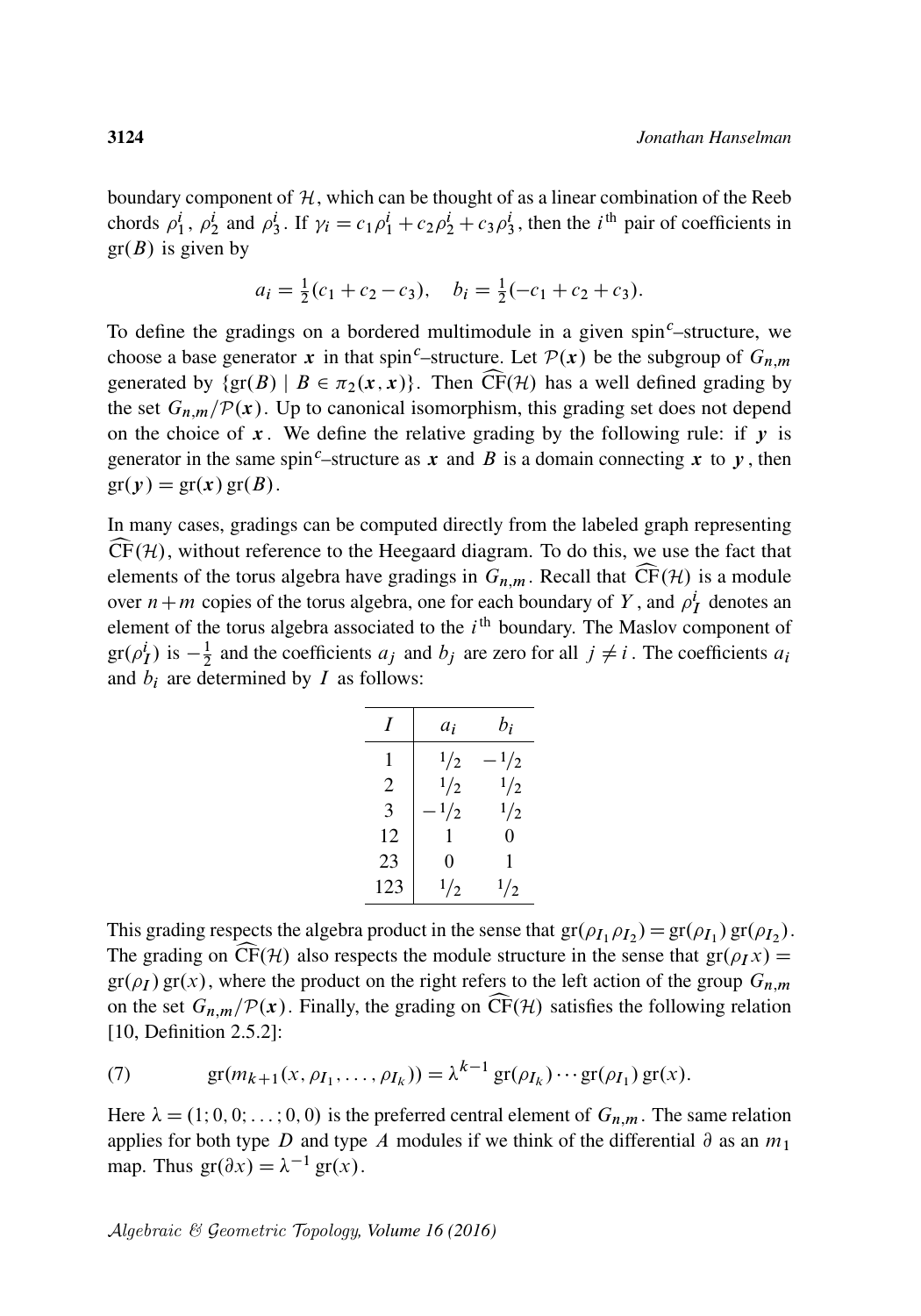boundary component of  $H$ , which can be thought of as a linear combination of the Reeb chords  $\rho_1^i$ ,  $\rho_2^i$  and  $\rho_3^i$ . If  $\gamma_i = c_1 \rho_1^i + c_2 \rho_2^i + c_3 \rho_3^i$ , then the *i*<sup>th</sup> pair of coefficients in  $gr(B)$  is given by

$$
a_i = \frac{1}{2}(c_1 + c_2 - c_3), \quad b_i = \frac{1}{2}(-c_1 + c_2 + c_3).
$$

To define the gradings on a bordered multimodule in a given spin<sup>c</sup>–structure, we choose a base generator x in that spin<sup>c</sup>–structure. Let  $\mathcal{P}(x)$  be the subgroup of  $G_{n,m}$ generated by  $\{gr(B) \mid B \in \pi_2(x, x)\}\$ . Then  $\widehat{CF}(\mathcal{H})$  has a well defined grading by the set  $G_{n,m}/\mathcal{P}(x)$ . Up to canonical isomorphism, this grading set does not depend on the choice of  $x$ . We define the relative grading by the following rule: if  $y$  is generator in the same spin<sup>c</sup>–structure as x and B is a domain connecting x to y, then  $gr(y) = gr(x) gr(B).$ 

In many cases, gradings can be computed directly from the labeled graph representing  $CF(\mathcal{H})$ , without reference to the Heegaard diagram. To do this, we use the fact that elements of the torus algebra have gradings in  $G_{n,m}$ . Recall that  $\widehat{CF}(\mathcal{H})$  is a module over  $n+m$  copies of the torus algebra, one for each boundary of Y, and  $\rho_I^i$  denotes an element of the torus algebra associated to the  $i<sup>th</sup>$  boundary. The Maslov component of  $gr(\rho_I^i)$  is  $-\frac{1}{2}$  $\frac{1}{2}$  and the coefficients  $a_j$  and  $b_j$  are zero for all  $j \neq i$ . The coefficients  $a_i$ and  $b_i$  are determined by  $I$  as follows:

| I   | $a_i$         | bi            |
|-----|---------------|---------------|
|     | $\frac{1}{2}$ | $\frac{1}{2}$ |
| 2   | $\frac{1}{2}$ | $\frac{1}{2}$ |
| 3   | 1/2           | 1/2           |
| 12  | 1             | 0             |
| 23  | 0             | 1             |
| 123 | $\frac{1}{2}$ | $\frac{1}{2}$ |

This grading respects the algebra product in the sense that  $gr(\rho_{I_1}\rho_{I_2}) = gr(\rho_{I_1}) gr(\rho_{I_2})$ . The grading on CF(H) also respects the module structure in the sense that  $gr(\rho_I x) =$  $gr(\rho_I) gr(x)$ , where the product on the right refers to the left action of the group  $G_{n,m}$ on the set  $G_{n,m}/\mathcal{P}(x)$ . Finally, the grading on  $\widehat{CF}(\mathcal{H})$  satisfies the following relation [\[10,](#page-62-16) Definition 2.5.2]:

<span id="page-21-0"></span>(7) 
$$
gr(m_{k+1}(x, \rho_{I_1}, \ldots, \rho_{I_k})) = \lambda^{k-1} gr(\rho_{I_k}) \cdots gr(\rho_{I_1}) gr(x).
$$

Here  $\lambda = (1; 0, 0; \dots; 0, 0)$  is the preferred central element of  $G_{n,m}$ . The same relation applies for both type D and type A modules if we think of the differential  $\partial$  as an  $m_1$ map. Thus  $gr(\partial x) = \lambda^{-1} gr(x)$ .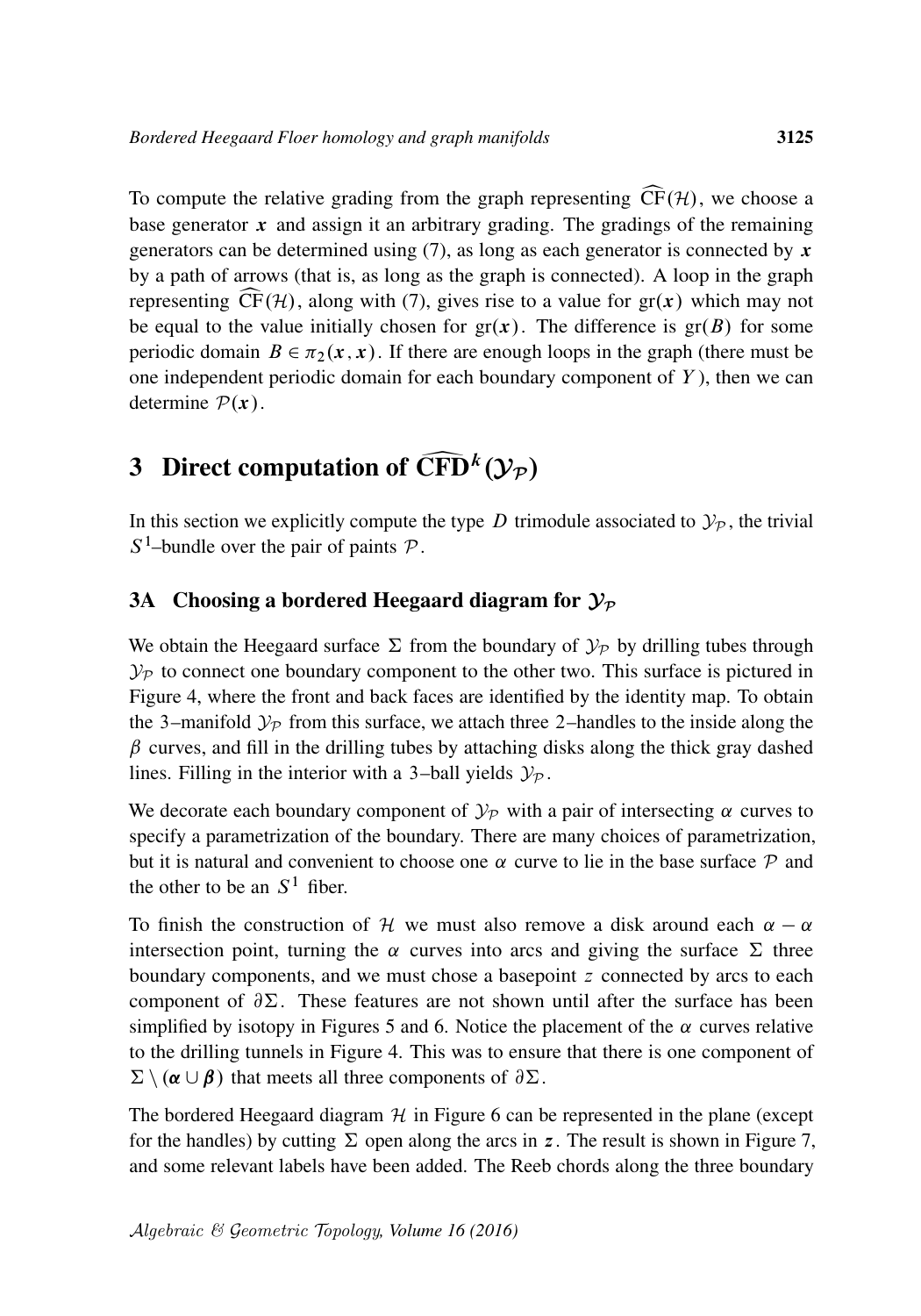To compute the relative grading from the graph representing  $\widehat{CF}(\mathcal{H})$ , we choose a base generator  $x$  and assign it an arbitrary grading. The gradings of the remaining generators can be determined using [\(7\),](#page-21-0) as long as each generator is connected by  $x$ by a path of arrows (that is, as long as the graph is connected). A loop in the graph representing  $\widehat{CF}(\mathcal{H})$ , along with [\(7\),](#page-21-0) gives rise to a value for  $gr(x)$  which may not be equal to the value initially chosen for  $gr(x)$ . The difference is  $gr(B)$  for some periodic domain  $B \in \pi_2(x, x)$ . If there are enough loops in the graph (there must be one independent periodic domain for each boundary component of  $Y$ ), then we can determine  $P(x)$ .

# <span id="page-22-0"></span>3 Direct computation of  $\widehat{CFD}^k(\mathcal{Y}_P)$

In this section we explicitly compute the type D trimodule associated to  $\mathcal{Y}_p$ , the trivial  $S^1$ -bundle over the pair of paints  $P$ .

#### 3A Choosing a bordered Heegaard diagram for  $\mathcal{Y}_\mathcal{P}$

We obtain the Heegaard surface  $\Sigma$  from the boundary of  $\mathcal{Y}_P$  by drilling tubes through  $\mathcal{Y}_{\mathcal{P}}$  to connect one boundary component to the other two. This surface is pictured in [Figure 4,](#page-23-0) where the front and back faces are identified by the identity map. To obtain the 3–manifold  $\mathcal{Y}_P$  from this surface, we attach three 2–handles to the inside along the  $\beta$  curves, and fill in the drilling tubes by attaching disks along the thick gray dashed lines. Filling in the interior with a 3-ball yields  $\mathcal{Y}_{\mathcal{P}}$ .

We decorate each boundary component of  $\mathcal{Y}_P$  with a pair of intersecting  $\alpha$  curves to specify a parametrization of the boundary. There are many choices of parametrization, but it is natural and convenient to choose one  $\alpha$  curve to lie in the base surface  $\mathcal P$  and the other to be an  $S<sup>1</sup>$  fiber.

To finish the construction of H we must also remove a disk around each  $\alpha - \alpha$ intersection point, turning the  $\alpha$  curves into arcs and giving the surface  $\Sigma$  three boundary components, and we must chose a basepoint z connected by arcs to each component of  $\partial \Sigma$ . These features are not shown until after the surface has been simplified by isotopy in Figures [5](#page-23-1) and [6.](#page-24-0) Notice the placement of the  $\alpha$  curves relative to the drilling tunnels in [Figure 4.](#page-23-0) This was to ensure that there is one component of  $\sum \setminus (\alpha \cup \beta)$  that meets all three components of  $\partial \Sigma$ .

The bordered Heegaard diagram  $H$  in [Figure 6](#page-24-0) can be represented in the plane (except for the handles) by cutting  $\Sigma$  open along the arcs in z. The result is shown in [Figure 7,](#page-24-1) and some relevant labels have been added. The Reeb chords along the three boundary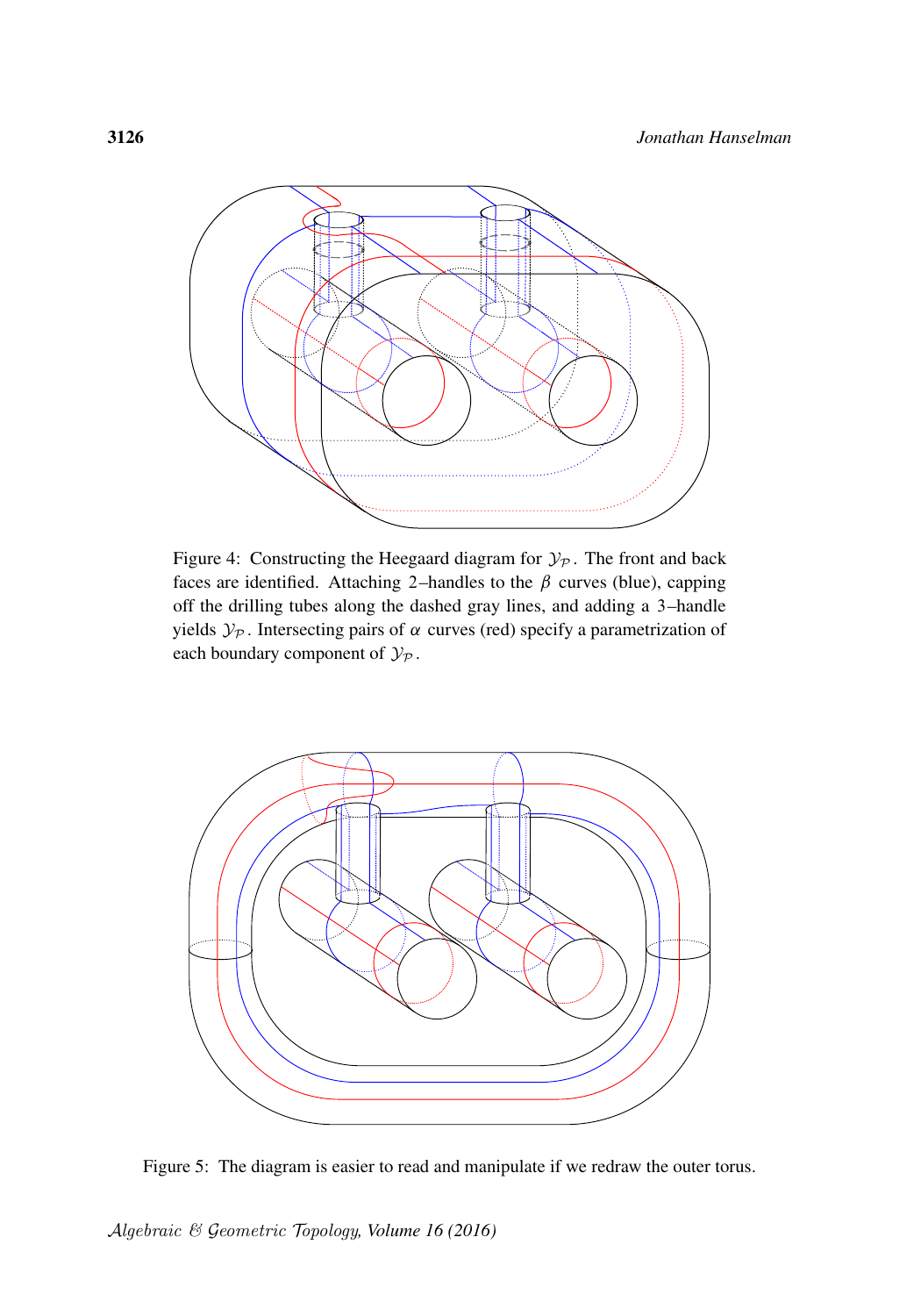<span id="page-23-0"></span>

Figure 4: Constructing the Heegaard diagram for  $\mathcal{Y}_p$ . The front and back faces are identified. Attaching 2–handles to the  $\beta$  curves (blue), capping off the drilling tubes along the dashed gray lines, and adding a 3–handle yields  $\mathcal{Y}_P$ . Intersecting pairs of  $\alpha$  curves (red) specify a parametrization of each boundary component of  $\mathcal{Y}_{\mathcal{P}}$ .

<span id="page-23-1"></span>

Figure 5: The diagram is easier to read and manipulate if we redraw the outer torus.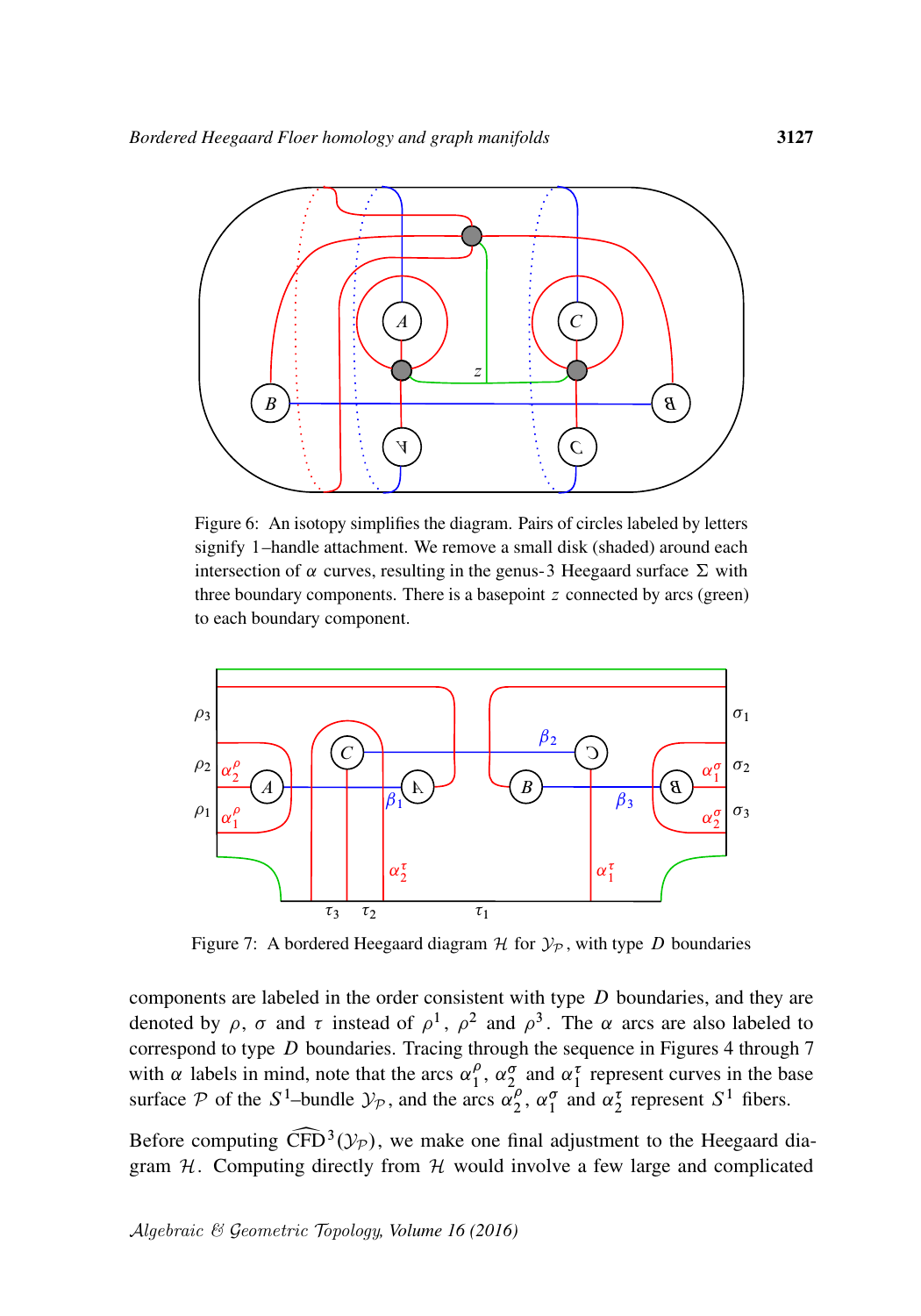<span id="page-24-0"></span>

Figure 6: An isotopy simplifies the diagram. Pairs of circles labeled by letters signify 1–handle attachment. We remove a small disk (shaded) around each intersection of  $\alpha$  curves, resulting in the genus-3 Heegaard surface  $\Sigma$  with three boundary components. There is a basepoint  $z$  connected by arcs (green) to each boundary component.

<span id="page-24-1"></span>

Figure 7: A bordered Heegaard diagram  $H$  for  $\mathcal{Y}_P$ , with type D boundaries

components are labeled in the order consistent with type  $D$  boundaries, and they are denoted by  $\rho$ ,  $\sigma$  and  $\tau$  instead of  $\rho^1$ ,  $\rho^2$  and  $\rho^3$ . The  $\alpha$  arcs are also labeled to correspond to type D boundaries. Tracing through the sequence in Figures [4](#page-23-0) through [7](#page-24-1) with  $\alpha$  labels in mind, note that the arcs  $\alpha_1^{\rho}$  $\frac{\rho}{1}$ ,  $\alpha_2^{\sigma}$  and  $\alpha_1^{\tau}$  represent curves in the base surface P of the  $S^1$ -bundle  $\mathcal{Y}_p$ , and the arcs  $\alpha_2^p$  $\frac{\rho}{2}$ ,  $\alpha_1^{\sigma}$  and  $\alpha_2^{\tau}$  represent  $S^1$  fibers.

Before computing  $\widehat{\text{CFD}}^3(\mathcal{Y}_P)$ , we make one final adjustment to the Heegaard diagram H. Computing directly from H would involve a few large and complicated gram  $H$ . Computing directly from  $H$  would involve a few large and complicated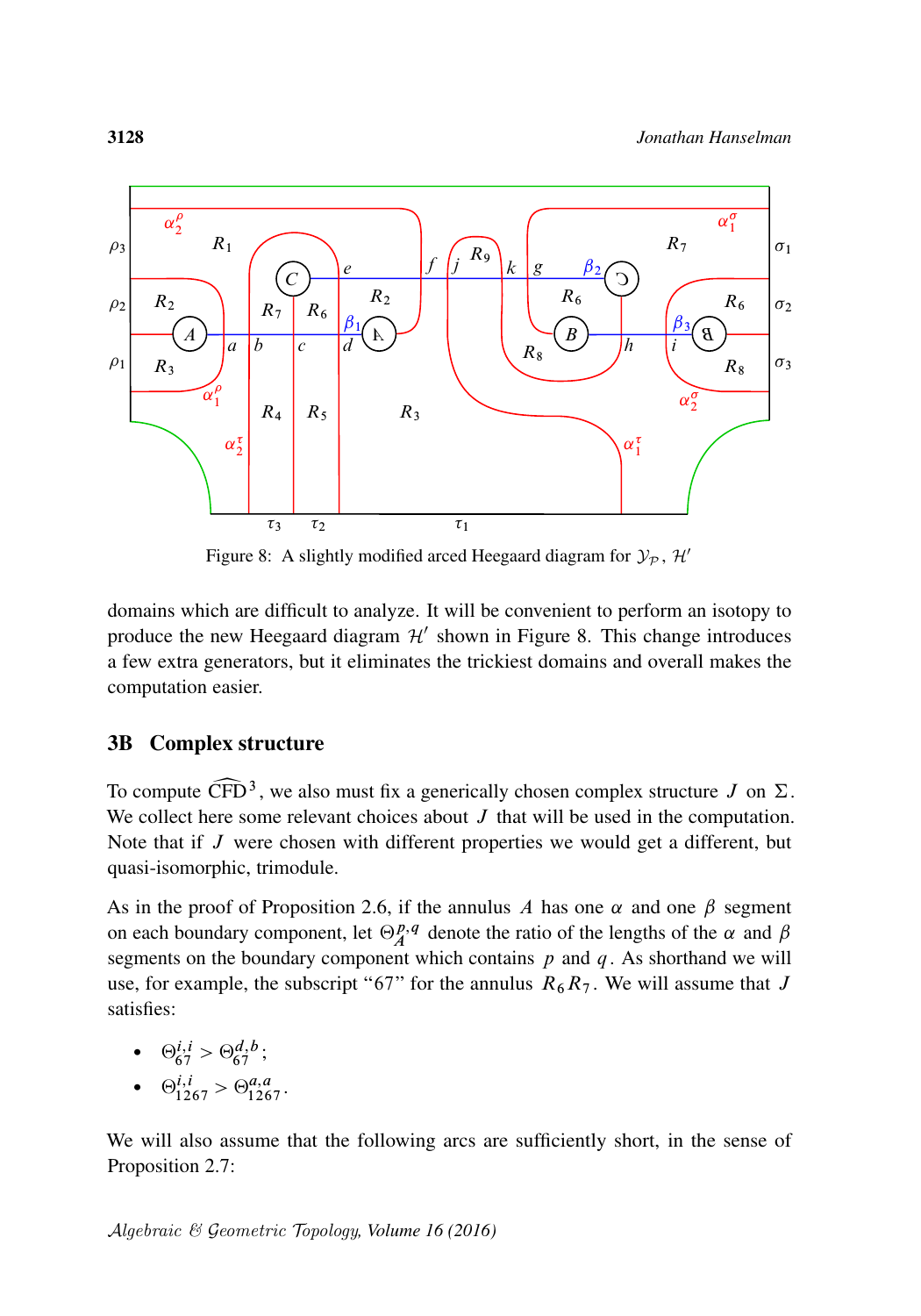<span id="page-25-0"></span>

Figure 8: A slightly modified arced Heegaard diagram for  $\mathcal{Y}_P$ ,  $\mathcal{H}'$ 

domains which are difficult to analyze. It will be convenient to perform an isotopy to produce the new Heegaard diagram  $\mathcal{H}'$  shown in [Figure 8.](#page-25-0) This change introduces a few extra generators, but it eliminates the trickiest domains and overall makes the computation easier.

#### 3B Complex structure

To compute  $\widehat{\text{CFD}}^3$ , we also must fix a generically chosen complex structure  $J$  on  $\Sigma$ .<br>We collect here some relevant choices about  $J$  that will be used in the computation. We collect here some relevant choices about  $J$  that will be used in the computation. Note that if  $J$  were chosen with different properties we would get a different, but quasi-isomorphic, trimodule.

As in the proof of [Proposition 2.6,](#page-16-0) if the annulus A has one  $\alpha$  and one  $\beta$  segment on each boundary component, let  $\Theta_A^{p,q}$  denote the ratio of the lengths of the  $\alpha$  and  $\beta$ segments on the boundary component which contains  $p$  and  $q$ . As shorthand we will use, for example, the subscript "67" for the annulus  $R_6R_7$ . We will assume that J satisfies:

- $\Theta_{67}^{i,i} > \Theta_{67}^{d,b}$ ;
- $\Theta_{1267}^{i,i} > \Theta_{1267}^{a,a}$ .

We will also assume that the following arcs are sufficiently short, in the sense of [Proposition 2.7:](#page-17-0)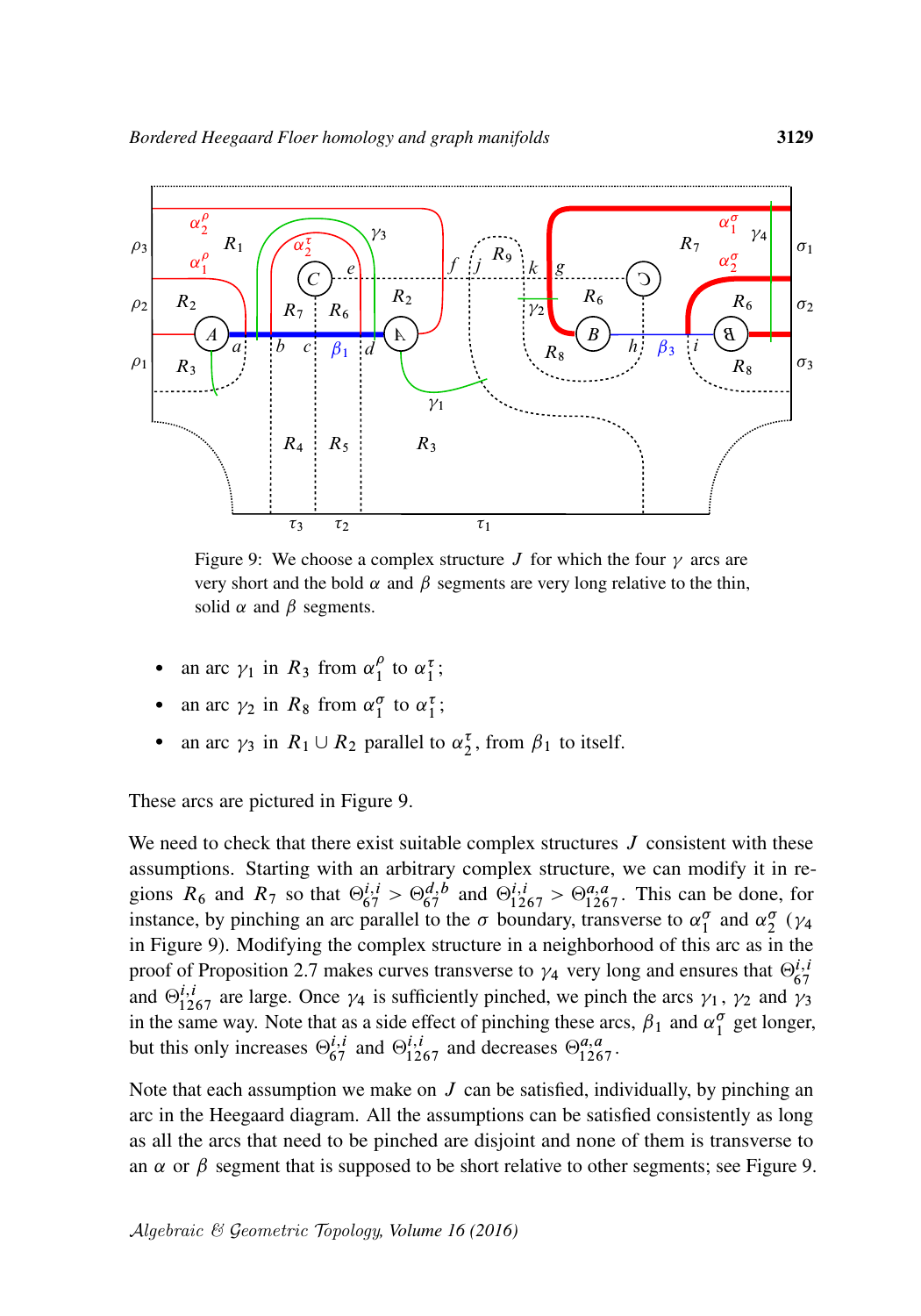<span id="page-26-0"></span>

Figure 9: We choose a complex structure J for which the four  $\gamma$  arcs are very short and the bold  $\alpha$  and  $\beta$  segments are very long relative to the thin, solid  $\alpha$  and  $\beta$  segments.

- an arc  $\gamma_1$  in  $R_3$  from  $\alpha_1^{\rho}$  $\int_{1}^{\rho}$  to  $\alpha_1^{\tau}$ ;
- an arc  $\gamma_2$  in  $R_8$  from  $\alpha_1^{\sigma}$  to  $\alpha_1^{\tau}$ ;
- an arc  $\gamma_3$  in  $R_1 \cup R_2$  parallel to  $\alpha_2^{\tau}$ , from  $\beta_1$  to itself.

These arcs are pictured in [Figure 9.](#page-26-0)

We need to check that there exist suitable complex structures  $J$  consistent with these assumptions. Starting with an arbitrary complex structure, we can modify it in regions  $R_6$  and  $R_7$  so that  $\Theta_{67}^{i,i} > \Theta_{67}^{d,b}$  and  $\Theta_{1267}^{i,i} > \Theta_{1267}^{a,a}$ . This can be done, for instance, by pinching an arc parallel to the  $\sigma$  boundary, transverse to  $\alpha_1^{\sigma}$  and  $\alpha_2^{\sigma}$  ( $\gamma_4$ in [Figure 9\)](#page-26-0). Modifying the complex structure in a neighborhood of this arc as in the proof of [Proposition 2.7](#page-17-0) makes curves transverse to  $\gamma_4$  very long and ensures that  $\Theta_{67}^{i,i}$ and  $\Theta_{1267}^{i,i}$  are large. Once  $\gamma_4$  is sufficiently pinched, we pinch the arcs  $\gamma_1$ ,  $\gamma_2$  and  $\gamma_3$ in the same way. Note that as a side effect of pinching these arcs,  $\beta_1$  and  $\alpha_1^{\sigma}$  get longer, but this only increases  $\Theta_{67}^{i,i}$  and  $\Theta_{1267}^{i,i}$  and decreases  $\Theta_{1267}^{a,a}$ .

Note that each assumption we make on  $J$  can be satisfied, individually, by pinching an arc in the Heegaard diagram. All the assumptions can be satisfied consistently as long as all the arcs that need to be pinched are disjoint and none of them is transverse to an  $\alpha$  or  $\beta$  segment that is supposed to be short relative to other segments; see [Figure 9.](#page-26-0)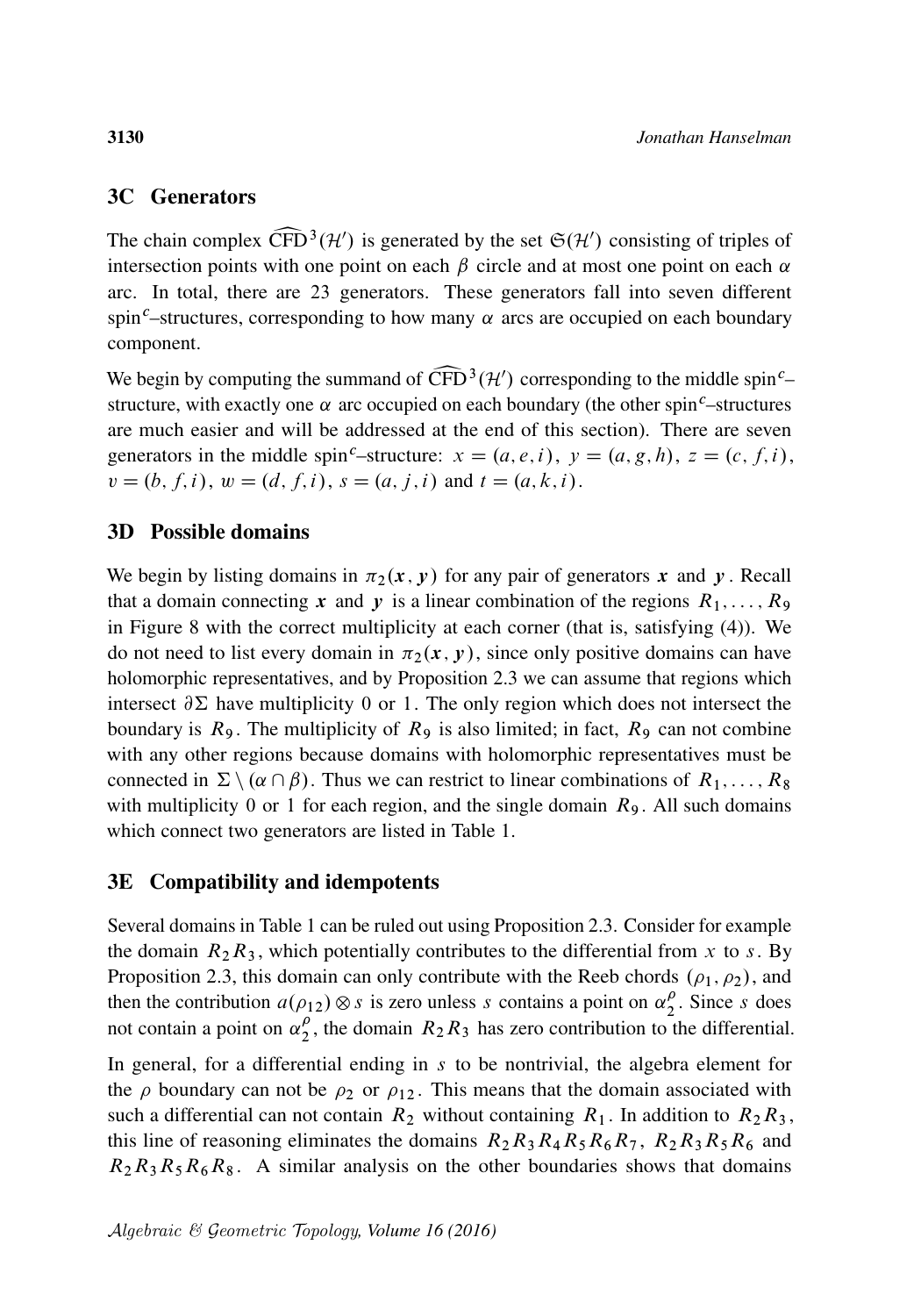### 3C Generators

The chain complex  $\widehat{CFD}^3(\mathcal{H}')$  is generated by the set  $\mathfrak{S}(\mathcal{H}')$  consisting of triples of intersection points with one point on each  $\beta$  circle and at most one point on each  $\alpha$ intersection points with one point on each  $\beta$  circle and at most one point on each  $\alpha$ arc. In total, there are 23 generators. These generators fall into seven different spin<sup>c</sup>–structures, corresponding to how many  $\alpha$  arcs are occupied on each boundary component.

We begin by computing the summand of  $\widehat{CFD}^3(\mathcal{H}')$  corresponding to the middle spin<sup>c</sup>–structure, with exactly one  $\alpha$  arc occupied on each boundary (the other spin<sup>c</sup>–structures structure, with exactly one  $\alpha$  arc occupied on each boundary (the other spin<sup>c</sup>–structures are much easier and will be addressed at the end of this section). There are seven generators in the middle spin<sup>c</sup>–structure:  $x = (a, e, i)$ ,  $y = (a, g, h)$ ,  $z = (c, f, i)$ ,  $v = (b, f, i), w = (d, f, i), s = (a, j, i)$  and  $t = (a, k, i)$ .

#### 3D Possible domains

We begin by listing domains in  $\pi_2(x, y)$  for any pair of generators x and y. Recall that a domain connecting x and y is a linear combination of the regions  $R_1, \ldots, R_9$ in [Figure 8](#page-25-0) with the correct multiplicity at each corner (that is, satisfying [\(4\)\)](#page-10-0). We do not need to list every domain in  $\pi_2(x, y)$ , since only positive domains can have holomorphic representatives, and by [Proposition 2.3](#page-13-0) we can assume that regions which intersect  $\partial \Sigma$  have multiplicity 0 or 1. The only region which does not intersect the boundary is  $R_9$ . The multiplicity of  $R_9$  is also limited; in fact,  $R_9$  can not combine with any other regions because domains with holomorphic representatives must be connected in  $\Sigma \setminus (\alpha \cap \beta)$ . Thus we can restrict to linear combinations of  $R_1, \ldots, R_8$ with multiplicity 0 or 1 for each region, and the single domain  $R_9$ . All such domains which connect two generators are listed in [Table 1.](#page-28-0)

#### 3E Compatibility and idempotents

Several domains in [Table 1](#page-28-0) can be ruled out using [Proposition 2.3.](#page-13-0) Consider for example the domain  $R_2R_3$ , which potentially contributes to the differential from x to s. By [Proposition 2.3,](#page-13-0) this domain can only contribute with the Reeb chords  $(\rho_1, \rho_2)$ , and then the contribution  $a(\rho_{12}) \otimes s$  is zero unless s contains a point on  $\alpha_2^{\rho}$  $\frac{\rho}{2}$ . Since s does not contain a point on  $\alpha_2^{\rho}$  $\frac{p}{2}$ , the domain  $R_2R_3$  has zero contribution to the differential.

In general, for a differential ending in  $s$  to be nontrivial, the algebra element for the  $\rho$  boundary can not be  $\rho_2$  or  $\rho_{12}$ . This means that the domain associated with such a differential can not contain  $R_2$  without containing  $R_1$ . In addition to  $R_2R_3$ , this line of reasoning eliminates the domains  $R_2R_3R_4R_5R_6R_7$ ,  $R_2R_3R_5R_6$  and  $R_2R_3R_5R_6R_8$ . A similar analysis on the other boundaries shows that domains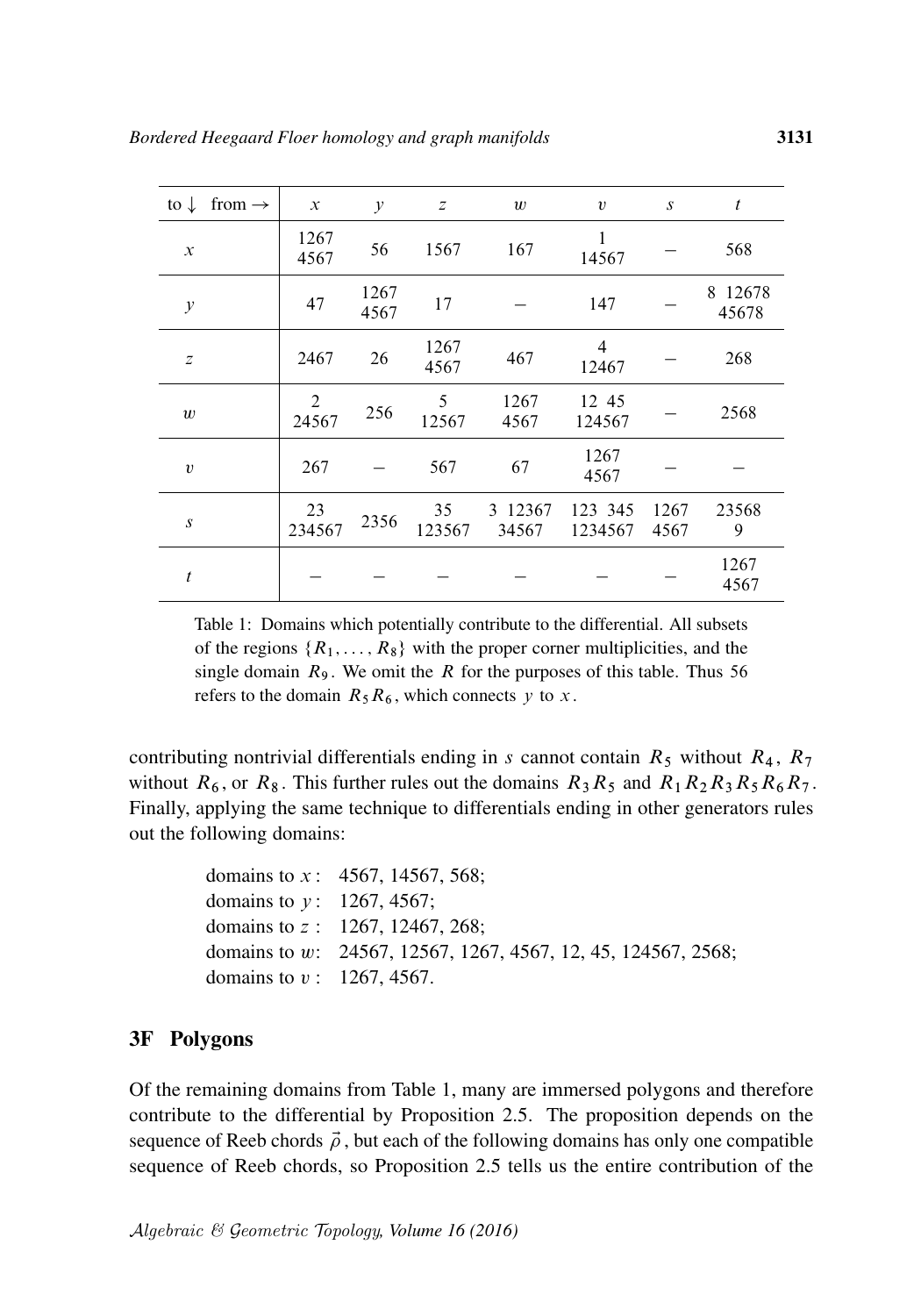<span id="page-28-0"></span>

| to $\downarrow$  | from $\rightarrow$ | $\mathcal{X}$           | $\mathcal{Y}$ | z            | w                | $\upsilon$         | $\boldsymbol{S}$ | $\mathfrak{t}$   |
|------------------|--------------------|-------------------------|---------------|--------------|------------------|--------------------|------------------|------------------|
| $\mathcal{X}$    |                    | 1267<br>4567            | 56            | 1567         | 167              | 1<br>14567         |                  | 568              |
| $\mathcal{Y}$    |                    | 47                      | 1267<br>4567  | 17           |                  | 147                |                  | 8 12678<br>45678 |
| $\mathcal{Z}$    |                    | 2467                    | 26            | 1267<br>4567 | 467              | 4<br>12467         |                  | 268              |
| $\boldsymbol{w}$ |                    | $\overline{2}$<br>24567 | 256           | 5<br>12567   | 1267<br>4567     | 12 45<br>124567    |                  | 2568             |
| $\upsilon$       |                    | 267                     |               | 567          | 67               | 1267<br>4567       |                  |                  |
| $\boldsymbol{S}$ |                    | 23<br>234567            | 2356          | 35<br>123567 | 3 12367<br>34567 | 123 345<br>1234567 | 1267<br>4567     | 23568<br>9       |
| t                |                    |                         |               |              |                  |                    |                  | 1267<br>4567     |

Table 1: Domains which potentially contribute to the differential. All subsets of the regions  $\{R_1, \ldots, R_8\}$  with the proper corner multiplicities, and the single domain  $R_9$ . We omit the R for the purposes of this table. Thus 56 refers to the domain  $R_5R_6$ , which connects y to x.

contributing nontrivial differentials ending in s cannot contain  $R_5$  without  $R_4$ ,  $R_7$ without  $R_6$ , or  $R_8$ . This further rules out the domains  $R_3R_5$  and  $R_1R_2R_3R_5R_6R_7$ . Finally, applying the same technique to differentials ending in other generators rules out the following domains:

```
domains to x: 4567, 14567, 568;
domains to y: 1267, 4567;domains to z : 1267, 12467, 268;
domains to w: 24567, 12567, 1267, 4567, 12, 45, 124567, 2568;
domains to v : 1267, 4567.
```
#### 3F Polygons

Of the remaining domains from [Table 1,](#page-28-0) many are immersed polygons and therefore contribute to the differential by [Proposition 2.5.](#page-15-0) The proposition depends on the sequence of Reeb chords  $\vec{\rho}$ , but each of the following domains has only one compatible sequence of Reeb chords, so [Proposition 2.5](#page-15-0) tells us the entire contribution of the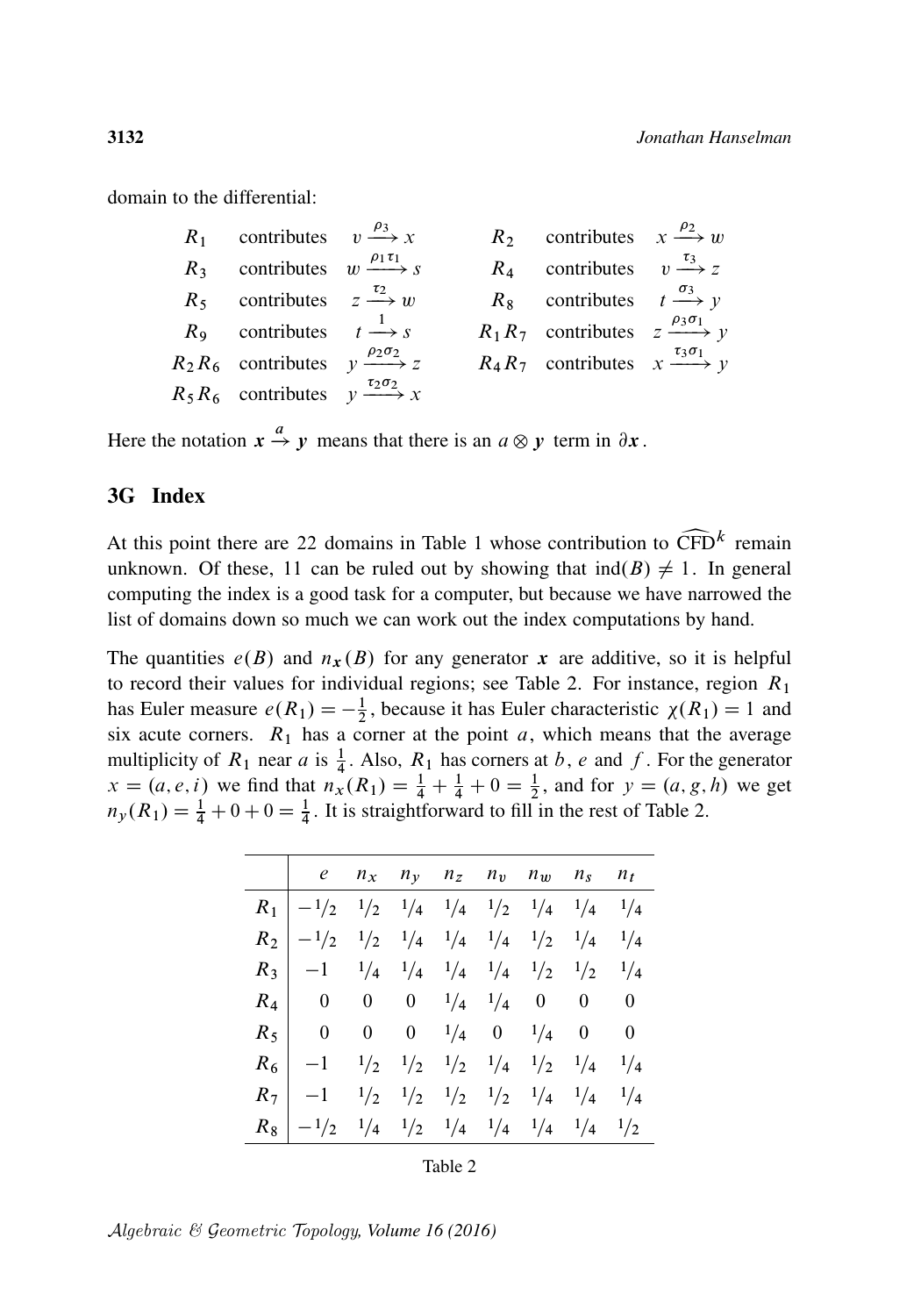domain to the differential:

| $R_1$ contributes $v \xrightarrow{\rho_3} x$              |  | $R_2$ contributes $x \xrightarrow{\rho_2} w$              |  |
|-----------------------------------------------------------|--|-----------------------------------------------------------|--|
| $R_3$ contributes $w \xrightarrow{\rho_1 \tau_1} s$       |  | $R_4$ contributes $v \xrightarrow{\tau_3} z$              |  |
| $R_5$ contributes $z \xrightarrow{t_2} w$                 |  | $R_8$ contributes $t \xrightarrow{\sigma_3} y$            |  |
| $R_9$ contributes $t \xrightarrow{1} s$                   |  | $R_1 R_7$ contributes $z \xrightarrow{\rho_3 \sigma_1} y$ |  |
| $R_2 R_6$ contributes $y \xrightarrow{\rho_2 \sigma_2} z$ |  | $R_4 R_7$ contributes $x \xrightarrow{\tau_3 \sigma_1} y$ |  |
| $R_5 R_6$ contributes $y \xrightarrow{\tau_2 \sigma_2} x$ |  |                                                           |  |

Here the notation  $x \stackrel{a}{\rightarrow} y$  means that there is an  $a \otimes y$  term in  $\partial x$ .

#### 3G Index

At this point there are 22 domains in [Table 1](#page-28-0) whose contribution to  $\widehat{\text{CFD}}^k$  remain unknown. Of these, 11 can be ruled out by showing that  $\text{ind}(B) \neq 1$ . In general unknown. Of these, 11 can be ruled out by showing that  $\text{ind}(B) \neq 1$ . In general computing the index is a good task for a computer, but because we have narrowed the list of domains down so much we can work out the index computations by hand.

The quantities  $e(B)$  and  $n_x(B)$  for any generator x are additive, so it is helpful to record their values for individual regions; see [Table 2.](#page-29-0) For instance, region  $R_1$ has Euler measure  $e(R_1) = -\frac{1}{2}$  $\frac{1}{2}$ , because it has Euler characteristic  $\chi(R_1) = 1$  and six acute corners.  $R_1$  has a corner at the point  $a$ , which means that the average multiplicity of  $R_1$  near a is  $\frac{1}{4}$ . Also,  $R_1$  has corners at b, e and f. For the generator  $x = (a, e, i)$  we find that  $n_x(R_1) = \frac{1}{4} + \frac{1}{4} + 0 = \frac{1}{2}$ , and for  $y = (a, g, h)$  we get  $n_y(R_1) = \frac{1}{4} + 0 + 0 = \frac{1}{4}$ . It is straightforward to fill in the rest of [Table 2.](#page-29-0)

<span id="page-29-0"></span>

|       | $\begin{vmatrix} e & n_x & n_y & n_z & n_y & n_w & n_s & n_t \end{vmatrix}$                                                              |  |  |  |  |
|-------|------------------------------------------------------------------------------------------------------------------------------------------|--|--|--|--|
|       | $R_1$   $-1/2$ $1/2$ $1/4$ $1/4$ $1/2$ $1/4$ $1/4$ $1/4$                                                                                 |  |  |  |  |
|       | $R_2$   $-1/2$ $1/2$ $1/4$ $1/4$ $1/4$ $1/2$ $1/4$ $1/4$                                                                                 |  |  |  |  |
|       | $R_3$   -1 $\frac{1}{4}$ $\frac{1}{4}$ $\frac{1}{4}$ $\frac{1}{4}$ $\frac{1}{4}$ $\frac{1}{2}$ $\frac{1}{2}$ $\frac{1}{4}$               |  |  |  |  |
|       | $R_4$ 0 0 0 $1/4$ $1/4$ 0 0 0                                                                                                            |  |  |  |  |
|       | $R_5$ 0 0 0 $\frac{1}{4}$ 0 $\frac{1}{4}$ 0 0                                                                                            |  |  |  |  |
|       | $R_6$   -1 $\frac{1}{2}$ $\frac{1}{2}$ $\frac{1}{2}$ $\frac{1}{2}$ $\frac{1}{4}$ $\frac{1}{2}$ $\frac{1}{4}$ $\frac{1}{4}$ $\frac{1}{4}$ |  |  |  |  |
|       | $R_7$   -1 $\frac{1}{2}$ $\frac{1}{2}$ $\frac{1}{2}$ $\frac{1}{2}$ $\frac{1}{2}$ $\frac{1}{4}$ $\frac{1}{4}$ $\frac{1}{4}$               |  |  |  |  |
| $R_8$ | $-1/2$ $1/4$ $1/2$ $1/4$ $1/4$ $1/4$ $1/4$ $1/2$                                                                                         |  |  |  |  |

|--|--|

Algebraic & Geometric Topology*, Volume 16 (2016)*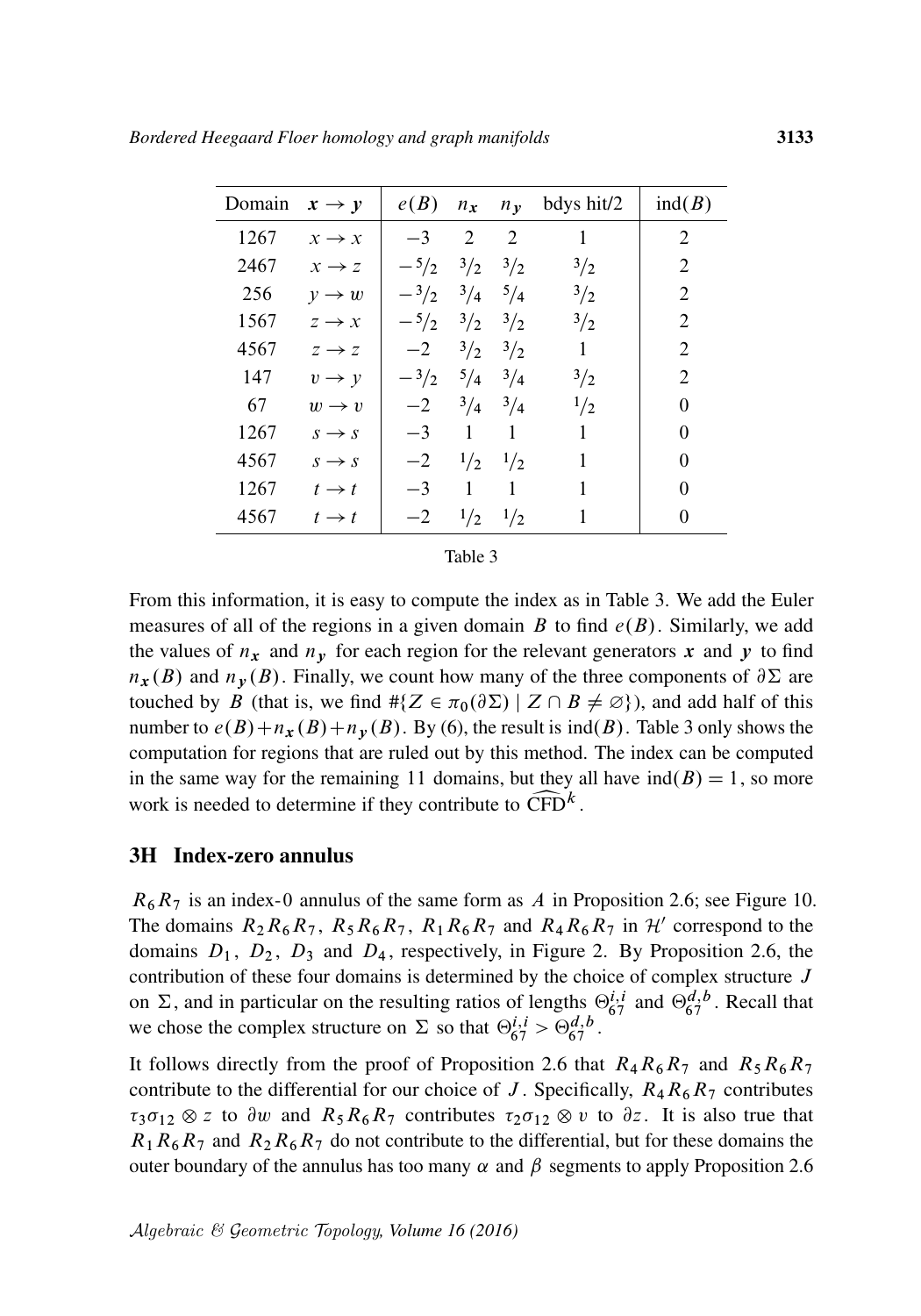<span id="page-30-0"></span>

| Domain | $x \rightarrow y$ | $e(B)$ $n_x$ $n_y$ |                  |                             | bdys hit/2    | ind(B)         |
|--------|-------------------|--------------------|------------------|-----------------------------|---------------|----------------|
| 1267   | $x \rightarrow x$ | $-3$               | 2                | 2                           | 1             | 2              |
| 2467   | $x \rightarrow z$ | $-5/2$             | $\frac{3}{2}$    | $\frac{3}{2}$               | 3/2           | $\overline{2}$ |
| 256    | $v \rightarrow w$ | $-3/2$             | $^{3}/_{4}$      | $^{5}/_4$                   | $\frac{3}{2}$ | 2              |
| 1567   | $z \rightarrow x$ | $-5/2$ $3/2$       |                  | $^{3}/_{2}$                 | $\frac{3}{2}$ | 2              |
| 4567   | $z \rightarrow z$ | $-2$               | $\frac{3}{2}$    | $\frac{3}{2}$               | 1             | $\mathfrak{D}$ |
| 147    | $v \rightarrow v$ | $-3/2$             | $^{5}/_{4}$      | $^{3}/_{4}$                 | $^{3}/_{2}$   | $\mathfrak{D}$ |
| 67     | $w \rightarrow v$ | $-2$               |                  | $3/4$ $3/4$                 | $\frac{1}{2}$ | 0              |
| 1267   | $s \rightarrow s$ | $-3$               | $\overline{1}$   | 1                           | 1             | 0              |
| 4567   | $s \rightarrow s$ |                    | $-2$ $1/2$ $1/2$ |                             | 1             | 0              |
| 1267   | $t \rightarrow t$ | $-3$               | $\overline{1}$   | 1                           | 1             | 0              |
| 4567   | $t \rightarrow t$ | $-2$               |                  | $\frac{1}{2}$ $\frac{1}{2}$ | 1             | 0              |

Table 3

From this information, it is easy to compute the index as in [Table 3.](#page-30-0) We add the Euler measures of all of the regions in a given domain B to find  $e(B)$ . Similarly, we add the values of  $n_x$  and  $n_y$  for each region for the relevant generators x and y to find  $n_{\mathbf{x}}(B)$  and  $n_{\mathbf{y}}(B)$ . Finally, we count how many of the three components of  $\partial \Sigma$  are touched by B (that is, we find  $\# \{ Z \in \pi_0(\partial \Sigma) \mid Z \cap B \neq \emptyset \}$ ), and add half of this number to  $e(B)+n_{x}(B)+n_{y}(B)$ . By [\(6\),](#page-14-1) the result is ind(B). [Table 3](#page-30-0) only shows the computation for regions that are ruled out by this method. The index can be computed in the same way for the remaining 11 domains, but they all have  $ind(B) = 1$ , so more work is needed to determine if they contribute to  $\widehat{\text{CFD}}^k$ .

#### 3H Index-zero annulus

 $R_6R_7$  is an index-0 annulus of the same form as A in [Proposition 2.6;](#page-16-0) see [Figure 10.](#page-31-0) The domains  $R_2R_6R_7$ ,  $R_5R_6R_7$ ,  $R_1R_6R_7$  and  $R_4R_6R_7$  in  $\mathcal{H}'$  correspond to the domains  $D_1$ ,  $D_2$ ,  $D_3$  and  $D_4$ , respectively, in [Figure 2.](#page-16-1) By [Proposition 2.6,](#page-16-0) the contribution of these four domains is determined by the choice of complex structure  $J$ on  $\Sigma$ , and in particular on the resulting ratios of lengths  $\Theta_{67}^{i,i}$  and  $\Theta_{67}^{d,b}$ . Recall that we chose the complex structure on  $\Sigma$  so that  $\Theta_{67}^{i,i} > \Theta_{67}^{d,b}$ .

It follows directly from the proof of [Proposition 2.6](#page-16-0) that  $R_4R_6R_7$  and  $R_5R_6R_7$ contribute to the differential for our choice of J. Specifically,  $R_4R_6R_7$  contributes  $\tau_3\sigma_{12}\otimes z$  to  $\partial w$  and  $R_5R_6R_7$  contributes  $\tau_2\sigma_{12}\otimes v$  to  $\partial z$ . It is also true that  $R_1R_6R_7$  and  $R_2R_6R_7$  do not contribute to the differential, but for these domains the outer boundary of the annulus has too many  $\alpha$  and  $\beta$  segments to apply [Proposition 2.6](#page-16-0)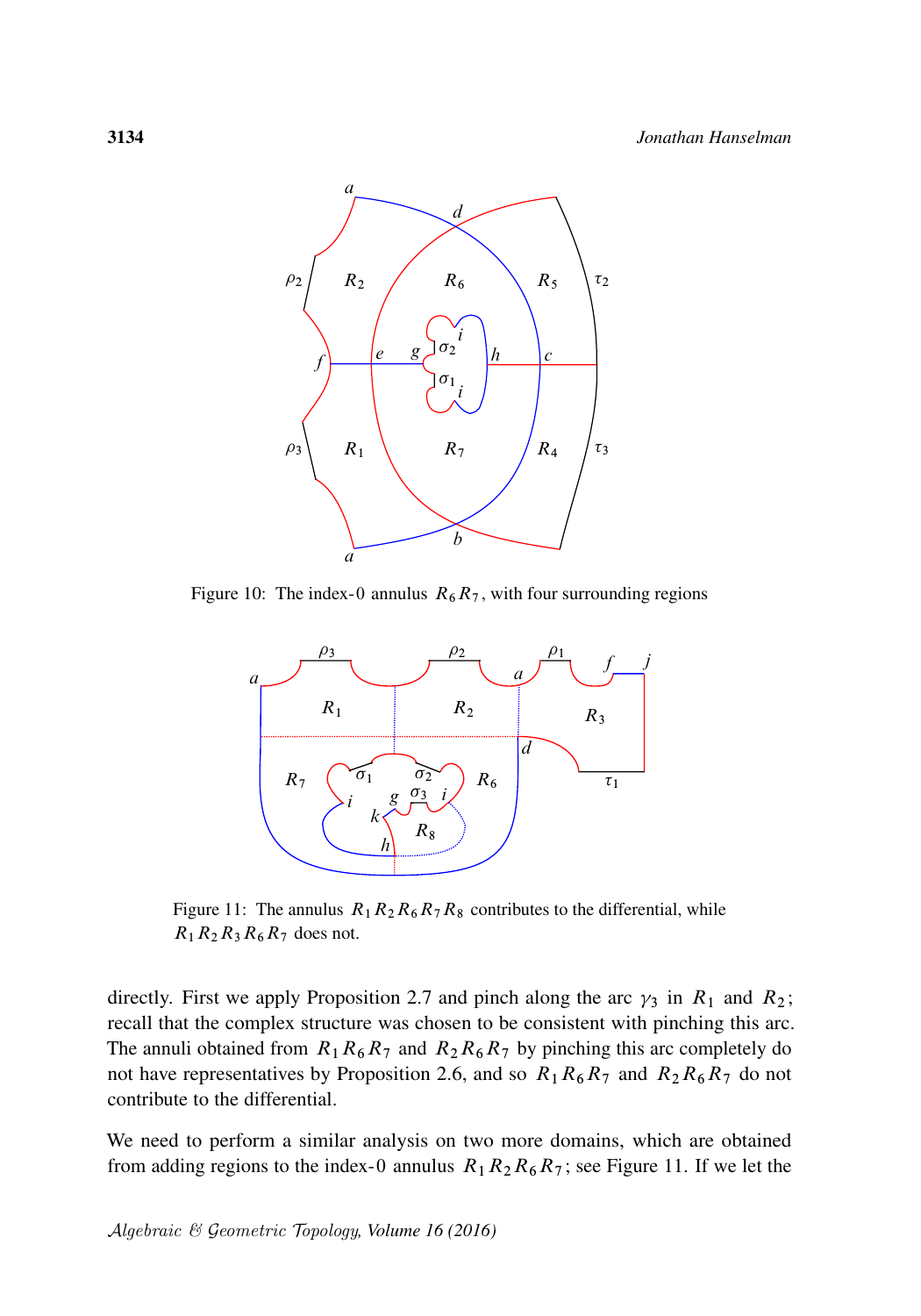<span id="page-31-0"></span>

<span id="page-31-1"></span>Figure 10: The index-0 annulus  $R_6R_7$ , with four surrounding regions



Figure 11: The annulus  $R_1R_2R_6R_7R_8$  contributes to the differential, while  $R_1R_2R_3R_6R_7$  does not.

directly. First we apply [Proposition 2.7](#page-17-0) and pinch along the arc  $\gamma_3$  in  $R_1$  and  $R_2$ ; recall that the complex structure was chosen to be consistent with pinching this arc. The annuli obtained from  $R_1R_6R_7$  and  $R_2R_6R_7$  by pinching this arc completely do not have representatives by [Proposition 2.6,](#page-16-0) and so  $R_1R_6R_7$  and  $R_2R_6R_7$  do not contribute to the differential.

We need to perform a similar analysis on two more domains, which are obtained from adding regions to the index-0 annulus  $R_1R_2R_6R_7$ ; see [Figure 11.](#page-31-1) If we let the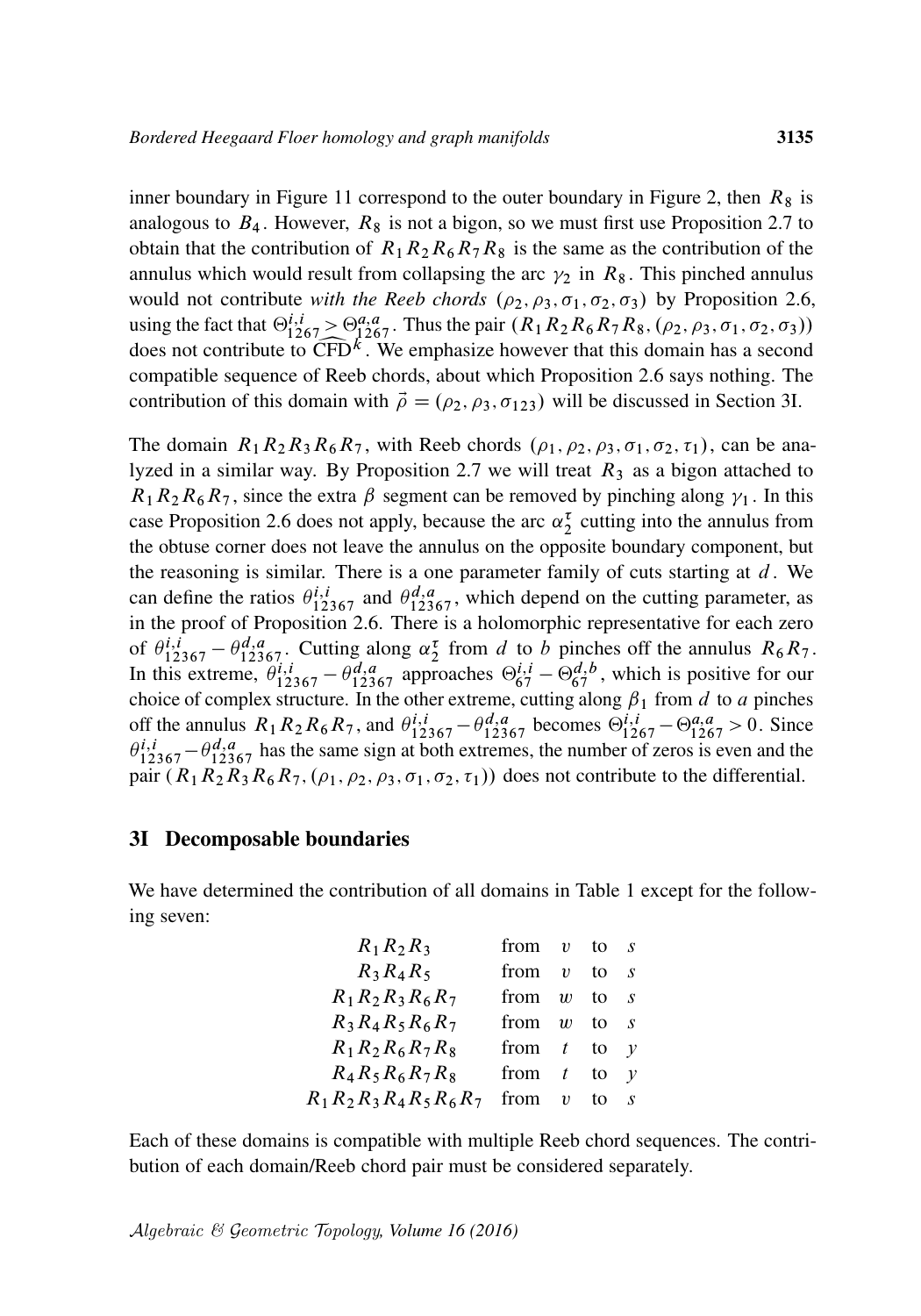inner boundary in [Figure 11](#page-31-1) correspond to the outer boundary in [Figure 2,](#page-16-1) then  $R_8$  is analogous to  $B_4$ . However,  $R_8$  is not a bigon, so we must first use [Proposition 2.7](#page-17-0) to obtain that the contribution of  $R_1R_2R_6R_7R_8$  is the same as the contribution of the annulus which would result from collapsing the arc  $\gamma_2$  in  $R_8$ . This pinched annulus would not contribute *with the Reeb chords*  $(\rho_2, \rho_3, \sigma_1, \sigma_2, \sigma_3)$  by [Proposition 2.6,](#page-16-0) using the fact that  $\Theta_{1267}^{i,i} > \Theta_{1267}^{a,a}$ . Thus the pair  $(R_1R_2R_6R_7R_8, (\rho_2, \rho_3, \sigma_1, \sigma_2, \sigma_3))$ does not contribute to  $\widehat{CFD}^k$ . We emphasize however that this domain has a second compatible sequence of Reeb chords, about which Proposition 2.6 says nothing. The compatible sequence of Reeb chords, about which [Proposition 2.6](#page-16-0) says nothing. The contribution of this domain with  $\vec{\rho} = (\rho_2, \rho_3, \sigma_{123})$  will be discussed in [Section 3I.](#page-32-0)

The domain  $R_1R_2R_3R_6R_7$ , with Reeb chords  $(\rho_1, \rho_2, \rho_3, \sigma_1, \sigma_2, \tau_1)$ , can be ana-lyzed in a similar way. By [Proposition 2.7](#page-17-0) we will treat  $R_3$  as a bigon attached to  $R_1R_2R_6R_7$ , since the extra  $\beta$  segment can be removed by pinching along  $\gamma_1$ . In this case [Proposition 2.6](#page-16-0) does not apply, because the arc  $\alpha_2^{\tau}$  cutting into the annulus from the obtuse corner does not leave the annulus on the opposite boundary component, but the reasoning is similar. There is a one parameter family of cuts starting at  $d$ . We can define the ratios  $\theta_{12367}^{i,i}$  and  $\theta_{12367}^{d,a}$ , which depend on the cutting parameter, as in the proof of [Proposition 2.6.](#page-16-0) There is a holomorphic representative for each zero of  $\theta_{12367}^{i,i} - \theta_{12367}^{d,a}$ . Cutting along  $\alpha_2^{\tau}$  from d to b pinches off the annulus  $R_6R_7$ . In this extreme,  $\theta_{12367}^{i,i} - \theta_{12367}^{d,a}$  approaches  $\Theta_{67}^{i,i} - \Theta_{67}^{d,b}$ , which is positive for our choice of complex structure. In the other extreme, cutting along  $\beta_1$  from d to a pinches off the annulus  $R_1R_2R_6R_7$ , and  $\theta_{12367}^{i,i} - \theta_{12367}^{d,a}$  becomes  $\Theta_{1267}^{i,i} - \Theta_{1267}^{a,a} > 0$ . Since  $\theta_{12367}^{i,i}$  –  $\theta_{12367}^{d,a}$  has the same sign at both extremes, the number of zeros is even and the pair  $(R_1R_2R_3R_6R_7, (\rho_1, \rho_2, \rho_3, \sigma_1, \sigma_2, \tau_1))$  does not contribute to the differential.

#### <span id="page-32-0"></span>3I Decomposable boundaries

We have determined the contribution of all domains in [Table 1](#page-28-0) except for the following seven:

| $R_1R_2R_3$                   | from $v$ |                     | to | $\cdot$ S      |
|-------------------------------|----------|---------------------|----|----------------|
| $R_3R_4R_5$                   | from     | $\boldsymbol{\eta}$ | to | $\cdot$ S      |
| $R_1 R_2 R_3 R_6 R_7$         | from     | $\boldsymbol{w}$    | to | $\cdot$ s      |
| $R_3 R_4 R_5 R_6 R_7$         | from     | $\boldsymbol{w}$    | to | $\cdot$ S      |
| $R_1 R_2 R_6 R_7 R_8$         | from     | $-t$                | to | $\mathcal V$   |
| $R_4 R_5 R_6 R_7 R_8$         | from     | t                   | to | $\mathcal V$   |
| $R_1 R_2 R_3 R_4 R_5 R_6 R_7$ | from     | $\boldsymbol{v}$    | to | $\overline{S}$ |

Each of these domains is compatible with multiple Reeb chord sequences. The contribution of each domain/Reeb chord pair must be considered separately.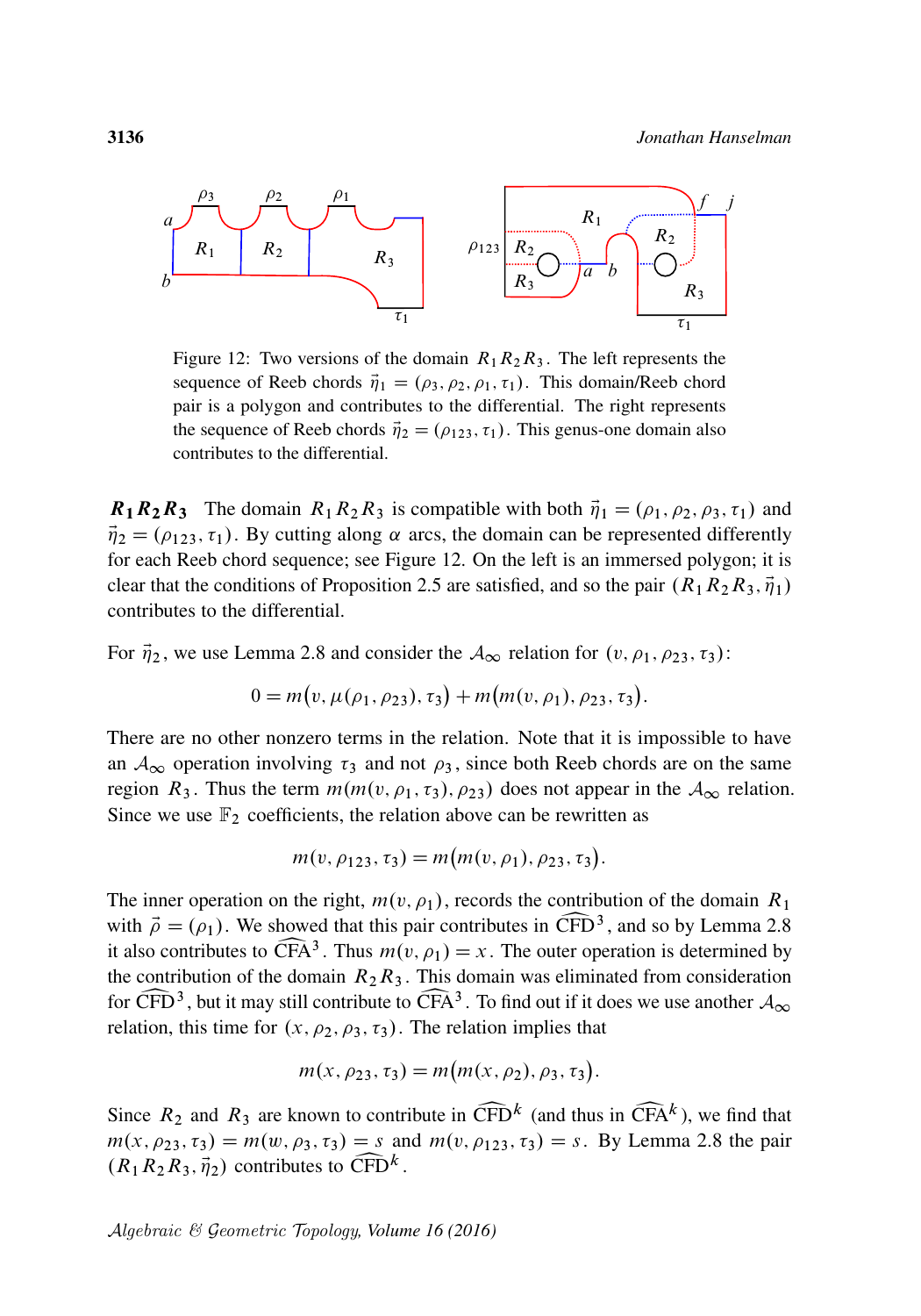<span id="page-33-0"></span>

Figure 12: Two versions of the domain  $R_1R_2R_3$ . The left represents the sequence of Reeb chords  $\vec{\eta}_1 = (\rho_3, \rho_2, \rho_1, \tau_1)$ . This domain/Reeb chord pair is a polygon and contributes to the differential. The right represents the sequence of Reeb chords  $\vec{\eta}_2 = (\rho_{123}, \tau_1)$ . This genus-one domain also contributes to the differential.

 $\mathbf{R}_1 \mathbf{R}_2 \mathbf{R}_3$  The domain  $R_1 R_2 R_3$  is compatible with both  $\vec{\eta}_1 = (\rho_1, \rho_2, \rho_3, \tau_1)$  and  $\vec{\eta}_2 = (\rho_{123}, \tau_1)$ . By cutting along  $\alpha$  arcs, the domain can be represented differently for each Reeb chord sequence; see [Figure 12.](#page-33-0) On the left is an immersed polygon; it is clear that the conditions of [Proposition 2.5](#page-15-0) are satisfied, and so the pair  $(R_1R_2R_3, \vec{\eta}_1)$ contributes to the differential.

For  $\vec{\eta}_2$ , we use [Lemma 2.8](#page-19-0) and consider the  $\mathcal{A}_{\infty}$  relation for  $(v, \rho_1, \rho_2, \tau_3)$ :

$$
0 = m(v, \mu(\rho_1, \rho_2), \tau_3) + m(m(v, \rho_1), \rho_2, \tau_3).
$$

There are no other nonzero terms in the relation. Note that it is impossible to have an  $A_{\infty}$  operation involving  $\tau_3$  and not  $\rho_3$ , since both Reeb chords are on the same region  $R_3$ . Thus the term  $m(m(v, \rho_1, \tau_3), \rho_{23})$  does not appear in the  $\mathcal{A}_{\infty}$  relation. Since we use  $\mathbb{F}_2$  coefficients, the relation above can be rewritten as

$$
m(v, \rho_{123}, \tau_3) = m(m(v, \rho_1), \rho_{23}, \tau_3).
$$

The inner operation on the right,  $m(v, \rho_1)$ , records the contribution of the domain  $R_1$ with  $\vec{\rho} = (\rho_1)$ . We showed that this pair contributes in  $\widehat{\text{CFD}}^3$ , and so by Lemma 2.8 it also contributes to  $\widehat{\text{CFA}}^3$ . Thus  $m(v, \rho_1) = x$ . The outer operation is determined by with  $\vec{\rho} = (\rho_1)$ . We showed that this pair contributes in CFD<sup>3</sup>, and so by [Lemma 2.8](#page-19-0) it also contributes to  $\widehat{CFA}^3$ . Thus  $m(v, \rho_1) = x$ . The outer operation is determined by the contribution of the domain  $R_2R_3$ . This domain was eliminated from consideration for  $\widehat{CFD}^3$ , but it may still contribute to  $\widehat{CFA}^3$ . To find out if it d relation, this time for  $(x, \rho_2, \rho_3, \tau_3)$ . The relation implies that for CFD<sup>3</sup>, but it may still contribute to CFA<sup>3</sup>. To find out if it does we use another  $A_{\infty}$ 

$$
m(x, \rho_{23}, \tau_3) = m(m(x, \rho_2), \rho_3, \tau_3).
$$

Since  $R_2$  and  $R_3$  are known to contribute in  $\widehat{\text{CFD}}^k$  (and thus in  $\widehat{\text{CFA}}^k$ ), we find that  $m(x, \rho_{23}, \tau_3) = m(w, \rho_3, \tau_3) = s$  and  $m(v, \rho_{123}, \tau_3) = s$ . By [Lemma 2.8](#page-19-0) the pair Since  $R_2$  and  $R_3$  are known to contribute in  $\widehat{\text{CFD}}^k$  (and thus in  $\widehat{\text{CFA}}^k$ ), we find that  $(R_1R_2R_3, \vec{\eta}_2)$  contributes to  $\widehat{\text{CFD}}^k$ .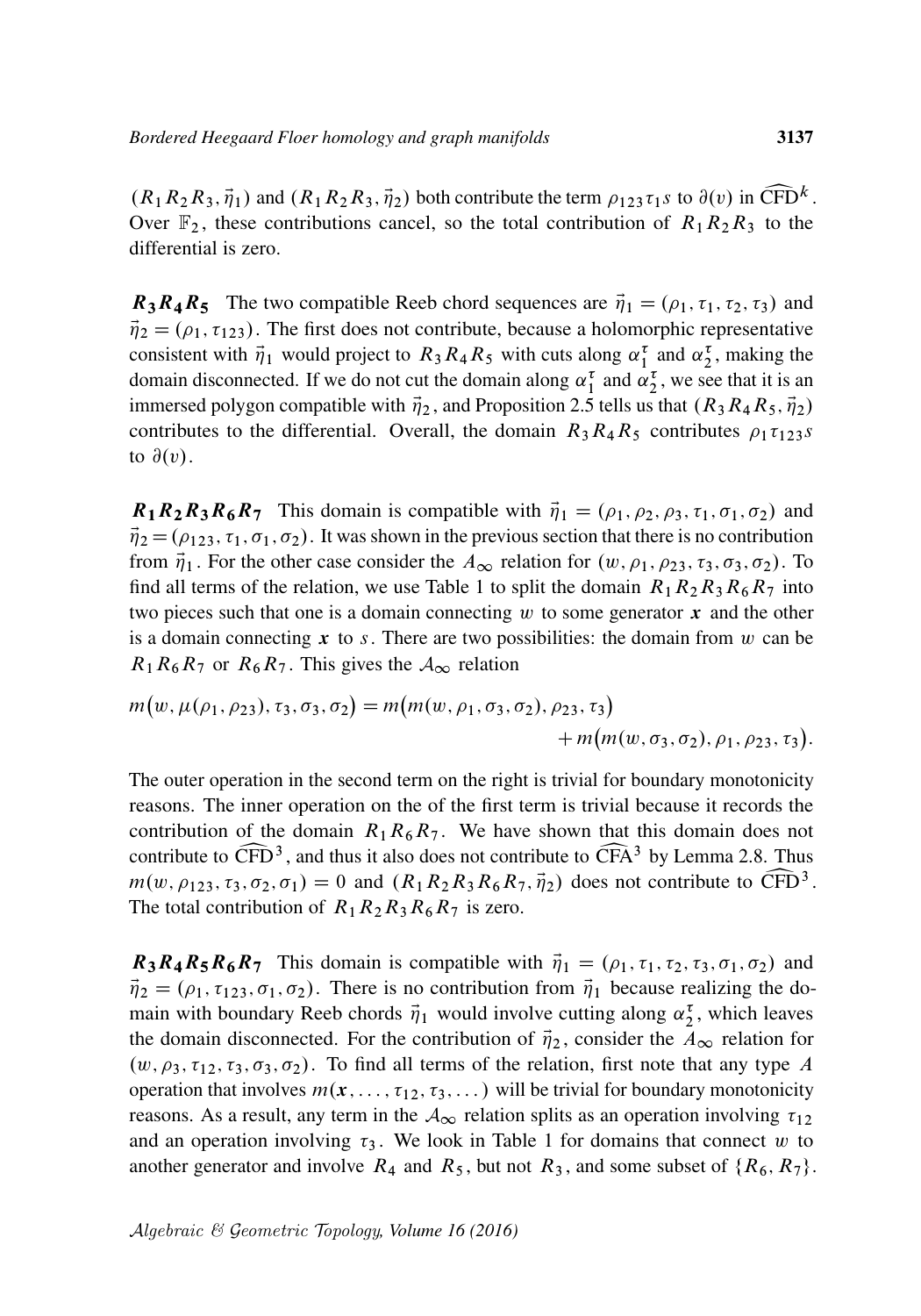$(R_1R_2R_3, \vec{\eta}_1)$  and  $(R_1R_2R_3, \vec{\eta}_2)$  both contribute the term  $\rho_{123}\tau_1 s$  to  $\partial(v)$  in  $\widehat{CFD}^k$ .<br>Over  $\mathbb{F}_2$ , these contributions cancel, so the total contribution of  $R_1R_2R_3$  to the Over  $\mathbb{F}_2$ , these contributions cancel, so the total contribution of  $R_1R_2R_3$  to the differential is zero.

 $R_3R_4R_5$  The two compatible Reeb chord sequences are  $\vec{\eta}_1 = (\rho_1, \tau_1, \tau_2, \tau_3)$  and  $\vec{\eta}_2 = (\rho_1, \tau_{123})$ . The first does not contribute, because a holomorphic representative consistent with  $\vec{\eta}_1$  would project to  $R_3R_4R_5$  with cuts along  $\alpha_1^{\tau}$  and  $\alpha_2^{\tau}$ , making the domain disconnected. If we do not cut the domain along  $\alpha_1^{\tau}$  and  $\alpha_2^{\tau}$ , we see that it is an immersed polygon compatible with  $\vec{\eta}_2$ , and [Proposition 2.5](#page-15-0) tells us that  $(R_3R_4R_5, \vec{\eta}_2)$ contributes to the differential. Overall, the domain  $R_3R_4R_5$  contributes  $\rho_1\tau_{123}s$ to  $\partial(v)$ .

 $R_1R_2R_3R_6R_7$  This domain is compatible with  $\vec{\eta}_1 = (\rho_1, \rho_2, \rho_3, \tau_1, \sigma_1, \sigma_2)$  and  $\vec{\eta}_2 = (\rho_{123}, \tau_1, \sigma_1, \sigma_2)$ . It was shown in the previous section that there is no contribution from  $\vec{\eta}_1$ . For the other case consider the  $A_{\infty}$  relation for  $(w, \rho_1, \rho_2, \tau_3, \sigma_3, \sigma_2)$ . To find all terms of the relation, we use [Table 1](#page-28-0) to split the domain  $R_1R_2R_3R_6R_7$  into two pieces such that one is a domain connecting  $w$  to some generator  $x$  and the other is a domain connecting  $x$  to s. There are two possibilities: the domain from w can be  $R_1R_6R_7$  or  $R_6R_7$ . This gives the  $A_{\infty}$  relation

$$
m(w, \mu(\rho_1, \rho_2), \tau_3, \sigma_3, \sigma_2) = m(m(w, \rho_1, \sigma_3, \sigma_2), \rho_2, \tau_3) + m(m(w, \sigma_3, \sigma_2), \rho_1, \rho_2, \tau_3).
$$

The outer operation in the second term on the right is trivial for boundary monotonicity reasons. The inner operation on the of the first term is trivial because it records the contribution of the domain  $R_1R_6R_7$ . We have shown that this domain does not contribute to  $\widehat{CFD}^3$ , and thus it also does not contribute to  $\widehat{CFA}^3$  by [Lemma 2.8.](#page-19-0) Thus  $m(w, \rho_{123}, \tau_3, \sigma_2, \sigma_1) = 0$  and  $(R_1R_2R_3R_6R_7, \vec{\eta}_2)$  does not contribute to  $\widehat{CFD}^3$ .  $m(w, \rho_{123}, \tau_3, \sigma_2, \sigma_1) = 0$  and  $(R_1 R_2 R_3 R_6 R_7, \vec{\eta}_2)$  does not contribute to  $\widehat{\text{CFD}}^3$ .<br>The total contribution of  $R_1 R_2 R_3 R_6 R_7$  is zero. The total contribution of  $R_1R_2R_3R_6R_7$  is zero.

 $R_3R_4R_5R_6R_7$  This domain is compatible with  $\vec{\eta}_1 = (\rho_1, \tau_1, \tau_2, \tau_3, \sigma_1, \sigma_2)$  and  $\vec{\eta}_2 = (\rho_1, \tau_{123}, \sigma_1, \sigma_2)$ . There is no contribution from  $\vec{\eta}_1$  because realizing the domain with boundary Reeb chords  $\vec{\eta}_1$  would involve cutting along  $\alpha_2^{\tau}$ , which leaves the domain disconnected. For the contribution of  $\vec{\eta}_2$ , consider the  $A_{\infty}$  relation for  $(w, \rho_3, \tau_{12}, \tau_3, \sigma_3, \sigma_2)$ . To find all terms of the relation, first note that any type A operation that involves  $m(x, \ldots, \tau_{12}, \tau_3, \ldots)$  will be trivial for boundary monotonicity reasons. As a result, any term in the  $A_{\infty}$  relation splits as an operation involving  $\tau_{12}$ and an operation involving  $\tau_3$ . We look in [Table 1](#page-28-0) for domains that connect w to another generator and involve  $R_4$  and  $R_5$ , but not  $R_3$ , and some subset of  $\{R_6, R_7\}$ .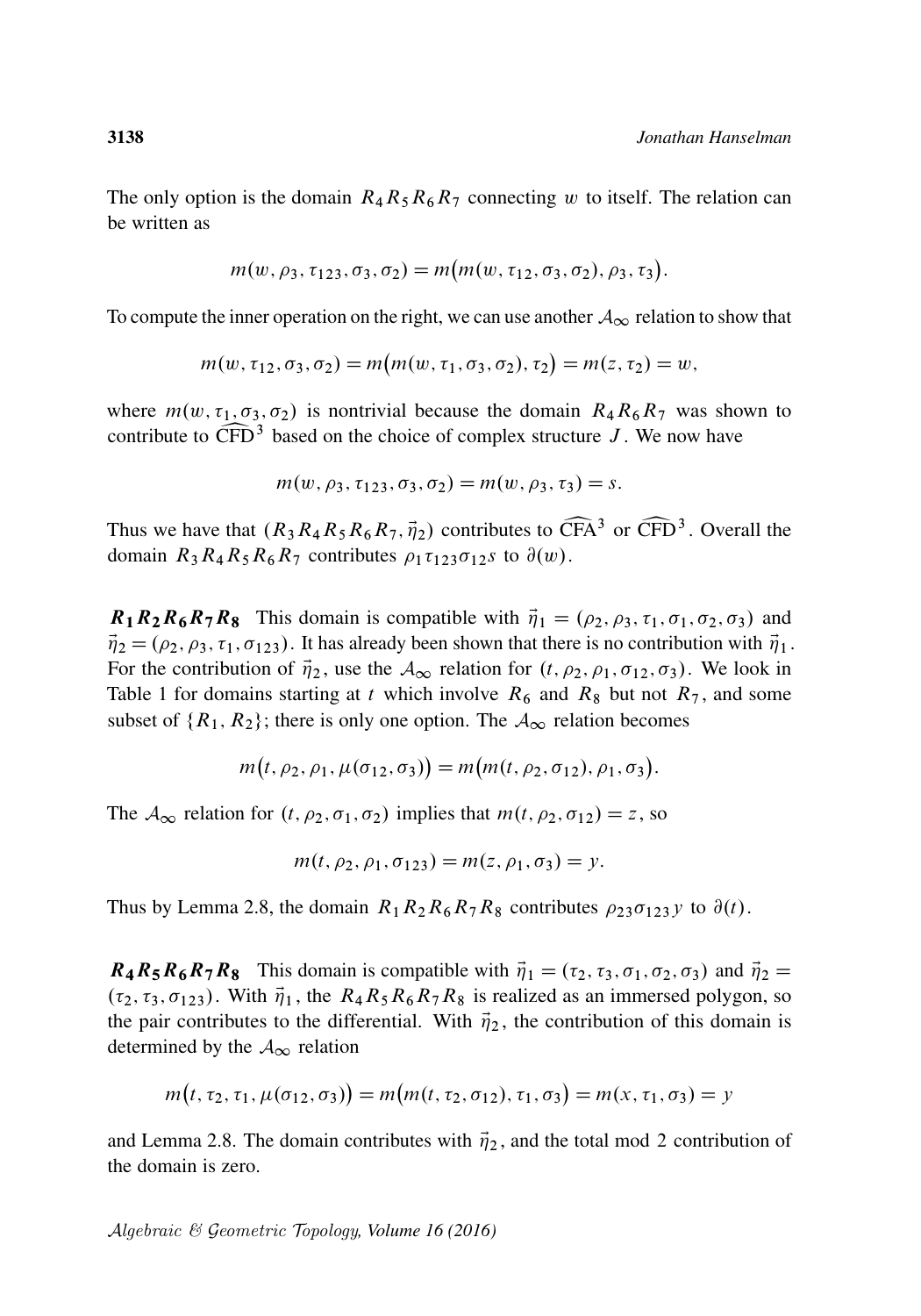The only option is the domain  $R_4R_5R_6R_7$  connecting w to itself. The relation can be written as

$$
m(w, \rho_3, \tau_{123}, \sigma_3, \sigma_2) = m(m(w, \tau_{12}, \sigma_3, \sigma_2), \rho_3, \tau_3).
$$

To compute the inner operation on the right, we can use another  $A_{\infty}$  relation to show that

$$
m(w, \tau_{12}, \sigma_3, \sigma_2) = m(m(w, \tau_1, \sigma_3, \sigma_2), \tau_2) = m(z, \tau_2) = w,
$$

where  $m(w, \tau_1, \sigma_3, \sigma_2)$  is nontrivial because the domain  $R_4R_6R_7$  was shown to contribute to  $\widehat{\text{CFD}}^3$  based on the choice of complex structure J. We now have

$$
m(w, \rho_3, \tau_{123}, \sigma_3, \sigma_2) = m(w, \rho_3, \tau_3) = s.
$$

Thus we have that  $(R_3R_4R_5R_6R_7, \vec{\eta}_2)$  contributes to  $\widehat{\text{CFA}}^3$  or  $\widehat{\text{CFD}}^3$ . Overall the domain  $R_3R_4R_5R_6R_7$  contributes  $\rho_1\tau_{123}\sigma_{12}s$  to  $\partial(w)$ . domain  $R_3R_4R_5R_6R_7$  contributes  $\rho_1\tau_{123}\sigma_{12}s$  to  $\partial(w)$ .

 $R_1R_2R_6R_7R_8$  This domain is compatible with  $\vec{\eta}_1 = (\rho_2, \rho_3, \tau_1, \sigma_1, \sigma_2, \sigma_3)$  and  $\vec{\eta}_2 = (\rho_2, \rho_3, \tau_1, \sigma_{123})$ . It has already been shown that there is no contribution with  $\vec{\eta}_1$ . For the contribution of  $\vec{\eta}_2$ , use the  $\mathcal{A}_{\infty}$  relation for  $(t, \rho_2, \rho_1, \sigma_{12}, \sigma_3)$ . We look in [Table 1](#page-28-0) for domains starting at t which involve  $R_6$  and  $R_8$  but not  $R_7$ , and some subset of  $\{R_1, R_2\}$ ; there is only one option. The  $A_{\infty}$  relation becomes

$$
m(t, \rho_2, \rho_1, \mu(\sigma_{12}, \sigma_3)) = m(m(t, \rho_2, \sigma_{12}), \rho_1, \sigma_3).
$$

The  $A_{\infty}$  relation for  $(t, \rho_2, \sigma_1, \sigma_2)$  implies that  $m(t, \rho_2, \sigma_1) = z$ , so

$$
m(t, \rho_2, \rho_1, \sigma_{123}) = m(z, \rho_1, \sigma_3) = y.
$$

Thus by [Lemma 2.8,](#page-19-0) the domain  $R_1R_2R_6R_7R_8$  contributes  $\rho_{23}\sigma_{123}y$  to  $\partial(t)$ .

 $R_4R_5R_6R_7R_8$  This domain is compatible with  $\vec{\eta}_1 = (\tau_2, \tau_3, \sigma_1, \sigma_2, \sigma_3)$  and  $\vec{\eta}_2 =$  $(\tau_2, \tau_3, \sigma_{123})$ . With  $\vec{\eta}_1$ , the  $R_4R_5R_6R_7R_8$  is realized as an immersed polygon, so the pair contributes to the differential. With  $\vec{\eta}_2$ , the contribution of this domain is determined by the  $A_{\infty}$  relation

$$
m(t, \tau_2, \tau_1, \mu(\sigma_{12}, \sigma_3)) = m(m(t, \tau_2, \sigma_{12}), \tau_1, \sigma_3) = m(x, \tau_1, \sigma_3) = y
$$

and [Lemma 2.8.](#page-19-0) The domain contributes with  $\vec{\eta}_2$ , and the total mod 2 contribution of the domain is zero.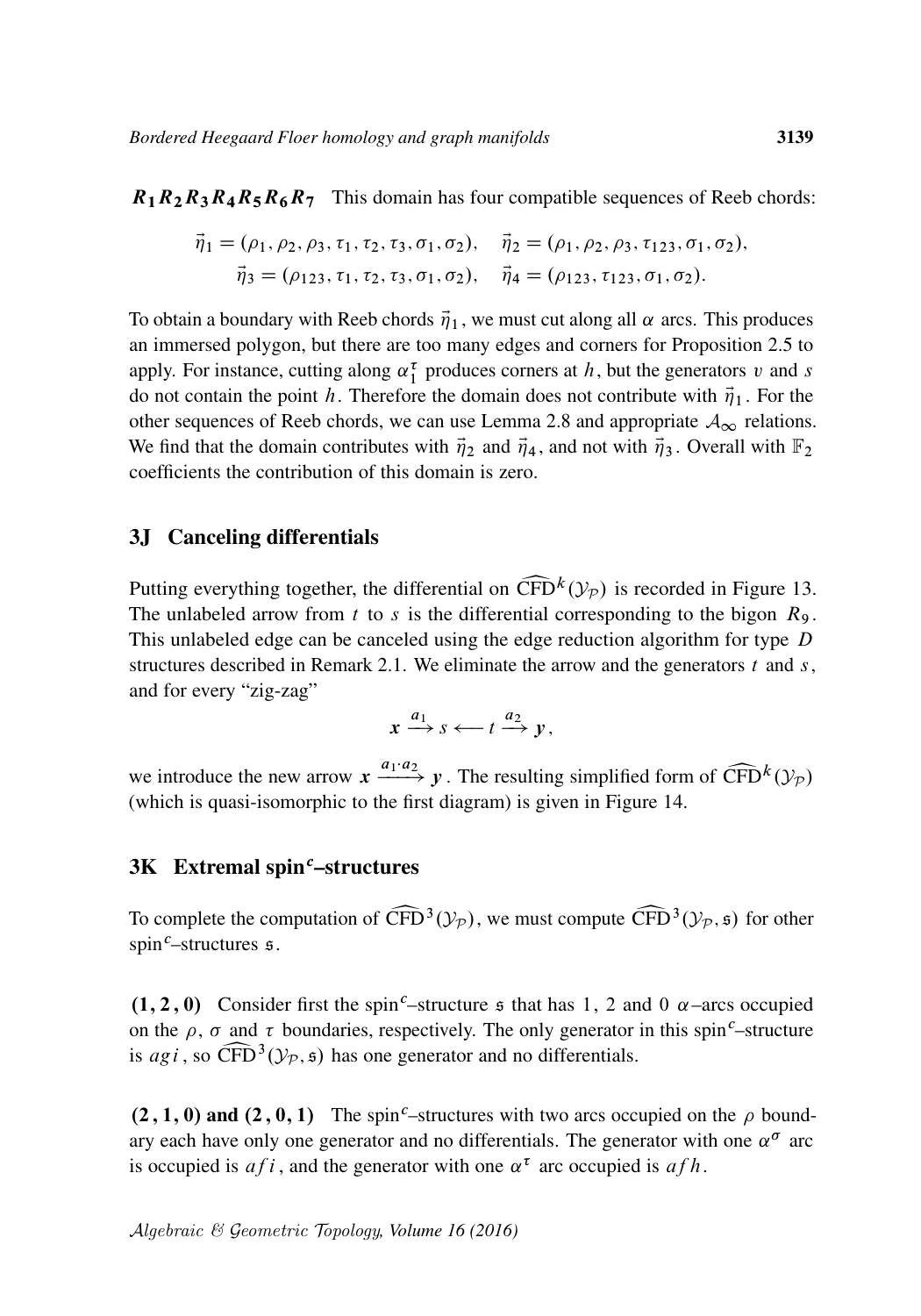$R_1R_2R_3R_4R_5R_6R_7$  This domain has four compatible sequences of Reeb chords:

$$
\vec{\eta}_1 = (\rho_1, \rho_2, \rho_3, \tau_1, \tau_2, \tau_3, \sigma_1, \sigma_2), \quad \vec{\eta}_2 = (\rho_1, \rho_2, \rho_3, \tau_{123}, \sigma_1, \sigma_2), \n\vec{\eta}_3 = (\rho_{123}, \tau_1, \tau_2, \tau_3, \sigma_1, \sigma_2), \quad \vec{\eta}_4 = (\rho_{123}, \tau_{123}, \sigma_1, \sigma_2).
$$

To obtain a boundary with Reeb chords  $\vec{\eta}_1$ , we must cut along all  $\alpha$  arcs. This produces an immersed polygon, but there are too many edges and corners for [Proposition 2.5](#page-15-0) to apply. For instance, cutting along  $\alpha_1^{\tau}$  produces corners at h, but the generators v and s do not contain the point h. Therefore the domain does not contribute with  $\vec{\eta}_1$ . For the other sequences of Reeb chords, we can use [Lemma 2.8](#page-19-0) and appropriate  $A_{\infty}$  relations. We find that the domain contributes with  $\vec{\eta}_2$  and  $\vec{\eta}_4$ , and not with  $\vec{\eta}_3$ . Overall with  $\mathbb{F}_2$ coefficients the contribution of this domain is zero.

#### 3J Canceling differentials

Putting everything together, the differential on  $\widehat{CFD}^k(\mathcal{Y}_P)$  is recorded in [Figure 13.](#page-37-0)<br>The unlabeled arrow from t to s is the differential corresponding to the bigon  $R_9$ . The unlabeled arrow from t to s is the differential corresponding to the bigon  $R_9$ . This unlabeled edge can be canceled using the edge reduction algorithm for type  $D$ structures described in [Remark 2.1.](#page-7-0) We eliminate the arrow and the generators  $t$  and  $s$ , and for every "zig-zag"

$$
x \xrightarrow{a_1} s \longleftarrow t \xrightarrow{a_2} y,
$$

we introduce the new arrow  $x \xrightarrow{a_1 \cdot a_2} y$ . The resulting simplified form of  $\widehat{\text{CFD}}^k(\mathcal{Y}_P)$ <br>(which is quasi-isomorphic to the first diagram) is given in Figure 14. (which is quasi-isomorphic to the first diagram) is given in [Figure 14.](#page-38-0)

#### $3K$  Extremal spin<sup>c</sup>–structures

To complete the computation of  $\widehat{CFD}^3(\mathcal{Y}_P)$ , we must compute  $\widehat{CFD}^3(\mathcal{Y}_P, \mathfrak{s})$  for other spin<sup>c</sup>-structures  $\mathfrak{s}$ .  $spin<sup>c</sup>$ -structures  $s$ .

 $(1, 2, 0)$  Consider first the spin<sup>c</sup>–structure  $\epsilon$  that has 1, 2 and 0  $\alpha$ –arcs occupied on the  $\rho$ ,  $\sigma$  and  $\tau$  boundaries, respectively. The only generator in this spin<sup>c</sup>–structure is *ag i*, so  $\widehat{\text{CFD}}^3(\mathcal{Y}_P, \mathfrak{s})$  has one generator and no differentials.

 $(2, 1, 0)$  and  $(2, 0, 1)$  The spin<sup>c</sup>–structures with two arcs occupied on the  $\rho$  boundary each have only one generator and no differentials. The generator with one  $\alpha^{\sigma}$  arc is occupied is  $afi$ , and the generator with one  $\alpha^{\tau}$  arc occupied is  $afh$ .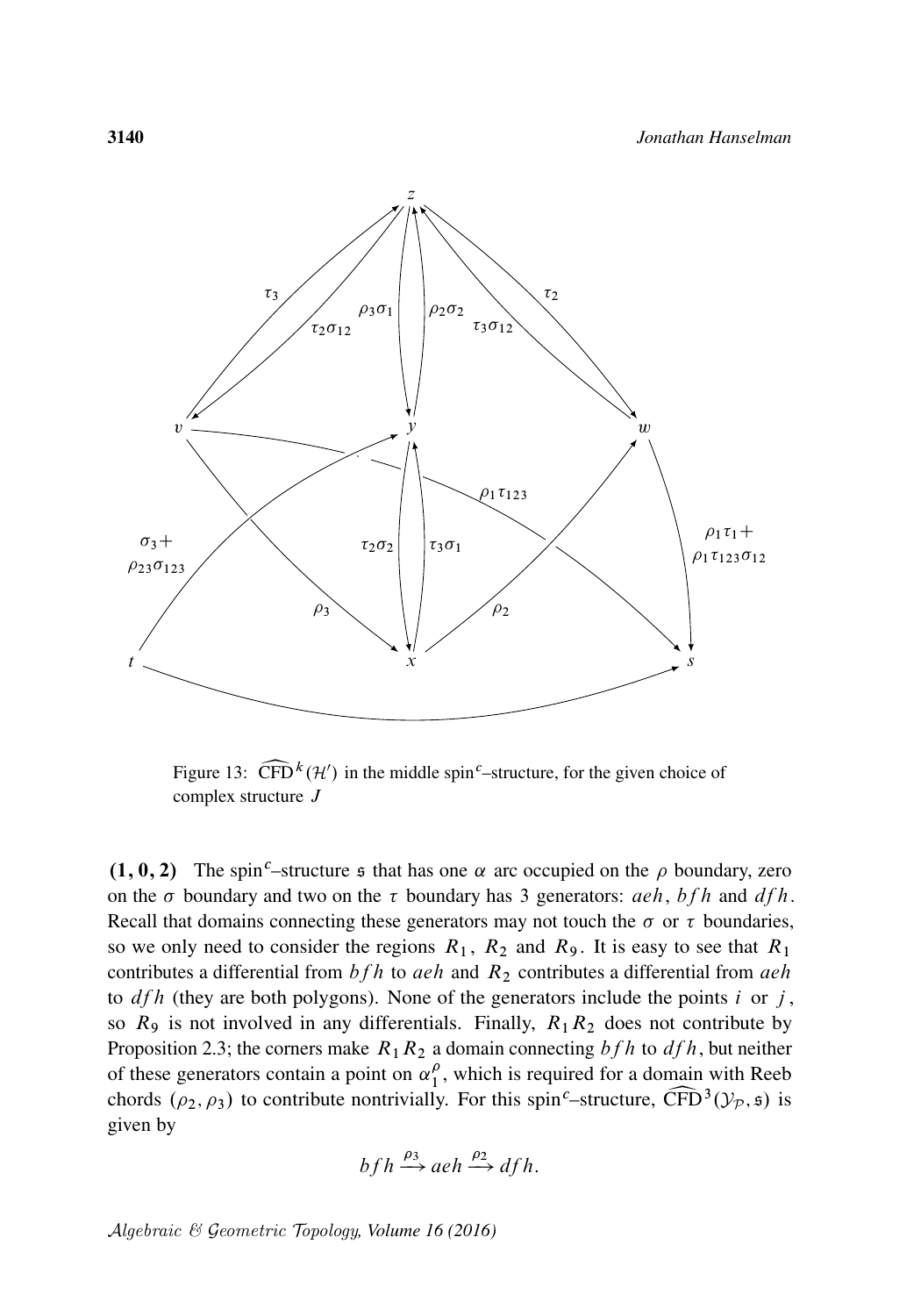<span id="page-37-0"></span>

Figure 13:  $\widehat{\text{CFD}}^k(\mathcal{H}')$  in the middle spin<sup>c</sup>–structure, for the given choice of complex structure J complex structure J

 $(1, 0, 2)$  The spin<sup>c</sup>–structure  $\epsilon$  that has one  $\alpha$  arc occupied on the  $\rho$  boundary, zero on the  $\sigma$  boundary and two on the  $\tau$  boundary has 3 generators: *aeh*, bfh and dfh. Recall that domains connecting these generators may not touch the  $\sigma$  or  $\tau$  boundaries, so we only need to consider the regions  $R_1$ ,  $R_2$  and  $R_9$ . It is easy to see that  $R_1$ contributes a differential from  $bfh}$  to aeh and  $R_2$  contributes a differential from aeh to  $dfh$  (they are both polygons). None of the generators include the points i or j, so  $R_9$  is not involved in any differentials. Finally,  $R_1R_2$  does not contribute by [Proposition 2.3;](#page-13-0) the corners make  $R_1R_2$  a domain connecting  $bfh}$  to  $dfh$ , but neither of these generators contain a point on  $\alpha_1^{\rho}$  $\frac{\rho}{1}$ , which is required for a domain with Reeb chords ( $\rho_2$ ,  $\rho_3$ ) to contribute nontrivially. For this spin<sup>c</sup>–structure, CFD<sup>3</sup>( $\mathcal{Y}_P$ ,  $\mathfrak{s}$ ) is given by given by

$$
bfh \xrightarrow{\rho_3} aeh \xrightarrow{\rho_2} dfh.
$$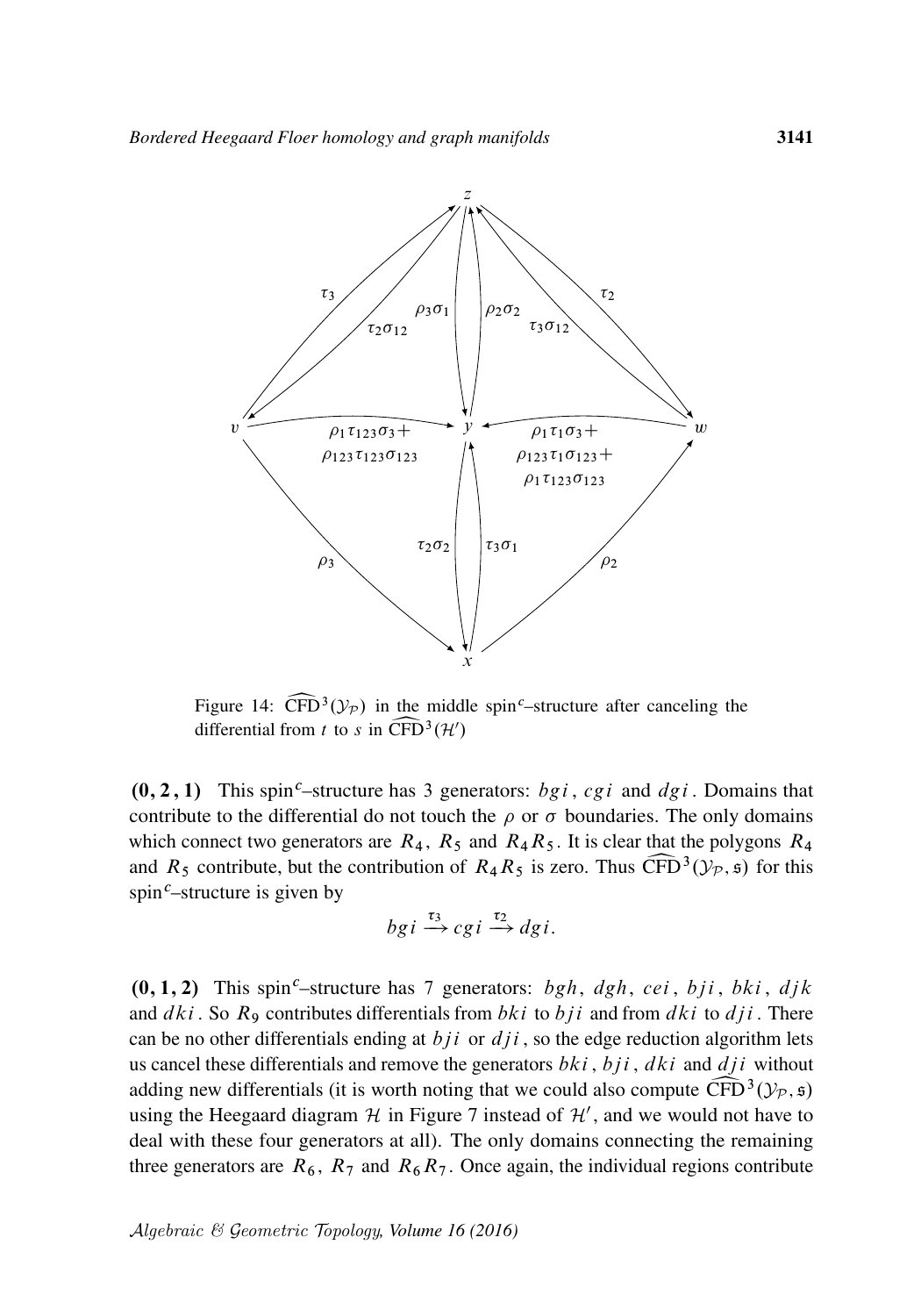<span id="page-38-0"></span>

Figure 14:  $\widehat{CFD}^3$ <br>differential from *t* Figure 14:  $\widehat{\text{CFD}}^3(\mathcal{Y}_p)$  in the middle spin<sup>c</sup>–structure after canceling the differential from t to s in  $\widehat{\text{CFD}}^3(\mathcal{H}')$ 

 $(0, 2, 1)$  This spin<sup>c</sup>–structure has 3 generators: *bgi*, *cgi* and *dgi*. Domains that contribute to the differential do not touch the  $\rho$  or  $\sigma$  boundaries. The only domains which connect two generators are  $R_4$ ,  $R_5$  and  $R_4R_5$ . It is clear that the polygons  $R_4$ and  $R_5$  contribute, but the contribution of  $R_4R_5$  is zero. Thus  $\widehat{\text{CFD}}^3(\mathcal{Y}_p, \mathfrak{s})$  for this spin<sup>c</sup>–structure is given by spin<sup>c</sup>–structure is given by

$$
bg \, i \stackrel{\tau_3}{\rightarrow} cg \, i \stackrel{\tau_2}{\rightarrow} dg \, i.
$$

 $(0, 1, 2)$  This spin<sup>c</sup>–structure has 7 generators: bgh, dgh, cei, bji, bki, djk and  $dki$ . So  $R_9$  contributes differentials from  $bki$  to  $bji$  and from  $dki$  to  $dji$ . There can be no other differentials ending at  $bji$  or  $dji$ , so the edge reduction algorithm lets us cancel these differentials and remove the generators  $bki$ ,  $bji$ ,  $dki$  and  $dji$  without adding new differentials (it is worth noting that we could also compute  $\widehat{\text{CFD}}^3(\mathcal{Y}_p, \mathfrak{s})$  using the Heegaard diagram  $\mathcal H$  in Figure 7 instead of  $\mathcal H'$ , and we would not have to using the Heegaard diagram  $H$  in [Figure 7](#page-24-1) instead of  $H'$ , and we would not have to deal with these four generators at all). The only domains connecting the remaining three generators are  $R_6$ ,  $R_7$  and  $R_6R_7$ . Once again, the individual regions contribute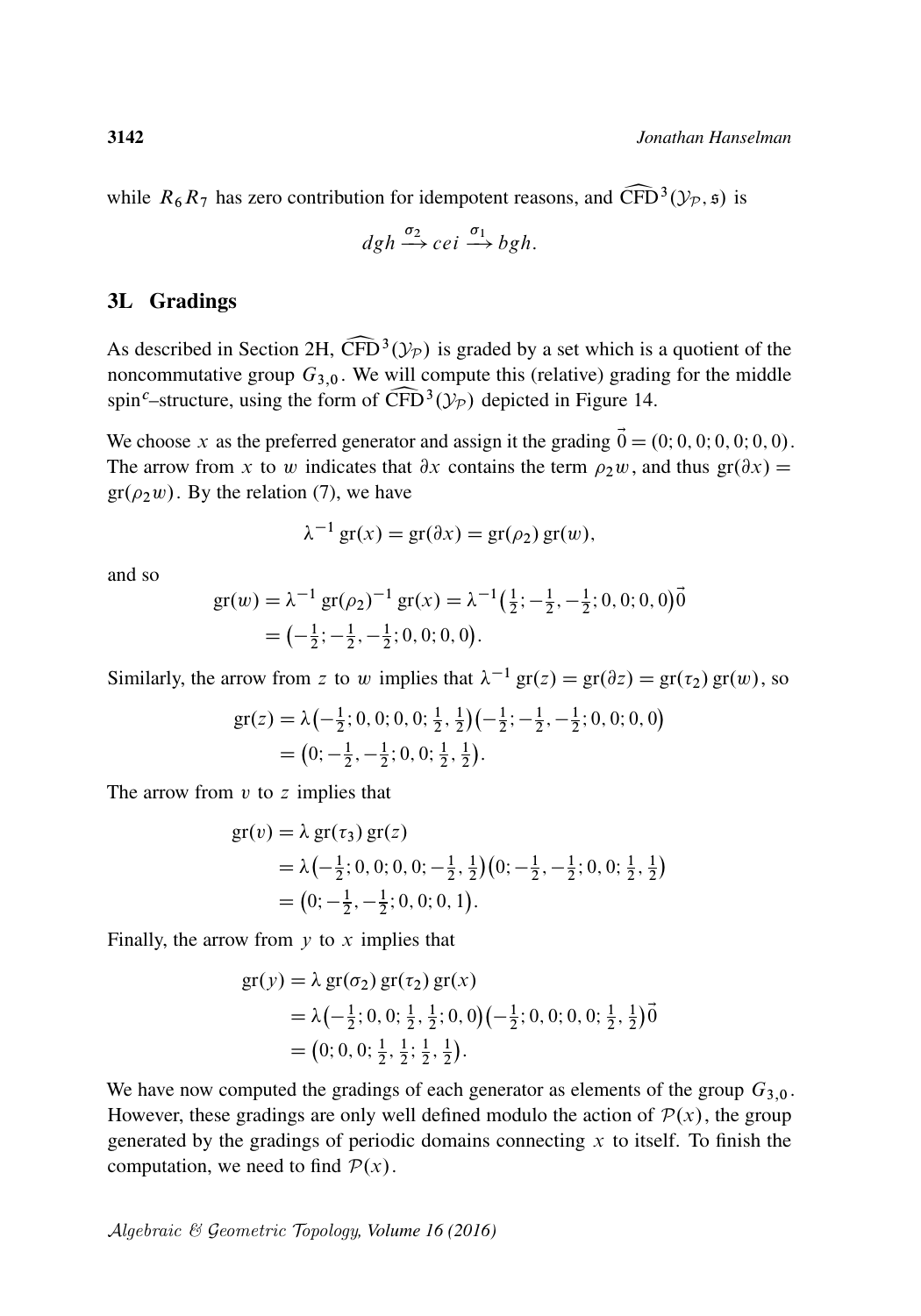while  $R_6 R_7$  has zero contribution for idempotent reasons, and  $\widehat{\text{CFD}}^3(\mathcal{Y}_p, \mathfrak{s})$  is

$$
dgh \xrightarrow{\sigma_2} cei \xrightarrow{\sigma_1} bgh.
$$

#### 3L Gradings

As described in [Section 2H,](#page-20-0)  $\widehat{\text{CFD}}^3(\mathcal{Y}_P)$  is graded by a set which is a quotient of the noncommutative group  $G_{3,0}$ . We will compute this (relative) grading for the middle As described in Section 2H,  $\widehat{\text{CFD}}^3(\mathcal{Y}_P)$  is graded by a set which is a quotient of the spin<sup>c</sup>–structure, using the form of  $\widehat{CFD}^3(\mathcal{Y}_P)$  depicted in [Figure 14.](#page-38-0)

We choose x as the preferred generator and assign it the grading  $\vec{0} = (0; 0, 0; 0, 0; 0, 0)$ . The arrow from x to w indicates that  $\partial x$  contains the term  $\rho_2 w$ , and thus  $gr(\partial x) =$  $gr(\rho_2w)$ . By the relation [\(7\),](#page-21-0) we have

$$
\lambda^{-1} \operatorname{gr}(x) = \operatorname{gr}(\partial x) = \operatorname{gr}(\rho_2) \operatorname{gr}(w),
$$

and so

$$
gr(w) = \lambda^{-1} gr(\rho_2)^{-1} gr(x) = \lambda^{-1} \left(\frac{1}{2}; -\frac{1}{2}, -\frac{1}{2}; 0, 0; 0, 0\right) \vec{0}
$$
  
=  $\left(-\frac{1}{2}; -\frac{1}{2}, -\frac{1}{2}; 0, 0; 0, 0\right).$ 

Similarly, the arrow from z to w implies that  $\lambda^{-1}$  gr(z) = gr( $\partial z$ ) = gr( $\tau_2$ ) gr(w), so

$$
gr(z) = \lambda \left(-\frac{1}{2}; 0, 0; 0, 0; \frac{1}{2}, \frac{1}{2}\right)\left(-\frac{1}{2}; -\frac{1}{2}, -\frac{1}{2}; 0, 0; 0, 0\right)
$$
  
= 
$$
\left(0; -\frac{1}{2}, -\frac{1}{2}; 0, 0; \frac{1}{2}, \frac{1}{2}\right).
$$

The arrow from  $v$  to  $z$  implies that

$$
gr(v) = \lambda gr(\tau_3) gr(z)
$$
  
=  $\lambda \left(-\frac{1}{2}; 0, 0; 0, 0; -\frac{1}{2}, \frac{1}{2}\right) \left(0; -\frac{1}{2}, -\frac{1}{2}; 0, 0; \frac{1}{2}, \frac{1}{2}\right)$   
=  $\left(0; -\frac{1}{2}, -\frac{1}{2}; 0, 0; 0, 1\right).$ 

Finally, the arrow from  $y$  to  $x$  implies that

$$
gr(y) = \lambda gr(\sigma_2) gr(\tau_2) gr(x)
$$
  
=  $\lambda \left(-\frac{1}{2}; 0, 0; \frac{1}{2}, \frac{1}{2}; 0, 0\right) \left(-\frac{1}{2}; 0, 0; 0, 0; \frac{1}{2}, \frac{1}{2}\right) \vec{0}$   
=  $(0; 0, 0; \frac{1}{2}, \frac{1}{2}; \frac{1}{2}, \frac{1}{2}).$ 

We have now computed the gradings of each generator as elements of the group  $G_{3,0}$ . However, these gradings are only well defined modulo the action of  $P(x)$ , the group generated by the gradings of periodic domains connecting  $x$  to itself. To finish the computation, we need to find  $P(x)$ .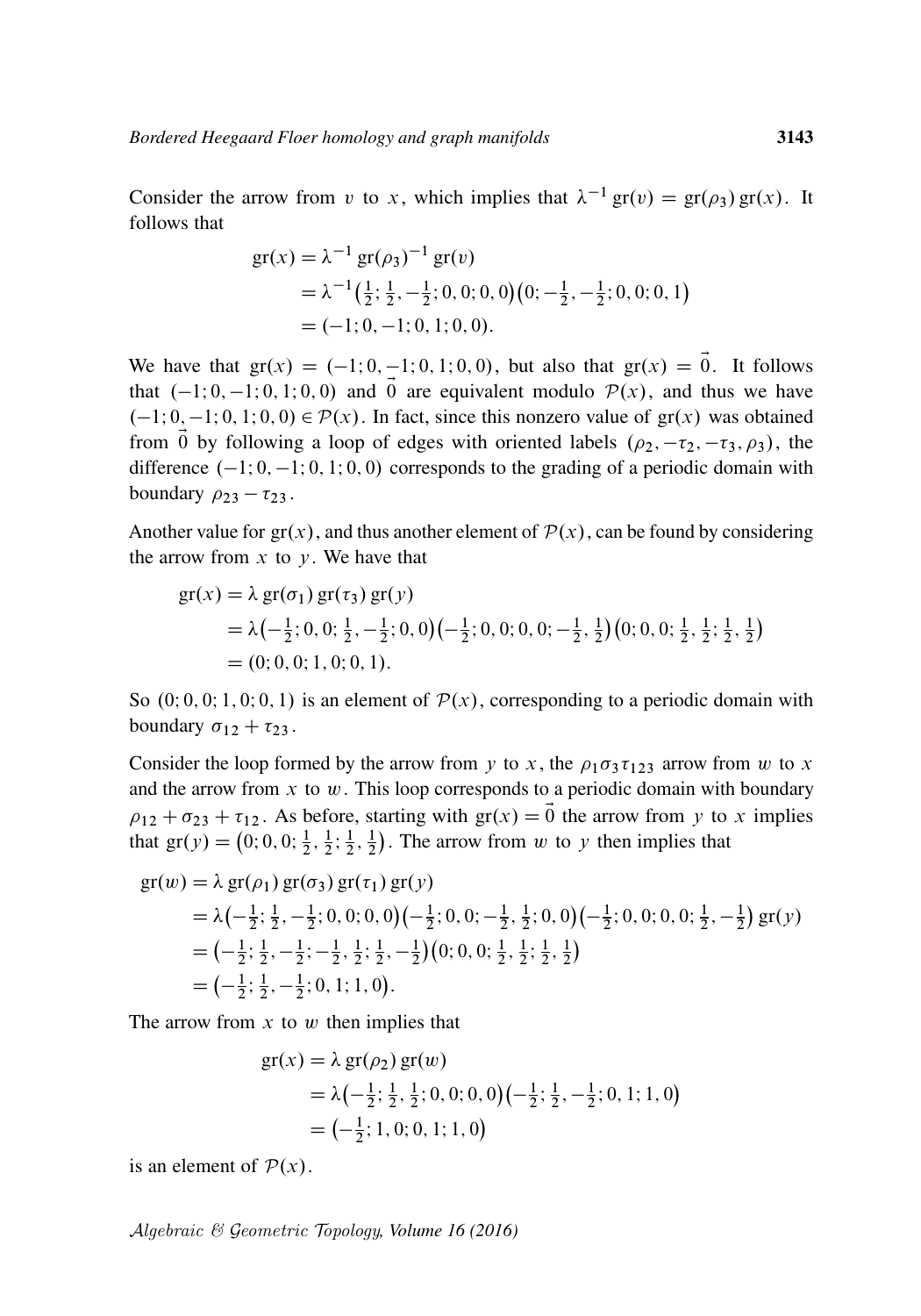Consider the arrow from v to x, which implies that  $\lambda^{-1}$  gr(v) = gr( $\rho_3$ ) gr(x). It follows that

$$
gr(x) = \lambda^{-1} gr(\rho_3)^{-1} gr(v)
$$
  
=  $\lambda^{-1} (\frac{1}{2}; \frac{1}{2}, -\frac{1}{2}; 0, 0; 0, 0) (0; -\frac{1}{2}, -\frac{1}{2}; 0, 0; 0, 1)$   
= (-1; 0, -1; 0, 1; 0, 0).

We have that  $gr(x) = (-1, 0, -1, 0, 1, 0, 0)$ , but also that  $gr(x) = \vec{0}$ . It follows that  $(-1; 0, -1; 0, 1; 0, 0)$  and  $\vec{0}$  are equivalent modulo  $\mathcal{P}(x)$ , and thus we have  $(-1; 0, -1; 0, 1; 0, 0) \in \mathcal{P}(x)$ . In fact, since this nonzero value of  $gr(x)$  was obtained from  $\vec{0}$  by following a loop of edges with oriented labels  $(\rho_2, -\tau_2, -\tau_3, \rho_3)$ , the difference  $(-1; 0, -1; 0, 1; 0, 0)$  corresponds to the grading of a periodic domain with boundary  $\rho_{23} - \tau_{23}$ .

Another value for  $gr(x)$ , and thus another element of  $\mathcal{P}(x)$ , can be found by considering the arrow from  $x$  to  $y$ . We have that

$$
gr(x) = \lambda gr(\sigma_1) gr(\tau_3) gr(y)
$$
  
=  $\lambda \left(-\frac{1}{2}; 0, 0; \frac{1}{2}, -\frac{1}{2}; 0, 0\right) \left(-\frac{1}{2}; 0, 0; 0, 0; -\frac{1}{2}, \frac{1}{2}\right) \left(0; 0, 0; \frac{1}{2}, \frac{1}{2}; \frac{1}{2}, \frac{1}{2}\right)$   
=  $(0; 0, 0; 1, 0; 0, 1).$ 

So  $(0, 0, 0, 1, 0, 0, 1)$  is an element of  $\mathcal{P}(x)$ , corresponding to a periodic domain with boundary  $\sigma_{12} + \tau_{23}$ .

Consider the loop formed by the arrow from y to x, the  $\rho_1 \sigma_3 \tau_{123}$  arrow from w to x and the arrow from  $x$  to  $w$ . This loop corresponds to a periodic domain with boundary  $\rho_{12} + \sigma_{23} + \tau_{12}$ . As before, starting with  $gr(x) = \vec{0}$  the arrow from y to x implies that  $gr(y) = (0; 0, 0; \frac{1}{2})$  $\frac{1}{2}, \frac{1}{2}$  $\frac{1}{2}$ ;  $\frac{1}{2}$  $\frac{1}{2}, \frac{1}{2}$  $\frac{1}{2}$ ). The arrow from w to y then implies that

$$
gr(w) = \lambda gr(\rho_1) gr(\sigma_3) gr(\tau_1) gr(y)
$$
  
=  $\lambda \left(-\frac{1}{2}; \frac{1}{2}, -\frac{1}{2}; 0, 0; 0, 0\right) \left(-\frac{1}{2}; 0, 0; -\frac{1}{2}, \frac{1}{2}; 0, 0\right) \left(-\frac{1}{2}; 0, 0; 0, 0; \frac{1}{2}, -\frac{1}{2}\right) gr(y)$   
=  $\left(-\frac{1}{2}; \frac{1}{2}, -\frac{1}{2}; -\frac{1}{2}, \frac{1}{2}; \frac{1}{2}, -\frac{1}{2}\right) (0; 0, 0; \frac{1}{2}, \frac{1}{2}; \frac{1}{2}, \frac{1}{2})$   
=  $\left(-\frac{1}{2}; \frac{1}{2}, -\frac{1}{2}; 0, 1; 1, 0\right)$ .

The arrow from  $x$  to  $w$  then implies that

$$
gr(x) = \lambda gr(\rho_2) gr(w)
$$
  
=  $\lambda \left(-\frac{1}{2}; \frac{1}{2}, \frac{1}{2}; 0, 0; 0, 0\right) \left(-\frac{1}{2}; \frac{1}{2}, -\frac{1}{2}; 0, 1; 1, 0\right)$   
=  $\left(-\frac{1}{2}; 1, 0; 0, 1; 1, 0\right)$ 

is an element of  $P(x)$ .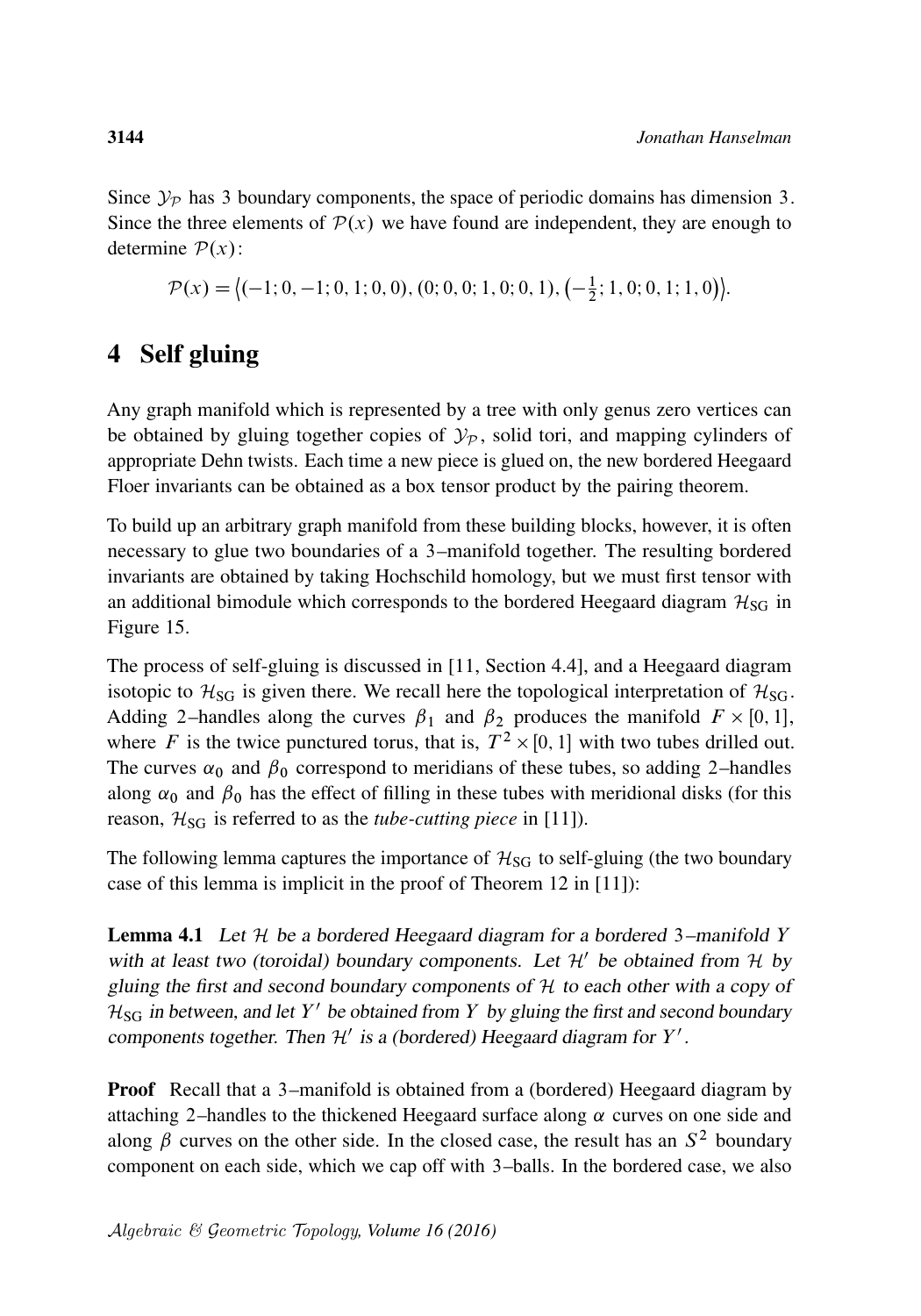Since  $\mathcal{Y}_P$  has 3 boundary components, the space of periodic domains has dimension 3. Since the three elements of  $\mathcal{P}(x)$  we have found are independent, they are enough to determine  $P(x)$ :

 $\mathcal{P}(x) = \langle (-1; 0, -1; 0, 1; 0, 0), (0; 0, 0; 1, 0; 0, 1), (-\frac{1}{2}, -1; 0, 0, 1, 0, 0, 1) \rangle$  $\frac{1}{2}$ ; 1, 0; 0, 1; 1, 0)  $\bigg\}$ .

# <span id="page-41-0"></span>4 Self gluing

Any graph manifold which is represented by a tree with only genus zero vertices can be obtained by gluing together copies of  $\mathcal{Y}_P$ , solid tori, and mapping cylinders of appropriate Dehn twists. Each time a new piece is glued on, the new bordered Heegaard Floer invariants can be obtained as a box tensor product by the pairing theorem.

To build up an arbitrary graph manifold from these building blocks, however, it is often necessary to glue two boundaries of a 3–manifold together. The resulting bordered invariants are obtained by taking Hochschild homology, but we must first tensor with an additional bimodule which corresponds to the bordered Heegaard diagram  $H_{SG}$  in [Figure 15.](#page-42-0)

The process of self-gluing is discussed in [\[11,](#page-62-17) Section 4.4], and a Heegaard diagram isotopic to  $\mathcal{H}_{SG}$  is given there. We recall here the topological interpretation of  $\mathcal{H}_{SG}$ . Adding 2-handles along the curves  $\beta_1$  and  $\beta_2$  produces the manifold  $F \times [0, 1]$ , where F is the twice punctured torus, that is,  $T^2 \times [0, 1]$  with two tubes drilled out. The curves  $\alpha_0$  and  $\beta_0$  correspond to meridians of these tubes, so adding 2–handles along  $\alpha_0$  and  $\beta_0$  has the effect of filling in these tubes with meridional disks (for this reason,  $\mathcal{H}_{SG}$  is referred to as the *tube-cutting piece* in [\[11\]](#page-62-17)).

The following lemma captures the importance of  $H_{SG}$  to self-gluing (the two boundary case of this lemma is implicit in the proof of Theorem 12 in [\[11\]](#page-62-17)):

<span id="page-41-1"></span>**Lemma 4.1** Let  $H$  be a bordered Heegaard diagram for a bordered 3-manifold Y with at least two (toroidal) boundary components. Let  $\mathcal{H}'$  be obtained from  $\mathcal{H}$  by gluing the first and second boundary components of  $H$  to each other with a copy of  $H_{SG}$  in between, and let Y' be obtained from Y by gluing the first and second boundary components together. Then  $\mathcal{H}'$  is a (bordered) Heegaard diagram for  $Y'$ .

**Proof** Recall that a 3–manifold is obtained from a (bordered) Heegaard diagram by attaching 2–handles to the thickened Heegaard surface along  $\alpha$  curves on one side and along  $\beta$  curves on the other side. In the closed case, the result has an  $S^2$  boundary component on each side, which we cap off with 3–balls. In the bordered case, we also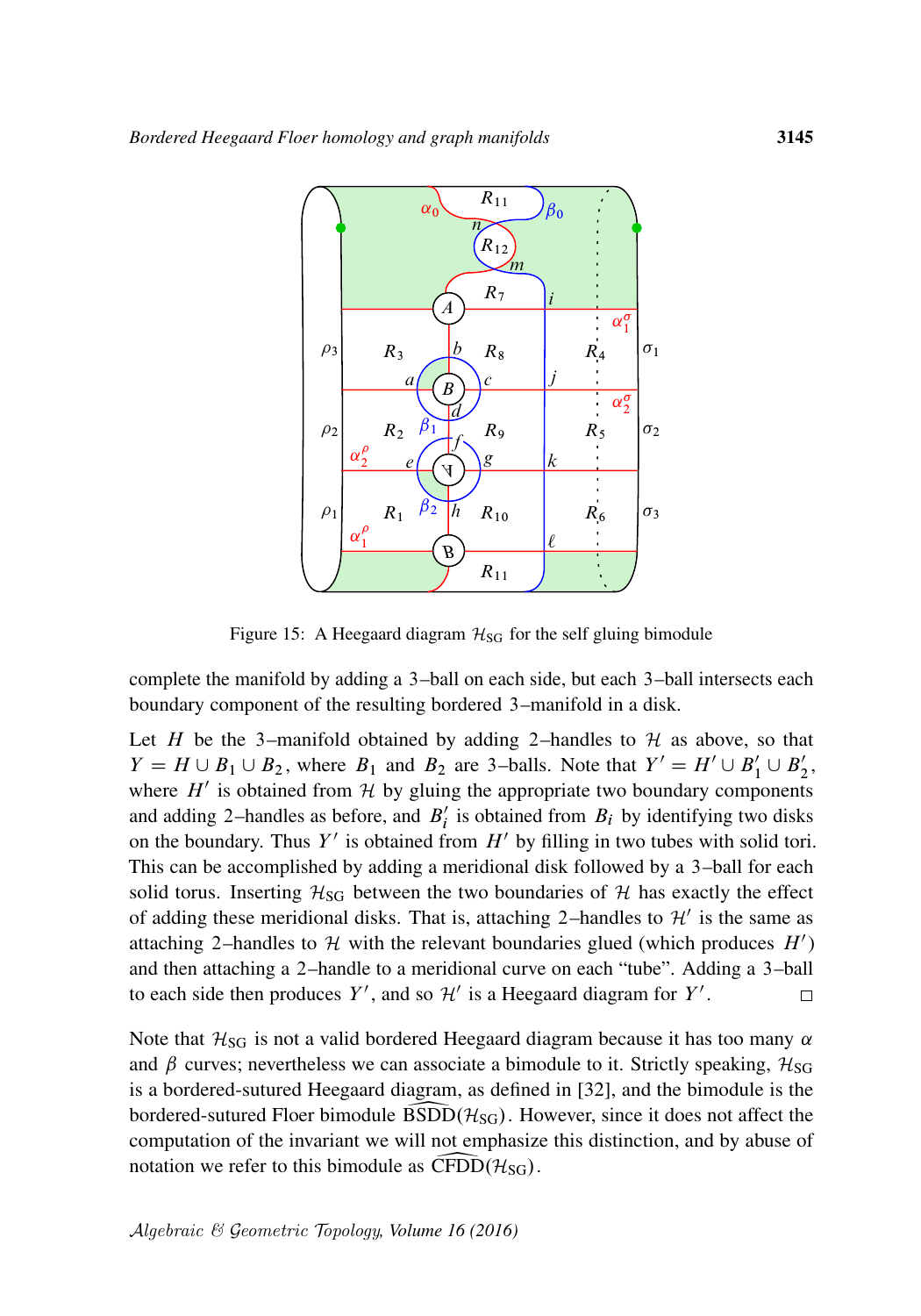<span id="page-42-0"></span>

Figure 15: A Heegaard diagram  $H_{SG}$  for the self gluing bimodule

complete the manifold by adding a 3–ball on each side, but each 3–ball intersects each boundary component of the resulting bordered 3–manifold in a disk.

Let H be the 3–manifold obtained by adding 2–handles to  $H$  as above, so that  $Y = H \cup B_1 \cup B_2$ , where  $B_1$  and  $B_2$  are 3-balls. Note that  $Y' = H' \cup B'_1 \cup B'_2$ , where  $H'$  is obtained from H by gluing the appropriate two boundary components and adding 2-handles as before, and  $B_i'$  is obtained from  $B_i$  by identifying two disks on the boundary. Thus Y' is obtained from  $H'$  by filling in two tubes with solid tori. This can be accomplished by adding a meridional disk followed by a 3–ball for each solid torus. Inserting  $H_{SG}$  between the two boundaries of  $H$  has exactly the effect of adding these meridional disks. That is, attaching 2-handles to  $\mathcal{H}'$  is the same as attaching 2–handles to H with the relevant boundaries glued (which produces  $H'$ ) and then attaching a 2–handle to a meridional curve on each "tube". Adding a 3–ball to each side then produces Y', and so  $\mathcal{H}'$  is a Heegaard diagram for Y'.  $\Box$ 

Note that  $H_{SG}$  is not a valid bordered Heegaard diagram because it has too many  $\alpha$ and  $\beta$  curves; nevertheless we can associate a bimodule to it. Strictly speaking,  $\mathcal{H}_{SG}$ is a bordered-sutured Heegaard diagram, as defined in [\[32\]](#page-63-5), and the bimodule is the bordered-sutured Floer bimodule  $BSDD(\mathcal{H}_{SG})$ . However, since it does not affect the computation of the invariant we will not emphasize this distinction, and by abuse of notation we refer to this bimodule as  $\widehat{\text{CFDD}}(\mathcal{H}_{\text{SG}})$ .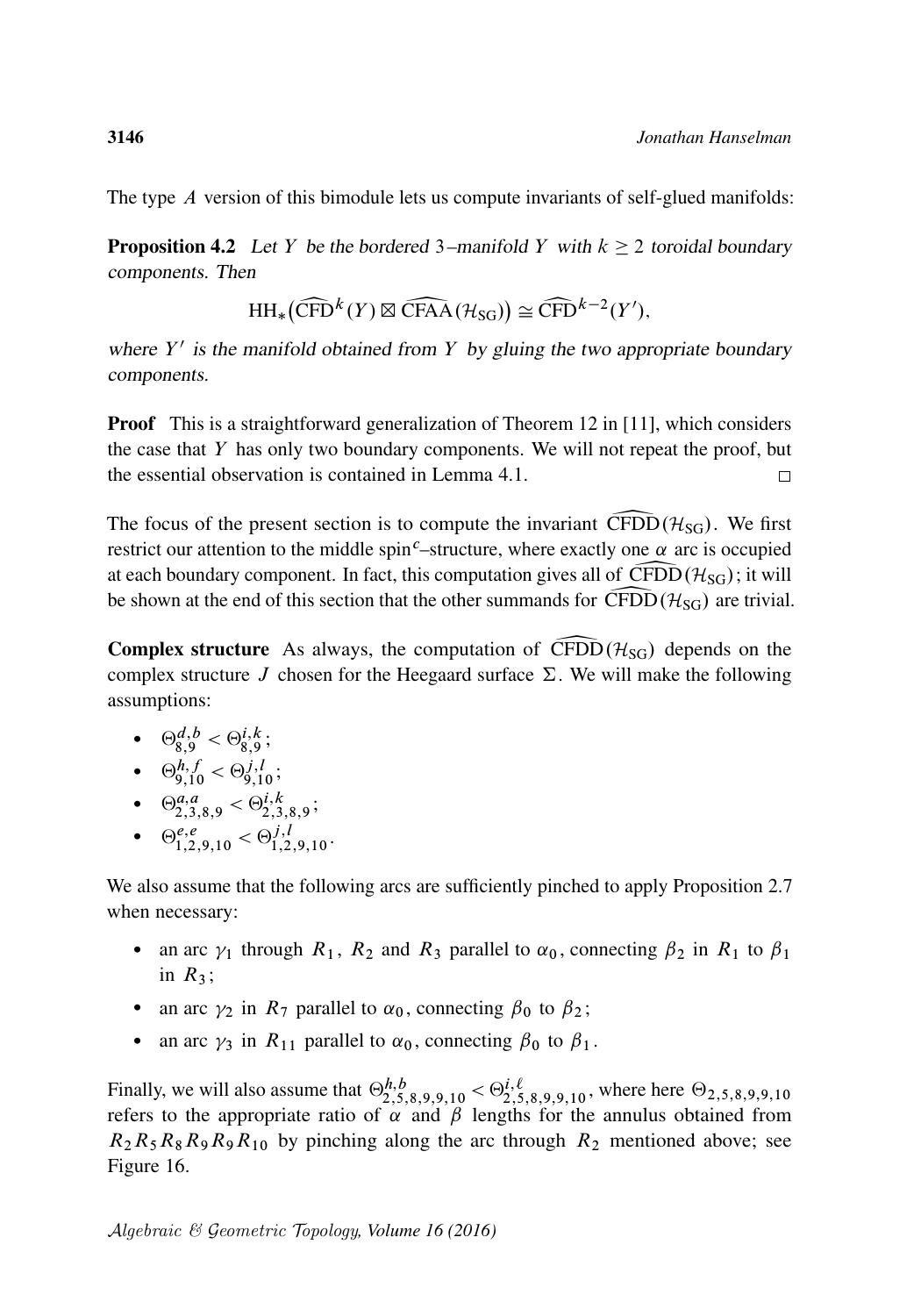The type A version of this bimodule lets us compute invariants of self-glued manifolds:

**Proposition 4.2** Let Y be the bordered 3–manifold Y with  $k \ge 2$  toroidal boundary components. Then

$$
\mathrm{HH}_{*}(\widehat{\mathrm{CFD}}^{k}(Y) \boxtimes \widehat{\mathrm{CFAA}}(\mathcal{H}_{\mathrm{SG}})) \cong \widehat{\mathrm{CFD}}^{k-2}(Y'),
$$

HH<sub>\*</sub>(CFD<sup>k</sup>(Y)  $\boxtimes$  CFAA( $\mathcal{H}_{SG}$ ))  $\cong$  CFD<sup>k-2</sup>(Y'),<br>where Y' is the manifold obtained from Y by gluing the two appropriate boundary components.

**Proof** This is a straightforward generalization of Theorem 12 in [\[11\]](#page-62-17), which considers the case that  $Y$  has only two boundary components. We will not repeat the proof, but the essential observation is contained in [Lemma 4.1.](#page-41-1)  $\Box$ 

The focus of the present section is to compute the invariant CFDD( $\mathcal{H}_{SG}$ ). We first restrict our attention to the middle spin<sup>c</sup>–structure, where exactly one  $\alpha$  arc is occupied at each boundary component. In fact, this computation gives all of  $CFDD(\mathcal{H}_{SG})$ ; it will<br>be shown at the end of this section that the other summands for  $\widehat{CFDD}(\mathcal{H}_{SG})$  are trivial be shown at the end of this section that the other summands for  $CFDD(\mathcal{H}_{SG})$  are trivial.

**Complex structure** As always, the computation of CFDD( $\mathcal{H}_{SG}$ ) depends on the complex structure J chosen for the Heegaard surface  $\Sigma$ . We will make the following assumptions:

• 
$$
\Theta_{8,9}^{d,b} < \Theta_{8,9}^{i,k}
$$

• 
$$
\Theta_{9,10}^{h,f} < \Theta_{9,10}^{j,l}
$$
;

- $\Theta_{2,3,8,9}^{a,a} < \Theta_{2,3,8,9}^{i,k};$
- $\Theta_{1,2,9,10}^{e,e} < \Theta_{1,2,9,10}^{j,l}$ .

We also assume that the following arcs are sufficiently pinched to apply [Proposition 2.7](#page-17-0) when necessary:

- an arc  $\gamma_1$  through  $R_1$ ,  $R_2$  and  $R_3$  parallel to  $\alpha_0$ , connecting  $\beta_2$  in  $R_1$  to  $\beta_1$ in  $R_3$ ;
- an arc  $\gamma_2$  in  $R_7$  parallel to  $\alpha_0$ , connecting  $\beta_0$  to  $\beta_2$ ;
- an arc  $\gamma_3$  in  $R_{11}$  parallel to  $\alpha_0$ , connecting  $\beta_0$  to  $\beta_1$ .

Finally, we will also assume that  $\Theta_{2,5,8,9,9,10}^{h,b} < \Theta_{2,5,8,9,9,10}^{i,\ell}$ , where here  $\Theta_{2,5,8,9,9,10}$ refers to the appropriate ratio of  $\alpha$  and  $\beta$  lengths for the annulus obtained from  $R_2R_5R_8R_9R_9R_{10}$  by pinching along the arc through  $R_2$  mentioned above; see [Figure 16.](#page-44-0)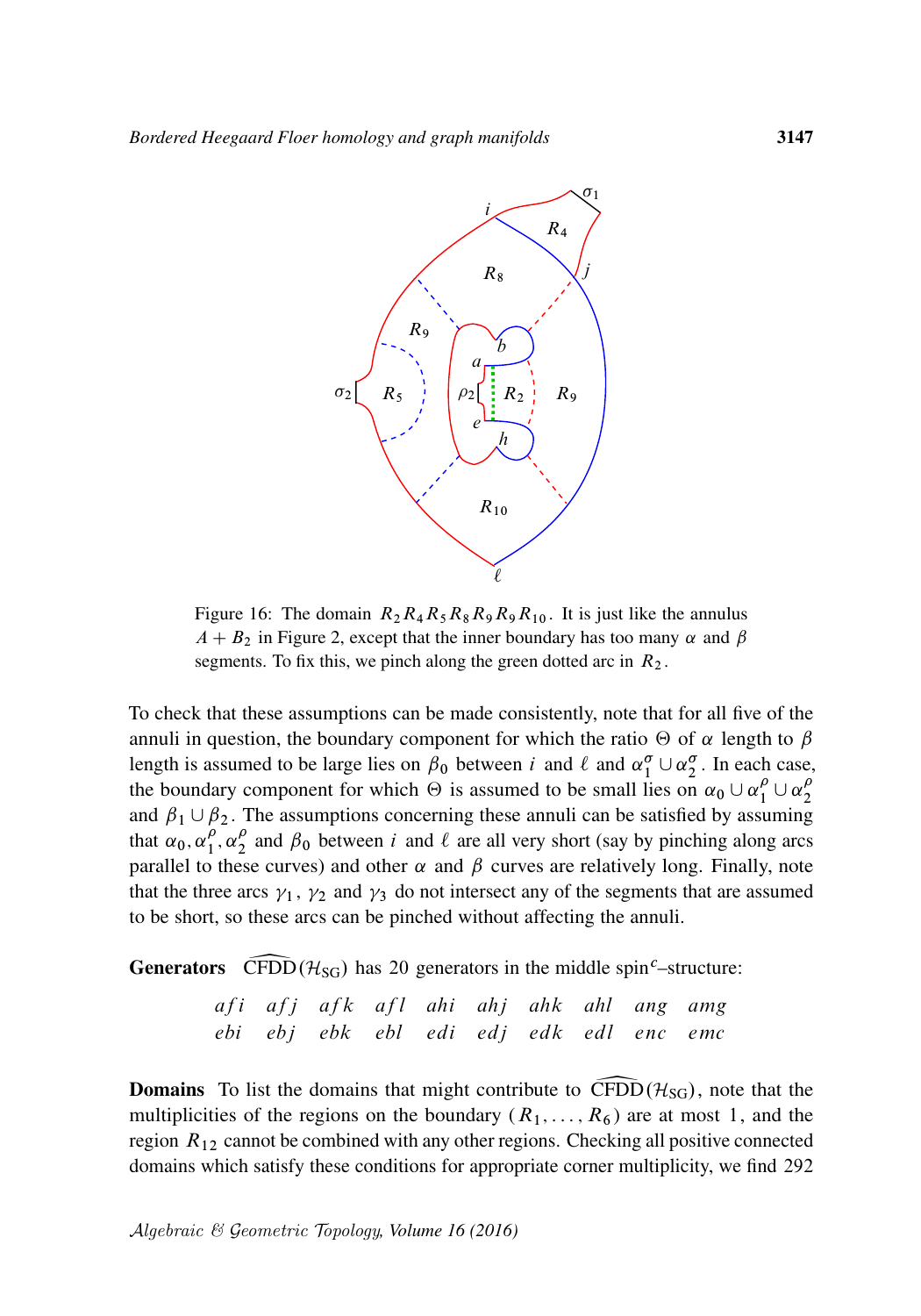<span id="page-44-0"></span>

Figure 16: The domain  $R_2R_4R_5R_8R_9R_9R_{10}$ . It is just like the annulus  $A + B_2$  in [Figure 2,](#page-16-1) except that the inner boundary has too many  $\alpha$  and  $\beta$ segments. To fix this, we pinch along the green dotted arc in  $R_2$ .

To check that these assumptions can be made consistently, note that for all five of the annuli in question, the boundary component for which the ratio  $\Theta$  of  $\alpha$  length to  $\beta$ length is assumed to be large lies on  $\beta_0$  between i and  $\ell$  and  $\alpha_1^{\sigma} \cup \alpha_2^{\sigma}$ . In each case, the boundary component for which  $\Theta$  is assumed to be small lies on  $\alpha_0 \cup \alpha_1^{\rho} \cup \alpha_2^{\rho}$ 2 and  $\beta_1 \cup \beta_2$ . The assumptions concerning these annuli can be satisfied by assuming that  $\alpha_0, \alpha_1^{\rho}$  $\frac{\rho}{1}, \alpha_2^{\rho}$  $\frac{\rho}{2}$  and  $\beta_0$  between *i* and  $\ell$  are all very short (say by pinching along arcs parallel to these curves) and other  $\alpha$  and  $\beta$  curves are relatively long. Finally, note that the three arcs  $\gamma_1$ ,  $\gamma_2$  and  $\gamma_3$  do not intersect any of the segments that are assumed to be short, so these arcs can be pinched without affecting the annuli.

**Generators** CFDD  $(\mathcal{H}_{SG})$  has 20 generators in the middle spin<sup>c</sup>–structure:

|  | afi afj afk afl ahi ahj ahk ahl ang amg |  |  |  |  |
|--|-----------------------------------------|--|--|--|--|
|  | ebi ebj ebk ebl edi edj edk edl enc emc |  |  |  |  |

**Domains** To list the domains that might contribute to CFDD( $\mathcal{H}_{SG}$ ), note that the multiplicities of the regions on the boundary ( $R_1, \ldots, R_6$ ) are at most 1, and the region  $R_{12}$  cannot be combined with any other regions. Checking all positive connected domains which satisfy these conditions for appropriate corner multiplicity, we find 292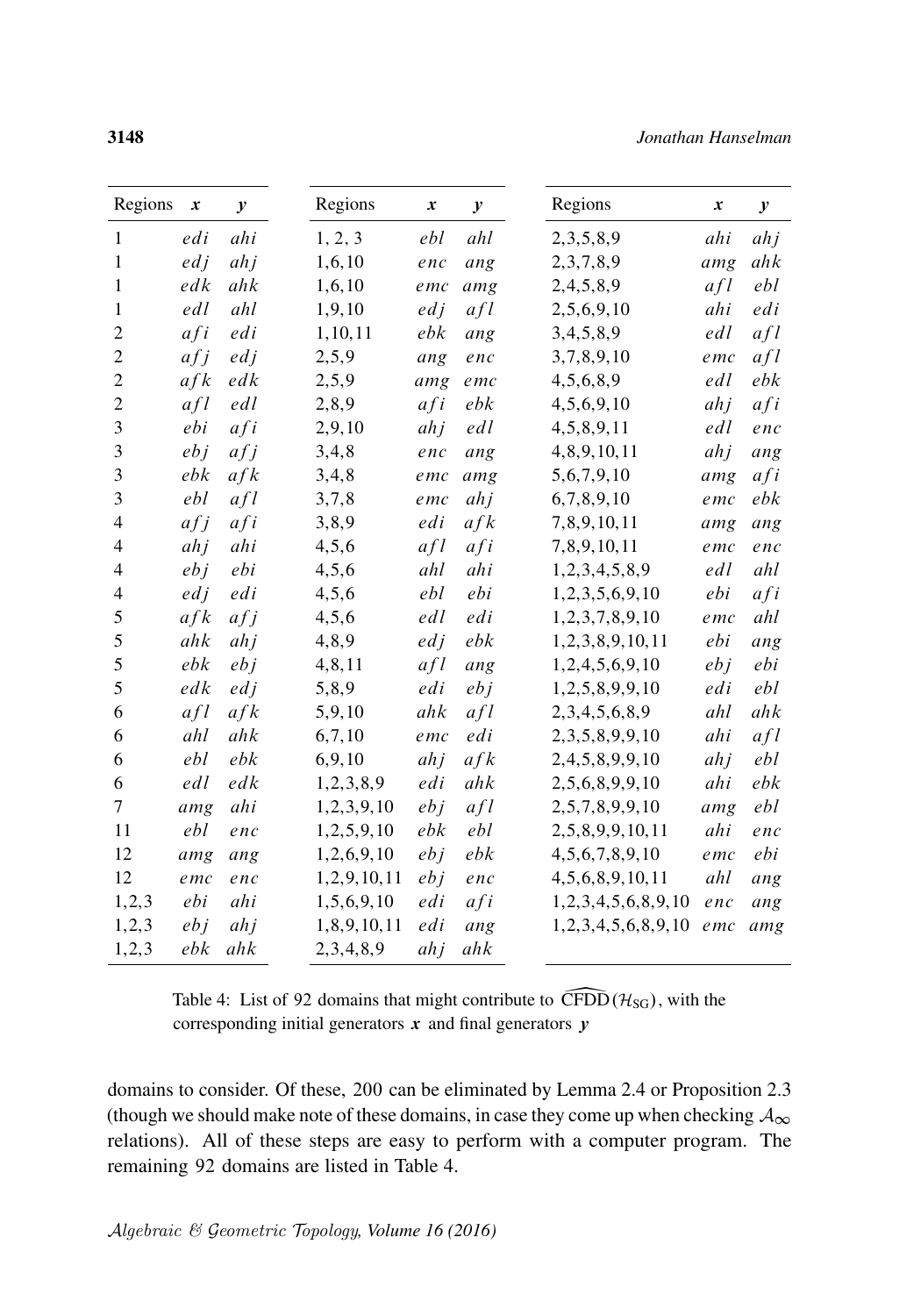<span id="page-45-0"></span>

| Regions        | $\boldsymbol{x}$ | $\mathcal{Y}$ | Regions       | $\boldsymbol{x}$ | $\boldsymbol{y}$ |
|----------------|------------------|---------------|---------------|------------------|------------------|
| 1              | edi              | ahi           | 1, 2, 3       | ebl              | ahl              |
| $\mathbf{1}$   | edj              | ahj           | 1, 6, 10      | enc              | ang              |
| $\mathbf{1}$   | edk              | ahk           | 1,6,10        | emc              | amg              |
| $\mathbf{1}$   | edl              | ahl           | 1,9,10        | edj              | afl              |
| $\overline{c}$ | afi              | edi           | 1, 10, 11     | ebk              | ang              |
| $\overline{2}$ | afj              | edj           | 2, 5, 9       | ang              | enc              |
| $\overline{c}$ | afk              | edk           | 2,5,9         | amg              | emc              |
| $\overline{c}$ | afl              | edl           | 2,8,9         | afi              | ebk              |
| 3              | ebi              | afi           | 2,9,10        | ahj              | edl              |
| $\mathfrak{Z}$ | ebj              | afj           | 3, 4, 8       | enc              | ang              |
| $\mathfrak{Z}$ | ebk              | afk           | 3, 4, 8       | emc              | amg              |
| 3              | ebl              | afl           | 3,7,8         | emc              | ahj              |
| $\overline{4}$ | afj              | afi           | 3,8,9         | edi              | afk              |
| 4              | ahj              | ahi           | 4, 5, 6       | afl              | afi              |
| 4              | ebj              | ebi           | 4, 5, 6       | ahl              | ahi              |
| 4              | edj              | edi           | 4, 5, 6       | ebl              | ebi              |
| 5              | afk              | afj           | 4, 5, 6       | edl              | edi              |
| 5              | ahk              | ahj           | 4,8,9         | edj              | ebk              |
| 5              | ebk              | ebj           | 4,8,11        | afl              | ang              |
| 5              | edk              | edj           | 5,8,9         | edi              | ebj              |
| 6              | afl              | afk           | 5,9,10        | ahk              | afl              |
| 6              | ahl              | ahk           | 6,7,10        | emc              | edi              |
| 6              | ebl              | ebk           | 6,9,10        | ahj              | afk              |
| 6              | edl              | edk           | 1,2,3,8,9     | edi              | ahk              |
| 7              | amg              | ahi           | 1,2,3,9,10    | eb j             | afl              |
| 11             | ebl              | enc           | 1,2,5,9,10    | ebk              | ebl              |
| 12             | amg              | ang           | 1,2,6,9,10    | ebj              | ebk              |
| 12             | emc              | enc           | 1,2,9,10,11   | ebj              | enc              |
| 1, 2, 3        | ebi              | ahi           | 1,5,6,9,10    | edi              | afi              |
| 1, 2, 3        | ebj              | ah j          | 1,8,9,10,11   | edi              | ang              |
| 1, 2, 3        | ebk              | ahk           | 2, 3, 4, 8, 9 | ahj              | ahk              |

Table 4: List of 92 domains that might contribute to  $\widehat{CFDD}(\mathcal{H}_{SG})$ , with the corresponding initial generators  $x$  and final generators  $y$ 

domains to consider. Of these, 200 can be eliminated by [Lemma 2.4](#page-14-0) or [Proposition 2.3](#page-13-0) (though we should make note of these domains, in case they come up when checking  $A_{\infty}$ ) relations). All of these steps are easy to perform with a computer program. The remaining 92 domains are listed in [Table 4.](#page-45-0)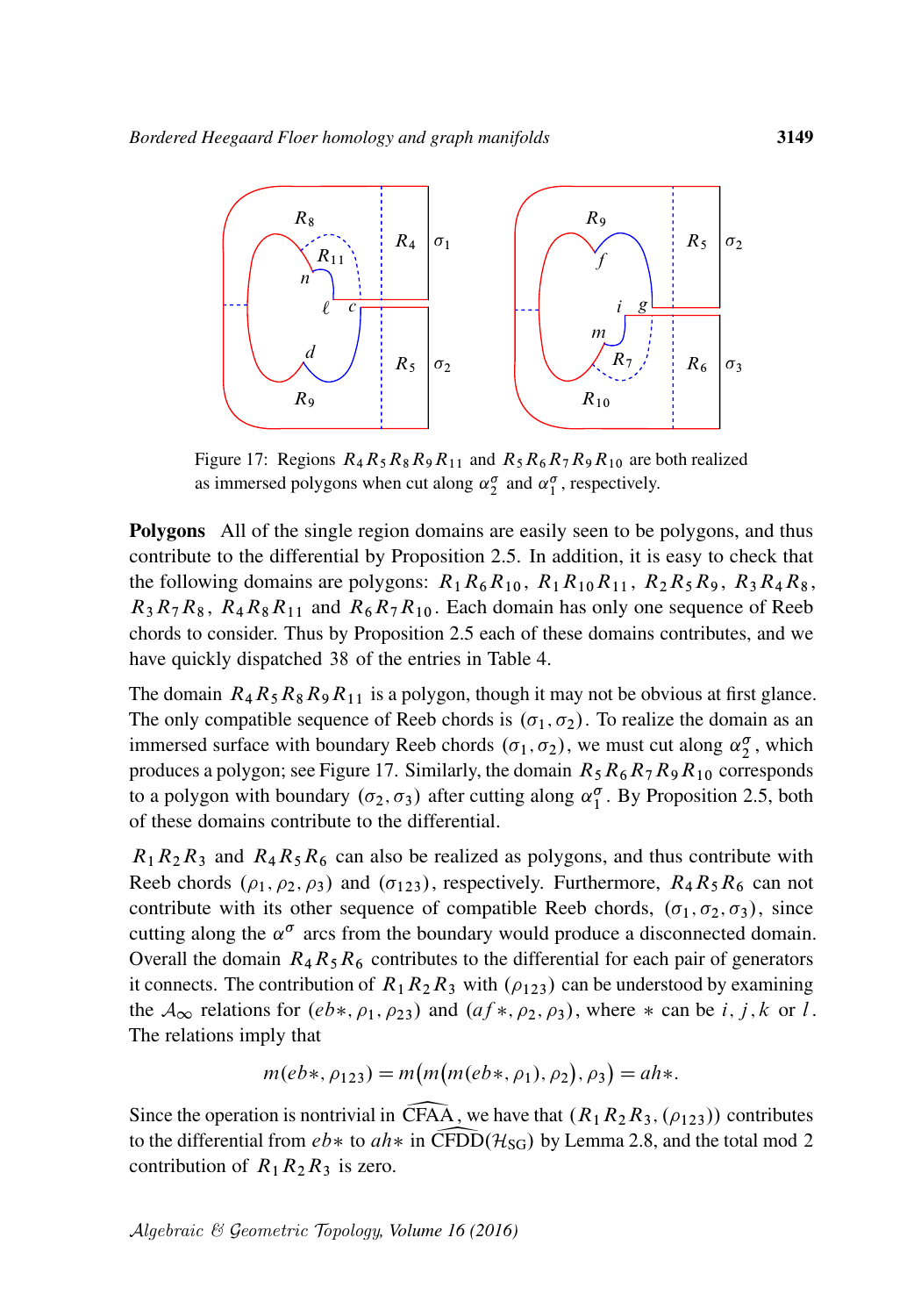<span id="page-46-0"></span>

Figure 17: Regions  $R_4R_5R_8R_9R_{11}$  and  $R_5R_6R_7R_9R_{10}$  are both realized as immersed polygons when cut along  $\alpha_2^{\sigma}$  and  $\alpha_1^{\sigma}$ , respectively.

Polygons All of the single region domains are easily seen to be polygons, and thus contribute to the differential by [Proposition 2.5.](#page-15-0) In addition, it is easy to check that the following domains are polygons:  $R_1R_6R_{10}$ ,  $R_1R_1_0R_{11}$ ,  $R_2R_5R_9$ ,  $R_3R_4R_8$ ,  $R_3R_7R_8$ ,  $R_4R_8R_{11}$  and  $R_6R_7R_{10}$ . Each domain has only one sequence of Reeb chords to consider. Thus by [Proposition 2.5](#page-15-0) each of these domains contributes, and we have quickly dispatched 38 of the entries in [Table 4.](#page-45-0)

The domain  $R_4R_5R_8R_9R_{11}$  is a polygon, though it may not be obvious at first glance. The only compatible sequence of Reeb chords is  $(\sigma_1, \sigma_2)$ . To realize the domain as an immersed surface with boundary Reeb chords  $(\sigma_1, \sigma_2)$ , we must cut along  $\alpha_2^{\sigma}$ , which produces a polygon; see [Figure 17.](#page-46-0) Similarly, the domain  $R_5R_6R_7R_9R_{10}$  corresponds to a polygon with boundary  $(\sigma_2, \sigma_3)$  after cutting along  $\alpha_1^{\sigma}$ . By [Proposition 2.5,](#page-15-0) both of these domains contribute to the differential.

 $R_1R_2R_3$  and  $R_4R_5R_6$  can also be realized as polygons, and thus contribute with Reeb chords  $(\rho_1, \rho_2, \rho_3)$  and  $(\sigma_{123})$ , respectively. Furthermore,  $R_4R_5R_6$  can not contribute with its other sequence of compatible Reeb chords,  $(\sigma_1, \sigma_2, \sigma_3)$ , since cutting along the  $\alpha^{\sigma}$  arcs from the boundary would produce a disconnected domain. Overall the domain  $R_4R_5R_6$  contributes to the differential for each pair of generators it connects. The contribution of  $R_1R_2R_3$  with  $(\rho_{123})$  can be understood by examining the  $A_{\infty}$  relations for  $(eb*, \rho_1, \rho_2)$  and  $(af*, \rho_2, \rho_3)$ , where  $*$  can be i, j, k or l. The relations imply that

$$
m(eb*, \rho_{123}) = m(m(m(eb*, \rho_1), \rho_2), \rho_3) = ah*.
$$

Since the operation is nontrivial in CFAA, we have that  $(R_1R_2R_3, (\rho_{123}))$  contributes to the differential from  $eb*$  to  $ah*$  in CFDD( $H_{SG}$ ) by [Lemma 2.8,](#page-19-0) and the total mod 2 contribution of  $R_1R_2R_3$  is zero.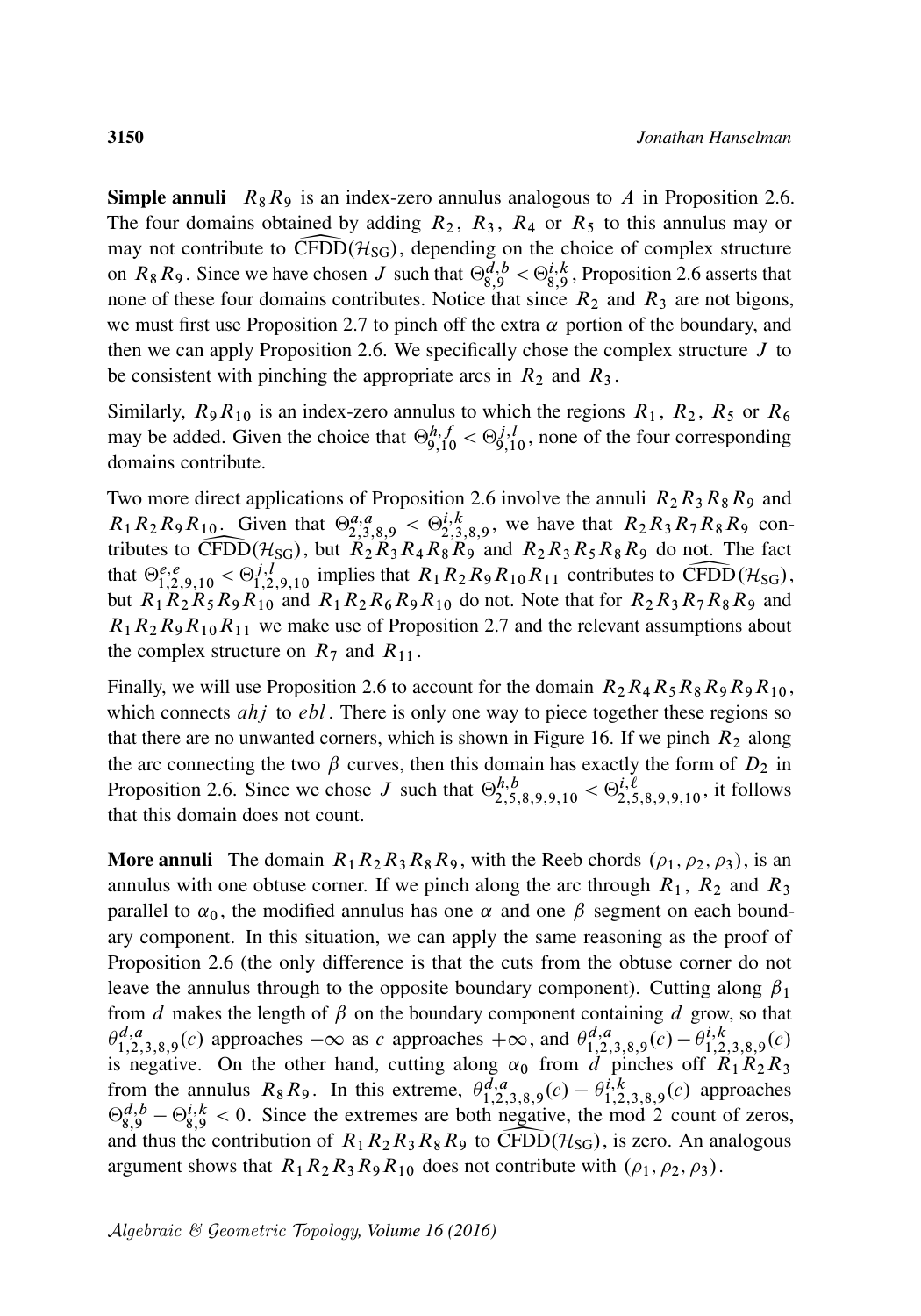**Simple annuli**  $R_8R_9$  is an index-zero annulus analogous to A in [Proposition 2.6.](#page-16-0) The four domains obtained by adding  $R_2$ ,  $R_3$ ,  $R_4$  or  $R_5$  to this annulus may or may not contribute to CFDD( $\mathcal{H}_{SG}$ ), depending on the choice of complex structure on  $R_8R_9$ . Since we have chosen J such that  $\Theta_{8,9}^{d,b} < \Theta_{8,9}^{i,k}$ , [Proposition 2.6](#page-16-0) asserts that none of these four domains contributes. Notice that since  $R_2$  and  $R_3$  are not bigons, we must first use [Proposition 2.7](#page-17-0) to pinch off the extra  $\alpha$  portion of the boundary, and then we can apply [Proposition 2.6.](#page-16-0) We specifically chose the complex structure  $J$  to be consistent with pinching the appropriate arcs in  $R_2$  and  $R_3$ .

Similarly,  $R_9R_{10}$  is an index-zero annulus to which the regions  $R_1$ ,  $R_2$ ,  $R_5$  or  $R_6$ may be added. Given the choice that  $\Theta_{9,10}^{h,f} < \Theta_{9,10}^{j,l}$ , none of the four corresponding domains contribute.

Two more direct applications of [Proposition 2.6](#page-16-0) involve the annuli  $R_2R_3R_8R_9$  and  $R_1R_2R_9R_{10}$ . Given that  $\Theta_{2,3,8,9}^{a,a} < \Theta_{2,3,8,9}^{i,k}$ , we have that  $R_2R_3R_7R_8R_9$  contributes to CFDD( $H_{SG}$ ), but  $R_2R_3R_4R_8R_9$  and  $R_2R_3R_5R_8R_9$  do not. The fact that  $\Theta_{1,2,9,10}^{e,e} < \Theta_{1,2,9,10}^{j,l}$  implies that  $R_1R_2R_9R_{10}R_{11}$  contributes to CFDD( $H_{SG}$ ), but  $R_1R_2R_5R_9R_{10}$  and but  $R_1R_2R_5R_9R_{10}$  and  $R_1R_2R_6R_9R_{10}$  do not. Note that for  $R_2R_3R_7R_8R_9$  and  $R_1R_2R_9R_{10}R_{11}$  we make use of [Proposition 2.7](#page-17-0) and the relevant assumptions about the complex structure on  $R_7$  and  $R_{11}$ .

Finally, we will use [Proposition 2.6](#page-16-0) to account for the domain  $R_2R_4R_5R_8R_9R_9R_{10}$ , which connects  $ahj$  to  $ebl$ . There is only one way to piece together these regions so that there are no unwanted corners, which is shown in [Figure 16.](#page-44-0) If we pinch  $R_2$  along the arc connecting the two  $\beta$  curves, then this domain has exactly the form of  $D_2$  in [Proposition 2.6.](#page-16-0) Since we chose J such that  $\Theta_{2,5,8,9,9,10}^{h,b} < \Theta_{2,5,8,9,9,10}^{i,\ell}$ , it follows that this domain does not count.

**More annuli** The domain  $R_1R_2R_3R_8R_9$ , with the Reeb chords  $(\rho_1, \rho_2, \rho_3)$ , is an annulus with one obtuse corner. If we pinch along the arc through  $R_1$ ,  $R_2$  and  $R_3$ parallel to  $\alpha_0$ , the modified annulus has one  $\alpha$  and one  $\beta$  segment on each boundary component. In this situation, we can apply the same reasoning as the proof of [Proposition 2.6](#page-16-0) (the only difference is that the cuts from the obtuse corner do not leave the annulus through to the opposite boundary component). Cutting along  $\beta_1$ from  $d$  makes the length of  $\beta$  on the boundary component containing  $d$  grow, so that  $\theta_{1,2,3,8,9}^{d,a}(c)$  approaches  $-\infty$  as c approaches  $+\infty$ , and  $\theta_{1,2,3,8,9}^{d,a}(c) - \theta_{1,2,3,8,9}^{i,k}(c)$ is negative. On the other hand, cutting along  $\alpha_0$  from d pinches off  $R_1R_2R_3$ from the annulus  $R_8R_9$ . In this extreme,  $\theta_{1,2,3,8,9}^{d,a}(c) - \theta_{1,2,3,8,9}^{i,k}(c)$  approaches  $\Theta_{8,9}^{d,b} - \Theta_{8,9}^{i,k}$  < 0. Since the extremes are both negative, the mod 2 count of zeros, and thus the contribution of  $R_1R_2R_3R_8R_9$  to  $\widehat{CFDD}(\mathcal{H}_{SG})$ , is zero. An analogous argument shows that  $R_1R_2R_3R_9R_{10}$  does not contribute with  $(\rho_1, \rho_2, \rho_3)$ .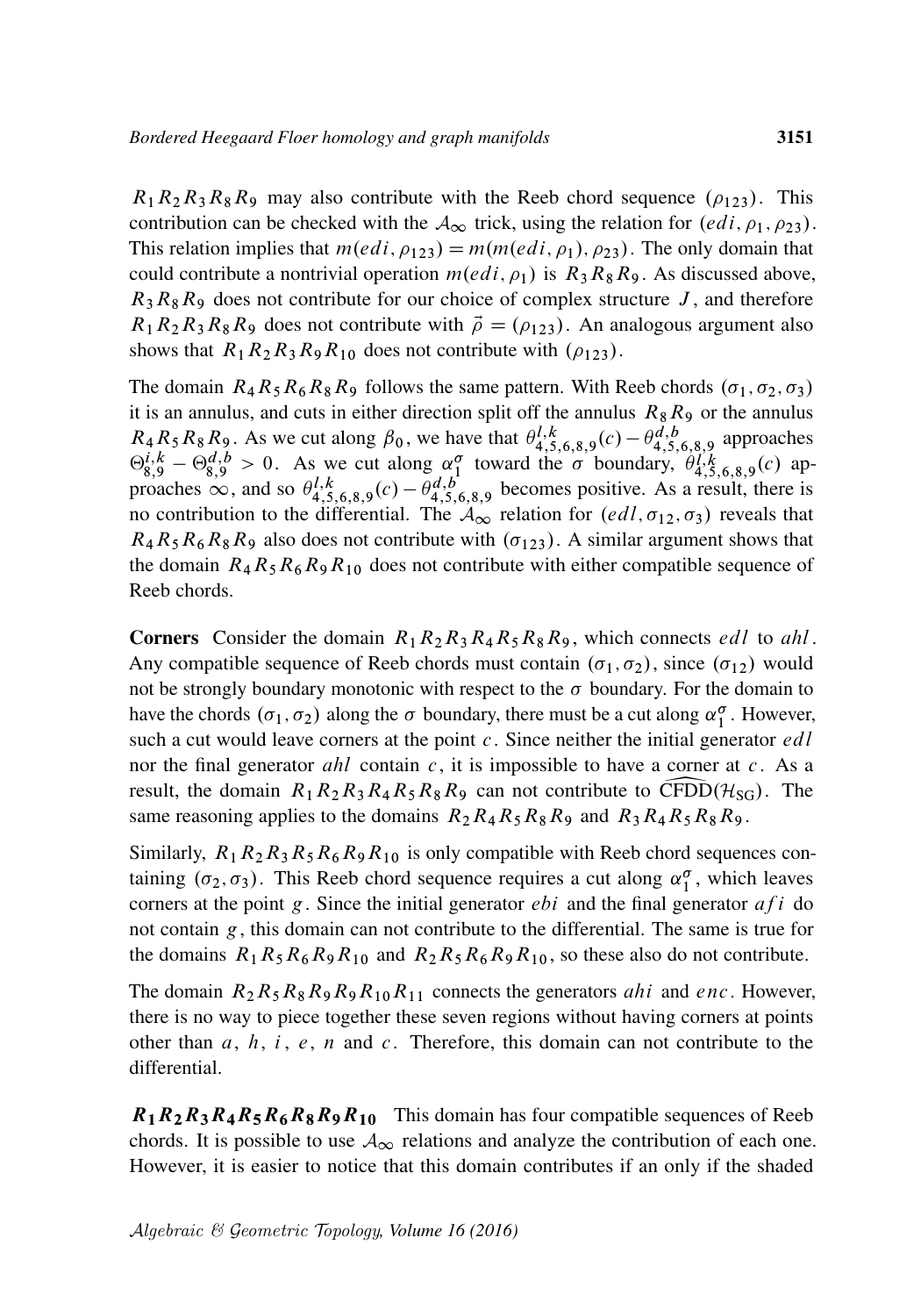$R_1R_2R_3R_8R_9$  may also contribute with the Reeb chord sequence  $(\rho_{123})$ . This contribution can be checked with the  $A_{\infty}$  trick, using the relation for  $(edi, \rho_1, \rho_2)$ . This relation implies that  $m(edi, \rho_{123}) = m(m(edi, \rho_1), \rho_{23})$ . The only domain that could contribute a nontrivial operation  $m(\dot{e}di, \rho_1)$  is  $R_3R_8R_9$ . As discussed above,  $R_3R_8R_9$  does not contribute for our choice of complex structure J, and therefore  $R_1R_2R_3R_8R_9$  does not contribute with  $\vec{\rho} = (\rho_{123})$ . An analogous argument also shows that  $R_1R_2R_3R_9R_{10}$  does not contribute with  $(\rho_{123})$ .

The domain  $R_4R_5R_6R_8R_9$  follows the same pattern. With Reeb chords  $(\sigma_1, \sigma_2, \sigma_3)$ it is an annulus, and cuts in either direction split off the annulus  $R_8R_9$  or the annulus  $R_4R_5R_8R_9$ . As we cut along  $\beta_0$ , we have that  $\theta^{l,k}_{4,5,6,8,9}(c) - \theta^{d,b}_{4,5,6,8,9}$  approaches  $\Theta_{8,9}^{i,k} - \Theta_{8,9}^{d,b} > 0$ . As we cut along  $\alpha_1^{\sigma}$  toward the  $\sigma$  boundary,  $\theta_{4,5,6,8,9}^{i,k}(c)$  approaches  $\infty$ , and so  $\theta^{l,k}_{4,5,6,8,9}(c) - \theta^{d,b}_{4,5,6,8,9}$  becomes positive. As a result, there is no contribution to the differential. The  $A_{\infty}$  relation for  $(edl, \sigma_{12}, \sigma_3)$  reveals that  $R_4R_5R_6R_8R_9$  also does not contribute with  $(\sigma_{123})$ . A similar argument shows that the domain  $R_4R_5R_6R_9R_{10}$  does not contribute with either compatible sequence of Reeb chords.

**Corners** Consider the domain  $R_1R_2R_3R_4R_5R_8R_9$ , which connects *edl* to *ahl*. Any compatible sequence of Reeb chords must contain  $(\sigma_1, \sigma_2)$ , since  $(\sigma_{12})$  would not be strongly boundary monotonic with respect to the  $\sigma$  boundary. For the domain to have the chords  $(\sigma_1, \sigma_2)$  along the  $\sigma$  boundary, there must be a cut along  $\alpha_1^{\sigma}$ . However, such a cut would leave corners at the point  $c$ . Since neither the initial generator  $edl$ nor the final generator *ahl* contain  $c$ , it is impossible to have a corner at  $c$ . As a result, the domain  $R_1R_2R_3R_4R_5R_8R_9$  can not contribute to CFDD( $\mathcal{H}_{SG}$ ). The same reasoning applies to the domains  $R_2R_4R_5R_8R_9$  and  $R_3R_4R_5R_8R_9$ .

Similarly,  $R_1R_2R_3R_5R_6R_9R_{10}$  is only compatible with Reeb chord sequences containing  $(\sigma_2, \sigma_3)$ . This Reeb chord sequence requires a cut along  $\alpha_1^{\sigma}$ , which leaves corners at the point g. Since the initial generator  $ebi$  and the final generator  $afi$  do not contain  $g$ , this domain can not contribute to the differential. The same is true for the domains  $R_1R_5R_6R_9R_{10}$  and  $R_2R_5R_6R_9R_{10}$ , so these also do not contribute.

The domain  $R_2R_5R_8R_9R_9R_{10}R_{11}$  connects the generators *ahi* and *enc*. However, there is no way to piece together these seven regions without having corners at points other than  $a, h, i, e, n$  and c. Therefore, this domain can not contribute to the differential.

 $R_1R_2R_3R_4R_5R_6R_8R_9R_{10}$  This domain has four compatible sequences of Reeb chords. It is possible to use  $\mathcal{A}_{\infty}$  relations and analyze the contribution of each one. However, it is easier to notice that this domain contributes if an only if the shaded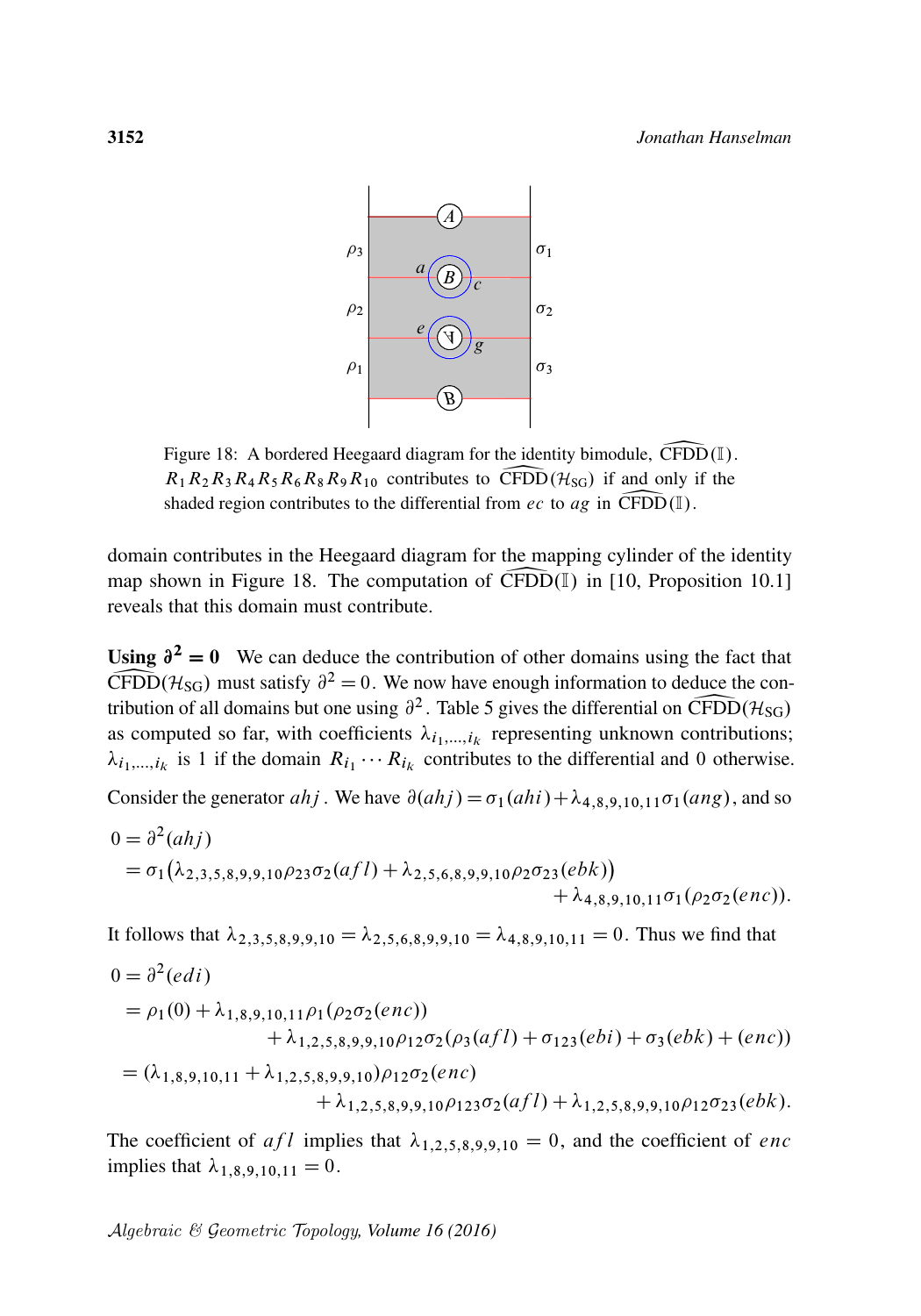<span id="page-49-0"></span>

Figure 18: A bordered Heegaard diagram for the identity bimodule,  $\widehat{\text{CFDD}}(\mathbb{I})$ .<br> $R_1 R_2 R_3 R_4 R_5 R_6 R_8 R_9 R_{10}$  contributes to  $\widehat{\text{CFDD}}(\mathcal{H}_{SG})$  if and only if the  $R_1R_2R_3R_4R_5R_6R_8R_9R_{10}$  contributes to CFDD( $H_{SG}$ ) if and only if the shaded region contributes to the differential from *ec* to *ag* in CFDD( $\mathbb{I}$ ). shaded region contributes to the differential from ec to ag in CFDD( $\mathbb{I}$ ).

domain contributes in the Heegaard diagram for the mapping cylinder of the identity map shown in [Figure 18.](#page-49-0) The computation of  $\widehat{CFDD}(\mathbb{I})$  in [\[10,](#page-62-16) Proposition 10.1] reveals that this domain must contribute.

Using  $\partial^2 = 0$  We can deduce the contribution of other domains using the fact that CFDD( $\mathcal{H}_{SG}$ ) must satisfy  $\partial^2 = 0$ . We n<br>tribution of all domains but one using  $\partial^2$  $\widehat{\text{CFDD}}(\mathcal{H}_{\text{SG}})$  must satisfy  $\partial^2 = 0$ . We now have enough information to deduce the contribution of all domains but one using  $\partial^2$ . [Table 5](#page-50-0) gives the differential on CFDD( $\mathcal{H}_{SG}$ ) as computed so far, with coefficients  $\lambda_{i_1,\dots,i_k}$  representing unknown contributions;  $\lambda_{i_1,\dots,i_k}$  is 1 if the domain  $R_{i_1}\cdots R_{i_k}$  contributes to the differential and 0 otherwise.

Consider the generator *ahj*. We have  $\partial(ahj) = \sigma_1(ahi) + \lambda_{4,8,9,10,11}\sigma_1(ang)$ , and so

$$
0 = \partial^2(ahj)
$$
  
=  $\sigma_1(\lambda_{2,3,5,8,9,9,10}\rho_{23}\sigma_2(afl) + \lambda_{2,5,6,8,9,9,10}\rho_2\sigma_{23}(ebk)) + \lambda_{4,8,9,10,11}\sigma_1(\rho_2\sigma_2(enc)).$ 

It follows that  $\lambda_{2,3,5,8,9,9,10} = \lambda_{2,5,6,8,9,9,10} = \lambda_{4,8,9,10,11} = 0$ . Thus we find that

$$
0 = \partial^2 (edi)
$$
  
=  $\rho_1(0) + \lambda_{1,8,9,10,11}\rho_1(\rho_2\sigma_2(enc))$   
+  $\lambda_{1,2,5,8,9,9,10}\rho_{12}\sigma_2(\rho_3(afl) + \sigma_{123}(ebi) + \sigma_3(ebk) + (enc))$   
=  $(\lambda_{1,8,9,10,11} + \lambda_{1,2,5,8,9,9,10})\rho_{12}\sigma_2(enc)$   
+  $\lambda_{1,2,5,8,9,9,10}\rho_{123}\sigma_2(afl) + \lambda_{1,2,5,8,9,9,10}\rho_{12}\sigma_{23}(ebk).$ 

The coefficient of afl implies that  $\lambda_{1,2,5,8,9,9,10} = 0$ , and the coefficient of enc implies that  $\lambda_{1,8,9,10,11} = 0$ .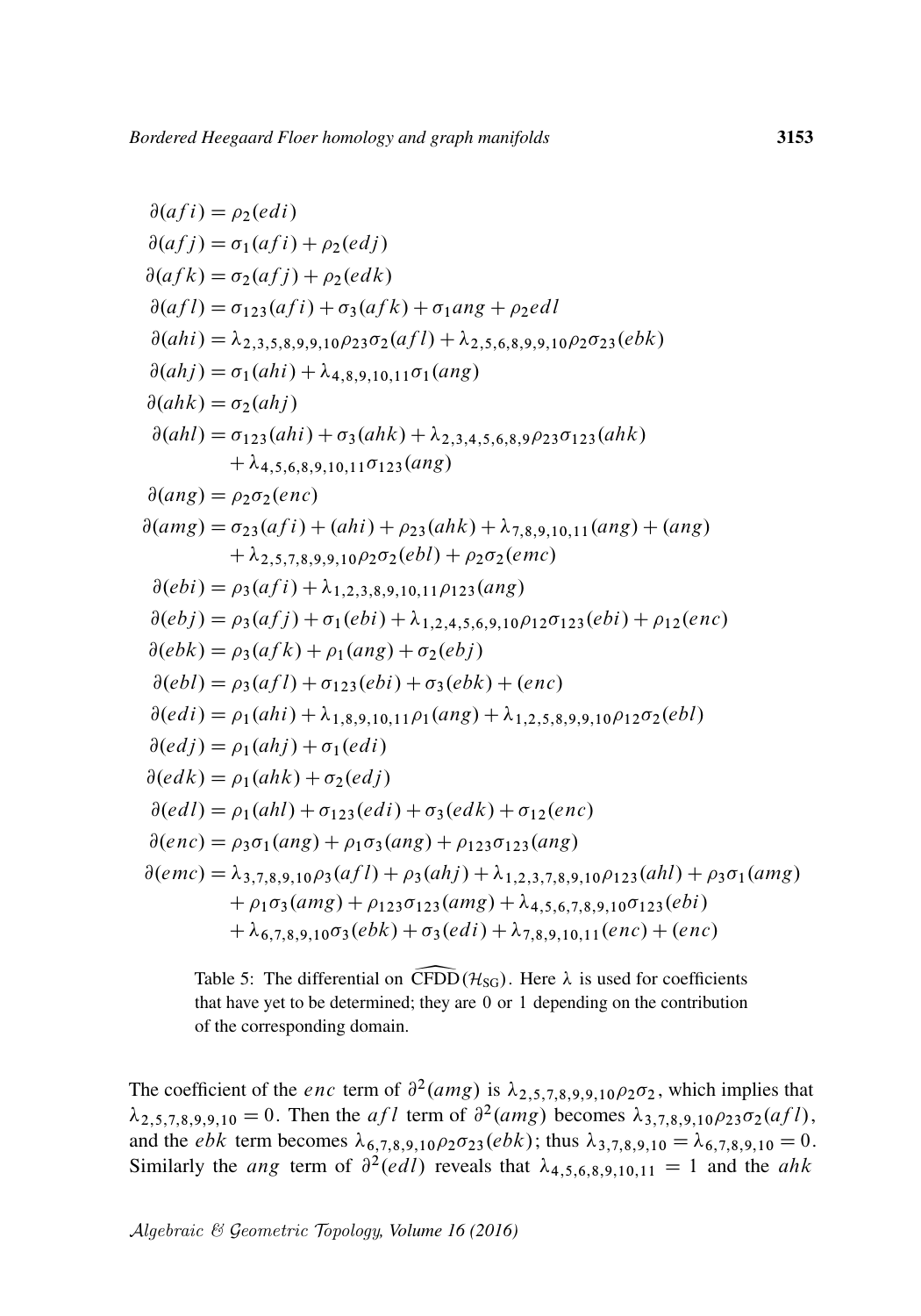<span id="page-50-0"></span>
$$
\partial(afj) = \rho_2(edi)
$$
  
\n
$$
\partial(afj) = \sigma_1(afi) + \rho_2(edi)
$$
  
\n
$$
\partial(afk) = \sigma_2(afi) + \rho_2(edk)
$$
  
\n
$$
\partial(afk) = \sigma_{123}(afi) + \sigma_3(afk) + \sigma_1ang + \rho_2ell
$$
  
\n
$$
\partial(ahi) = \lambda_{2,3,5,8,9,9,10}\rho_{23}\sigma_2(afl) + \lambda_{2,5,6,8,9,9,10}\rho_2\sigma_{23}(ebk)
$$
  
\n
$$
\partial(ahj) = \sigma_1(ahi) + \lambda_{4,8,9,10,11}\sigma_1(ang)
$$
  
\n
$$
\partial(ahk) = \sigma_2(ahj)
$$
  
\n
$$
\partial(ahl) = \sigma_{123}(ahi) + \sigma_3(ahk) + \lambda_{2,3,4,5,6,8,9}\rho_{23}\sigma_{123}(ahk)
$$
  
\n
$$
+ \lambda_{4,5,6,8,9,10,11}\sigma_{123}(ang)
$$
  
\n
$$
\partial(ang) = \rho_2\sigma_2(enc)
$$
  
\n
$$
\partial(ang) = \rho_2\sigma_2(enc)
$$
  
\n
$$
\partial(ang) = \sigma_{23}(afi) + (ahi) + \rho_{23}(ahk) + \lambda_{7,8,9,10,11}(ang) + (ang) + \lambda_{2,5,7,8,9,9,10}\rho_2\sigma_2(ebl) + \rho_2\sigma_2(emc)
$$
  
\n
$$
\partial(ebi) = \rho_3(afi) + \lambda_{1,2,3,8,9,10,11}\rho_{123}(ang)
$$
  
\n
$$
\partial(eebj) = \rho_3(afi) + \sigma_1(ebi) + \lambda_{1,2,4,5,6,9,10}\rho_{12}\sigma_{123}(ebi) + \rho_12(enc)
$$
  
\n
$$
\partial(ebk) = \rho_3(afk) + \rho_1(ang) + \sigma_2(ebj)
$$
  
\n
$$
\partial(ebl) = \rho_1(ahi) + \lambda_{1,8,9,10,11}\rho_1(ang) + \lambda_{1,2
$$

Table 5: The differential on CFDD( $\mathcal{H}_{SG}$ ). Here  $\lambda$  is used for coefficients that have yet to be determined; they are 0 or 1 depending on the contribution of the corresponding domain.

The coefficient of the *enc* term of  $\partial^2(amg)$  is  $\lambda_{2,5,7,8,9,9,10}\rho_2\sigma_2$ , which implies that  $\lambda_{2,5,7,8,9,9,10} = 0$ . Then the *af l* term of  $\partial^2(amg)$  becomes  $\lambda_{3,7,8,9,10}\rho_{23}\sigma_2(afl)$ , and the *ebk* term becomes  $\lambda_{6,7,8,9,10} \rho_2 \sigma_{23}(ebk)$ ; thus  $\lambda_{3,7,8,9,10} = \lambda_{6,7,8,9,10} = 0$ . Similarly the *ang* term of  $\partial^2 (e d l)$  reveals that  $\lambda_{4,5,6,8,9,10,11} = 1$  and the *ahk*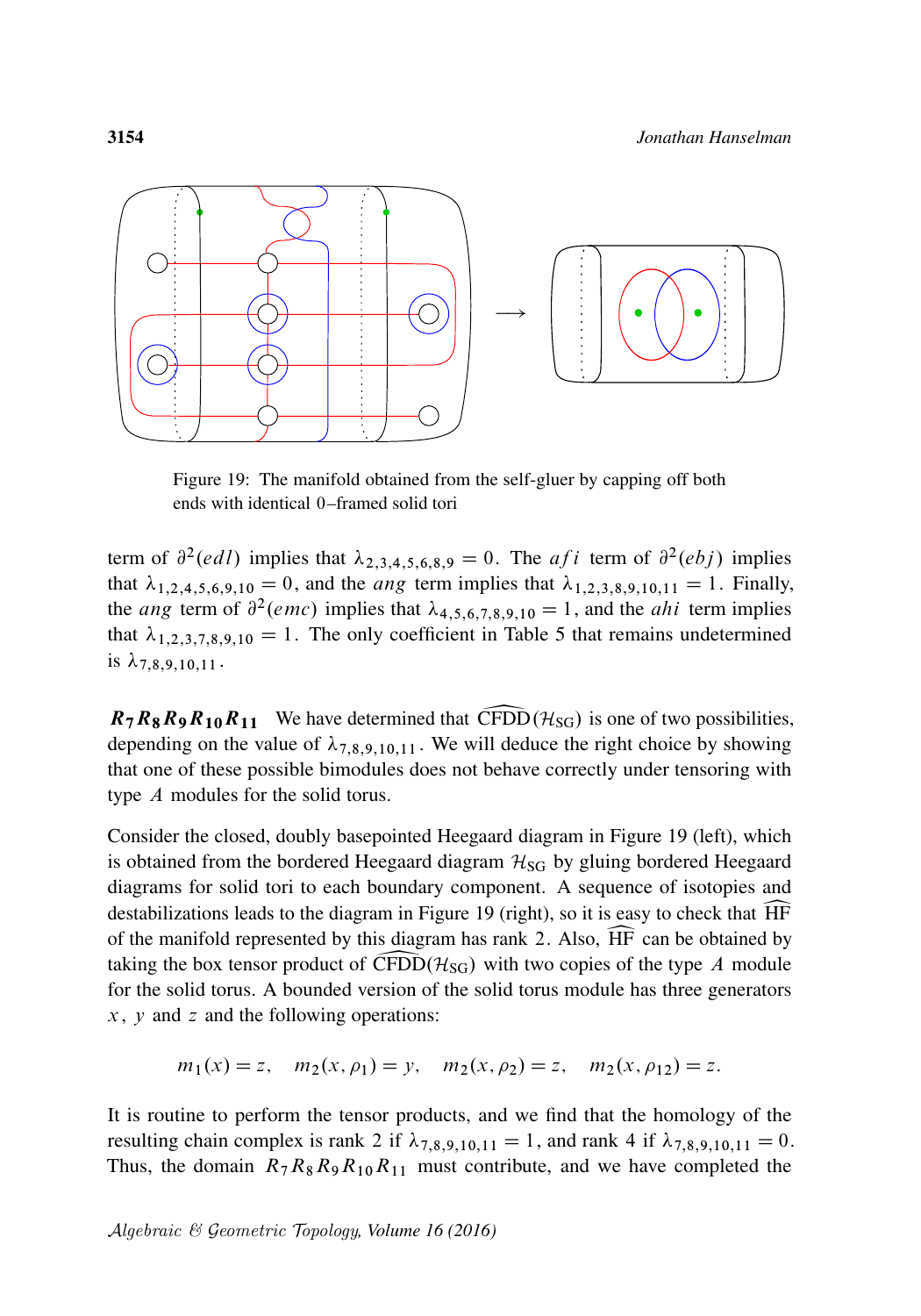<span id="page-51-0"></span>

Figure 19: The manifold obtained from the self-gluer by capping off both ends with identical 0–framed solid tori

term of  $\partial^2(edl)$  implies that  $\lambda_{2,3,4,5,6,8,9} = 0$ . The *af i* term of  $\partial^2(ebj)$  implies that  $\lambda_{1,2,4,5,6,9,10} = 0$ , and the *ang* term implies that  $\lambda_{1,2,3,8,9,10,11} = 1$ . Finally, the *ang* term of  $\partial^2$  (*emc*) implies that  $\lambda_{4,5,6,7,8,9,10} = 1$ , and the *ahi* term implies that  $\lambda_{1,2,3,7,8,9,10} = 1$ . The only coefficient in [Table 5](#page-50-0) that remains undetermined is  $\lambda_{7,8,9,10,11}$ .

 $R_7R_8R_9R_{10}R_{11}$  We have determined that CFDD( $\mathcal{H}_{SG}$ ) is one of two possibilities, depending on the value of  $\lambda_{7,8,9,10,11}$ . We will deduce the right choice by showing that one of these possible bimodules does not behave correctly under tensoring with type A modules for the solid torus.

Consider the closed, doubly basepointed Heegaard diagram in [Figure 19](#page-51-0) (left), which is obtained from the bordered Heegaard diagram  $H_{SG}$  by gluing bordered Heegaard diagrams for solid tori to each boundary component. A sequence of isotopies and destabilizations leads to the diagram in [Figure 19](#page-51-0) (right), so it is easy to check that  $\overline{HF}$  of the manifold represented by this diagram has rank 2. Also,  $\overline{HF}$  can be obtained by of the manifold represented by this diagram has rank 2. Also,  $\overline{HF}$  can be obtained by taking the box tensor product of  $\widehat{CFDD}(\mathcal{H}_{SG})$  with two copies of the type A module taking the box tensor product of  $CFDD(\mathcal{H}_{SG})$  with two copies of the type A module<br>for the solid torus. A bounded version of the solid torus module has three generators for the solid torus. A bounded version of the solid torus module has three generators  $x$ ,  $y$  and  $z$  and the following operations:

$$
m_1(x) = z
$$
,  $m_2(x, \rho_1) = y$ ,  $m_2(x, \rho_2) = z$ ,  $m_2(x, \rho_1) = z$ .

It is routine to perform the tensor products, and we find that the homology of the resulting chain complex is rank 2 if  $\lambda_{7,8,9,10,11} = 1$ , and rank 4 if  $\lambda_{7,8,9,10,11} = 0$ . Thus, the domain  $R_7R_8R_9R_{10}R_{11}$  must contribute, and we have completed the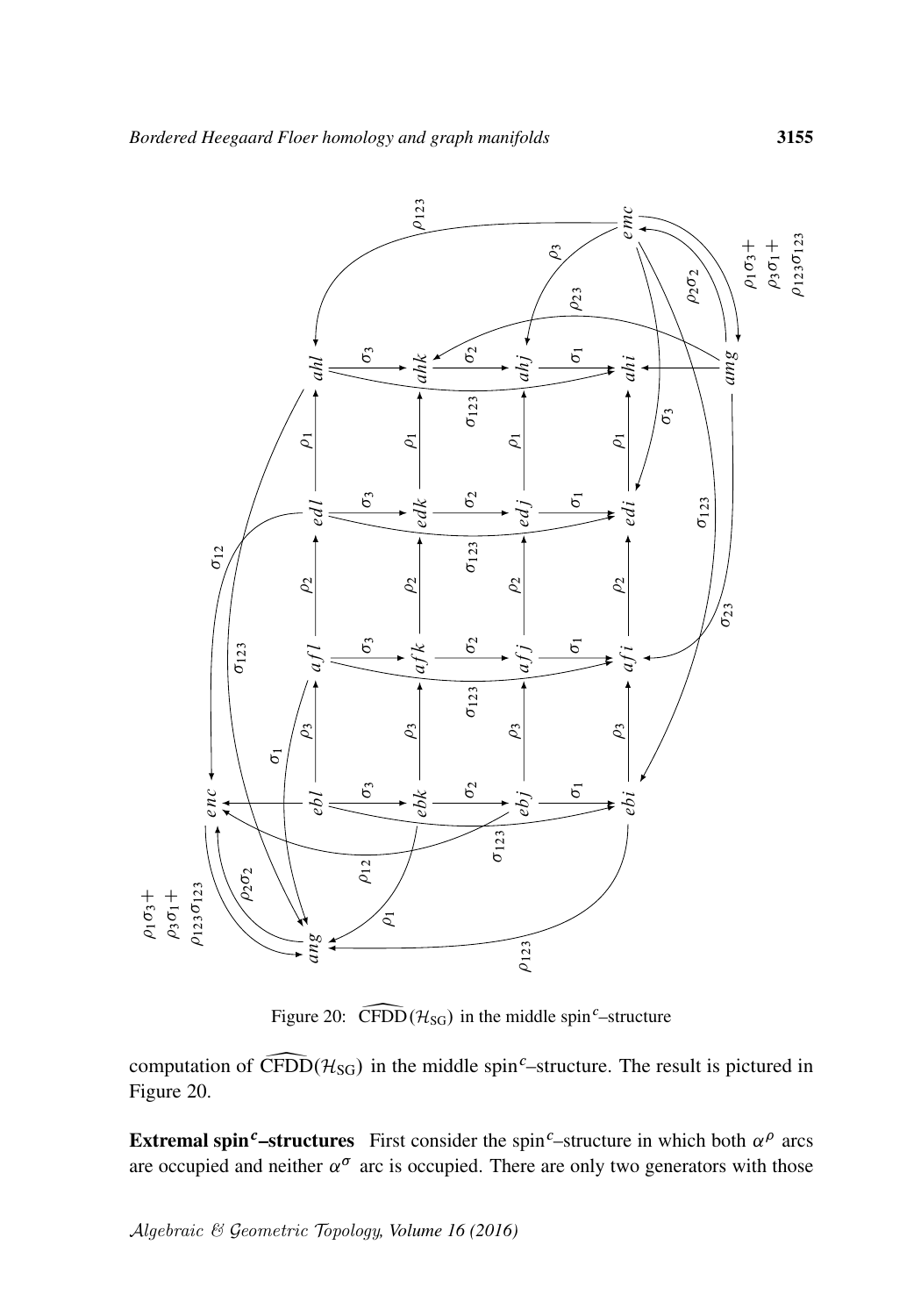<span id="page-52-0"></span>

Figure 20:  $\widehat{\text{CFDD}}(\mathcal{H}_{\text{SG}})$  in the middle spin<sup>c</sup>–structure

computation of  $\widehat{\text{CFDD}}(\mathcal{H}_{\text{SG}})$  in the middle spin<sup>c</sup>–structure. The result is pictured in [Figure 20.](#page-52-0)

**Extremal spin<sup>c</sup>-structures** First consider the spin<sup>c</sup>-structure in which both  $\alpha^{\rho}$  arcs are occupied and neither  $\alpha^{\sigma}$  arc is occupied. There are only two generators with those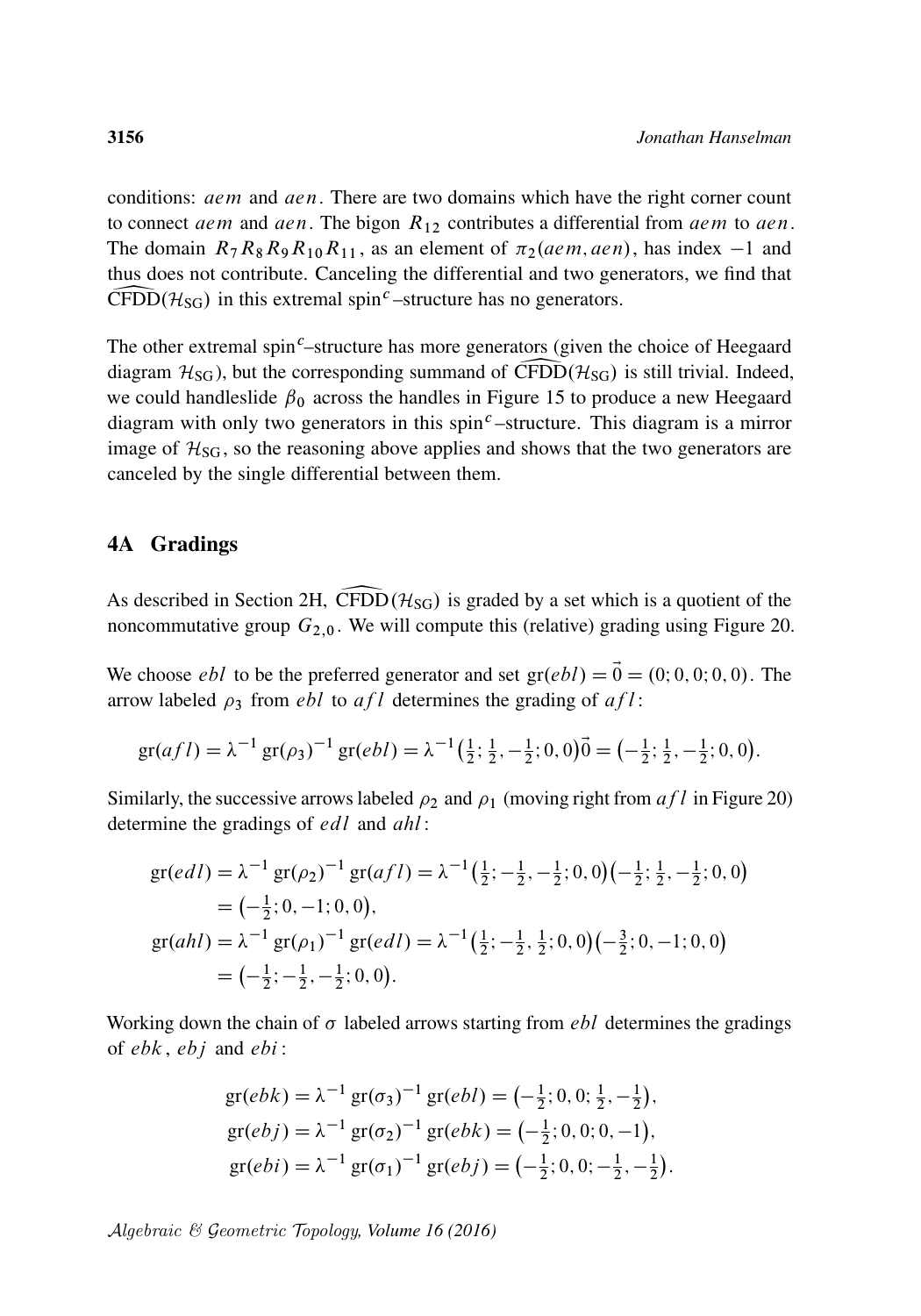conditions: *aem* and *aen*. There are two domains which have the right corner count to connect aem and aen. The bigon  $R_{12}$  contributes a differential from aem to aen. The domain  $R_7R_8R_9R_{10}R_{11}$ , as an element of  $\pi_2(aem, aen)$ , has index  $-1$  and thus does not contribute. Canceling the differential and two generators, we find that  $CFDD(\mathcal{H}_{SG})$  in this extremal spin<sup>c</sup>-structure has no generators.

The other extremal spin<sup>c</sup>–structure has more generators (given the choice of Heegaard diagram  $H_{SG}$ ), but the corresponding summand of CFDD( $H_{SG}$ ) is still trivial. Indeed, we could handleslide  $\beta_0$  across the handles in [Figure 15](#page-42-0) to produce a new Heegaard diagram with only two generators in this spin<sup> $c$ </sup> –structure. This diagram is a mirror image of  $H<sub>SG</sub>$ , so the reasoning above applies and shows that the two generators are canceled by the single differential between them.

#### 4A Gradings

As described in [Section 2H,](#page-20-0) CFDD( $H_{SG}$ ) is graded by a set which is a quotient of the noncommutative group  $G_{2,0}$ . We will compute this (relative) grading using [Figure 20.](#page-52-0)

We choose *ebl* to be the preferred generator and set  $gr(ebl) = \vec{0} = (0; 0, 0; 0, 0)$ . The arrow labeled  $\rho_3$  from *ebl* to *af l* determines the grading of *af l*:

$$
\mathrm{gr}(af\,l) = \lambda^{-1}\,\mathrm{gr}(\rho_3)^{-1}\,\mathrm{gr}(ebl) = \lambda^{-1}\left(\tfrac{1}{2};\tfrac{1}{2},-\tfrac{1}{2};0,0\right)\vec{0} = \left(-\tfrac{1}{2};\tfrac{1}{2},-\tfrac{1}{2};0,0\right).
$$

Similarly, the successive arrows labeled  $\rho_2$  and  $\rho_1$  (moving right from  $af l$  in [Figure 20\)](#page-52-0) determine the gradings of *edl* and *ahl*:

$$
gr(edl) = \lambda^{-1} gr(\rho_2)^{-1} gr(afl) = \lambda^{-1} (\frac{1}{2}; -\frac{1}{2}, -\frac{1}{2}; 0, 0) (-\frac{1}{2}; \frac{1}{2}, -\frac{1}{2}; 0, 0)
$$
  
= (-\frac{1}{2}; 0, -1; 0, 0),  

$$
gr(ahl) = \lambda^{-1} gr(\rho_1)^{-1} gr(edl) = \lambda^{-1} (\frac{1}{2}; -\frac{1}{2}, \frac{1}{2}; 0, 0) (-\frac{3}{2}; 0, -1; 0, 0)
$$
  
= (-\frac{1}{2}; -\frac{1}{2}, -\frac{1}{2}; 0, 0).

Working down the chain of  $\sigma$  labeled arrows starting from *ebl* determines the gradings of  $ebk$ ,  $ebj$  and  $ebi$ :

$$
gr(ebk) = \lambda^{-1} gr(\sigma_3)^{-1} gr(ebl) = (-\frac{1}{2}; 0, 0; \frac{1}{2}, -\frac{1}{2}),
$$
  
\n
$$
gr(ebj) = \lambda^{-1} gr(\sigma_2)^{-1} gr(ebk) = (-\frac{1}{2}; 0, 0; 0, -1),
$$
  
\n
$$
gr(ebi) = \lambda^{-1} gr(\sigma_1)^{-1} gr(ebj) = (-\frac{1}{2}; 0, 0; -\frac{1}{2}, -\frac{1}{2}).
$$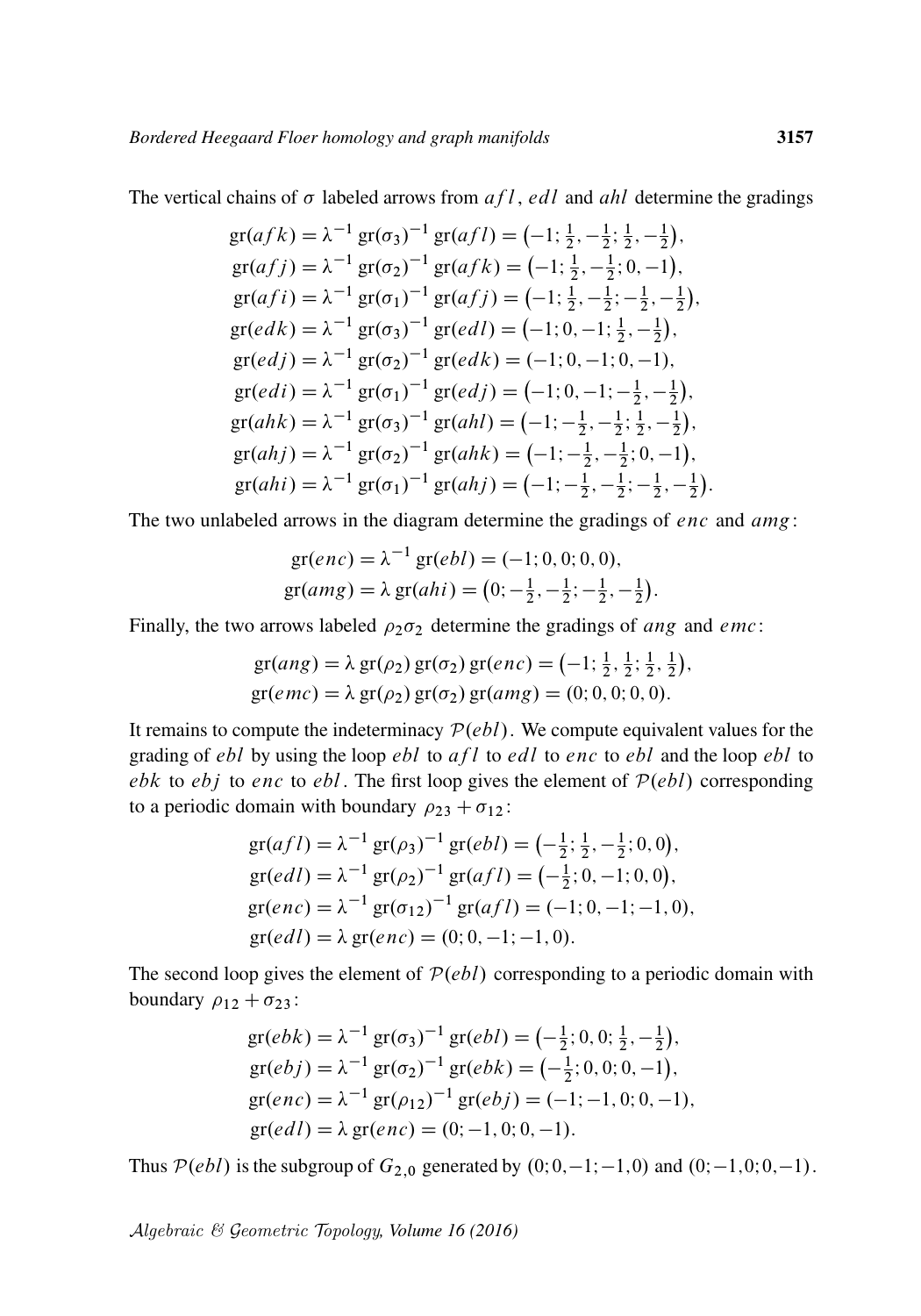The vertical chains of  $\sigma$  labeled arrows from  $af \, l$ , edl and ahl determine the gradings

$$
gr(afk) = \lambda^{-1} gr(\sigma_3)^{-1} gr(afl) = (-1; \frac{1}{2}, -\frac{1}{2}; \frac{1}{2}, -\frac{1}{2}),
$$
  
\n
$$
gr(afj) = \lambda^{-1} gr(\sigma_2)^{-1} gr(afk) = (-1; \frac{1}{2}, -\frac{1}{2}; 0, -1),
$$
  
\n
$$
gr(afi) = \lambda^{-1} gr(\sigma_1)^{-1} gr(afj) = (-1; \frac{1}{2}, -\frac{1}{2}; -\frac{1}{2}, -\frac{1}{2}),
$$
  
\n
$$
gr(edk) = \lambda^{-1} gr(\sigma_3)^{-1} gr(edl) = (-1; 0, -1; \frac{1}{2}, -\frac{1}{2}),
$$
  
\n
$$
gr(edj) = \lambda^{-1} gr(\sigma_2)^{-1} gr(edk) = (-1; 0, -1; 0, -1),
$$
  
\n
$$
gr(edi) = \lambda^{-1} gr(\sigma_1)^{-1} gr(edj) = (-1; 0, -1; -\frac{1}{2}, -\frac{1}{2}),
$$
  
\n
$$
gr(ahk) = \lambda^{-1} gr(\sigma_3)^{-1} gr(ahl) = (-1; -\frac{1}{2}, -\frac{1}{2}; \frac{1}{2}, -\frac{1}{2}),
$$
  
\n
$$
gr(ahj) = \lambda^{-1} gr(\sigma_2)^{-1} gr(ahk) = (-1; -\frac{1}{2}, -\frac{1}{2}; 0, -1),
$$
  
\n
$$
gr(ahi) = \lambda^{-1} gr(\sigma_1)^{-1} gr(ahj) = (-1; -\frac{1}{2}, -\frac{1}{2}; -\frac{1}{2}, -\frac{1}{2}).
$$

The two unlabeled arrows in the diagram determine the gradings of *enc* and *amg*:

$$
gr(enc) = \lambda^{-1} gr(ebl) = (-1; 0, 0; 0, 0),
$$
  
\n
$$
gr(amg) = \lambda gr(ahi) = (0; -\frac{1}{2}, -\frac{1}{2}; -\frac{1}{2}, -\frac{1}{2}).
$$

Finally, the two arrows labeled  $\rho_2 \sigma_2$  determine the gradings of ang and emc:

$$
gr(ang) = \lambda gr(\rho_2) gr(\sigma_2) gr(enc) = (-1; \frac{1}{2}, \frac{1}{2}; \frac{1}{2}, \frac{1}{2}),gr(emc) = \lambda gr(\rho_2) gr(\sigma_2) gr(amg) = (0; 0, 0; 0, 0).
$$

It remains to compute the indeterminacy  $P(ebl)$ . We compute equivalent values for the grading of  $ebl$  by using the loop  $ebl$  to  $afl$  to  $edl$  to  $enc$  to  $ebl$  and the loop  $ebl$  to ebk to ebj to enc to ebl. The first loop gives the element of  $P(ebl)$  corresponding to a periodic domain with boundary  $\rho_{23} + \sigma_{12}$ :

$$
gr(afl) = \lambda^{-1} gr(\rho_3)^{-1} gr(ebl) = (-\frac{1}{2}; \frac{1}{2}, -\frac{1}{2}; 0, 0),
$$
  
\n
$$
gr(edl) = \lambda^{-1} gr(\rho_2)^{-1} gr(afl) = (-\frac{1}{2}; 0, -1; 0, 0),
$$
  
\n
$$
gr(enc) = \lambda^{-1} gr(\sigma_{12})^{-1} gr(afl) = (-1; 0, -1; -1, 0),
$$
  
\n
$$
gr(edl) = \lambda gr(enc) = (0; 0, -1; -1, 0).
$$

The second loop gives the element of  $P(ebl)$  corresponding to a periodic domain with boundary  $\rho_{12} + \sigma_{23}$ :

$$
gr(ebk) = \lambda^{-1} gr(\sigma_3)^{-1} gr(ebl) = (-\frac{1}{2}; 0, 0; \frac{1}{2}, -\frac{1}{2}),
$$
  
\n
$$
gr(ebj) = \lambda^{-1} gr(\sigma_2)^{-1} gr(ebk) = (-\frac{1}{2}; 0, 0; 0, -1),
$$
  
\n
$$
gr(enc) = \lambda^{-1} gr(\rho_{12})^{-1} gr(ebj) = (-1; -1, 0; 0, -1),
$$
  
\n
$$
gr(edl) = \lambda gr(enc) = (0; -1, 0; 0, -1).
$$

Thus  $P(ebl)$  is the subgroup of  $G_{2,0}$  generated by  $(0;0,-1;-1,0)$  and  $(0;-1,0;0,-1)$ .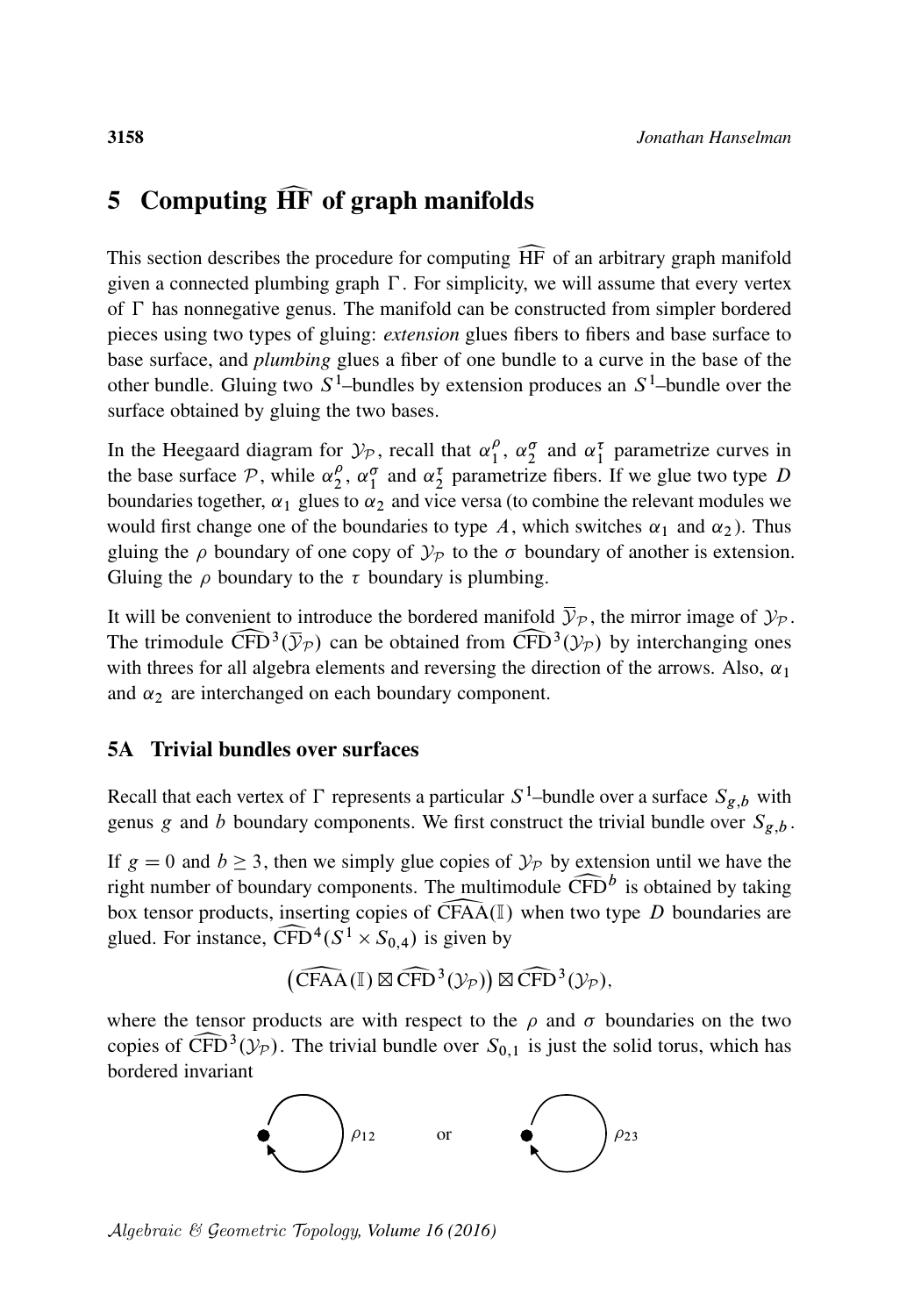# <span id="page-55-0"></span>5 Computing  $\widehat{HF}$  of graph manifolds

This section describes the procedure for computing HF of an arbitrary graph manifold given a connected plumbing graph  $\Gamma$ . For simplicity, we will assume that every vertex of  $\Gamma$  has nonnegative genus. The manifold can be constructed from simpler bordered pieces using two types of gluing: *extension* glues fibers to fibers and base surface to base surface, and *plumbing* glues a fiber of one bundle to a curve in the base of the other bundle. Gluing two  $S^1$ -bundles by extension produces an  $S^1$ -bundle over the surface obtained by gluing the two bases.

In the Heegaard diagram for  $\mathcal{Y}_p$ , recall that  $\alpha_1^{\rho}$  $\frac{\rho}{1}$ ,  $\alpha_2^{\sigma}$  and  $\alpha_1^{\tau}$  parametrize curves in the base surface  $P$ , while  $\alpha_2^{\rho}$  $_2^{\rho}$ ,  $\alpha_1^{\sigma}$  and  $\alpha_2^{\tau}$  parametrize fibers. If we glue two type D boundaries together,  $\alpha_1$  glues to  $\alpha_2$  and vice versa (to combine the relevant modules we would first change one of the boundaries to type A, which switches  $\alpha_1$  and  $\alpha_2$ ). Thus gluing the  $\rho$  boundary of one copy of  $\mathcal{Y}_P$  to the  $\sigma$  boundary of another is extension. Gluing the  $\rho$  boundary to the  $\tau$  boundary is plumbing.

It will be convenient to introduce the bordered manifold  $\bar{\mathcal{Y}}_{\mathcal{P}}$ , the mirror image of  $\mathcal{Y}_{\mathcal{P}}$ . The trimodule  $\widehat{\text{CFD}}^3(\overline{\mathcal{Y}}_{\mathcal{P}})$  can be obtained from  $\widehat{\text{CFD}}^3(\mathcal{Y}_{\mathcal{P}})$  by interchanging ones with threes for all algebra elements and reversing the direction of the arrows. Also,  $\alpha_1$ with threes for all algebra elements and reversing the direction of the arrows. Also,  $\alpha_1$ and  $\alpha_2$  are interchanged on each boundary component.

#### 5A Trivial bundles over surfaces

Recall that each vertex of  $\Gamma$  represents a particular  $S^1$ -bundle over a surface  $S_{g,b}$  with genus g and b boundary components. We first construct the trivial bundle over  $S_{g,b}$ .

If  $g = 0$  and  $b \ge 3$ , then we simply glue copies of  $\mathcal{Y}_P$  by extension until we have the right number of boundary components. The multimodule  $\widehat{CFD}^b$  box tensor products, inserting copies of  $\widehat{CFAA}(\mathbb{I})$  when two ty right number of boundary components. The multimodule  $\widehat{CFD}^b$  is obtained by taking box tensor products, inserting copies of CFAA(I) when two type D boundaries are glued. For instance,  $\widehat{CFD}^4(S^1 \times S_{0,4})$  is given by glued. For instance,  $\widehat{CFD}^4(S^1 \times S_{0,4})$  is given by

$$
\left(\widehat{\mathrm{CFAA}}(\mathbb{I})\boxtimes \widehat{\mathrm{CFD}}^3(\mathcal{Y}_\mathcal{P})\right) \boxtimes \widehat{\mathrm{CFD}}^3(\mathcal{Y}_\mathcal{P}),
$$

 $(\widehat{CFAA}(\mathbb{I}) \boxtimes \widehat{CFD}^3(\mathcal{Y}_P)) \boxtimes \widehat{CFD}^3(\mathcal{Y}_P)$ ,<br>where the tensor products are with respect to the  $\rho$  and  $\sigma$  boundaries on the two copies of  $\widehat{\text{CFD}}^3(\mathcal{Y}_P)$ . The trivial bundle over  $S_{0,1}$  is just the solid torus, which has bordered invariant bordered invariant

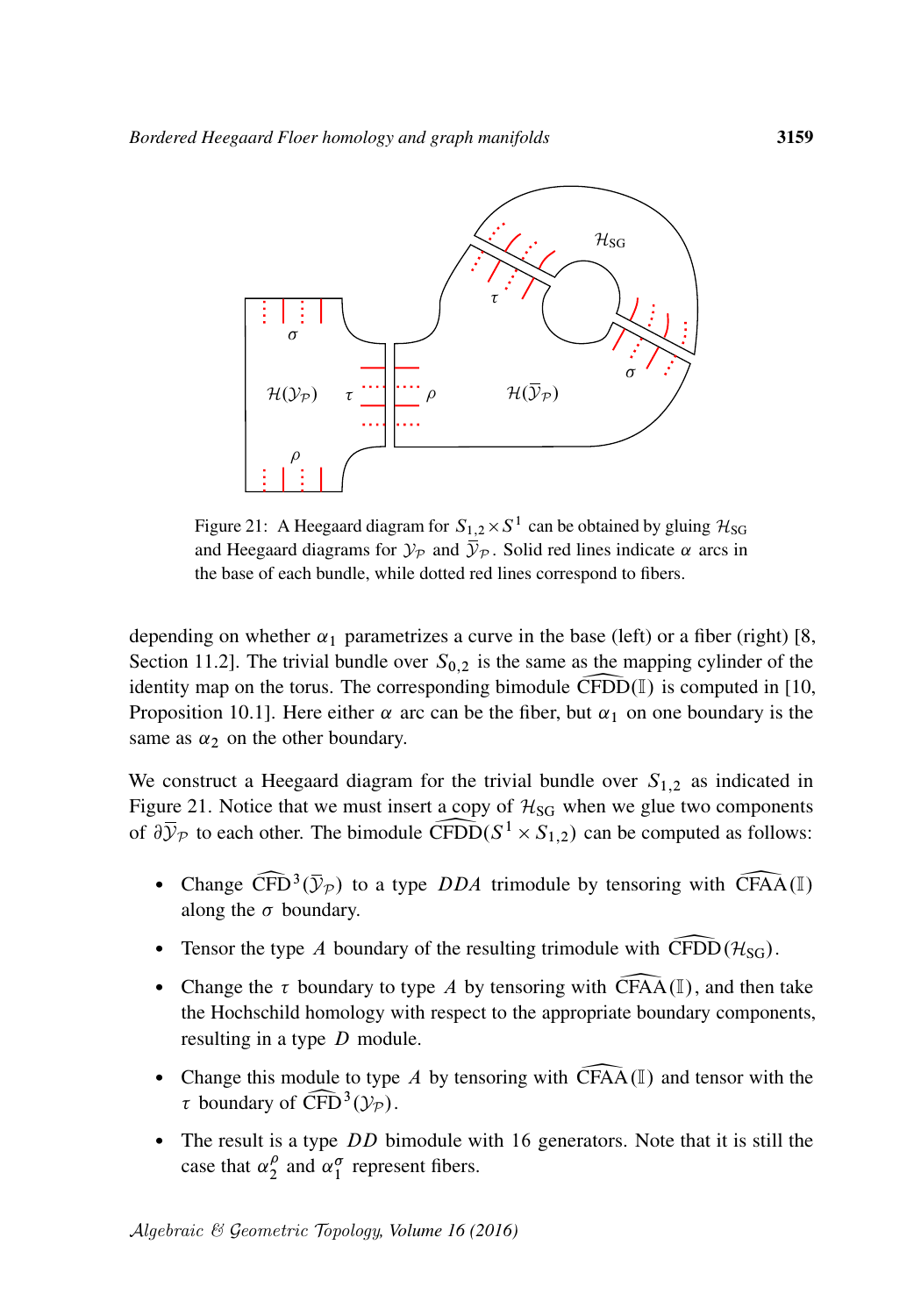<span id="page-56-0"></span>

Figure 21: A Heegaard diagram for  $S_{1,2} \times S^1$  can be obtained by gluing  $\mathcal{H}_{SG}$ and Heegaard diagrams for  $\mathcal{Y}_P$  and  $\bar{\mathcal{Y}}_P$ . Solid red lines indicate  $\alpha$  arcs in the base of each bundle, while dotted red lines correspond to fibers.

depending on whether  $\alpha_1$  parametrizes a curve in the base (left) or a fiber (right) [\[8,](#page-61-2) Section 11.2]. The trivial bundle over  $S_{0,2}$  is the same as the mapping cylinder of the identity map on the torus. The corresponding bimodule CFDD( $\mathbb{I}$ ) is computed in [\[10,](#page-62-16) Proposition 10.1]. Here either  $\alpha$  arc can be the fiber, but  $\alpha_1$  on one boundary is the same as  $\alpha_2$  on the other boundary.

We construct a Heegaard diagram for the trivial bundle over  $S_{1,2}$  as indicated in [Figure 21.](#page-56-0) Notice that we must insert a copy of  $H_{SG}$  when we glue two components of  $\partial \overline{Y}_{\mathcal{P}}$  to each other. The bimodule CFDD( $S^1 \times S_{1,2}$ ) can be computed as follows:

- Change  $\widehat{\text{CFD}}^3(\overline{\mathcal{Y}}_{\mathcal{P}})$  to a type *DDA* trimodule by tensoring with  $\widehat{\text{CFAA}}(\mathbb{I})$  along the  $\sigma$  boundary. along the  $\sigma$  boundary.
- Tensor the type A boundary of the resulting trimodule with  $\widehat{CFDD}(\mathcal{H}_{SG})$ .
- Change the  $\tau$  boundary to type A by tensoring with CFAA(I), and then take the Hochschild homology with respect to the appropriate boundary components, resulting in a type D module.
- Change this module to type A by tensoring with  $\widehat{CFAA}(\mathbb{I})$  and tensor with the  $\tau$  boundary of  $\widehat{\text{CFD}}^3(\mathcal{Y}_p)$ .<br>The result is a time, D.D. bit
- The result is a type DD bimodule with 16 generators. Note that it is still the case that  $\alpha_2^{\rho}$  $\int_{2}^{\rho}$  and  $\alpha_1^{\sigma}$  represent fibers.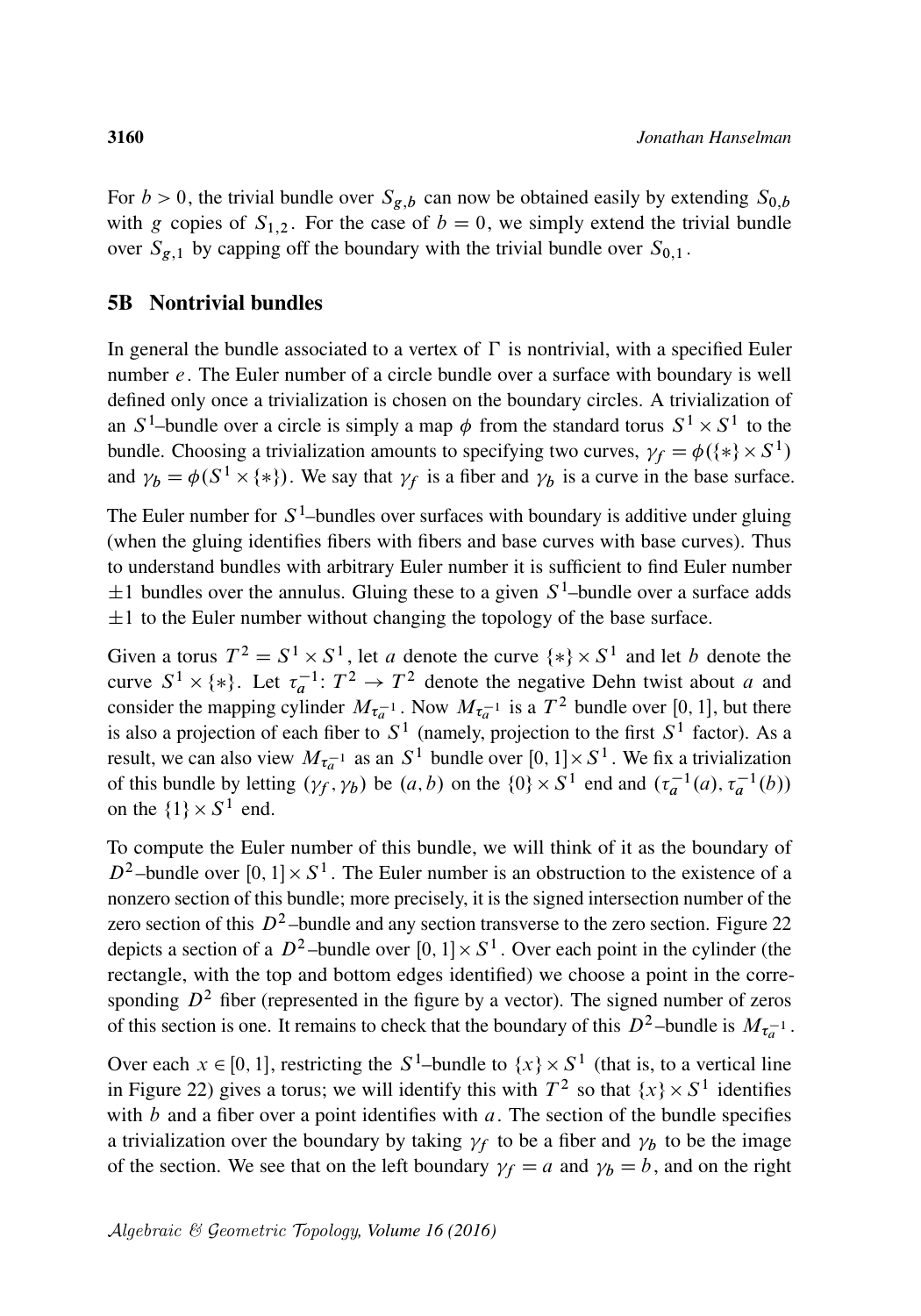For  $b > 0$ , the trivial bundle over  $S_{g,b}$  can now be obtained easily by extending  $S_{0,b}$ with g copies of  $S_{1,2}$ . For the case of  $b = 0$ , we simply extend the trivial bundle over  $S_{g,1}$  by capping off the boundary with the trivial bundle over  $S_{0,1}$ .

#### 5B Nontrivial bundles

In general the bundle associated to a vertex of  $\Gamma$  is nontrivial, with a specified Euler number e. The Euler number of a circle bundle over a surface with boundary is well defined only once a trivialization is chosen on the boundary circles. A trivialization of an  $S^1$ -bundle over a circle is simply a map  $\phi$  from the standard torus  $S^1 \times S^1$  to the bundle. Choosing a trivialization amounts to specifying two curves,  $\gamma_f = \phi(\{*\} \times S^1)$ and  $\gamma_b = \phi(S^1 \times \{*\})$ . We say that  $\gamma_f$  is a fiber and  $\gamma_b$  is a curve in the base surface.

The Euler number for  $S^1$ -bundles over surfaces with boundary is additive under gluing (when the gluing identifies fibers with fibers and base curves with base curves). Thus to understand bundles with arbitrary Euler number it is sufficient to find Euler number  $\pm 1$  bundles over the annulus. Gluing these to a given S<sup>1</sup>-bundle over a surface adds  $\pm 1$  to the Euler number without changing the topology of the base surface.

Given a torus  $T^2 = S^1 \times S^1$ , let a denote the curve  $\{*\} \times S^1$  and let b denote the curve  $S^1 \times \{*\}$ . Let  $\tau_a^{-1} : T^2 \to T^2$  denote the negative Dehn twist about a and consider the mapping cylinder  $M_{\tau_a^{-1}}$ . Now  $M_{\tau_a^{-1}}$  is a  $T^2$  bundle over [0, 1], but there is also a projection of each fiber to  $S^1$  (namely, projection to the first  $S^1$  factor). As a result, we can also view  $M_{\tau_a^{-1}}$  as an  $S^1$  bundle over  $[0, 1] \times S^1$ . We fix a trivialization of this bundle by letting  $(\gamma_f, \gamma_b)$  be  $(a, b)$  on the  $\{0\} \times S^1$  end and  $(\tau_a^{-1}(a), \tau_a^{-1}(b))$ on the  $\{1\} \times S^1$  end.

To compute the Euler number of this bundle, we will think of it as the boundary of  $D^2$ -bundle over  $[0, 1] \times S^1$ . The Euler number is an obstruction to the existence of a nonzero section of this bundle; more precisely, it is the signed intersection number of the zero section of this  $D^2$ -bundle and any section transverse to the zero section. [Figure 22](#page-58-0) depicts a section of a  $D^2$ -bundle over  $[0, 1] \times S^1$ . Over each point in the cylinder (the rectangle, with the top and bottom edges identified) we choose a point in the corresponding  $D^2$  fiber (represented in the figure by a vector). The signed number of zeros of this section is one. It remains to check that the boundary of this  $D^2$ -bundle is  $M_{\tau_a^{-1}}$ .

Over each  $x \in [0, 1]$ , restricting the  $S^1$ -bundle to  $\{x\} \times S^1$  (that is, to a vertical line in [Figure 22\)](#page-58-0) gives a torus; we will identify this with  $T^2$  so that  $\{x\} \times S^1$  identifies with  $b$  and a fiber over a point identifies with  $a$ . The section of the bundle specifies a trivialization over the boundary by taking  $\gamma_f$  to be a fiber and  $\gamma_b$  to be the image of the section. We see that on the left boundary  $\gamma_f = a$  and  $\gamma_b = b$ , and on the right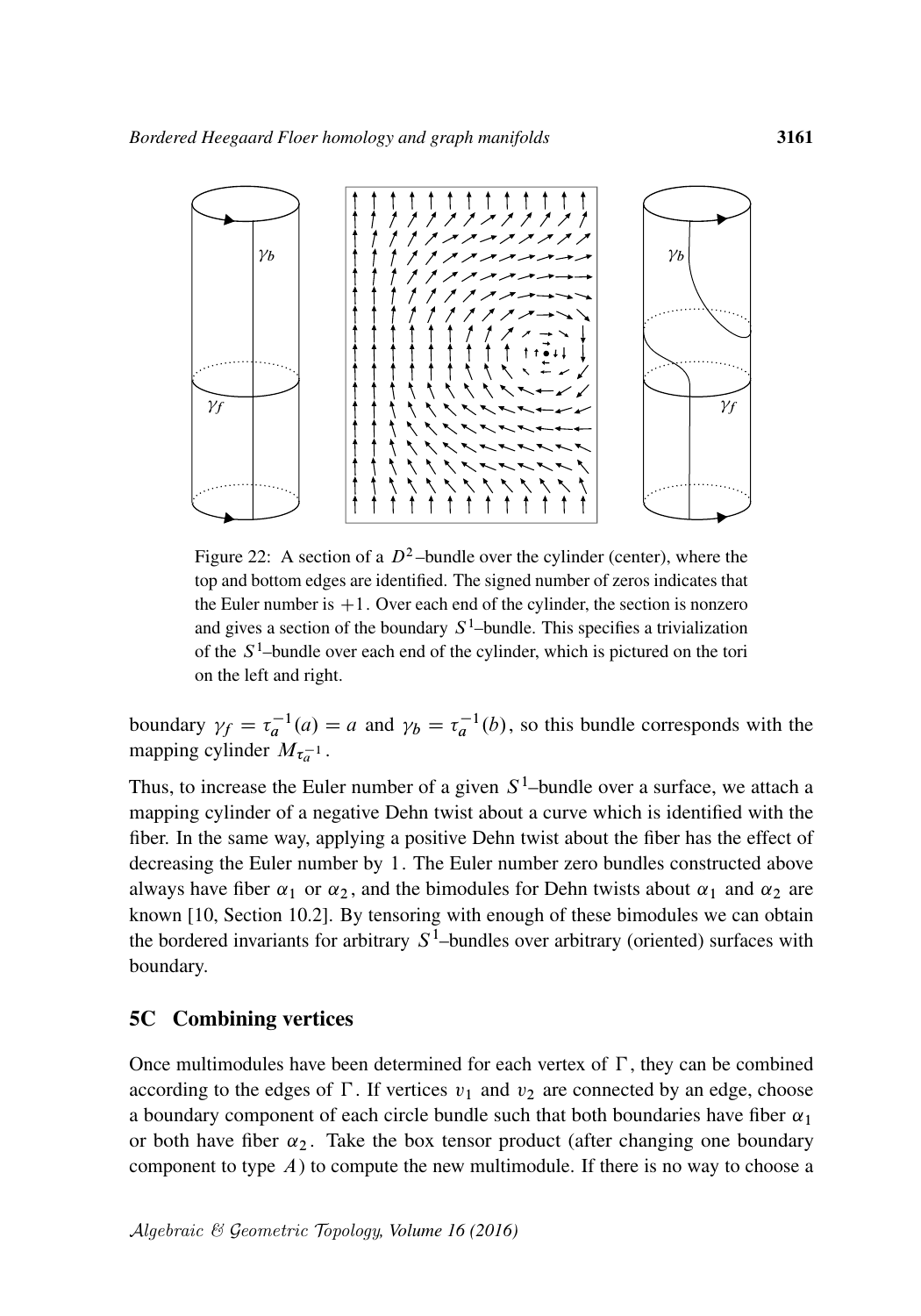<span id="page-58-0"></span>

Figure 22: A section of a  $D^2$ -bundle over the cylinder (center), where the top and bottom edges are identified. The signed number of zeros indicates that the Euler number is  $+1$ . Over each end of the cylinder, the section is nonzero and gives a section of the boundary  $S^1$ -bundle. This specifies a trivialization of the  $S<sup>1</sup>$ -bundle over each end of the cylinder, which is pictured on the tori on the left and right.

boundary  $\gamma_f = \tau_a^{-1}(a) = a$  and  $\gamma_b = \tau_a^{-1}(b)$ , so this bundle corresponds with the mapping cylinder  $M_{\tau_a^{-1}}$ .

Thus, to increase the Euler number of a given  $S^1$ -bundle over a surface, we attach a mapping cylinder of a negative Dehn twist about a curve which is identified with the fiber. In the same way, applying a positive Dehn twist about the fiber has the effect of decreasing the Euler number by 1. The Euler number zero bundles constructed above always have fiber  $\alpha_1$  or  $\alpha_2$ , and the bimodules for Dehn twists about  $\alpha_1$  and  $\alpha_2$  are known [\[10,](#page-62-16) Section 10.2]. By tensoring with enough of these bimodules we can obtain the bordered invariants for arbitrary  $S^1$ -bundles over arbitrary (oriented) surfaces with boundary.

#### 5C Combining vertices

Once multimodules have been determined for each vertex of  $\Gamma$ , they can be combined according to the edges of  $\Gamma$ . If vertices  $v_1$  and  $v_2$  are connected by an edge, choose a boundary component of each circle bundle such that both boundaries have fiber  $\alpha_1$ or both have fiber  $\alpha_2$ . Take the box tensor product (after changing one boundary component to type  $A$ ) to compute the new multimodule. If there is no way to choose a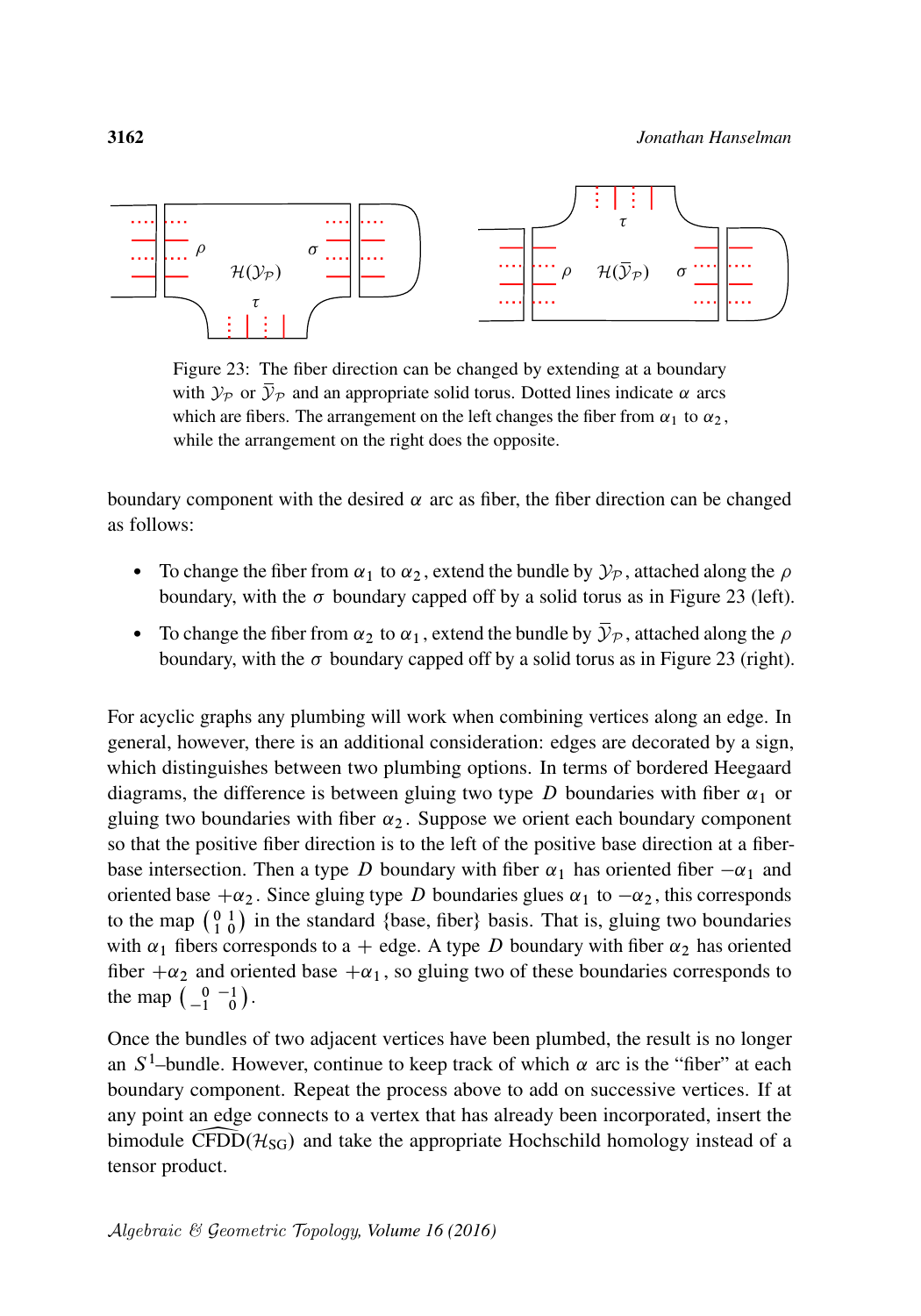<span id="page-59-0"></span>

Figure 23: The fiber direction can be changed by extending at a boundary with  $\mathcal{Y}_\mathcal{P}$  or  $\overline{\mathcal{Y}}_\mathcal{P}$  and an appropriate solid torus. Dotted lines indicate  $\alpha$  arcs which are fibers. The arrangement on the left changes the fiber from  $\alpha_1$  to  $\alpha_2$ , while the arrangement on the right does the opposite.

boundary component with the desired  $\alpha$  arc as fiber, the fiber direction can be changed as follows:

- To change the fiber from  $\alpha_1$  to  $\alpha_2$ , extend the bundle by  $\mathcal{Y}_P$ , attached along the  $\rho$ boundary, with the  $\sigma$  boundary capped off by a solid torus as in [Figure 23](#page-59-0) (left).
- To change the fiber from  $\alpha_2$  to  $\alpha_1$ , extend the bundle by  $\bar{\mathcal{Y}}_{\mathcal{P}}$ , attached along the  $\rho$ boundary, with the  $\sigma$  boundary capped off by a solid torus as in [Figure 23](#page-59-0) (right).

For acyclic graphs any plumbing will work when combining vertices along an edge. In general, however, there is an additional consideration: edges are decorated by a sign, which distinguishes between two plumbing options. In terms of bordered Heegaard diagrams, the difference is between gluing two type D boundaries with fiber  $\alpha_1$  or gluing two boundaries with fiber  $\alpha_2$ . Suppose we orient each boundary component so that the positive fiber direction is to the left of the positive base direction at a fiberbase intersection. Then a type D boundary with fiber  $\alpha_1$  has oriented fiber  $-\alpha_1$  and oriented base  $+\alpha_2$ . Since gluing type D boundaries glues  $\alpha_1$  to  $-\alpha_2$ , this corresponds to the map  $\begin{pmatrix} 0 & 1 \\ 1 & 0 \end{pmatrix}$  in the standard {base, fiber} basis. That is, gluing two boundaries with  $\alpha_1$  fibers corresponds to a + edge. A type D boundary with fiber  $\alpha_2$  has oriented fiber  $+\alpha_2$  and oriented base  $+\alpha_1$ , so gluing two of these boundaries corresponds to the map  $\begin{pmatrix} 0 & -1 \\ -1 & 0 \end{pmatrix}$ .

Once the bundles of two adjacent vertices have been plumbed, the result is no longer an  $S^1$ -bundle. However, continue to keep track of which  $\alpha$  arc is the "fiber" at each boundary component. Repeat the process above to add on successive vertices. If at any point an edge connects to a vertex that has already been incorporated, insert the bimodule CFDD $(H_{SG})$  and take the appropriate Hochschild homology instead of a tensor product.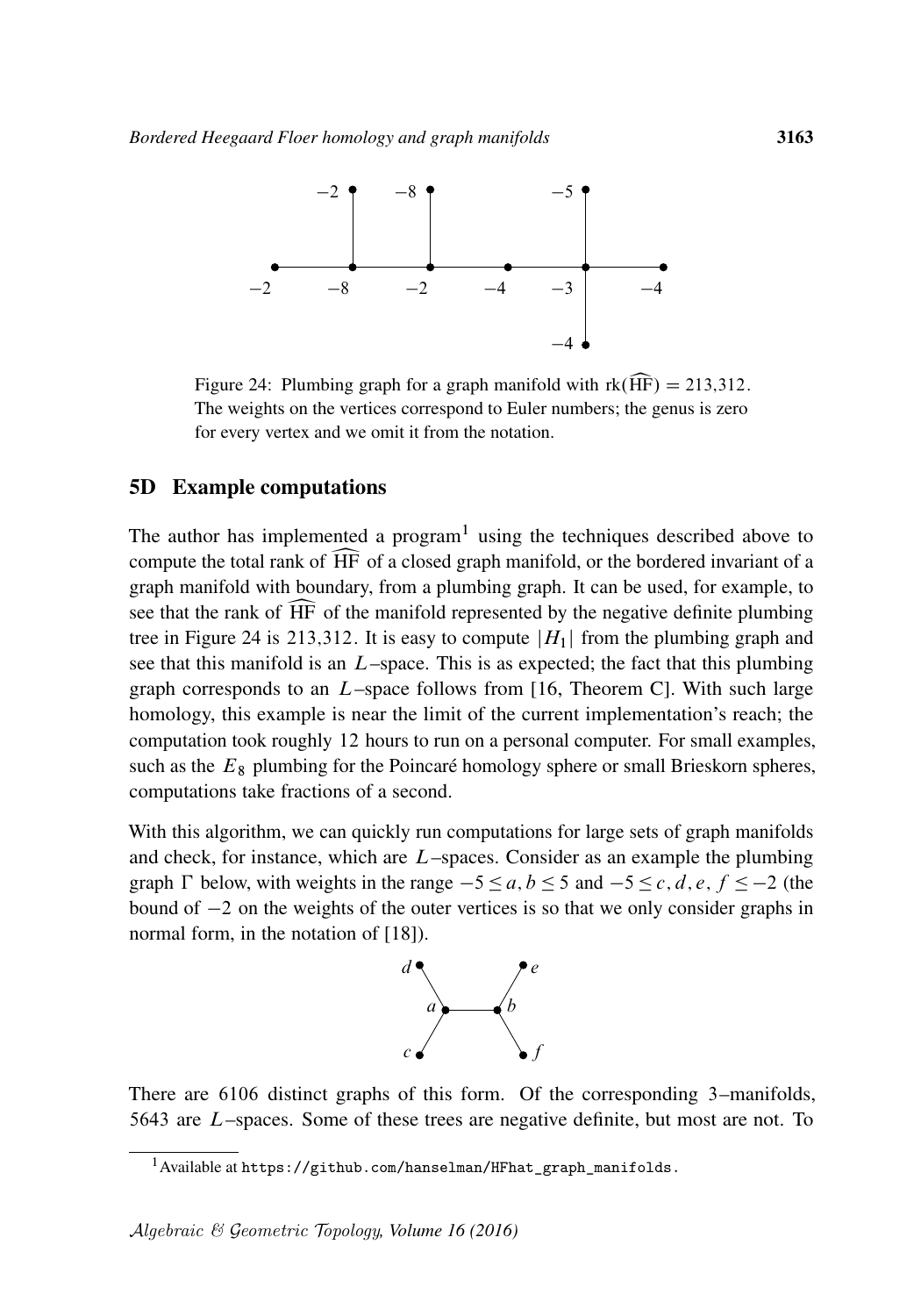<span id="page-60-0"></span>

Figure 24: Plumbing graph for a graph manifold with  $rk(\widehat{HF}) = 213,312$ . The weights on the vertices correspond to Euler numbers; the genus is zero for every vertex and we omit it from the notation.

#### 5D Example computations

The author has implemented a program<sup>[1](#page-60-1)</sup> using the techniques described above to compute the total rank of bHF of a closed graph manifold, or the bordered invariant of a graph manifold with boundary, from a plumbing graph. It can be used, for example, to see that the rank of HF of the manifold represented by the negative definite plumbing tree in [Figure 24](#page-60-0) is 213,312. It is easy to compute  $|H_1|$  from the plumbing graph and see that this manifold is an  $L$ –space. This is as expected; the fact that this plumbing graph corresponds to an  $L$ –space follows from [\[16,](#page-62-13) Theorem C]. With such large homology, this example is near the limit of the current implementation's reach; the computation took roughly 12 hours to run on a personal computer. For small examples, such as the  $E_8$  plumbing for the Poincaré homology sphere or small Brieskorn spheres, computations take fractions of a second.

With this algorithm, we can quickly run computations for large sets of graph manifolds and check, for instance, which are  $L$ –spaces. Consider as an example the plumbing graph  $\Gamma$  below, with weights in the range  $-5 \le a, b \le 5$  and  $-5 \le c, d, e, f \le -2$  (the bound of  $-2$  on the weights of the outer vertices is so that we only consider graphs in normal form, in the notation of [\[18\]](#page-62-15)).



There are 6106 distinct graphs of this form. Of the corresponding 3–manifolds, 5643 are L–spaces. Some of these trees are negative definite, but most are not. To

<span id="page-60-1"></span><sup>&</sup>lt;sup>1</sup>Available at [https://github.com/hanselman/HFhat\\_graph\\_manifolds.](https://github.com/hanselman/HFhat_graph_manifolds)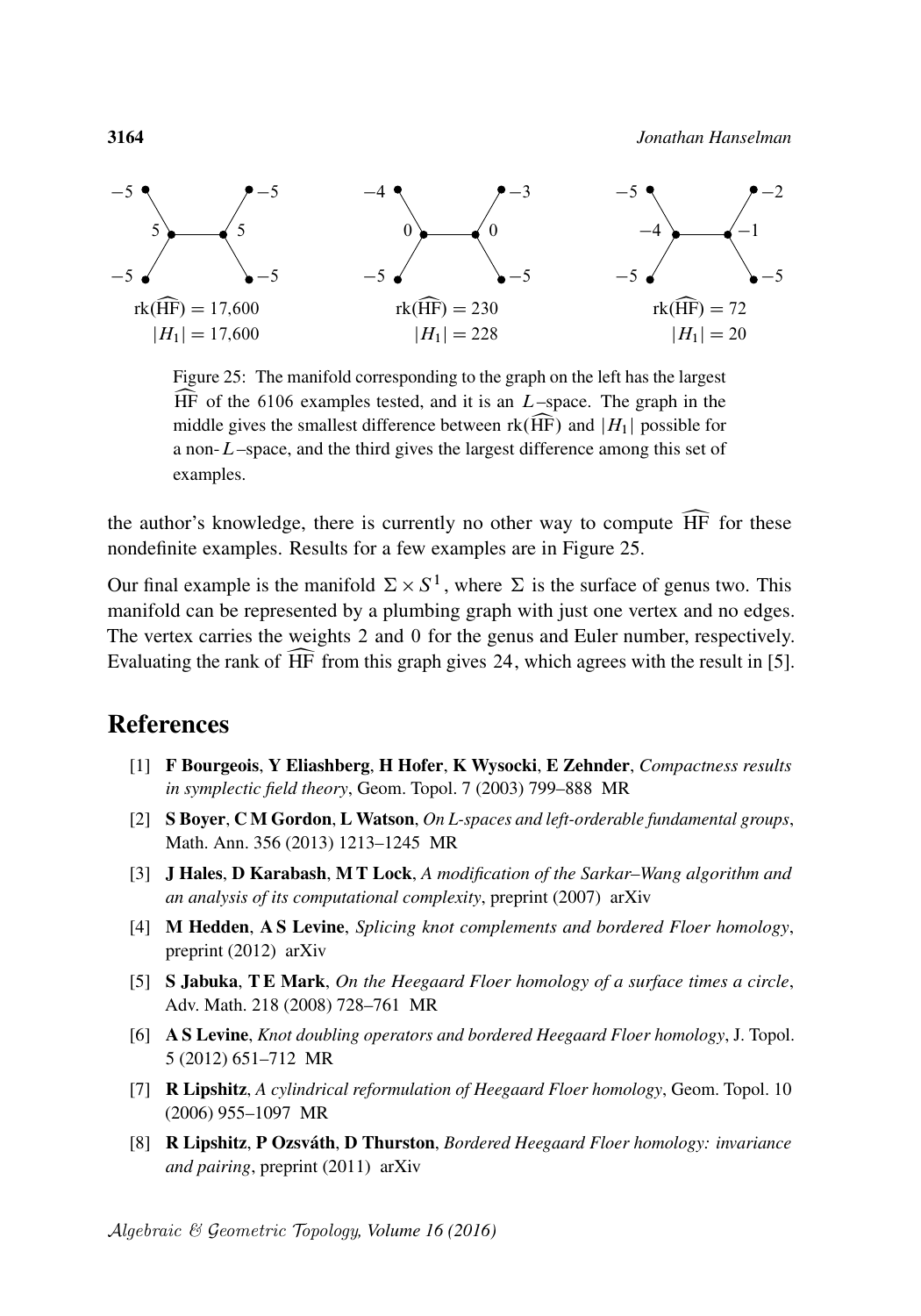<span id="page-61-7"></span>

Figure 25: The manifold corresponding to the graph on the left has the largest  $\widehat{HF}$  of the 6106 examples tested, and it is an  $L$ –space. The graph in the middle gives the smallest difference between  $rk(\widehat{HF})$  and  $|H_1|$  possible for a non-L–space, and the third gives the largest difference among this set of examples.

the author's knowledge, there is currently no other way to compute  $\widehat{HF}$  for these nondefinite examples. Results for a few examples are in [Figure 25.](#page-61-7)

Our final example is the manifold  $\Sigma \times S^1$ , where  $\Sigma$  is the surface of genus two. This manifold can be represented by a plumbing graph with just one vertex and no edges. The vertex carries the weights 2 and 0 for the genus and Euler number, respectively. Evaluating the rank of  $\overline{HF}$  from this graph gives 24, which agrees with the result in [\[5\]](#page-61-8).

### References

- <span id="page-61-6"></span>[1] F Bourgeois, Y Eliashberg, H Hofer, K Wysocki, E Zehnder, *[Compactness results](http://dx.doi.org/10.2140/gt.2003.7.799) [in symplectic field theory](http://dx.doi.org/10.2140/gt.2003.7.799)*, Geom. Topol. 7 (2003) 799–888 [MR](http://msp.org/idx/mr/2026549)
- <span id="page-61-1"></span>[2] S Boyer, C M Gordon, L Watson, *[On L-spaces and left-orderable fundamental groups](http://dx.doi.org/10.1007/s00208-012-0852-7)*, Math. Ann. 356 (2013) 1213–1245 [MR](http://msp.org/idx/mr/3072799)
- <span id="page-61-0"></span>[3] J Hales, D Karabash, M T Lock, *A modification of the Sarkar–Wang algorithm and an analysis of its computational complexity*, preprint (2007) [arXiv](http://msp.org/idx/arx/0711.4405)
- <span id="page-61-5"></span>[4] M Hedden, A S Levine, *Splicing knot complements and bordered Floer homology*, preprint (2012) [arXiv](http://msp.org/idx/arx/1210.7055)
- <span id="page-61-8"></span>[5] S Jabuka, T E Mark, *[On the Heegaard Floer homology of a surface times a circle](http://dx.doi.org/10.1016/j.aim.2008.01.009)*, Adv. Math. 218 (2008) 728–761 [MR](http://msp.org/idx/mr/2414320)
- <span id="page-61-3"></span>[6] A S Levine, *[Knot doubling operators and bordered Heegaard Floer homology](http://dx.doi.org/10.1112/jtopol/jts021)*, J. Topol. 5 (2012) 651–712 [MR](http://msp.org/idx/mr/2971610)
- <span id="page-61-4"></span>[7] R Lipshitz, *[A cylindrical reformulation of Heegaard Floer homology](http://dx.doi.org/10.2140/gt.2006.10.955)*, Geom. Topol. 10 (2006) 955–1097 [MR](http://msp.org/idx/mr/2240908)
- <span id="page-61-2"></span>[8] R Lipshitz, P Ozsváth, D Thurston, *Bordered Heegaard Floer homology: invariance and pairing*, preprint (2011) [arXiv](http://msp.org/idx/arx/0810.0687)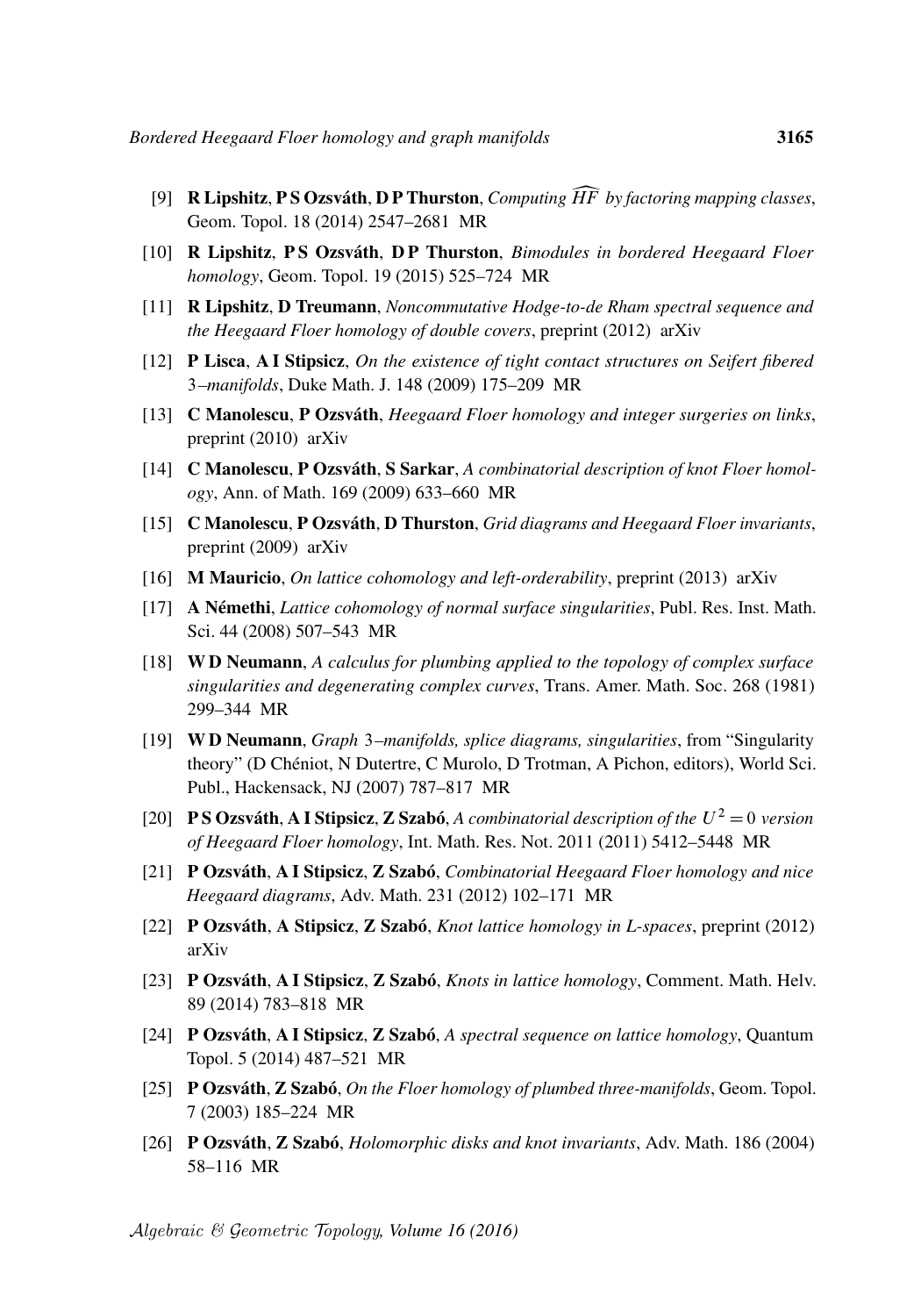- <span id="page-62-6"></span>[9] **R Lipshitz, P S Ozsváth, D P Thurston,** *Computing*  $\widehat{HF}$  [by factoring mapping classes](http://dx.doi.org/10.2140/gt.2014.18.2547), Geom. Topol. 18 (2014) 2547–2681 [MR](http://msp.org/idx/mr/3285222)
- <span id="page-62-16"></span>[10] R Lipshitz, P S Ozsváth, D P Thurston, *[Bimodules in bordered Heegaard Floer](http://dx.doi.org/10.2140/gt.2015.19.525) [homology](http://dx.doi.org/10.2140/gt.2015.19.525)*, Geom. Topol. 19 (2015) 525–724 [MR](http://msp.org/idx/mr/3336273)
- <span id="page-62-17"></span>[11] R Lipshitz, D Treumann, *Noncommutative Hodge-to-de Rham spectral sequence and the Heegaard Floer homology of double covers*, preprint (2012) [arXiv](http://msp.org/idx/arx/1203.2963)
- <span id="page-62-8"></span>[12] P Lisca, A I Stipsicz, *[On the existence of tight contact structures on Seifert fibered](http://dx.doi.org/10.1215/00127094-2009-024)* 3*[–manifolds](http://dx.doi.org/10.1215/00127094-2009-024)*, Duke Math. J. 148 (2009) 175–209 [MR](http://msp.org/idx/mr/2524494)
- <span id="page-62-4"></span>[13] C Manolescu, P Ozsváth, *Heegaard Floer homology and integer surgeries on links*, preprint (2010) [arXiv](http://msp.org/idx/arx/1011.1317)
- <span id="page-62-3"></span>[14] C Manolescu, P Ozsváth, S Sarkar, *[A combinatorial description of knot Floer homol](http://dx.doi.org/10.4007/annals.2009.169.633)[ogy](http://dx.doi.org/10.4007/annals.2009.169.633)*, Ann. of Math. 169 (2009) 633–660 [MR](http://msp.org/idx/mr/2480614)
- <span id="page-62-5"></span>[15] C Manolescu, P Ozsváth, D Thurston, *Grid diagrams and Heegaard Floer invariants*, preprint (2009) [arXiv](http://msp.org/idx/arx/0910.0078)
- <span id="page-62-13"></span>[16] M Mauricio, *On lattice cohomology and left-orderability*, preprint (2013) [arXiv](http://msp.org/idx/arx/1308.1890)
- <span id="page-62-9"></span>[17] A Némethi, *[Lattice cohomology of normal surface singularities](http://dx.doi.org/10.2977/prims/1210167336)*, Publ. Res. Inst. Math. Sci. 44 (2008) 507–543 [MR](http://msp.org/idx/mr/2426357)
- <span id="page-62-15"></span>[18] W D Neumann, *[A calculus for plumbing applied to the topology of complex surface](http://dx.doi.org/10.2307/1999331) [singularities and degenerating complex curves](http://dx.doi.org/10.2307/1999331)*, Trans. Amer. Math. Soc. 268 (1981) 299–344 [MR](http://msp.org/idx/mr/632532)
- <span id="page-62-14"></span>[19] W D Neumann, *Graph* 3*[–manifolds, splice diagrams, singularities](http://dx.doi.org/10.1142/9789812707499_0034)*, from "Singularity theory" (D Chéniot, N Dutertre, C Murolo, D Trotman, A Pichon, editors), World Sci. Publ., Hackensack, NJ (2007) 787–817 [MR](http://msp.org/idx/mr/2342940)
- <span id="page-62-1"></span>[20] **PS Ozsváth, A I Stipsicz, Z Szabó,** [A combinatorial description of the](http://dx.doi.org/10.1093/imrn/rnq182)  $U^2 = 0$  version *[of Heegaard Floer homology](http://dx.doi.org/10.1093/imrn/rnq182)*, Int. Math. Res. Not. 2011 (2011) 5412–5448 [MR](http://msp.org/idx/mr/2855074)
- <span id="page-62-2"></span>[21] P Ozsváth, A I Stipsicz, Z Szabó, *[Combinatorial Heegaard Floer homology and nice](http://dx.doi.org/10.1016/j.aim.2012.04.008) [Heegaard diagrams](http://dx.doi.org/10.1016/j.aim.2012.04.008)*, Adv. Math. 231 (2012) 102–171 [MR](http://msp.org/idx/mr/2935385)
- <span id="page-62-10"></span>[22] P Ozsváth, A Stipsicz, Z Szabó, *Knot lattice homology in L-spaces*, preprint (2012) [arXiv](http://msp.org/idx/arx/1207.3889)
- <span id="page-62-11"></span>[23] P Ozsváth, A I Stipsicz, Z Szabó, *[Knots in lattice homology](http://dx.doi.org/10.4171/CMH/334)*, Comment. Math. Helv. 89 (2014) 783–818 [MR](http://msp.org/idx/mr/3284295)
- <span id="page-62-12"></span>[24] P Ozsváth, A I Stipsicz, Z Szabó, *[A spectral sequence on lattice homology](http://dx.doi.org/10.4171/QT/56)*, Quantum Topol. 5 (2014) 487–521 [MR](http://msp.org/idx/mr/3317341)
- <span id="page-62-7"></span>[25] P Ozsváth, Z Szabó, *[On the Floer homology of plumbed three-manifolds](http://dx.doi.org/10.2140/gt.2003.7.185)*, Geom. Topol. 7 (2003) 185–224 [MR](http://msp.org/idx/mr/1988284)
- <span id="page-62-0"></span>[26] P Ozsváth, Z Szabó, *[Holomorphic disks and knot invariants](http://dx.doi.org/10.1016/j.aim.2003.05.001)*, Adv. Math. 186 (2004) 58–116 [MR](http://msp.org/idx/mr/2065507)